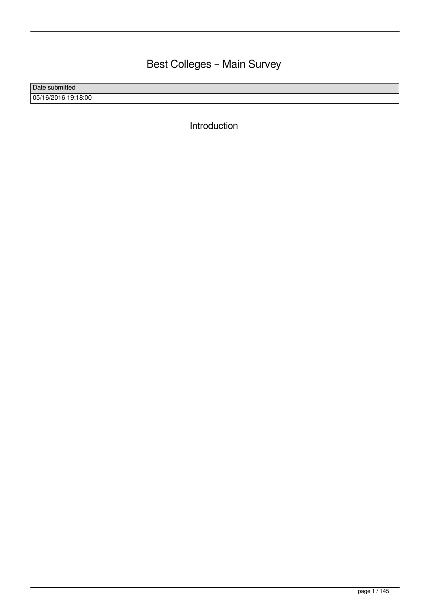# Best Colleges – Main Survey

Date submitted 05/16/2016 19:18:00

Introduction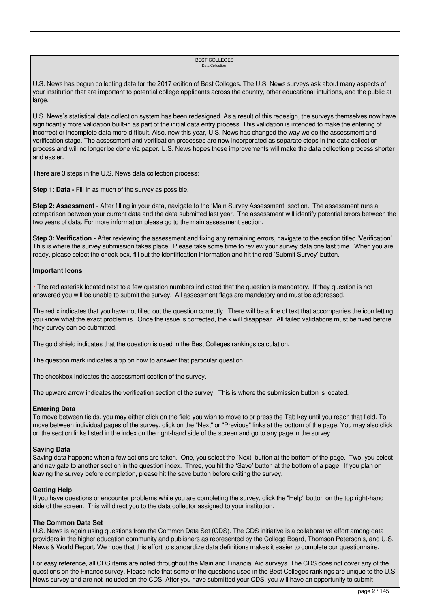#### BEST COLLEGES Data Collection

U.S. News has begun collecting data for the 2017 edition of Best Colleges. The U.S. News surveys ask about many aspects of your institution that are important to potential college applicants across the country, other educational intuitions, and the public at large.

U.S. News's statistical data collection system has been redesigned. As a result of this redesign, the surveys themselves now have significantly more validation built-in as part of the initial data entry process. This validation is intended to make the entering of incorrect or incomplete data more difficult. Also, new this year, U.S. News has changed the way we do the assessment and verification stage. The assessment and verification processes are now incorporated as separate steps in the data collection process and will no longer be done via paper. U.S. News hopes these improvements will make the data collection process shorter and easier.

There are 3 steps in the U.S. News data collection process:

**Step 1: Data -** Fill in as much of the survey as possible.

**Step 2: Assessment -** After filling in your data, navigate to the 'Main Survey Assessment' section. The assessment runs a comparison between your current data and the data submitted last year. The assessment will identify potential errors between the two years of data. For more information please go to the main assessment section.

**Step 3: Verification -** After reviewing the assessment and fixing any remaining errors, navigate to the section titled 'Verification'. This is where the survey submission takes place. Please take some time to review your survey data one last time. When you are ready, please select the check box, fill out the identification information and hit the red 'Submit Survey' button.

#### **Important Icons**

 \* The red asterisk located next to a few question numbers indicated that the question is mandatory. If they question is not answered you will be unable to submit the survey. All assessment flags are mandatory and must be addressed.

The red x indicates that you have not filled out the question correctly. There will be a line of text that accompanies the icon letting you know what the exact problem is. Once the issue is corrected, the x will disappear. All failed validations must be fixed before they survey can be submitted.

The gold shield indicates that the question is used in the Best Colleges rankings calculation.

The question mark indicates a tip on how to answer that particular question.

The checkbox indicates the assessment section of the survey.

The upward arrow indicates the verification section of the survey. This is where the submission button is located.

#### **Entering Data**

To move between fields, you may either click on the field you wish to move to or press the Tab key until you reach that field. To move between individual pages of the survey, click on the "Next" or "Previous" links at the bottom of the page. You may also click on the section links listed in the index on the right-hand side of the screen and go to any page in the survey.

#### **Saving Data**

Saving data happens when a few actions are taken. One, you select the 'Next' button at the bottom of the page. Two, you select and navigate to another section in the question index. Three, you hit the 'Save' button at the bottom of a page. If you plan on leaving the survey before completion, please hit the save button before exiting the survey.

#### **Getting Help**

If you have questions or encounter problems while you are completing the survey, click the "Help" button on the top right-hand side of the screen. This will direct you to the data collector assigned to your institution.

#### **The Common Data Set**

U.S. News is again using questions from the Common Data Set (CDS). The CDS initiative is a collaborative effort among data providers in the higher education community and publishers as represented by the College Board, Thomson Peterson's, and U.S. News & World Report. We hope that this effort to standardize data definitions makes it easier to complete our questionnaire.

For easy reference, all CDS items are noted throughout the Main and Financial Aid surveys. The CDS does not cover any of the questions on the Finance survey. Please note that some of the questions used in the Best Colleges rankings are unique to the U.S. News survey and are not included on the CDS. After you have submitted your CDS, you will have an opportunity to submit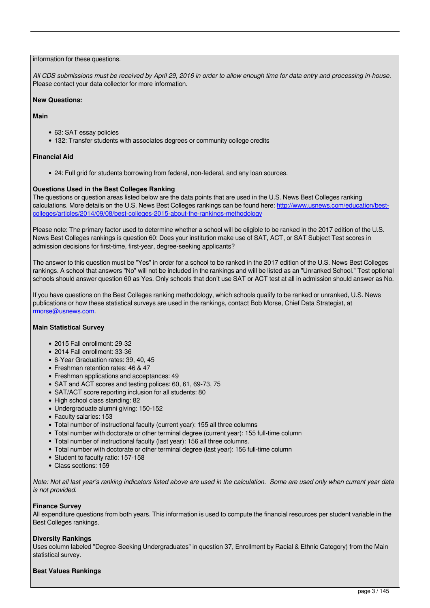#### information for these questions.

*All CDS submissions must be received by April 29, 2016 in order to allow enough time for data entry and processing in-house.* Please contact your data collector for more information.

#### **New Questions:**

#### **Main**

- 63: SAT essay policies
- 132: Transfer students with associates degrees or community college credits

#### **Financial Aid**

24: Full grid for students borrowing from federal, non-federal, and any loan sources.

#### **Questions Used in the Best Colleges Ranking**

The questions or question areas listed below are the data points that are used in the U.S. News Best Colleges ranking calculations. More details on the U.S. News Best Colleges rankings can be found here: [http://www.usnews.com/education/best](http://www.usnews.com/education/best-colleges/articles/2014/09/08/best-colleges-2015-about-the-rankings-methodology)[colleges/articles/2014/09/08/best-colleges-2015-about-the-rankings-methodology](http://www.usnews.com/education/best-colleges/articles/2014/09/08/best-colleges-2015-about-the-rankings-methodology)

Please note: The primary factor used to determine whether a school will be eligible to be ranked in the 2017 edition of the U.S. News Best Colleges rankings is question 60: Does your institution make use of SAT, ACT, or SAT Subject Test scores in admission decisions for first-time, first-year, degree-seeking applicants?

The answer to this question must be "Yes" in order for a school to be ranked in the 2017 edition of the U.S. News Best Colleges rankings. A school that answers "No" will not be included in the rankings and will be listed as an "Unranked School." Test optional schools should answer question 60 as Yes. Only schools that don't use SAT or ACT test at all in admission should answer as No.

If you have questions on the Best Colleges ranking methodology, which schools qualify to be ranked or unranked, U.S. News publications or how these statistical surveys are used in the rankings, contact Bob Morse, Chief Data Strategist, at [rmorse@usnews.com.](mailto:rmorse@usnews.com)

#### **Main Statistical Survey**

- 2015 Fall enrollment: 29-32
- 2014 Fall enrollment: 33-36
- 6-Year Graduation rates: 39, 40, 45
- Freshman retention rates: 46 & 47
- Freshman applications and acceptances: 49
- SAT and ACT scores and testing polices: 60, 61, 69-73, 75
- SAT/ACT score reporting inclusion for all students: 80
- High school class standing: 82
- Undergraduate alumni giving: 150-152
- Faculty salaries: 153
- Total number of instructional faculty (current year): 155 all three columns
- Total number with doctorate or other terminal degree (current year): 155 full-time column
- Total number of instructional faculty (last year): 156 all three columns.
- Total number with doctorate or other terminal degree (last year): 156 full-time column
- Student to faculty ratio: 157-158
- Class sections: 159

*Note: Not all last year's ranking indicators listed above are used in the calculation. Some are used only when current year data is not provided.*

#### **Finance Survey**

All expenditure questions from both years. This information is used to compute the financial resources per student variable in the Best Colleges rankings.

#### **Diversity Rankings**

Uses column labeled "Degree-Seeking Undergraduates" in question 37, Enrollment by Racial & Ethnic Category) from the Main statistical survey.

#### **Best Values Rankings**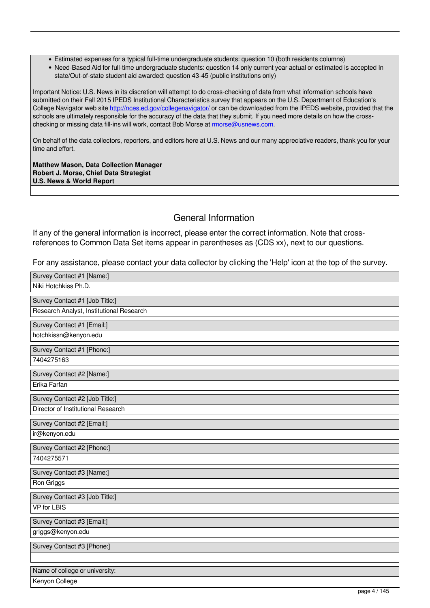- Estimated expenses for a typical full-time undergraduate students: question 10 (both residents columns)
- Need-Based Aid for full-time undergraduate students: question 14 only current year actual or estimated is accepted In state/Out-of-state student aid awarded: question 43-45 (public institutions only)

Important Notice: U.S. News in its discretion will attempt to do cross-checking of data from what information schools have submitted on their Fall 2015 IPEDS Institutional Characteristics survey that appears on the U.S. Department of Education's College Navigator web site<http://nces.ed.gov/collegenavigator/> or can be downloaded from the IPEDS website, provided that the schools are ultimately responsible for the accuracy of the data that they submit. If you need more details on how the crosschecking or missing data fill-ins will work, contact Bob Morse at [rmorse@usnews.com](mailto:rmorse@usnews.com).

On behalf of the data collectors, reporters, and editors here at U.S. News and our many appreciative readers, thank you for your time and effort.

**Matthew Mason, Data Collection Manager Robert J. Morse, Chief Data Strategist U.S. News & World Report** 

### General Information

If any of the general information is incorrect, please enter the correct information. Note that crossreferences to Common Data Set items appear in parentheses as (CDS xx), next to our questions.

For any assistance, please contact your data collector by clicking the 'Help' icon at the top of the survey.

| Survey Contact #1 [Name:]                |
|------------------------------------------|
| Niki Hotchkiss Ph.D.                     |
| Survey Contact #1 [Job Title:]           |
| Research Analyst, Institutional Research |
| Survey Contact #1 [Email:]               |
| hotchkissn@kenyon.edu                    |
| Survey Contact #1 [Phone:]               |
| 7404275163                               |
| Survey Contact #2 [Name:]                |
| Erika Farfan                             |
| Survey Contact #2 [Job Title:]           |
| Director of Institutional Research       |
| Survey Contact #2 [Email:]               |
| ir@kenyon.edu                            |
| Survey Contact #2 [Phone:]               |
| 7404275571                               |
| Survey Contact #3 [Name:]                |
| Ron Griggs                               |
| Survey Contact #3 [Job Title:]           |
| <b>VP</b> for LBIS                       |
| Survey Contact #3 [Email:]               |
| griggs@kenyon.edu                        |
| Survey Contact #3 [Phone:]               |
|                                          |
| Name of college or university:           |
| Kenyon College<br>page 4 / 145           |
|                                          |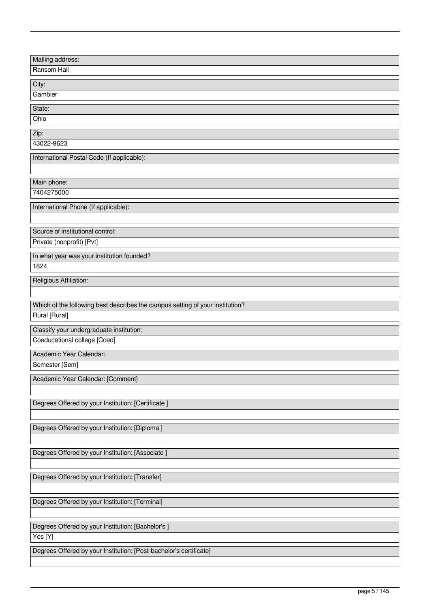| Mailing address:                                                              |
|-------------------------------------------------------------------------------|
| Ransom Hall                                                                   |
|                                                                               |
| City:                                                                         |
| Gambier                                                                       |
| State:                                                                        |
| Ohio                                                                          |
| Zip:                                                                          |
| 43022-9623                                                                    |
| International Postal Code (If applicable):                                    |
|                                                                               |
|                                                                               |
| Main phone:                                                                   |
| 7404275000                                                                    |
| International Phone (If applicable):                                          |
|                                                                               |
| Source of institutional control:                                              |
| Private (nonprofit) [Pvt]                                                     |
| In what year was your institution founded?                                    |
| 1824                                                                          |
|                                                                               |
| Religious Affiliation:                                                        |
|                                                                               |
| Which of the following best describes the campus setting of your institution? |
| Rural [Rural]                                                                 |
| Classify your undergraduate institution:                                      |
| Coeducational college [Coed]                                                  |
| Academic Year Calendar:                                                       |
| Semester [Sem]                                                                |
|                                                                               |
| Academic Year Calendar: [Comment]                                             |
|                                                                               |
| Degrees Offered by your Institution: [Certificate]                            |
|                                                                               |
| Degrees Offered by your Institution: [Diploma ]                               |
|                                                                               |
| Degrees Offered by your Institution: [Associate ]                             |
|                                                                               |
|                                                                               |
| Degrees Offered by your Institution: [Transfer]                               |
|                                                                               |
| Degrees Offered by your Institution: [Terminal]                               |
|                                                                               |
| Degrees Offered by your Institution: [Bachelor's ]                            |
| Yes[Y]                                                                        |
|                                                                               |
| Degrees Offered by your Institution: [Post-bachelor's certificate]            |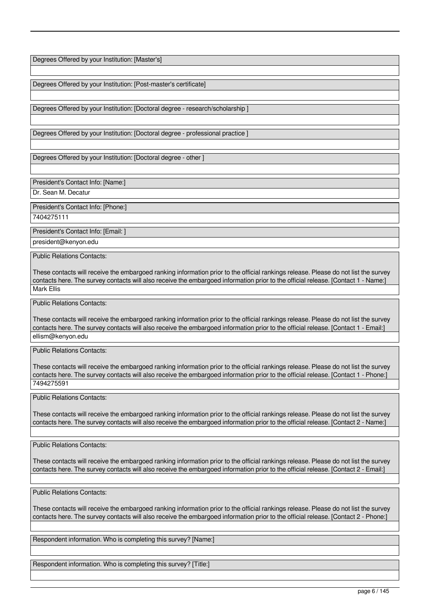Degrees Offered by your Institution: [Master's]

Degrees Offered by your Institution: [Post-master's certificate]

Degrees Offered by your Institution: [Doctoral degree - research/scholarship ]

Degrees Offered by your Institution: [Doctoral degree - professional practice ]

Degrees Offered by your Institution: [Doctoral degree - other ]

President's Contact Info: [Name:]

Dr. Sean M. Decatur

President's Contact Info: [Phone:]

7404275111

President's Contact Info: [Email: ]

president@kenyon.edu

Public Relations Contacts:

These contacts will receive the embargoed ranking information prior to the official rankings release. Please do not list the survey contacts here. The survey contacts will also receive the embargoed information prior to the official release. [Contact 1 - Name:] Mark Ellis

Public Relations Contacts:

These contacts will receive the embargoed ranking information prior to the official rankings release. Please do not list the survey contacts here. The survey contacts will also receive the embargoed information prior to the official release. [Contact 1 - Email:] ellism@kenyon.edu

Public Relations Contacts:

These contacts will receive the embargoed ranking information prior to the official rankings release. Please do not list the survey contacts here. The survey contacts will also receive the embargoed information prior to the official release. [Contact 1 - Phone:] 7494275591

Public Relations Contacts:

These contacts will receive the embargoed ranking information prior to the official rankings release. Please do not list the survey contacts here. The survey contacts will also receive the embargoed information prior to the official release. [Contact 2 - Name:]

Public Relations Contacts:

These contacts will receive the embargoed ranking information prior to the official rankings release. Please do not list the survey contacts here. The survey contacts will also receive the embargoed information prior to the official release. [Contact 2 - Email:]

Public Relations Contacts:

These contacts will receive the embargoed ranking information prior to the official rankings release. Please do not list the survey contacts here. The survey contacts will also receive the embargoed information prior to the official release. [Contact 2 - Phone:]

Respondent information. Who is completing this survey? [Name:]

Respondent information. Who is completing this survey? [Title:]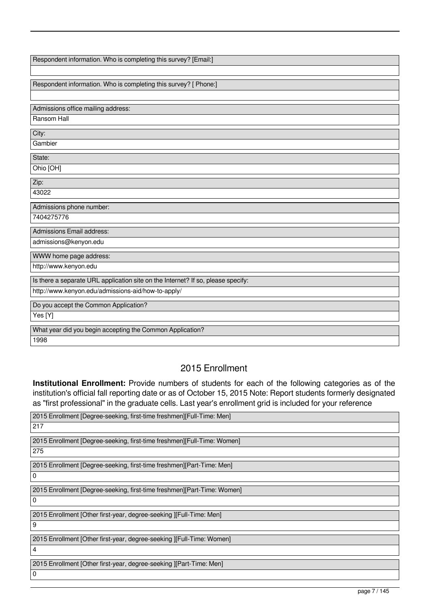| Respondent information. Who is completing this survey? [Email:]                  |
|----------------------------------------------------------------------------------|
|                                                                                  |
|                                                                                  |
| Respondent information. Who is completing this survey? [ Phone:]                 |
|                                                                                  |
| Admissions office mailing address:                                               |
| Ransom Hall                                                                      |
|                                                                                  |
| City:                                                                            |
| Gambier                                                                          |
| State:                                                                           |
| Ohio [OH]                                                                        |
| Zip:                                                                             |
| 43022                                                                            |
|                                                                                  |
| Admissions phone number:                                                         |
|                                                                                  |
| 7404275776                                                                       |
| Admissions Email address:                                                        |
| admissions@kenyon.edu                                                            |
| WWW home page address:                                                           |
| http://www.kenyon.edu                                                            |
| Is there a separate URL application site on the Internet? If so, please specify: |
|                                                                                  |
| http://www.kenyon.edu/admissions-aid/how-to-apply/                               |
| Do you accept the Common Application?                                            |
| Yes [Y]                                                                          |
| What year did you begin accepting the Common Application?                        |

## 2015 Enrollment

**Institutional Enrollment:** Provide numbers of students for each of the following categories as of the institution's official fall reporting date or as of October 15, 2015 Note: Report students formerly designated as "first professional" in the graduate cells. Last year's enrollment grid is included for your reference

| 2015 Enrollment [Degree-seeking, first-time freshmen][Full-Time: Men]   |
|-------------------------------------------------------------------------|
| $\sqrt{217}$                                                            |
| 2015 Enrollment [Degree-seeking, first-time freshmen][Full-Time: Women] |
| 275                                                                     |
| 2015 Enrollment [Degree-seeking, first-time freshmen][Part-Time: Men]   |
| l 0                                                                     |
| 2015 Enrollment [Degree-seeking, first-time freshmen][Part-Time: Women] |
| 0                                                                       |
| 2015 Enrollment [Other first-year, degree-seeking ][Full-Time: Men]     |
| 9                                                                       |
| 2015 Enrollment [Other first-year, degree-seeking ][Full-Time: Women]   |
| 4                                                                       |
| 2015 Enrollment [Other first-year, degree-seeking ][Part-Time: Men]     |
| ١o                                                                      |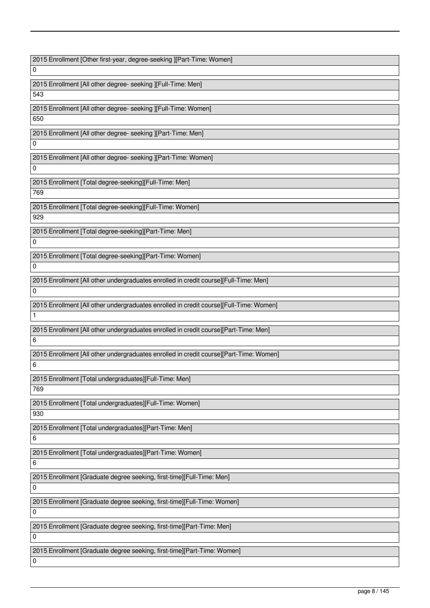2015 Enrollment [Other first-year, degree-seeking ][Part-Time: Women] 0 2015 Enrollment [All other degree- seeking ][Full-Time: Men] 543 2015 Enrollment [All other degree- seeking ][Full-Time: Women] 650 2015 Enrollment [All other degree- seeking ][Part-Time: Men] 0 2015 Enrollment [All other degree- seeking ][Part-Time: Women] 0 2015 Enrollment [Total degree-seeking][Full-Time: Men] 769 2015 Enrollment [Total degree-seeking][Full-Time: Women] 929 2015 Enrollment [Total degree-seeking][Part-Time: Men]  $\overline{0}$ 2015 Enrollment [Total degree-seeking][Part-Time: Women]  $\overline{0}$ 2015 Enrollment [All other undergraduates enrolled in credit course][Full-Time: Men]  $\overline{0}$ 2015 Enrollment [All other undergraduates enrolled in credit course][Full-Time: Women] 1 2015 Enrollment [All other undergraduates enrolled in credit course][Part-Time: Men] 6 2015 Enrollment [All other undergraduates enrolled in credit course][Part-Time: Women] 6 2015 Enrollment [Total undergraduates][Full-Time: Men] 769 2015 Enrollment [Total undergraduates][Full-Time: Women] 930 2015 Enrollment [Total undergraduates][Part-Time: Men] 6 2015 Enrollment [Total undergraduates][Part-Time: Women] 6 2015 Enrollment [Graduate degree seeking, first-time][Full-Time: Men]  $\overline{0}$ 2015 Enrollment [Graduate degree seeking, first-time][Full-Time: Women]  $\Omega$ 2015 Enrollment [Graduate degree seeking, first-time][Part-Time: Men]  $\Omega$ 2015 Enrollment [Graduate degree seeking, first-time][Part-Time: Women] 0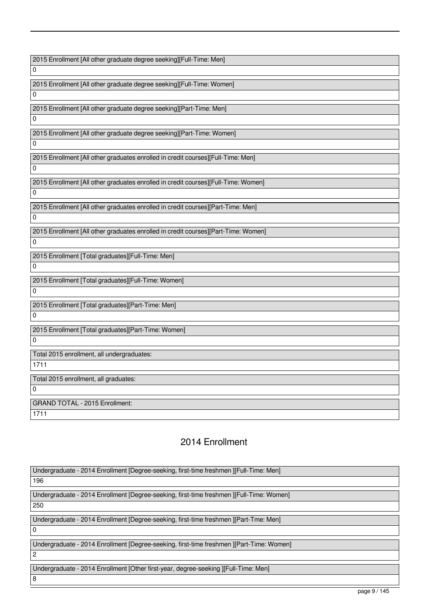2015 Enrollment [All other graduate degree seeking][Full-Time: Men]

2015 Enrollment [All other graduate degree seeking][Full-Time: Women]

2015 Enrollment [All other graduate degree seeking][Part-Time: Men]

2015 Enrollment [All other graduate degree seeking][Part-Time: Women]

2015 Enrollment [All other graduates enrolled in credit courses][Full-Time: Men]

2015 Enrollment [All other graduates enrolled in credit courses][Full-Time: Women]

 $\Omega$ 

 $\overline{0}$ 

0

 $\Omega$ 

 $\Omega$ 

0

0

2015 Enrollment [All other graduates enrolled in credit courses][Part-Time: Men]  $\Omega$ 

2015 Enrollment [All other graduates enrolled in credit courses][Part-Time: Women]  $\overline{0}$ 

2015 Enrollment [Total graduates][Full-Time: Men]

2015 Enrollment [Total graduates][Full-Time: Women]  $\Omega$ 

2015 Enrollment [Total graduates][Part-Time: Men] 0

2015 Enrollment [Total graduates][Part-Time: Women] 0

Total 2015 enrollment, all undergraduates:

1711

0

Total 2015 enrollment, all graduates:

GRAND TOTAL - 2015 Enrollment: 1711

## 2014 Enrollment

Undergraduate - 2014 Enrollment [Degree-seeking, first-time freshmen ][Full-Time: Men]

196

Undergraduate - 2014 Enrollment [Degree-seeking, first-time freshmen ][Full-Time: Women]

250

0

Undergraduate - 2014 Enrollment [Degree-seeking, first-time freshmen ][Part-Tme: Men]

Undergraduate - 2014 Enrollment [Degree-seeking, first-time freshmen ][Part-Time: Women]

2

Undergraduate - 2014 Enrollment [Other first-year, degree-seeking ][Full-Time: Men]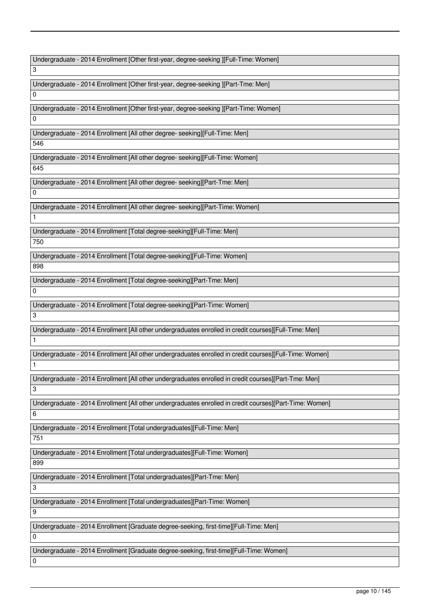Undergraduate - 2014 Enrollment [Other first-year, degree-seeking ][Full-Time: Women]

3

Undergraduate - 2014 Enrollment [Other first-year, degree-seeking ][Part-Tme: Men]  $\Omega$ 

Undergraduate - 2014 Enrollment [Other first-year, degree-seeking ][Part-Time: Women]

Undergraduate - 2014 Enrollment [All other degree- seeking][Full-Time: Men]

546

 $\Omega$ 

Undergraduate - 2014 Enrollment [All other degree- seeking][Full-Time: Women]

645

Undergraduate - 2014 Enrollment [All other degree- seeking][Part-Tme: Men]  $\Omega$ 

Undergraduate - 2014 Enrollment [All other degree- seeking][Part-Time: Women]

1

Undergraduate - 2014 Enrollment [Total degree-seeking][Full-Time: Men] 750

Undergraduate - 2014 Enrollment [Total degree-seeking][Full-Time: Women] 898

Undergraduate - 2014 Enrollment [Total degree-seeking][Part-Tme: Men]

Undergraduate - 2014 Enrollment [Total degree-seeking][Part-Time: Women]

Undergraduate - 2014 Enrollment [All other undergraduates enrolled in credit courses][Full-Time: Men]

Undergraduate - 2014 Enrollment [All other undergraduates enrolled in credit courses][Full-Time: Women]

Undergraduate - 2014 Enrollment [All other undergraduates enrolled in credit courses][Part-Tme: Men]

3

6

 $\Omega$ 

3

1

1

Undergraduate - 2014 Enrollment [All other undergraduates enrolled in credit courses][Part-Time: Women]

Undergraduate - 2014 Enrollment [Total undergraduates][Full-Time: Men]

751

Undergraduate - 2014 Enrollment [Total undergraduates][Full-Time: Women]

899

Undergraduate - 2014 Enrollment [Total undergraduates][Part-Tme: Men]

Undergraduate - 2014 Enrollment [Total undergraduates][Part-Time: Women]

9

 $\Omega$ 

0

3

Undergraduate - 2014 Enrollment [Graduate degree-seeking, first-time][Full-Time: Men]

Undergraduate - 2014 Enrollment [Graduate degree-seeking, first-time][Full-Time: Women]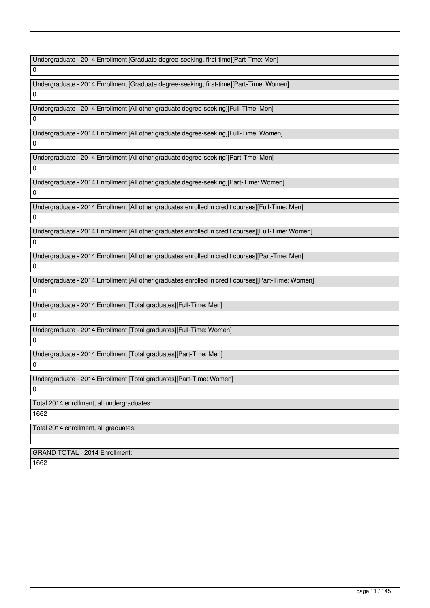Undergraduate - 2014 Enrollment [Graduate degree-seeking, first-time][Part-Tme: Men]

Undergraduate - 2014 Enrollment [Graduate degree-seeking, first-time][Part-Time: Women]

Undergraduate - 2014 Enrollment [All other graduate degree-seeking][Full-Time: Men]

Undergraduate - 2014 Enrollment [All other graduate degree-seeking][Full-Time: Women]

Undergraduate - 2014 Enrollment [All other graduate degree-seeking][Part-Tme: Men]

Undergraduate - 2014 Enrollment [All other graduate degree-seeking][Part-Time: Women]

 $\Omega$ 

 $\Omega$ 

 $\overline{0}$ 

 $\overline{0}$ 

 $\Omega$ 

 $\Omega$ 

 $\Omega$ 

 $\overline{0}$ 

0

 $\Omega$ 

0

0

Undergraduate - 2014 Enrollment [All other graduates enrolled in credit courses][Full-Time: Men]

Undergraduate - 2014 Enrollment [All other graduates enrolled in credit courses][Full-Time: Women]

Undergraduate - 2014 Enrollment [All other graduates enrolled in credit courses][Part-Tme: Men]

Undergraduate - 2014 Enrollment [All other graduates enrolled in credit courses][Part-Time: Women]

Undergraduate - 2014 Enrollment [Total graduates][Full-Time: Men]

Undergraduate - 2014 Enrollment [Total graduates][Full-Time: Women]

Undergraduate - 2014 Enrollment [Total graduates][Part-Tme: Men] 0

Undergraduate - 2014 Enrollment [Total graduates][Part-Time: Women]

0

Total 2014 enrollment, all undergraduates:

1662

Total 2014 enrollment, all graduates:

GRAND TOTAL - 2014 Enrollment:

1662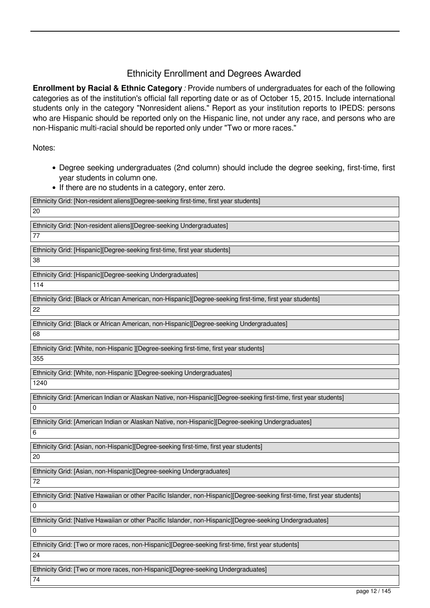### Ethnicity Enrollment and Degrees Awarded

**Enrollment by Racial & Ethnic Category** *:* Provide numbers of undergraduates for each of the following categories as of the institution's official fall reporting date or as of October 15, 2015. Include international students only in the category "Nonresident aliens." Report as your institution reports to IPEDS: persons who are Hispanic should be reported only on the Hispanic line, not under any race, and persons who are non-Hispanic multi-racial should be reported only under "Two or more races."

Notes:

- Degree seeking undergraduates (2nd column) should include the degree seeking, first-time, first year students in column one.
- If there are no students in a category, enter zero.

| Ethnicity Grid: [Non-resident aliens][Degree-seeking first-time, first year students]                                     |
|---------------------------------------------------------------------------------------------------------------------------|
| 20                                                                                                                        |
| Ethnicity Grid: [Non-resident aliens][Degree-seeking Undergraduates]                                                      |
| 77                                                                                                                        |
| Ethnicity Grid: [Hispanic][Degree-seeking first-time, first year students]                                                |
| 38                                                                                                                        |
|                                                                                                                           |
| Ethnicity Grid: [Hispanic][Degree-seeking Undergraduates]                                                                 |
| 114                                                                                                                       |
| Ethnicity Grid: [Black or African American, non-Hispanic][Degree-seeking first-time, first year students]                 |
| 22                                                                                                                        |
|                                                                                                                           |
| Ethnicity Grid: [Black or African American, non-Hispanic][Degree-seeking Undergraduates]                                  |
| 68                                                                                                                        |
| Ethnicity Grid: [White, non-Hispanic ][Degree-seeking first-time, first year students]                                    |
| 355                                                                                                                       |
|                                                                                                                           |
| Ethnicity Grid: [White, non-Hispanic ][Degree-seeking Undergraduates]                                                     |
| 1240                                                                                                                      |
| Ethnicity Grid: [American Indian or Alaskan Native, non-Hispanic][Degree-seeking first-time, first year students]         |
| 0                                                                                                                         |
| Ethnicity Grid: [American Indian or Alaskan Native, non-Hispanic][Degree-seeking Undergraduates]                          |
| 6                                                                                                                         |
|                                                                                                                           |
| Ethnicity Grid: [Asian, non-Hispanic][Degree-seeking first-time, first year students]                                     |
| 20                                                                                                                        |
| Ethnicity Grid: [Asian, non-Hispanic][Degree-seeking Undergraduates]                                                      |
| 72                                                                                                                        |
|                                                                                                                           |
| Ethnicity Grid: [Native Hawaiian or other Pacific Islander, non-Hispanic][Degree-seeking first-time, first year students] |
| 0                                                                                                                         |
| Ethnicity Grid: [Native Hawaiian or other Pacific Islander, non-Hispanic][Degree-seeking Undergraduates]                  |
| 0                                                                                                                         |
| Ethnicity Grid: [Two or more races, non-Hispanic][Degree-seeking first-time, first year students]                         |
| 24                                                                                                                        |
|                                                                                                                           |
| Ethnicity Grid: [Two or more races, non-Hispanic][Degree-seeking Undergraduates]                                          |
| 74                                                                                                                        |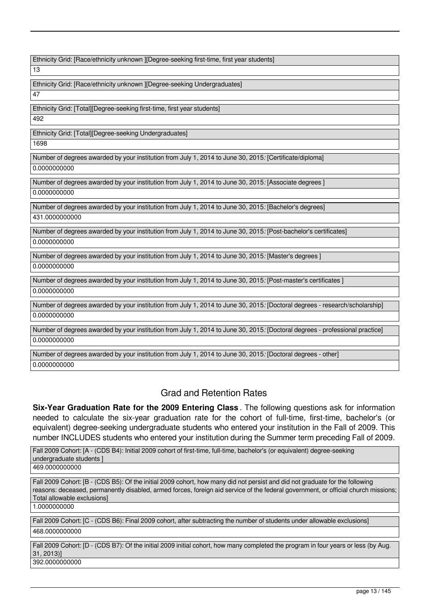| Ethnicity Grid: [Race/ethnicity unknown ][Degree-seeking first-time, first year students]                                    |
|------------------------------------------------------------------------------------------------------------------------------|
| 13                                                                                                                           |
| Ethnicity Grid: [Race/ethnicity unknown ][Degree-seeking Undergraduates]                                                     |
| 47                                                                                                                           |
| Ethnicity Grid: [Total][Degree-seeking first-time, first year students]                                                      |
| 492                                                                                                                          |
| Ethnicity Grid: [Total][Degree-seeking Undergraduates]                                                                       |
| 1698                                                                                                                         |
| Number of degrees awarded by your institution from July 1, 2014 to June 30, 2015: [Certificate/diploma]                      |
| 0.0000000000                                                                                                                 |
| Number of degrees awarded by your institution from July 1, 2014 to June 30, 2015: [Associate degrees]                        |
| 0.0000000000                                                                                                                 |
| Number of degrees awarded by your institution from July 1, 2014 to June 30, 2015: [Bachelor's degrees]                       |
| 431.0000000000                                                                                                               |
| Number of degrees awarded by your institution from July 1, 2014 to June 30, 2015. [Post-bachelor's certificates]             |
| 0.0000000000                                                                                                                 |
| Number of degrees awarded by your institution from July 1, 2014 to June 30, 2015: [Master's degrees]                         |
| 0.0000000000                                                                                                                 |
| Number of degrees awarded by your institution from July 1, 2014 to June 30, 2015. [Post-master's certificates]               |
| 0.0000000000                                                                                                                 |
| Number of degrees awarded by your institution from July 1, 2014 to June 30, 2015: [Doctoral degrees - research/scholarship]  |
| 0.0000000000                                                                                                                 |
| Number of degrees awarded by your institution from July 1, 2014 to June 30, 2015: [Doctoral degrees - professional practice] |
| 0.0000000000                                                                                                                 |
|                                                                                                                              |

Number of degrees awarded by your institution from July 1, 2014 to June 30, 2015*:* [Doctoral degrees - other] 0.0000000000

## Grad and Retention Rates

**Six-Year Graduation Rate for the 2009 Entering Class** . The following questions ask for information needed to calculate the six-year graduation rate for the cohort of full-time, first-time, bachelor's (or equivalent) degree-seeking undergraduate students who entered your institution in the Fall of 2009. This number INCLUDES students who entered your institution during the Summer term preceding Fall of 2009.

Fall 2009 Cohort: [A - (CDS B4): Initial 2009 cohort of first-time, full-time, bachelor's (or equivalent) degree-seeking undergraduate students ] 469.0000000000

Fall 2009 Cohort: [B - (CDS B5): Of the initial 2009 cohort, how many did not persist and did not graduate for the following reasons: deceased, permanently disabled, armed forces, foreign aid service of the federal government, or official church missions; Total allowable exclusions]

1.0000000000

Fall 2009 Cohort: [C - (CDS B6): Final 2009 cohort, after subtracting the number of students under allowable exclusions] 468.0000000000

Fall 2009 Cohort: [D - (CDS B7): Of the initial 2009 initial cohort, how many completed the program in four years or less (by Aug. 31, 2013)]

392.0000000000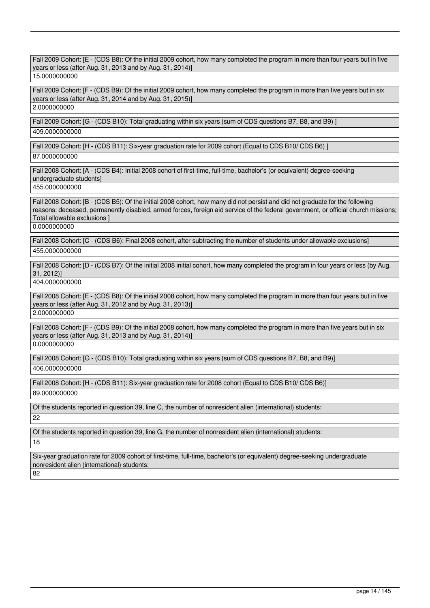| Fall 2009 Cohort: [E - (CDS B8): Of the initial 2009 cohort, how many completed the program in more than four years but in five<br>years or less (after Aug. 31, 2013 and by Aug. 31, 2014)]                                                                                                                       |
|--------------------------------------------------------------------------------------------------------------------------------------------------------------------------------------------------------------------------------------------------------------------------------------------------------------------|
| 15.0000000000                                                                                                                                                                                                                                                                                                      |
| Fall 2009 Cohort: [F - (CDS B9): Of the initial 2009 cohort, how many completed the program in more than five years but in six<br>years or less (after Aug. 31, 2014 and by Aug. 31, 2015)]<br>2.0000000000                                                                                                        |
| Fall 2009 Cohort: [G - (CDS B10): Total graduating within six years (sum of CDS questions B7, B8, and B9) ]                                                                                                                                                                                                        |
| 409.0000000000                                                                                                                                                                                                                                                                                                     |
| Fall 2009 Cohort: [H - (CDS B11): Six-year graduation rate for 2009 cohort (Equal to CDS B10/ CDS B6) ]                                                                                                                                                                                                            |
| 87.0000000000                                                                                                                                                                                                                                                                                                      |
| Fall 2008 Cohort: [A - (CDS B4): Initial 2008 cohort of first-time, full-time, bachelor's (or equivalent) degree-seeking<br>undergraduate students]<br>455.0000000000                                                                                                                                              |
| Fall 2008 Cohort: [B - (CDS B5): Of the initial 2008 cohort, how many did not persist and did not graduate for the following<br>reasons: deceased, permanently disabled, armed forces, foreign aid service of the federal government, or official church missions;<br>Total allowable exclusions ]<br>0.0000000000 |
|                                                                                                                                                                                                                                                                                                                    |
| Fall 2008 Cohort: [C - (CDS B6): Final 2008 cohort, after subtracting the number of students under allowable exclusions]<br>455.0000000000                                                                                                                                                                         |
| Fall 2008 Cohort: [D - (CDS B7): Of the initial 2008 initial cohort, how many completed the program in four years or less (by Aug.<br>31, 2012<br>404.0000000000                                                                                                                                                   |
|                                                                                                                                                                                                                                                                                                                    |
| Fall 2008 Cohort: [E - (CDS B8): Of the initial 2008 cohort, how many completed the program in more than four years but in five<br>years or less (after Aug. 31, 2012 and by Aug. 31, 2013)]<br>2.0000000000                                                                                                       |
|                                                                                                                                                                                                                                                                                                                    |
| Fall 2008 Cohort: [F - (CDS B9): Of the initial 2008 cohort, how many completed the program in more than five years but in six<br>years or less (after Aug. 31, 2013 and by Aug. 31, 2014)]<br>0.0000000000                                                                                                        |
|                                                                                                                                                                                                                                                                                                                    |
| Fall 2008 Cohort: [G - (CDS B10): Total graduating within six years (sum of CDS questions B7, B8, and B9)]<br>406.0000000000                                                                                                                                                                                       |
| Fall 2008 Cohort: [H - (CDS B11): Six-year graduation rate for 2008 cohort (Equal to CDS B10/ CDS B6)]                                                                                                                                                                                                             |
| 89.0000000000                                                                                                                                                                                                                                                                                                      |
| Of the students reported in question 39, line C, the number of nonresident alien (international) students:                                                                                                                                                                                                         |
| 22                                                                                                                                                                                                                                                                                                                 |
| Of the students reported in question 39, line G, the number of nonresident alien (international) students:                                                                                                                                                                                                         |
| 18                                                                                                                                                                                                                                                                                                                 |
| Six-year graduation rate for 2009 cohort of first-time, full-time, bachelor's (or equivalent) degree-seeking undergraduate<br>nonresident alien (international) students:<br>82                                                                                                                                    |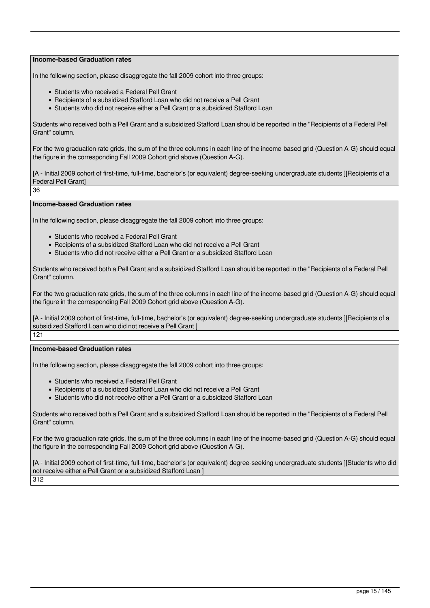In the following section, please disaggregate the fall 2009 cohort into three groups:

- Students who received a Federal Pell Grant
- Recipients of a subsidized Stafford Loan who did not receive a Pell Grant
- Students who did not receive either a Pell Grant or a subsidized Stafford Loan

Students who received both a Pell Grant and a subsidized Stafford Loan should be reported in the "Recipients of a Federal Pell Grant" column.

For the two graduation rate grids, the sum of the three columns in each line of the income-based grid (Question A-G) should equal the figure in the corresponding Fall 2009 Cohort grid above (Question A-G).

[A - Initial 2009 cohort of first-time, full-time, bachelor's (or equivalent) degree-seeking undergraduate students IIRecipients of a Federal Pell Grant]

36

#### **Income-based Graduation rates**

In the following section, please disaggregate the fall 2009 cohort into three groups:

- Students who received a Federal Pell Grant
- Recipients of a subsidized Stafford Loan who did not receive a Pell Grant
- Students who did not receive either a Pell Grant or a subsidized Stafford Loan

Students who received both a Pell Grant and a subsidized Stafford Loan should be reported in the "Recipients of a Federal Pell Grant" column.

For the two graduation rate grids, the sum of the three columns in each line of the income-based grid (Question A-G) should equal the figure in the corresponding Fall 2009 Cohort grid above (Question A-G).

[A - Initial 2009 cohort of first-time, full-time, bachelor's (or equivalent) degree-seeking undergraduate students ][Recipients of a subsidized Stafford Loan who did not receive a Pell Grant ]

121

#### **Income-based Graduation rates**

In the following section, please disaggregate the fall 2009 cohort into three groups:

- Students who received a Federal Pell Grant
- Recipients of a subsidized Stafford Loan who did not receive a Pell Grant
- Students who did not receive either a Pell Grant or a subsidized Stafford Loan

Students who received both a Pell Grant and a subsidized Stafford Loan should be reported in the "Recipients of a Federal Pell Grant" column.

For the two graduation rate grids, the sum of the three columns in each line of the income-based grid (Question A-G) should equal the figure in the corresponding Fall 2009 Cohort grid above (Question A-G).

[A - Initial 2009 cohort of first-time, full-time, bachelor's (or equivalent) degree-seeking undergraduate students ][Students who did not receive either a Pell Grant or a subsidized Stafford Loan ] 312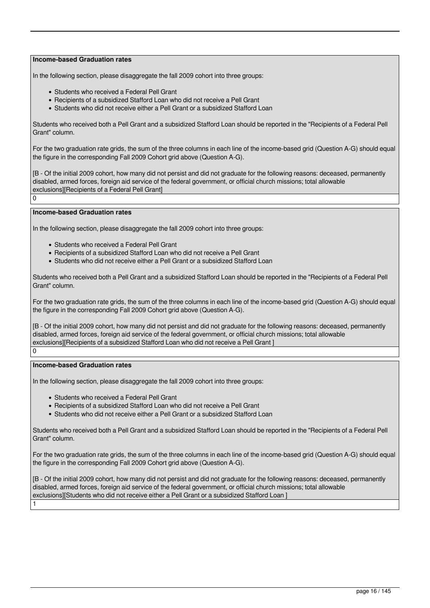In the following section, please disaggregate the fall 2009 cohort into three groups:

- Students who received a Federal Pell Grant
- Recipients of a subsidized Stafford Loan who did not receive a Pell Grant
- Students who did not receive either a Pell Grant or a subsidized Stafford Loan

Students who received both a Pell Grant and a subsidized Stafford Loan should be reported in the "Recipients of a Federal Pell Grant" column.

For the two graduation rate grids, the sum of the three columns in each line of the income-based grid (Question A-G) should equal the figure in the corresponding Fall 2009 Cohort grid above (Question A-G).

[B - Of the initial 2009 cohort, how many did not persist and did not graduate for the following reasons: deceased, permanently disabled, armed forces, foreign aid service of the federal government, or official church missions; total allowable exclusions][Recipients of a Federal Pell Grant]

 $\Omega$ 

1

#### **Income-based Graduation rates**

In the following section, please disaggregate the fall 2009 cohort into three groups:

- Students who received a Federal Pell Grant
- Recipients of a subsidized Stafford Loan who did not receive a Pell Grant
- Students who did not receive either a Pell Grant or a subsidized Stafford Loan

Students who received both a Pell Grant and a subsidized Stafford Loan should be reported in the "Recipients of a Federal Pell Grant" column.

For the two graduation rate grids, the sum of the three columns in each line of the income-based grid (Question A-G) should equal the figure in the corresponding Fall 2009 Cohort grid above (Question A-G).

[B - Of the initial 2009 cohort, how many did not persist and did not graduate for the following reasons: deceased, permanently disabled, armed forces, foreign aid service of the federal government, or official church missions; total allowable exclusions][Recipients of a subsidized Stafford Loan who did not receive a Pell Grant ]  $\overline{0}$ 

#### **Income-based Graduation rates**

In the following section, please disaggregate the fall 2009 cohort into three groups:

- Students who received a Federal Pell Grant
- Recipients of a subsidized Stafford Loan who did not receive a Pell Grant
- Students who did not receive either a Pell Grant or a subsidized Stafford Loan

Students who received both a Pell Grant and a subsidized Stafford Loan should be reported in the "Recipients of a Federal Pell Grant" column.

For the two graduation rate grids, the sum of the three columns in each line of the income-based grid (Question A-G) should equal the figure in the corresponding Fall 2009 Cohort grid above (Question A-G).

[B - Of the initial 2009 cohort, how many did not persist and did not graduate for the following reasons: deceased, permanently disabled, armed forces, foreign aid service of the federal government, or official church missions; total allowable exclusions][Students who did not receive either a Pell Grant or a subsidized Stafford Loan ]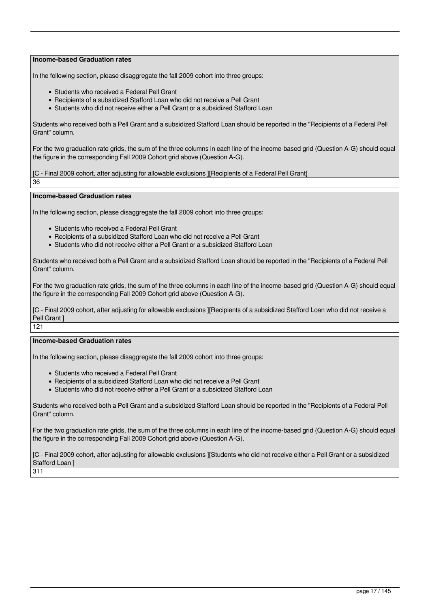In the following section, please disaggregate the fall 2009 cohort into three groups:

- Students who received a Federal Pell Grant
- Recipients of a subsidized Stafford Loan who did not receive a Pell Grant
- Students who did not receive either a Pell Grant or a subsidized Stafford Loan

Students who received both a Pell Grant and a subsidized Stafford Loan should be reported in the "Recipients of a Federal Pell Grant" column.

For the two graduation rate grids, the sum of the three columns in each line of the income-based grid (Question A-G) should equal the figure in the corresponding Fall 2009 Cohort grid above (Question A-G).

[C - Final 2009 cohort, after adjusting for allowable exclusions ][Recipients of a Federal Pell Grant]

36

**Income-based Graduation rates**

In the following section, please disaggregate the fall 2009 cohort into three groups:

- Students who received a Federal Pell Grant
- Recipients of a subsidized Stafford Loan who did not receive a Pell Grant
- Students who did not receive either a Pell Grant or a subsidized Stafford Loan

Students who received both a Pell Grant and a subsidized Stafford Loan should be reported in the "Recipients of a Federal Pell Grant" column.

For the two graduation rate grids, the sum of the three columns in each line of the income-based grid (Question A-G) should equal the figure in the corresponding Fall 2009 Cohort grid above (Question A-G).

[C - Final 2009 cohort, after adjusting for allowable exclusions ][Recipients of a subsidized Stafford Loan who did not receive a Pell Grant ] 121

#### **Income-based Graduation rates**

In the following section, please disaggregate the fall 2009 cohort into three groups:

- Students who received a Federal Pell Grant
- Recipients of a subsidized Stafford Loan who did not receive a Pell Grant
- Students who did not receive either a Pell Grant or a subsidized Stafford Loan

Students who received both a Pell Grant and a subsidized Stafford Loan should be reported in the "Recipients of a Federal Pell Grant" column.

For the two graduation rate grids, the sum of the three columns in each line of the income-based grid (Question A-G) should equal the figure in the corresponding Fall 2009 Cohort grid above (Question A-G).

[C - Final 2009 cohort, after adjusting for allowable exclusions ][Students who did not receive either a Pell Grant or a subsidized Stafford Loan ]

311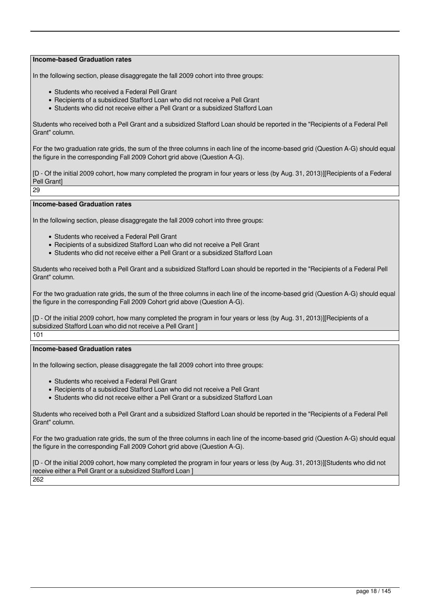In the following section, please disaggregate the fall 2009 cohort into three groups:

- Students who received a Federal Pell Grant
- Recipients of a subsidized Stafford Loan who did not receive a Pell Grant
- Students who did not receive either a Pell Grant or a subsidized Stafford Loan

Students who received both a Pell Grant and a subsidized Stafford Loan should be reported in the "Recipients of a Federal Pell Grant" column.

For the two graduation rate grids, the sum of the three columns in each line of the income-based grid (Question A-G) should equal the figure in the corresponding Fall 2009 Cohort grid above (Question A-G).

[D - Of the initial 2009 cohort, how many completed the program in four years or less (by Aug. 31, 2013)][Recipients of a Federal Pell Grant]

29

#### **Income-based Graduation rates**

In the following section, please disaggregate the fall 2009 cohort into three groups:

- Students who received a Federal Pell Grant
- Recipients of a subsidized Stafford Loan who did not receive a Pell Grant
- Students who did not receive either a Pell Grant or a subsidized Stafford Loan

Students who received both a Pell Grant and a subsidized Stafford Loan should be reported in the "Recipients of a Federal Pell Grant" column.

For the two graduation rate grids, the sum of the three columns in each line of the income-based grid (Question A-G) should equal the figure in the corresponding Fall 2009 Cohort grid above (Question A-G).

[D - Of the initial 2009 cohort, how many completed the program in four years or less (by Aug. 31, 2013)][Recipients of a subsidized Stafford Loan who did not receive a Pell Grant ]

101

#### **Income-based Graduation rates**

In the following section, please disaggregate the fall 2009 cohort into three groups:

- Students who received a Federal Pell Grant
- Recipients of a subsidized Stafford Loan who did not receive a Pell Grant
- Students who did not receive either a Pell Grant or a subsidized Stafford Loan

Students who received both a Pell Grant and a subsidized Stafford Loan should be reported in the "Recipients of a Federal Pell Grant" column.

For the two graduation rate grids, the sum of the three columns in each line of the income-based grid (Question A-G) should equal the figure in the corresponding Fall 2009 Cohort grid above (Question A-G).

[D - Of the initial 2009 cohort, how many completed the program in four years or less (by Aug. 31, 2013)][Students who did not receive either a Pell Grant or a subsidized Stafford Loan ] 262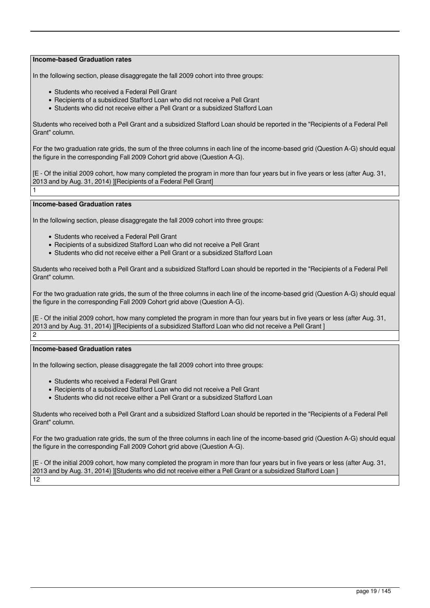In the following section, please disaggregate the fall 2009 cohort into three groups:

- Students who received a Federal Pell Grant
- Recipients of a subsidized Stafford Loan who did not receive a Pell Grant
- Students who did not receive either a Pell Grant or a subsidized Stafford Loan

Students who received both a Pell Grant and a subsidized Stafford Loan should be reported in the "Recipients of a Federal Pell Grant" column.

For the two graduation rate grids, the sum of the three columns in each line of the income-based grid (Question A-G) should equal the figure in the corresponding Fall 2009 Cohort grid above (Question A-G).

[E - Of the initial 2009 cohort, how many completed the program in more than four years but in five years or less (after Aug. 31, 2013 and by Aug. 31, 2014) ][Recipients of a Federal Pell Grant]

#### **Income-based Graduation rates**

1

In the following section, please disaggregate the fall 2009 cohort into three groups:

- Students who received a Federal Pell Grant
- Recipients of a subsidized Stafford Loan who did not receive a Pell Grant
- Students who did not receive either a Pell Grant or a subsidized Stafford Loan

Students who received both a Pell Grant and a subsidized Stafford Loan should be reported in the "Recipients of a Federal Pell Grant" column.

For the two graduation rate grids, the sum of the three columns in each line of the income-based grid (Question A-G) should equal the figure in the corresponding Fall 2009 Cohort grid above (Question A-G).

[E - Of the initial 2009 cohort, how many completed the program in more than four years but in five years or less (after Aug. 31, 2013 and by Aug. 31, 2014) ][Recipients of a subsidized Stafford Loan who did not receive a Pell Grant ] 2

#### **Income-based Graduation rates**

In the following section, please disaggregate the fall 2009 cohort into three groups:

- Students who received a Federal Pell Grant
- Recipients of a subsidized Stafford Loan who did not receive a Pell Grant
- Students who did not receive either a Pell Grant or a subsidized Stafford Loan

Students who received both a Pell Grant and a subsidized Stafford Loan should be reported in the "Recipients of a Federal Pell Grant" column.

For the two graduation rate grids, the sum of the three columns in each line of the income-based grid (Question A-G) should equal the figure in the corresponding Fall 2009 Cohort grid above (Question A-G).

[E - Of the initial 2009 cohort, how many completed the program in more than four years but in five years or less (after Aug. 31, 2013 and by Aug. 31, 2014) ][Students who did not receive either a Pell Grant or a subsidized Stafford Loan ] 12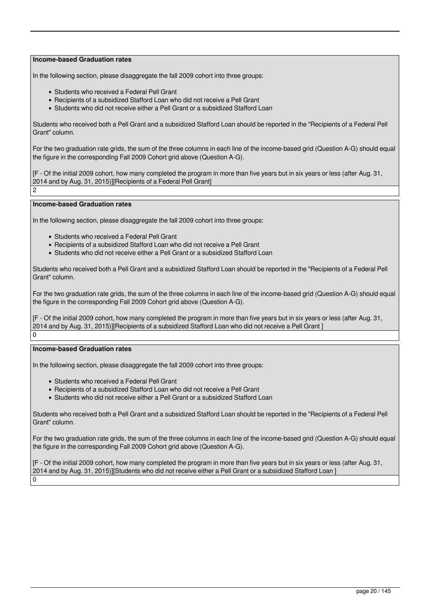In the following section, please disaggregate the fall 2009 cohort into three groups:

- Students who received a Federal Pell Grant
- Recipients of a subsidized Stafford Loan who did not receive a Pell Grant
- Students who did not receive either a Pell Grant or a subsidized Stafford Loan

Students who received both a Pell Grant and a subsidized Stafford Loan should be reported in the "Recipients of a Federal Pell Grant" column.

For the two graduation rate grids, the sum of the three columns in each line of the income-based grid (Question A-G) should equal the figure in the corresponding Fall 2009 Cohort grid above (Question A-G).

[F - Of the initial 2009 cohort, how many completed the program in more than five years but in six years or less (after Aug. 31, 2014 and by Aug. 31, 2015)][Recipients of a Federal Pell Grant]  $\mathcal{L}$ 

#### **Income-based Graduation rates**

In the following section, please disaggregate the fall 2009 cohort into three groups:

- Students who received a Federal Pell Grant
- Recipients of a subsidized Stafford Loan who did not receive a Pell Grant
- Students who did not receive either a Pell Grant or a subsidized Stafford Loan

Students who received both a Pell Grant and a subsidized Stafford Loan should be reported in the "Recipients of a Federal Pell Grant" column.

For the two graduation rate grids, the sum of the three columns in each line of the income-based grid (Question A-G) should equal the figure in the corresponding Fall 2009 Cohort grid above (Question A-G).

[F - Of the initial 2009 cohort, how many completed the program in more than five years but in six years or less (after Aug. 31, 2014 and by Aug. 31, 2015)][Recipients of a subsidized Stafford Loan who did not receive a Pell Grant ]  $\overline{0}$ 

#### **Income-based Graduation rates**

In the following section, please disaggregate the fall 2009 cohort into three groups:

- Students who received a Federal Pell Grant
- Recipients of a subsidized Stafford Loan who did not receive a Pell Grant
- Students who did not receive either a Pell Grant or a subsidized Stafford Loan

Students who received both a Pell Grant and a subsidized Stafford Loan should be reported in the "Recipients of a Federal Pell Grant" column.

For the two graduation rate grids, the sum of the three columns in each line of the income-based grid (Question A-G) should equal the figure in the corresponding Fall 2009 Cohort grid above (Question A-G).

[F - Of the initial 2009 cohort, how many completed the program in more than five years but in six years or less (after Aug. 31, 2014 and by Aug. 31, 2015)][Students who did not receive either a Pell Grant or a subsidized Stafford Loan ]  $\Omega$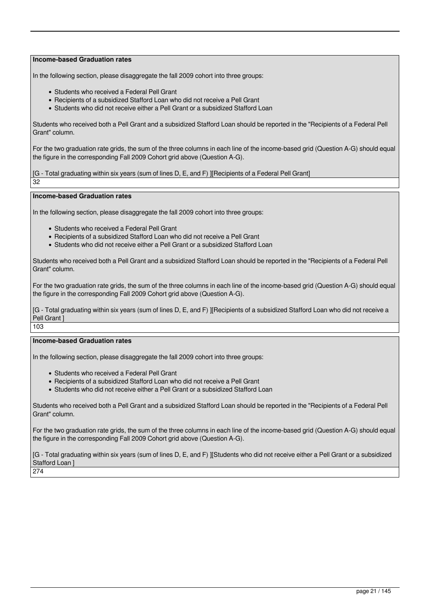In the following section, please disaggregate the fall 2009 cohort into three groups:

- Students who received a Federal Pell Grant
- Recipients of a subsidized Stafford Loan who did not receive a Pell Grant
- Students who did not receive either a Pell Grant or a subsidized Stafford Loan

Students who received both a Pell Grant and a subsidized Stafford Loan should be reported in the "Recipients of a Federal Pell Grant" column.

For the two graduation rate grids, the sum of the three columns in each line of the income-based grid (Question A-G) should equal the figure in the corresponding Fall 2009 Cohort grid above (Question A-G).

[G - Total graduating within six years (sum of lines D, E, and F) ][Recipients of a Federal Pell Grant]

32

**Income-based Graduation rates**

In the following section, please disaggregate the fall 2009 cohort into three groups:

- Students who received a Federal Pell Grant
- Recipients of a subsidized Stafford Loan who did not receive a Pell Grant
- Students who did not receive either a Pell Grant or a subsidized Stafford Loan

Students who received both a Pell Grant and a subsidized Stafford Loan should be reported in the "Recipients of a Federal Pell Grant" column.

For the two graduation rate grids, the sum of the three columns in each line of the income-based grid (Question A-G) should equal the figure in the corresponding Fall 2009 Cohort grid above (Question A-G).

[G - Total graduating within six years (sum of lines D, E, and F) ][Recipients of a subsidized Stafford Loan who did not receive a Pell Grant 103

#### **Income-based Graduation rates**

In the following section, please disaggregate the fall 2009 cohort into three groups:

- Students who received a Federal Pell Grant
- Recipients of a subsidized Stafford Loan who did not receive a Pell Grant
- Students who did not receive either a Pell Grant or a subsidized Stafford Loan

Students who received both a Pell Grant and a subsidized Stafford Loan should be reported in the "Recipients of a Federal Pell Grant" column.

For the two graduation rate grids, the sum of the three columns in each line of the income-based grid (Question A-G) should equal the figure in the corresponding Fall 2009 Cohort grid above (Question A-G).

[G - Total graduating within six years (sum of lines D, E, and F) ][Students who did not receive either a Pell Grant or a subsidized Stafford Loan ]

274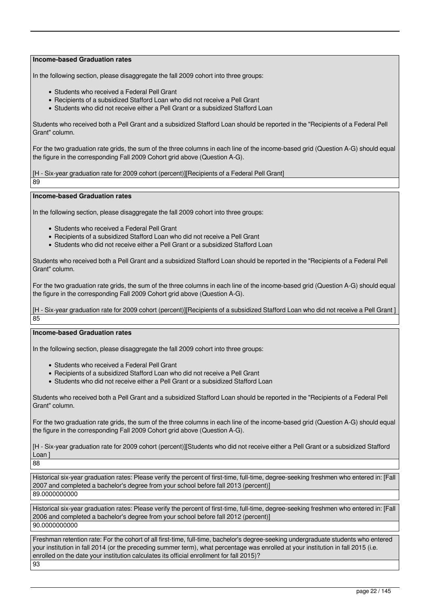In the following section, please disaggregate the fall 2009 cohort into three groups:

- Students who received a Federal Pell Grant
- Recipients of a subsidized Stafford Loan who did not receive a Pell Grant
- Students who did not receive either a Pell Grant or a subsidized Stafford Loan

Students who received both a Pell Grant and a subsidized Stafford Loan should be reported in the "Recipients of a Federal Pell Grant" column.

For the two graduation rate grids, the sum of the three columns in each line of the income-based grid (Question A-G) should equal the figure in the corresponding Fall 2009 Cohort grid above (Question A-G).

[H - Six-year graduation rate for 2009 cohort (percent)][Recipients of a Federal Pell Grant]

89

**Income-based Graduation rates**

In the following section, please disaggregate the fall 2009 cohort into three groups:

- Students who received a Federal Pell Grant
- Recipients of a subsidized Stafford Loan who did not receive a Pell Grant
- Students who did not receive either a Pell Grant or a subsidized Stafford Loan

Students who received both a Pell Grant and a subsidized Stafford Loan should be reported in the "Recipients of a Federal Pell Grant" column.

For the two graduation rate grids, the sum of the three columns in each line of the income-based grid (Question A-G) should equal the figure in the corresponding Fall 2009 Cohort grid above (Question A-G).

[H - Six-year graduation rate for 2009 cohort (percent)][Recipients of a subsidized Stafford Loan who did not receive a Pell Grant ] 85

#### **Income-based Graduation rates**

In the following section, please disaggregate the fall 2009 cohort into three groups:

- Students who received a Federal Pell Grant
- Recipients of a subsidized Stafford Loan who did not receive a Pell Grant
- Students who did not receive either a Pell Grant or a subsidized Stafford Loan

Students who received both a Pell Grant and a subsidized Stafford Loan should be reported in the "Recipients of a Federal Pell Grant" column.

For the two graduation rate grids, the sum of the three columns in each line of the income-based grid (Question A-G) should equal the figure in the corresponding Fall 2009 Cohort grid above (Question A-G).

[H - Six-year graduation rate for 2009 cohort (percent)][Students who did not receive either a Pell Grant or a subsidized Stafford Loan ]

88

Historical six-year graduation rates: Please verify the percent of first-time, full-time, degree-seeking freshmen who entered in: [Fall 2007 and completed a bachelor's degree from your school before fall 2013 (percent)] 89.0000000000

Historical six-year graduation rates: Please verify the percent of first-time, full-time, degree-seeking freshmen who entered in: [Fall 2006 and completed a bachelor's degree from your school before fall 2012 (percent)] 90.0000000000

Freshman retention rate: For the cohort of all first-time, full-time, bachelor's degree-seeking undergraduate students who entered your institution in fall 2014 (or the preceding summer term), what percentage was enrolled at your institution in fall 2015 (i.e. enrolled on the date your institution calculates its official enrollment for fall 2015)? 93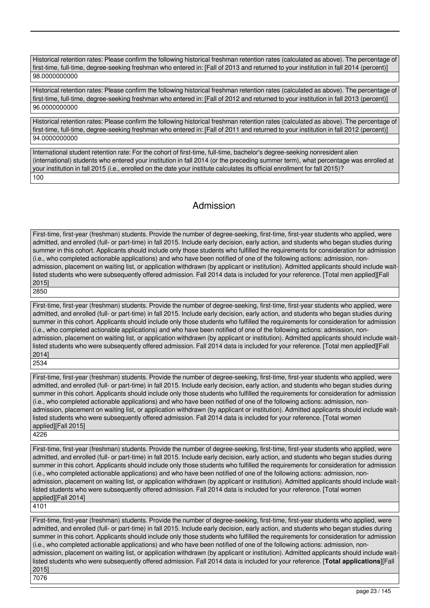Historical retention rates: Please confirm the following historical freshman retention rates (calculated as above). The percentage of first-time, full-time, degree-seeking freshman who entered in: [Fall of 2013 and returned to your institution in fall 2014 (percent)] 98.0000000000

Historical retention rates: Please confirm the following historical freshman retention rates (calculated as above). The percentage of first-time, full-time, degree-seeking freshman who entered in: [Fall of 2012 and returned to your institution in fall 2013 (percent)] 96.0000000000

Historical retention rates: Please confirm the following historical freshman retention rates (calculated as above). The percentage of first-time, full-time, degree-seeking freshman who entered in: [Fall of 2011 and returned to your institution in fall 2012 (percent)] 94.0000000000

International student retention rate: For the cohort of first-time, full-time, bachelor's degree-seeking nonresident alien (international) students who entered your institution in fall 2014 (or the preceding summer term), what percentage was enrolled at your institution in fall 2015 (i.e., enrolled on the date your institute calculates its official enrollment for fall 2015)? 100

### Admission

First-time, first-year (freshman) students. Provide the number of degree-seeking, first-time, first-year students who applied, were admitted, and enrolled (full- or part-time) in fall 2015. Include early decision, early action, and students who began studies during summer in this cohort. Applicants should include only those students who fulfilled the requirements for consideration for admission (i.e., who completed actionable applications) and who have been notified of one of the following actions: admission, nonadmission, placement on waiting list, or application withdrawn (by applicant or institution). Admitted applicants should include waitlisted students who were subsequently offered admission. Fall 2014 data is included for your reference. [Total men applied][Fall 2015] 2850

First-time, first-year (freshman) students. Provide the number of degree-seeking, first-time, first-year students who applied, were admitted, and enrolled (full- or part-time) in fall 2015. Include early decision, early action, and students who began studies during summer in this cohort. Applicants should include only those students who fulfilled the requirements for consideration for admission (i.e., who completed actionable applications) and who have been notified of one of the following actions: admission, nonadmission, placement on waiting list, or application withdrawn (by applicant or institution). Admitted applicants should include waitlisted students who were subsequently offered admission. Fall 2014 data is included for your reference. [Total men applied][Fall 2014] 2534

First-time, first-year (freshman) students. Provide the number of degree-seeking, first-time, first-year students who applied, were admitted, and enrolled (full- or part-time) in fall 2015. Include early decision, early action, and students who began studies during summer in this cohort. Applicants should include only those students who fulfilled the requirements for consideration for admission (i.e., who completed actionable applications) and who have been notified of one of the following actions: admission, nonadmission, placement on waiting list, or application withdrawn (by applicant or institution). Admitted applicants should include waitlisted students who were subsequently offered admission. Fall 2014 data is included for your reference. [Total women applied][Fall 2015]

4226

First-time, first-year (freshman) students. Provide the number of degree-seeking, first-time, first-year students who applied, were admitted, and enrolled (full- or part-time) in fall 2015. Include early decision, early action, and students who began studies during summer in this cohort. Applicants should include only those students who fulfilled the requirements for consideration for admission (i.e., who completed actionable applications) and who have been notified of one of the following actions: admission, nonadmission, placement on waiting list, or application withdrawn (by applicant or institution). Admitted applicants should include waitlisted students who were subsequently offered admission. Fall 2014 data is included for your reference. [Total women applied][Fall 2014]

4101

First-time, first-year (freshman) students. Provide the number of degree-seeking, first-time, first-year students who applied, were admitted, and enrolled (full- or part-time) in fall 2015. Include early decision, early action, and students who began studies during summer in this cohort. Applicants should include only those students who fulfilled the requirements for consideration for admission (i.e., who completed actionable applications) and who have been notified of one of the following actions: admission, nonadmission, placement on waiting list, or application withdrawn (by applicant or institution). Admitted applicants should include waitlisted students who were subsequently offered admission. Fall 2014 data is included for your reference. [**Total applications**][Fall 2015] 7076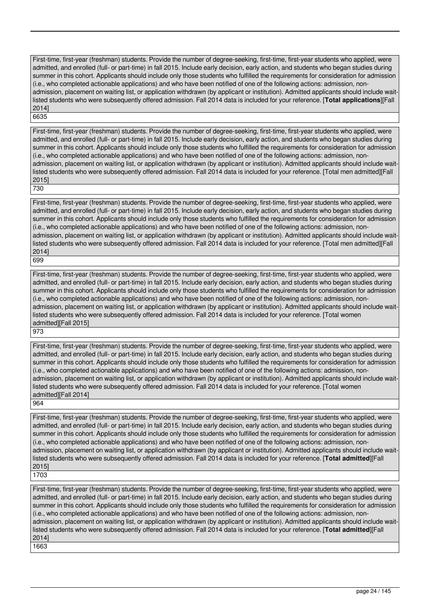First-time, first-year (freshman) students. Provide the number of degree-seeking, first-time, first-year students who applied, were admitted, and enrolled (full- or part-time) in fall 2015. Include early decision, early action, and students who began studies during summer in this cohort. Applicants should include only those students who fulfilled the requirements for consideration for admission (i.e., who completed actionable applications) and who have been notified of one of the following actions: admission, nonadmission, placement on waiting list, or application withdrawn (by applicant or institution). Admitted applicants should include waitlisted students who were subsequently offered admission. Fall 2014 data is included for your reference. [**Total applications**][Fall 2014] 6635

First-time, first-year (freshman) students. Provide the number of degree-seeking, first-time, first-year students who applied, were admitted, and enrolled (full- or part-time) in fall 2015. Include early decision, early action, and students who began studies during summer in this cohort. Applicants should include only those students who fulfilled the requirements for consideration for admission (i.e., who completed actionable applications) and who have been notified of one of the following actions: admission, nonadmission, placement on waiting list, or application withdrawn (by applicant or institution). Admitted applicants should include waitlisted students who were subsequently offered admission. Fall 2014 data is included for your reference. [Total men admitted][Fall 2015] 730

First-time, first-year (freshman) students. Provide the number of degree-seeking, first-time, first-year students who applied, were admitted, and enrolled (full- or part-time) in fall 2015. Include early decision, early action, and students who began studies during summer in this cohort. Applicants should include only those students who fulfilled the requirements for consideration for admission (i.e., who completed actionable applications) and who have been notified of one of the following actions: admission, nonadmission, placement on waiting list, or application withdrawn (by applicant or institution). Admitted applicants should include waitlisted students who were subsequently offered admission. Fall 2014 data is included for your reference. [Total men admitted][Fall 2014]

699

First-time, first-year (freshman) students. Provide the number of degree-seeking, first-time, first-year students who applied, were admitted, and enrolled (full- or part-time) in fall 2015. Include early decision, early action, and students who began studies during summer in this cohort. Applicants should include only those students who fulfilled the requirements for consideration for admission (i.e., who completed actionable applications) and who have been notified of one of the following actions: admission, nonadmission, placement on waiting list, or application withdrawn (by applicant or institution). Admitted applicants should include waitlisted students who were subsequently offered admission. Fall 2014 data is included for your reference. [Total women admitted][Fall 2015]

973

First-time, first-year (freshman) students. Provide the number of degree-seeking, first-time, first-year students who applied, were admitted, and enrolled (full- or part-time) in fall 2015. Include early decision, early action, and students who began studies during summer in this cohort. Applicants should include only those students who fulfilled the requirements for consideration for admission (i.e., who completed actionable applications) and who have been notified of one of the following actions: admission, nonadmission, placement on waiting list, or application withdrawn (by applicant or institution). Admitted applicants should include waitlisted students who were subsequently offered admission. Fall 2014 data is included for your reference. [Total women admitted][Fall 2014]

964

First-time, first-year (freshman) students. Provide the number of degree-seeking, first-time, first-year students who applied, were admitted, and enrolled (full- or part-time) in fall 2015. Include early decision, early action, and students who began studies during summer in this cohort. Applicants should include only those students who fulfilled the requirements for consideration for admission (i.e., who completed actionable applications) and who have been notified of one of the following actions: admission, nonadmission, placement on waiting list, or application withdrawn (by applicant or institution). Admitted applicants should include waitlisted students who were subsequently offered admission. Fall 2014 data is included for your reference. [**Total admitted**][Fall 2015]

1703

First-time, first-year (freshman) students. Provide the number of degree-seeking, first-time, first-year students who applied, were admitted, and enrolled (full- or part-time) in fall 2015. Include early decision, early action, and students who began studies during summer in this cohort. Applicants should include only those students who fulfilled the requirements for consideration for admission (i.e., who completed actionable applications) and who have been notified of one of the following actions: admission, nonadmission, placement on waiting list, or application withdrawn (by applicant or institution). Admitted applicants should include waitlisted students who were subsequently offered admission. Fall 2014 data is included for your reference. [**Total admitted**][Fall 2014] 1663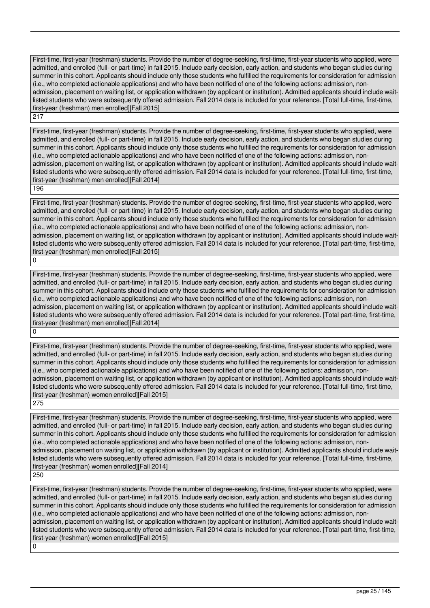First-time, first-year (freshman) students. Provide the number of degree-seeking, first-time, first-year students who applied, were admitted, and enrolled (full- or part-time) in fall 2015. Include early decision, early action, and students who began studies during summer in this cohort. Applicants should include only those students who fulfilled the requirements for consideration for admission (i.e., who completed actionable applications) and who have been notified of one of the following actions: admission, nonadmission, placement on waiting list, or application withdrawn (by applicant or institution). Admitted applicants should include waitlisted students who were subsequently offered admission. Fall 2014 data is included for your reference. [Total full-time, first-time, first-year (freshman) men enrolled][Fall 2015]

217

First-time, first-year (freshman) students. Provide the number of degree-seeking, first-time, first-year students who applied, were admitted, and enrolled (full- or part-time) in fall 2015. Include early decision, early action, and students who began studies during summer in this cohort. Applicants should include only those students who fulfilled the requirements for consideration for admission (i.e., who completed actionable applications) and who have been notified of one of the following actions: admission, nonadmission, placement on waiting list, or application withdrawn (by applicant or institution). Admitted applicants should include waitlisted students who were subsequently offered admission. Fall 2014 data is included for your reference. [Total full-time, first-time, first-year (freshman) men enrolled][Fall 2014]

196

First-time, first-year (freshman) students. Provide the number of degree-seeking, first-time, first-year students who applied, were admitted, and enrolled (full- or part-time) in fall 2015. Include early decision, early action, and students who began studies during summer in this cohort. Applicants should include only those students who fulfilled the requirements for consideration for admission (i.e., who completed actionable applications) and who have been notified of one of the following actions: admission, nonadmission, placement on waiting list, or application withdrawn (by applicant or institution). Admitted applicants should include waitlisted students who were subsequently offered admission. Fall 2014 data is included for your reference. [Total part-time, first-time, first-year (freshman) men enrolled][Fall 2015]  $\Omega$ 

First-time, first-year (freshman) students. Provide the number of degree-seeking, first-time, first-year students who applied, were admitted, and enrolled (full- or part-time) in fall 2015. Include early decision, early action, and students who began studies during summer in this cohort. Applicants should include only those students who fulfilled the requirements for consideration for admission (i.e., who completed actionable applications) and who have been notified of one of the following actions: admission, nonadmission, placement on waiting list, or application withdrawn (by applicant or institution). Admitted applicants should include waitlisted students who were subsequently offered admission. Fall 2014 data is included for your reference. [Total part-time, first-time, first-year (freshman) men enrolled][Fall 2014] 0

First-time, first-year (freshman) students. Provide the number of degree-seeking, first-time, first-year students who applied, were admitted, and enrolled (full- or part-time) in fall 2015. Include early decision, early action, and students who began studies during summer in this cohort. Applicants should include only those students who fulfilled the requirements for consideration for admission (i.e., who completed actionable applications) and who have been notified of one of the following actions: admission, nonadmission, placement on waiting list, or application withdrawn (by applicant or institution). Admitted applicants should include waitlisted students who were subsequently offered admission. Fall 2014 data is included for your reference. [Total full-time, first-time, first-year (freshman) women enrolled][Fall 2015] 275

First-time, first-year (freshman) students. Provide the number of degree-seeking, first-time, first-year students who applied, were admitted, and enrolled (full- or part-time) in fall 2015. Include early decision, early action, and students who began studies during summer in this cohort. Applicants should include only those students who fulfilled the requirements for consideration for admission (i.e., who completed actionable applications) and who have been notified of one of the following actions: admission, nonadmission, placement on waiting list, or application withdrawn (by applicant or institution). Admitted applicants should include waitlisted students who were subsequently offered admission. Fall 2014 data is included for your reference. [Total full-time, first-time, first-year (freshman) women enrolled][Fall 2014]

250

First-time, first-year (freshman) students. Provide the number of degree-seeking, first-time, first-year students who applied, were admitted, and enrolled (full- or part-time) in fall 2015. Include early decision, early action, and students who began studies during summer in this cohort. Applicants should include only those students who fulfilled the requirements for consideration for admission (i.e., who completed actionable applications) and who have been notified of one of the following actions: admission, nonadmission, placement on waiting list, or application withdrawn (by applicant or institution). Admitted applicants should include waitlisted students who were subsequently offered admission. Fall 2014 data is included for your reference. [Total part-time, first-time, first-year (freshman) women enrolled][Fall 2015]

0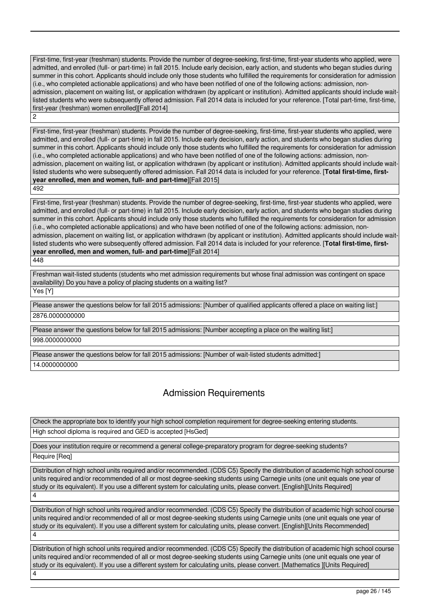First-time, first-year (freshman) students. Provide the number of degree-seeking, first-time, first-year students who applied, were admitted, and enrolled (full- or part-time) in fall 2015. Include early decision, early action, and students who began studies during summer in this cohort. Applicants should include only those students who fulfilled the requirements for consideration for admission (i.e., who completed actionable applications) and who have been notified of one of the following actions: admission, nonadmission, placement on waiting list, or application withdrawn (by applicant or institution). Admitted applicants should include waitlisted students who were subsequently offered admission. Fall 2014 data is included for your reference. [Total part-time, first-time, first-year (freshman) women enrolled][Fall 2014]  $\overline{2}$ 

First-time, first-year (freshman) students. Provide the number of degree-seeking, first-time, first-year students who applied, were admitted, and enrolled (full- or part-time) in fall 2015. Include early decision, early action, and students who began studies during summer in this cohort. Applicants should include only those students who fulfilled the requirements for consideration for admission (i.e., who completed actionable applications) and who have been notified of one of the following actions: admission, nonadmission, placement on waiting list, or application withdrawn (by applicant or institution). Admitted applicants should include waitlisted students who were subsequently offered admission. Fall 2014 data is included for your reference. [**Total first-time, firstyear enrolled, men and women, full- and part-time**][Fall 2015]

492

First-time, first-year (freshman) students. Provide the number of degree-seeking, first-time, first-year students who applied, were admitted, and enrolled (full- or part-time) in fall 2015. Include early decision, early action, and students who began studies during summer in this cohort. Applicants should include only those students who fulfilled the requirements for consideration for admission (i.e., who completed actionable applications) and who have been notified of one of the following actions: admission, nonadmission, placement on waiting list, or application withdrawn (by applicant or institution). Admitted applicants should include waitlisted students who were subsequently offered admission. Fall 2014 data is included for your reference. [**Total first-time, firstyear enrolled, men and women, full- and part-time**][Fall 2014] 448

Freshman wait-listed students (students who met admission requirements but whose final admission was contingent on space availability) Do you have a policy of placing students on a waiting list? Yes [Y]

Please answer the questions below for fall 2015 admissions: [Number of qualified applicants offered a place on waiting list:] 2876.0000000000

Please answer the questions below for fall 2015 admissions: [Number accepting a place on the waiting list:] 998.0000000000

Please answer the questions below for fall 2015 admissions: [Number of wait-listed students admitted:] 14.0000000000

### Admission Requirements

Check the appropriate box to identify your high school completion requirement for degree-seeking entering students. High school diploma is required and GED is accepted [HsGed]

Does your institution require or recommend a general college-preparatory program for degree-seeking students?

Require [Req]

Distribution of high school units required and/or recommended. (CDS C5) Specify the distribution of academic high school course units required and/or recommended of all or most degree-seeking students using Carnegie units (one unit equals one year of study or its equivalent). If you use a different system for calculating units, please convert. [English][Units Required] 4

Distribution of high school units required and/or recommended. (CDS C5) Specify the distribution of academic high school course units required and/or recommended of all or most degree-seeking students using Carnegie units (one unit equals one year of study or its equivalent). If you use a different system for calculating units, please convert. [English][Units Recommended] 4

Distribution of high school units required and/or recommended. (CDS C5) Specify the distribution of academic high school course units required and/or recommended of all or most degree-seeking students using Carnegie units (one unit equals one year of study or its equivalent). If you use a different system for calculating units, please convert. [Mathematics ][Units Required] 4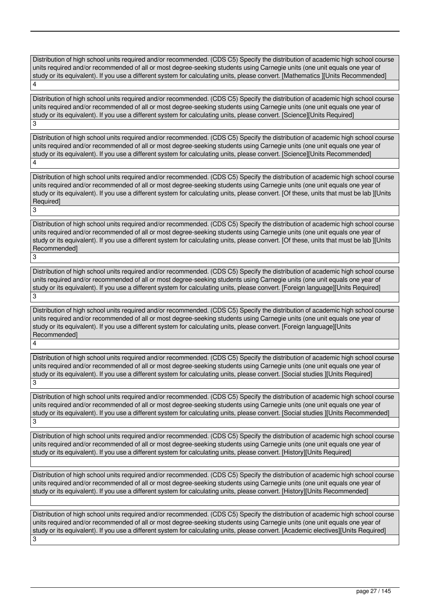Distribution of high school units required and/or recommended. (CDS C5) Specify the distribution of academic high school course units required and/or recommended of all or most degree-seeking students using Carnegie units (one unit equals one year of study or its equivalent). If you use a different system for calculating units, please convert. [Mathematics ][Units Recommended] 4

Distribution of high school units required and/or recommended. (CDS C5) Specify the distribution of academic high school course units required and/or recommended of all or most degree-seeking students using Carnegie units (one unit equals one year of study or its equivalent). If you use a different system for calculating units, please convert. [Science][Units Required] 3

Distribution of high school units required and/or recommended. (CDS C5) Specify the distribution of academic high school course units required and/or recommended of all or most degree-seeking students using Carnegie units (one unit equals one year of study or its equivalent). If you use a different system for calculating units, please convert. [Science][Units Recommended] 4

Distribution of high school units required and/or recommended. (CDS C5) Specify the distribution of academic high school course units required and/or recommended of all or most degree-seeking students using Carnegie units (one unit equals one year of study or its equivalent). If you use a different system for calculating units, please convert. [Of these, units that must be lab ][Units Required] 3

Distribution of high school units required and/or recommended. (CDS C5) Specify the distribution of academic high school course units required and/or recommended of all or most degree-seeking students using Carnegie units (one unit equals one year of study or its equivalent). If you use a different system for calculating units, please convert. [Of these, units that must be lab ][Units Recommended]

3

Distribution of high school units required and/or recommended. (CDS C5) Specify the distribution of academic high school course units required and/or recommended of all or most degree-seeking students using Carnegie units (one unit equals one year of study or its equivalent). If you use a different system for calculating units, please convert. [Foreign language][Units Required] 3

Distribution of high school units required and/or recommended. (CDS C5) Specify the distribution of academic high school course units required and/or recommended of all or most degree-seeking students using Carnegie units (one unit equals one year of study or its equivalent). If you use a different system for calculating units, please convert. [Foreign language][Units Recommended] 4

Distribution of high school units required and/or recommended. (CDS C5) Specify the distribution of academic high school course units required and/or recommended of all or most degree-seeking students using Carnegie units (one unit equals one year of study or its equivalent). If you use a different system for calculating units, please convert. [Social studies ][Units Required] 3

Distribution of high school units required and/or recommended. (CDS C5) Specify the distribution of academic high school course units required and/or recommended of all or most degree-seeking students using Carnegie units (one unit equals one year of study or its equivalent). If you use a different system for calculating units, please convert. [Social studies ][Units Recommended] 3

Distribution of high school units required and/or recommended. (CDS C5) Specify the distribution of academic high school course units required and/or recommended of all or most degree-seeking students using Carnegie units (one unit equals one year of study or its equivalent). If you use a different system for calculating units, please convert. [History][Units Required]

Distribution of high school units required and/or recommended. (CDS C5) Specify the distribution of academic high school course units required and/or recommended of all or most degree-seeking students using Carnegie units (one unit equals one year of study or its equivalent). If you use a different system for calculating units, please convert. [History][Units Recommended]

Distribution of high school units required and/or recommended. (CDS C5) Specify the distribution of academic high school course units required and/or recommended of all or most degree-seeking students using Carnegie units (one unit equals one year of study or its equivalent). If you use a different system for calculating units, please convert. [Academic electives][Units Required] 3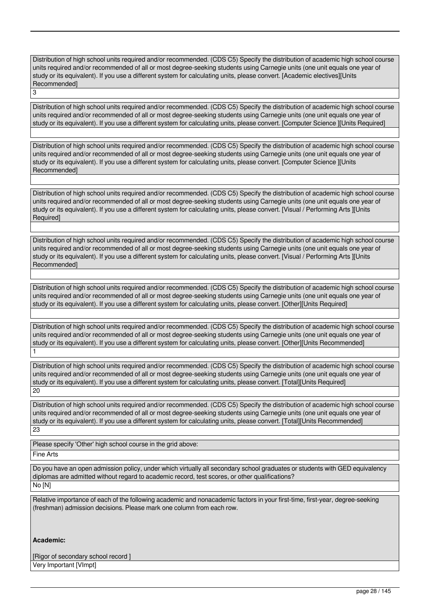Distribution of high school units required and/or recommended. (CDS C5) Specify the distribution of academic high school course units required and/or recommended of all or most degree-seeking students using Carnegie units (one unit equals one year of study or its equivalent). If you use a different system for calculating units, please convert. [Academic electives][Units Recommended] 3

Distribution of high school units required and/or recommended. (CDS C5) Specify the distribution of academic high school course units required and/or recommended of all or most degree-seeking students using Carnegie units (one unit equals one year of study or its equivalent). If you use a different system for calculating units, please convert. [Computer Science ][Units Required]

Distribution of high school units required and/or recommended. (CDS C5) Specify the distribution of academic high school course units required and/or recommended of all or most degree-seeking students using Carnegie units (one unit equals one year of study or its equivalent). If you use a different system for calculating units, please convert. [Computer Science ][Units Recommended]

Distribution of high school units required and/or recommended. (CDS C5) Specify the distribution of academic high school course units required and/or recommended of all or most degree-seeking students using Carnegie units (one unit equals one year of study or its equivalent). If you use a different system for calculating units, please convert. [Visual / Performing Arts ][Units Required]

Distribution of high school units required and/or recommended. (CDS C5) Specify the distribution of academic high school course units required and/or recommended of all or most degree-seeking students using Carnegie units (one unit equals one year of study or its equivalent). If you use a different system for calculating units, please convert. [Visual / Performing Arts ][Units Recommended]

Distribution of high school units required and/or recommended. (CDS C5) Specify the distribution of academic high school course units required and/or recommended of all or most degree-seeking students using Carnegie units (one unit equals one year of study or its equivalent). If you use a different system for calculating units, please convert. [Other][Units Required]

Distribution of high school units required and/or recommended. (CDS C5) Specify the distribution of academic high school course units required and/or recommended of all or most degree-seeking students using Carnegie units (one unit equals one year of study or its equivalent). If you use a different system for calculating units, please convert. [Other][Units Recommended] 1

Distribution of high school units required and/or recommended. (CDS C5) Specify the distribution of academic high school course units required and/or recommended of all or most degree-seeking students using Carnegie units (one unit equals one year of study or its equivalent). If you use a different system for calculating units, please convert. [Total][Units Required] 20

Distribution of high school units required and/or recommended. (CDS C5) Specify the distribution of academic high school course units required and/or recommended of all or most degree-seeking students using Carnegie units (one unit equals one year of study or its equivalent). If you use a different system for calculating units, please convert. [Total][Units Recommended] 23

Please specify 'Other' high school course in the grid above:

Fine Arts

Do you have an open admission policy, under which virtually all secondary school graduates or students with GED equivalency diplomas are admitted without regard to academic record, test scores, or other qualifications? No [N]

Relative importance of each of the following academic and nonacademic factors in your first-time, first-year, degree-seeking (freshman) admission decisions. Please mark one column from each row.

#### **Academic:**

[Rigor of secondary school record ] Very Important [VImpt]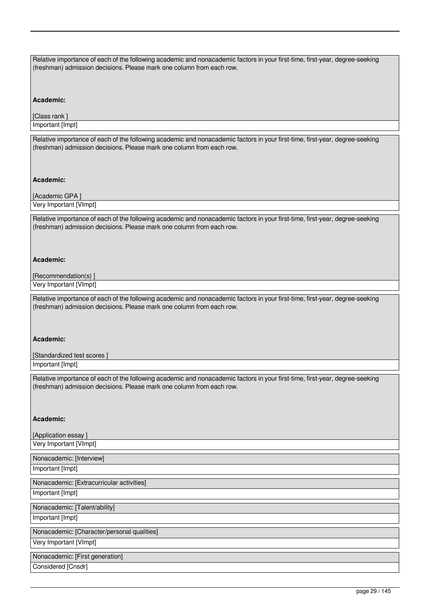| Relative importance of each of the following academic and nonacademic factors in your first-time, first-year, degree-seeking<br>(freshman) admission decisions. Please mark one column from each row. |
|-------------------------------------------------------------------------------------------------------------------------------------------------------------------------------------------------------|
| Academic:                                                                                                                                                                                             |
| [Class rank ]                                                                                                                                                                                         |
| Important [Impt]                                                                                                                                                                                      |
| Relative importance of each of the following academic and nonacademic factors in your first-time, first-year, degree-seeking<br>(freshman) admission decisions. Please mark one column from each row. |
| Academic:                                                                                                                                                                                             |
| [Academic GPA]                                                                                                                                                                                        |
| Very Important [VImpt]                                                                                                                                                                                |
| Relative importance of each of the following academic and nonacademic factors in your first-time, first-year, degree-seeking<br>(freshman) admission decisions. Please mark one column from each row. |
| Academic:                                                                                                                                                                                             |
| [Recommendation(s)]                                                                                                                                                                                   |
| Very Important [VImpt]                                                                                                                                                                                |
| Relative importance of each of the following academic and nonacademic factors in your first-time, first-year, degree-seeking<br>(freshman) admission decisions. Please mark one column from each row. |
| Academic:                                                                                                                                                                                             |
| [Standardized test scores]                                                                                                                                                                            |
| Important [Impt]                                                                                                                                                                                      |
| Relative importance of each of the following academic and nonacademic factors in your first-time, first-year, degree-seeking<br>(freshman) admission decisions. Please mark one column from each row. |
| Academic:                                                                                                                                                                                             |
| [Application essay]                                                                                                                                                                                   |
| Very Important [VImpt]                                                                                                                                                                                |
| Nonacademic: [Interview]                                                                                                                                                                              |
| Important [Impt]                                                                                                                                                                                      |
| Nonacademic: [Extracurricular activities]                                                                                                                                                             |
| Important [Impt]                                                                                                                                                                                      |
| Nonacademic: [Talent/ability]                                                                                                                                                                         |
| Important [Impt]                                                                                                                                                                                      |
| Nonacademic: [Character/personal qualities]                                                                                                                                                           |
| Very Important [VImpt]                                                                                                                                                                                |
| Nonacademic: [First generation]                                                                                                                                                                       |
| Considered [Cnsdr]                                                                                                                                                                                    |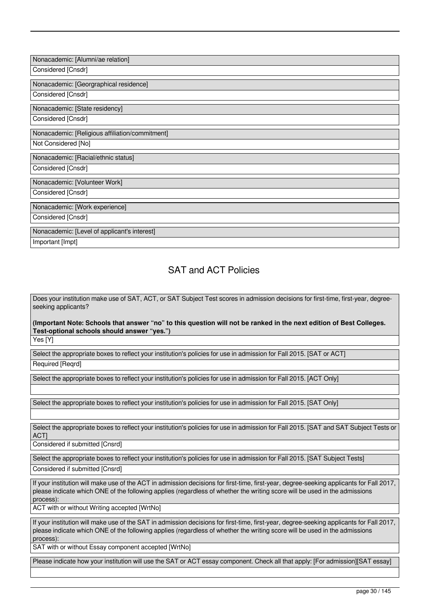| Nonacademic: [Alumni/ae relation]<br>Considered [Cnsdr]                |
|------------------------------------------------------------------------|
| Nonacademic: [Georgraphical residence]<br>Considered [Cnsdr]           |
| Nonacademic: [State residency]<br>Considered [Cnsdr]                   |
| Nonacademic: [Religious affiliation/commitment]<br>Not Considered [No] |
| Nonacademic: [Racial/ethnic status]                                    |
| Considered [Cnsdr]                                                     |
| Nonacademic: [Volunteer Work]<br>Considered [Cnsdr]                    |
| Nonacademic: [Work experience]<br>Considered [Cnsdr]                   |

### SAT and ACT Policies

Does your institution make use of SAT, ACT, or SAT Subject Test scores in admission decisions for first-time, first-year, degreeseeking applicants?

**(Important Note: Schools that answer "no" to this question will not be ranked in the next edition of Best Colleges. Test-optional schools should answer "yes.")**

Yes [Y]

Select the appropriate boxes to reflect your institution's policies for use in admission for Fall 2015. [SAT or ACT] Required [Reqrd]

Select the appropriate boxes to reflect your institution's policies for use in admission for Fall 2015. [ACT Only]

Select the appropriate boxes to reflect your institution's policies for use in admission for Fall 2015. [SAT Only]

Select the appropriate boxes to reflect your institution's policies for use in admission for Fall 2015. [SAT and SAT Subject Tests or ACT]

Considered if submitted [Cnsrd]

Select the appropriate boxes to reflect your institution's policies for use in admission for Fall 2015. [SAT Subject Tests] Considered if submitted [Cnsrd]

If your institution will make use of the ACT in admission decisions for first-time, first-year, degree-seeking applicants for Fall 2017, please indicate which ONE of the following applies (regardless of whether the writing score will be used in the admissions process):

ACT with or without Writing accepted [WrtNo]

If your institution will make use of the SAT in admission decisions for first-time, first-year, degree-seeking applicants for Fall 2017, please indicate which ONE of the following applies (regardless of whether the writing score will be used in the admissions process):

SAT with or without Essay component accepted [WrtNo]

Please indicate how your institution will use the SAT or ACT essay component. Check all that apply: [For admission][SAT essay]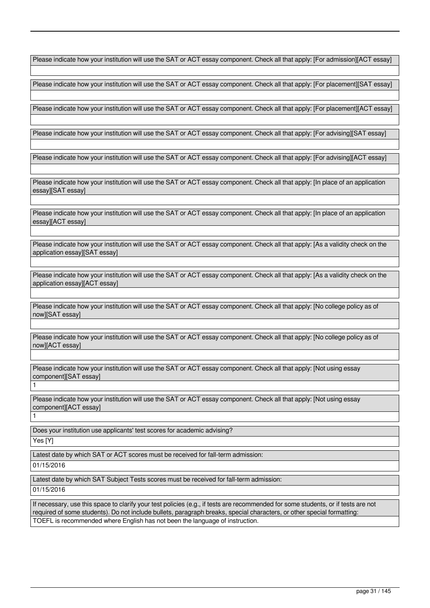Please indicate how your institution will use the SAT or ACT essay component. Check all that apply: [For admission][ACT essay]

Please indicate how your institution will use the SAT or ACT essay component. Check all that apply: [For placement][SAT essay]

Please indicate how your institution will use the SAT or ACT essay component. Check all that apply: [For placement][ACT essay]

Please indicate how your institution will use the SAT or ACT essay component. Check all that apply: [For advising][SAT essay]

Please indicate how your institution will use the SAT or ACT essay component. Check all that apply: [For advising][ACT essay]

Please indicate how your institution will use the SAT or ACT essay component. Check all that apply: [In place of an application essay][SAT essay]

Please indicate how your institution will use the SAT or ACT essay component. Check all that apply: [In place of an application essayl[ACT essay]

Please indicate how your institution will use the SAT or ACT essay component. Check all that apply: [As a validity check on the application essay][SAT essay]

Please indicate how your institution will use the SAT or ACT essay component. Check all that apply: [As a validity check on the application essay][ACT essay]

Please indicate how your institution will use the SAT or ACT essay component. Check all that apply: [No college policy as of now][SAT essay]

Please indicate how your institution will use the SAT or ACT essay component. Check all that apply: [No college policy as of now][ACT essay]

Please indicate how your institution will use the SAT or ACT essay component. Check all that apply: [Not using essay componentlISAT essayl

Please indicate how your institution will use the SAT or ACT essay component. Check all that apply: [Not using essay component][ACT essay] 1

Does your institution use applicants' test scores for academic advising? Yes [Y]

1

Latest date by which SAT or ACT scores must be received for fall-term admission: 01/15/2016

Latest date by which SAT Subject Tests scores must be received for fall-term admission: 01/15/2016

If necessary, use this space to clarify your test policies (e.g., if tests are recommended for some students, or if tests are not required of some students). Do not include bullets, paragraph breaks, special characters, or other special formatting: TOEFL is recommended where English has not been the language of instruction.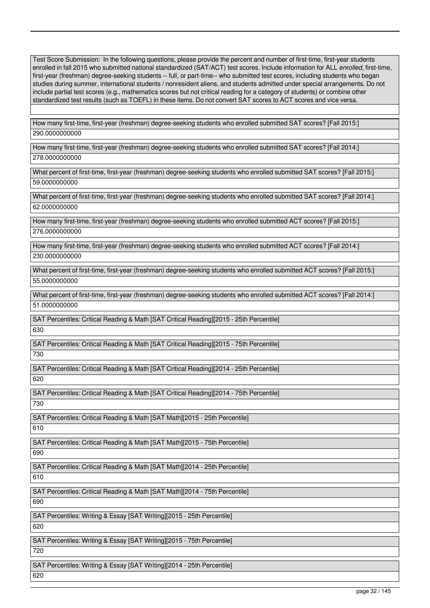Test Score Submission: In the following questions, please provide the percent and number of first-time, first-year students enrolled in fall 2015 who submitted national standardized (SAT/ACT) test scores. Include information for ALL *enrolled*, first-time, first-year (freshman) degree-seeking students -- full, or part-time-- who submitted test scores, including students who began studies during summer, international students / nonresident aliens, and students admitted under special arrangements. Do not include partial test scores (e.g., mathematics scores but not critical reading for a category of students) or combine other standardized test results (such as TOEFL) in these items. Do not convert SAT scores to ACT scores and vice versa.

How many first-time, first-year (freshman) degree-seeking students who enrolled submitted SAT scores? [Fall 2015:] 290.0000000000

How many first-time, first-year (freshman) degree-seeking students who enrolled submitted SAT scores? [Fall 2014:] 278.0000000000

What percent of first-time, first-year (freshman) degree-seeking students who enrolled submitted SAT scores? [Fall 2015:] 59.0000000000

What percent of first-time, first-year (freshman) degree-seeking students who enrolled submitted SAT scores? [Fall 2014:] 62.0000000000

How many first-time, first-year (freshman) degree-seeking students who enrolled submitted ACT scores? [Fall 2015:] 276.0000000000

How many first-time, first-year (freshman) degree-seeking students who enrolled submitted ACT scores? [Fall 2014:] 230.0000000000

What percent of first-time, first-year (freshman) degree-seeking students who enrolled submitted ACT scores? [Fall 2015:] 55.0000000000

What percent of first-time, first-year (freshman) degree-seeking students who enrolled submitted ACT scores? [Fall 2014:] 51.0000000000

SAT Percentiles: Critical Reading & Math [SAT Critical Reading][2015 - 25th Percentile] 630

SAT Percentiles: Critical Reading & Math [SAT Critical Reading][2015 - 75th Percentile] 730

SAT Percentiles: Critical Reading & Math [SAT Critical Reading][2014 - 25th Percentile]

620

SAT Percentiles: Critical Reading & Math [SAT Critical Reading][2014 - 75th Percentile] 730

SAT Percentiles: Critical Reading & Math [SAT Math][2015 - 25th Percentile] 610

SAT Percentiles: Critical Reading & Math [SAT Math][2015 - 75th Percentile] 690

SAT Percentiles: Critical Reading & Math [SAT Math][2014 - 25th Percentile]

610

SAT Percentiles: Critical Reading & Math [SAT Math][2014 - 75th Percentile]

690

SAT Percentiles: Writing & Essay [SAT Writing][2015 - 25th Percentile]

620

SAT Percentiles: Writing & Essay [SAT Writing][2015 - 75th Percentile]

720

SAT Percentiles: Writing & Essay [SAT Writing][2014 - 25th Percentile]

620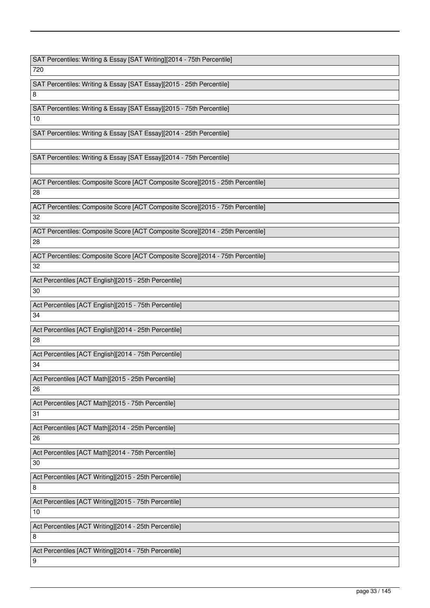SAT Percentiles: Writing & Essay [SAT Writing][2014 - 75th Percentile]

720

SAT Percentiles: Writing & Essay [SAT Essay][2015 - 25th Percentile] 8

SAT Percentiles: Writing & Essay [SAT Essay][2015 - 75th Percentile] 10

SAT Percentiles: Writing & Essay [SAT Essay][2014 - 25th Percentile]

SAT Percentiles: Writing & Essay [SAT Essay][2014 - 75th Percentile]

ACT Percentiles: Composite Score [ACT Composite Score][2015 - 25th Percentile] 28

ACT Percentiles: Composite Score [ACT Composite Score][2015 - 75th Percentile] 32

ACT Percentiles: Composite Score [ACT Composite Score][2014 - 25th Percentile] 28

ACT Percentiles: Composite Score [ACT Composite Score][2014 - 75th Percentile] 32

Act Percentiles [ACT English][2015 - 25th Percentile] 30

Act Percentiles [ACT English][2015 - 75th Percentile] 34

Act Percentiles [ACT English][2014 - 25th Percentile] 28

Act Percentiles [ACT English][2014 - 75th Percentile] 34

Act Percentiles [ACT Math][2015 - 25th Percentile] 26

Act Percentiles [ACT Math][2015 - 75th Percentile] 31

Act Percentiles [ACT Math][2014 - 25th Percentile] 26

Act Percentiles [ACT Math][2014 - 75th Percentile]

30

Act Percentiles [ACT Writing][2015 - 25th Percentile]

8

Act Percentiles [ACT Writing][2015 - 75th Percentile]

10

Act Percentiles [ACT Writing][2014 - 25th Percentile]

8

9

Act Percentiles [ACT Writing][2014 - 75th Percentile]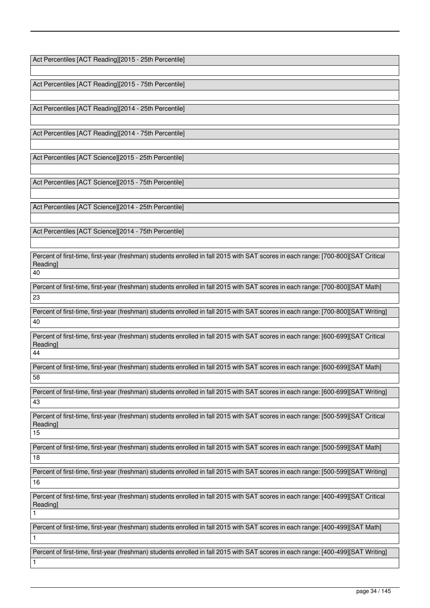Act Percentiles [ACT Reading][2015 - 25th Percentile]

Act Percentiles [ACT Reading][2015 - 75th Percentile]

Act Percentiles [ACT Reading][2014 - 25th Percentile]

Act Percentiles [ACT Reading][2014 - 75th Percentile]

Act Percentiles [ACT Science][2015 - 25th Percentile]

Act Percentiles [ACT Science][2015 - 75th Percentile]

Act Percentiles [ACT Science][2014 - 25th Percentile]

Act Percentiles [ACT Science][2014 - 75th Percentile]

Percent of first-time, first-year (freshman) students enrolled in fall 2015 with SAT scores in each range: [700-800][SAT Critical Reading]

40

Percent of first-time, first-year (freshman) students enrolled in fall 2015 with SAT scores in each range: [700-800][SAT Math] 23

Percent of first-time, first-year (freshman) students enrolled in fall 2015 with SAT scores in each range: [700-800][SAT Writing] 40

Percent of first-time, first-year (freshman) students enrolled in fall 2015 with SAT scores in each range: [600-699][SAT Critical Reading]

44

1

1

1

Percent of first-time, first-year (freshman) students enrolled in fall 2015 with SAT scores in each range: [600-699][SAT Math] 58

Percent of first-time, first-year (freshman) students enrolled in fall 2015 with SAT scores in each range: [600-699][SAT Writing] 43

Percent of first-time, first-year (freshman) students enrolled in fall 2015 with SAT scores in each range: [500-599][SAT Critical Reading] 15

Percent of first-time, first-year (freshman) students enrolled in fall 2015 with SAT scores in each range: [500-599][SAT Math] 18

Percent of first-time, first-year (freshman) students enrolled in fall 2015 with SAT scores in each range: [500-599][SAT Writing] 16

Percent of first-time, first-year (freshman) students enrolled in fall 2015 with SAT scores in each range: [400-499][SAT Critical Reading]

Percent of first-time, first-year (freshman) students enrolled in fall 2015 with SAT scores in each range: [400-499][SAT Math]

Percent of first-time, first-year (freshman) students enrolled in fall 2015 with SAT scores in each range: [400-499][SAT Writing]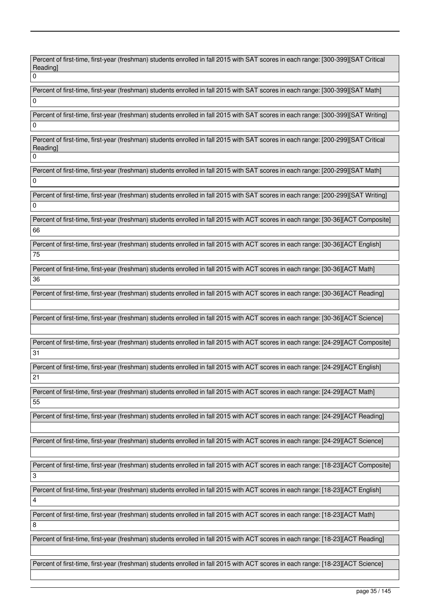Percent of first-time, first-year (freshman) students enrolled in fall 2015 with SAT scores in each range: [300-399][SAT Critical Reading]  $\overline{0}$ 

Percent of first-time, first-year (freshman) students enrolled in fall 2015 with SAT scores in each range: [300-399][SAT Math]

 $\overline{0}$ 

 $\Omega$ 

3

4

8

Percent of first-time, first-year (freshman) students enrolled in fall 2015 with SAT scores in each range: [300-399][SAT Writing] 0

Percent of first-time, first-year (freshman) students enrolled in fall 2015 with SAT scores in each range: [200-299][SAT Critical Reading]

Percent of first-time, first-year (freshman) students enrolled in fall 2015 with SAT scores in each range: [200-299][SAT Math]  $\overline{0}$ 

Percent of first-time, first-year (freshman) students enrolled in fall 2015 with SAT scores in each range: [200-299][SAT Writing] 0

Percent of first-time, first-year (freshman) students enrolled in fall 2015 with ACT scores in each range: [30-36][ACT Composite] 66

Percent of first-time, first-year (freshman) students enrolled in fall 2015 with ACT scores in each range: [30-36][ACT English] 75

Percent of first-time, first-year (freshman) students enrolled in fall 2015 with ACT scores in each range: [30-36][ACT Math] 36

Percent of first-time, first-year (freshman) students enrolled in fall 2015 with ACT scores in each range: [30-36][ACT Reading]

Percent of first-time, first-year (freshman) students enrolled in fall 2015 with ACT scores in each range: [30-36][ACT Science]

Percent of first-time, first-year (freshman) students enrolled in fall 2015 with ACT scores in each range: [24-29][ACT Composite] 31

Percent of first-time, first-year (freshman) students enrolled in fall 2015 with ACT scores in each range: [24-29][ACT English] 21

Percent of first-time, first-year (freshman) students enrolled in fall 2015 with ACT scores in each range: [24-29][ACT Math] 55

Percent of first-time, first-year (freshman) students enrolled in fall 2015 with ACT scores in each range: [24-29][ACT Reading]

Percent of first-time, first-year (freshman) students enrolled in fall 2015 with ACT scores in each range: [24-29][ACT Science]

Percent of first-time, first-year (freshman) students enrolled in fall 2015 with ACT scores in each range: [18-23][ACT Composite]

Percent of first-time, first-year (freshman) students enrolled in fall 2015 with ACT scores in each range: [18-23][ACT English]

Percent of first-time, first-year (freshman) students enrolled in fall 2015 with ACT scores in each range: [18-23][ACT Math]

Percent of first-time, first-year (freshman) students enrolled in fall 2015 with ACT scores in each range: [18-23][ACT Reading]

Percent of first-time, first-year (freshman) students enrolled in fall 2015 with ACT scores in each range: [18-23][ACT Science]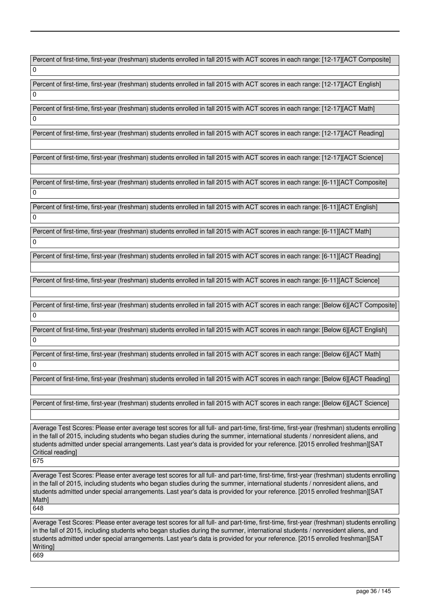Percent of first-time, first-year (freshman) students enrolled in fall 2015 with ACT scores in each range: [12-17][ACT Composite]  $\Omega$ 

Percent of first-time, first-year (freshman) students enrolled in fall 2015 with ACT scores in each range: [12-17][ACT English]

Percent of first-time, first-year (freshman) students enrolled in fall 2015 with ACT scores in each range: [12-17][ACT Math]

Percent of first-time, first-year (freshman) students enrolled in fall 2015 with ACT scores in each range: [12-17][ACT Reading]

Percent of first-time, first-year (freshman) students enrolled in fall 2015 with ACT scores in each range: [12-17][ACT Science]

Percent of first-time, first-year (freshman) students enrolled in fall 2015 with ACT scores in each range: [6-11][ACT Composite]  $\Omega$ 

Percent of first-time, first-year (freshman) students enrolled in fall 2015 with ACT scores in each range: [6-11][ACT English]  $\Omega$ 

Percent of first-time, first-year (freshman) students enrolled in fall 2015 with ACT scores in each range: [6-11][ACT Math]  $\overline{0}$ 

Percent of first-time, first-year (freshman) students enrolled in fall 2015 with ACT scores in each range: [6-11][ACT Reading]

Percent of first-time, first-year (freshman) students enrolled in fall 2015 with ACT scores in each range: [6-11][ACT Science]

Percent of first-time, first-year (freshman) students enrolled in fall 2015 with ACT scores in each range: [Below 6][ACT Composite]  $\Omega$ 

Percent of first-time, first-year (freshman) students enrolled in fall 2015 with ACT scores in each range: [Below 6][ACT English]  $\Omega$ 

Percent of first-time, first-year (freshman) students enrolled in fall 2015 with ACT scores in each range: [Below 6][ACT Math] 0

Percent of first-time, first-year (freshman) students enrolled in fall 2015 with ACT scores in each range: [Below 6][ACT Reading]

Percent of first-time, first-year (freshman) students enrolled in fall 2015 with ACT scores in each range: [Below 6][ACT Science]

Average Test Scores: Please enter average test scores for all full- and part-time, first-time, first-year (freshman) students enrolling in the fall of 2015, including students who began studies during the summer, international students / nonresident aliens, and students admitted under special arrangements. Last year's data is provided for your reference. [2015 enrolled freshman][SAT Critical reading]

675

 $\Omega$ 

 $\Omega$ 

Average Test Scores: Please enter average test scores for all full- and part-time, first-time, first-year (freshman) students enrolling in the fall of 2015, including students who began studies during the summer, international students / nonresident aliens, and students admitted under special arrangements. Last year's data is provided for your reference. [2015 enrolled freshman][SAT Math] 648

Average Test Scores: Please enter average test scores for all full- and part-time, first-time, first-year (freshman) students enrolling in the fall of 2015, including students who began studies during the summer, international students / nonresident aliens, and students admitted under special arrangements. Last year's data is provided for your reference. [2015 enrolled freshman][SAT Writing] 669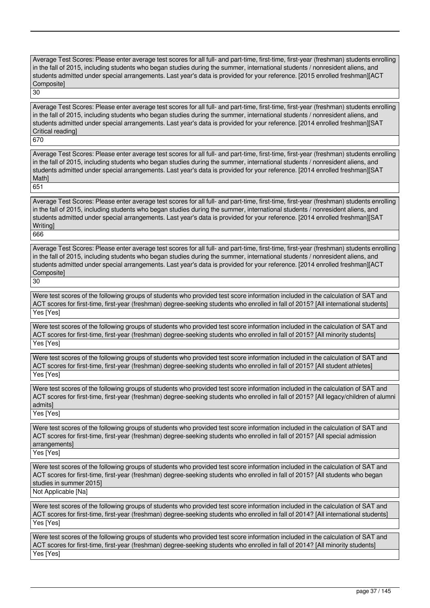Average Test Scores: Please enter average test scores for all full- and part-time, first-time, first-year (freshman) students enrolling in the fall of 2015, including students who began studies during the summer, international students / nonresident aliens, and students admitted under special arrangements. Last year's data is provided for your reference. [2015 enrolled freshman][ACT Composite]

30

Average Test Scores: Please enter average test scores for all full- and part-time, first-time, first-year (freshman) students enrolling in the fall of 2015, including students who began studies during the summer, international students / nonresident aliens, and students admitted under special arrangements. Last year's data is provided for your reference. [2014 enrolled freshman][SAT Critical reading]

670

Average Test Scores: Please enter average test scores for all full- and part-time, first-time, first-year (freshman) students enrolling in the fall of 2015, including students who began studies during the summer, international students / nonresident aliens, and students admitted under special arrangements. Last year's data is provided for your reference. [2014 enrolled freshman][SAT Math] 651

Average Test Scores: Please enter average test scores for all full- and part-time, first-time, first-year (freshman) students enrolling in the fall of 2015, including students who began studies during the summer, international students / nonresident aliens, and students admitted under special arrangements. Last year's data is provided for your reference. [2014 enrolled freshman][SAT **Writing** 

666

Average Test Scores: Please enter average test scores for all full- and part-time, first-time, first-year (freshman) students enrolling in the fall of 2015, including students who began studies during the summer, international students / nonresident aliens, and students admitted under special arrangements. Last year's data is provided for your reference. [2014 enrolled freshman][ACT Composite] 30

Were test scores of the following groups of students who provided test score information included in the calculation of SAT and ACT scores for first-time, first-year (freshman) degree-seeking students who enrolled in fall of 2015? [All international students] Yes [Yes]

Were test scores of the following groups of students who provided test score information included in the calculation of SAT and ACT scores for first-time, first-year (freshman) degree-seeking students who enrolled in fall of 2015? [All minority students] Yes [Yes]

Were test scores of the following groups of students who provided test score information included in the calculation of SAT and ACT scores for first-time, first-year (freshman) degree-seeking students who enrolled in fall of 2015? [All student athletes] Yes [Yes]

Were test scores of the following groups of students who provided test score information included in the calculation of SAT and ACT scores for first-time, first-year (freshman) degree-seeking students who enrolled in fall of 2015? [All legacy/children of alumni admits]

Yes [Yes]

Were test scores of the following groups of students who provided test score information included in the calculation of SAT and ACT scores for first-time, first-year (freshman) degree-seeking students who enrolled in fall of 2015? [All special admission arrangements]

Yes [Yes]

Were test scores of the following groups of students who provided test score information included in the calculation of SAT and ACT scores for first-time, first-year (freshman) degree-seeking students who enrolled in fall of 2015? [All students who began studies in summer 2015]

Not Applicable [Na]

Were test scores of the following groups of students who provided test score information included in the calculation of SAT and ACT scores for first-time, first-year (freshman) degree-seeking students who enrolled in fall of 2014? [All international students] Yes [Yes]

Were test scores of the following groups of students who provided test score information included in the calculation of SAT and ACT scores for first-time, first-year (freshman) degree-seeking students who enrolled in fall of 2014? [All minority students] Yes [Yes]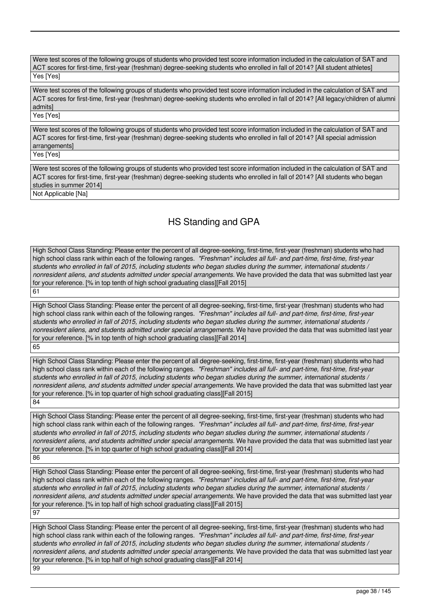Were test scores of the following groups of students who provided test score information included in the calculation of SAT and ACT scores for first-time, first-year (freshman) degree-seeking students who enrolled in fall of 2014? [All student athletes] Yes [Yes]

Were test scores of the following groups of students who provided test score information included in the calculation of SAT and ACT scores for first-time, first-year (freshman) degree-seeking students who enrolled in fall of 2014? [All legacy/children of alumni admits]

Yes [Yes]

Were test scores of the following groups of students who provided test score information included in the calculation of SAT and ACT scores for first-time, first-year (freshman) degree-seeking students who enrolled in fall of 2014? [All special admission arrangements]

Yes [Yes]

Were test scores of the following groups of students who provided test score information included in the calculation of SAT and ACT scores for first-time, first-year (freshman) degree-seeking students who enrolled in fall of 2014? [All students who began studies in summer 2014]

Not Applicable [Na]

# HS Standing and GPA

High School Class Standing: Please enter the percent of all degree-seeking, first-time, first-year (freshman) students who had high school class rank within each of the following ranges. *"Freshman" includes all full- and part-time, first-time, first-year students who enrolled in fall of 2015, including students who began studies during the summer, international students / nonresident aliens, and students admitted under special arrangements.* We have provided the data that was submitted last year for your reference. [% in top tenth of high school graduating class][Fall 2015] 61

High School Class Standing: Please enter the percent of all degree-seeking, first-time, first-year (freshman) students who had high school class rank within each of the following ranges. *"Freshman" includes all full- and part-time, first-time, first-year students who enrolled in fall of 2015, including students who began studies during the summer, international students / nonresident aliens, and students admitted under special arrangements.* We have provided the data that was submitted last year for your reference. [% in top tenth of high school graduating class][Fall 2014] 65

High School Class Standing: Please enter the percent of all degree-seeking, first-time, first-year (freshman) students who had high school class rank within each of the following ranges. *"Freshman" includes all full- and part-time, first-time, first-year students who enrolled in fall of 2015, including students who began studies during the summer, international students / nonresident aliens, and students admitted under special arrangements.* We have provided the data that was submitted last year for your reference. [% in top quarter of high school graduating class][Fall 2015] 84

High School Class Standing: Please enter the percent of all degree-seeking, first-time, first-year (freshman) students who had high school class rank within each of the following ranges. *"Freshman" includes all full- and part-time, first-time, first-year students who enrolled in fall of 2015, including students who began studies during the summer, international students / nonresident aliens, and students admitted under special arrangements.* We have provided the data that was submitted last year for your reference. [% in top quarter of high school graduating class][Fall 2014] 86

High School Class Standing: Please enter the percent of all degree-seeking, first-time, first-year (freshman) students who had high school class rank within each of the following ranges. *"Freshman" includes all full- and part-time, first-time, first-year students who enrolled in fall of 2015, including students who began studies during the summer, international students / nonresident aliens, and students admitted under special arrangements.* We have provided the data that was submitted last year for your reference. [% in top half of high school graduating class][Fall 2015] 97

High School Class Standing: Please enter the percent of all degree-seeking, first-time, first-year (freshman) students who had high school class rank within each of the following ranges. *"Freshman" includes all full- and part-time, first-time, first-year students who enrolled in fall of 2015, including students who began studies during the summer, international students / nonresident aliens, and students admitted under special arrangements.* We have provided the data that was submitted last year for your reference. [% in top half of high school graduating class][Fall 2014] 99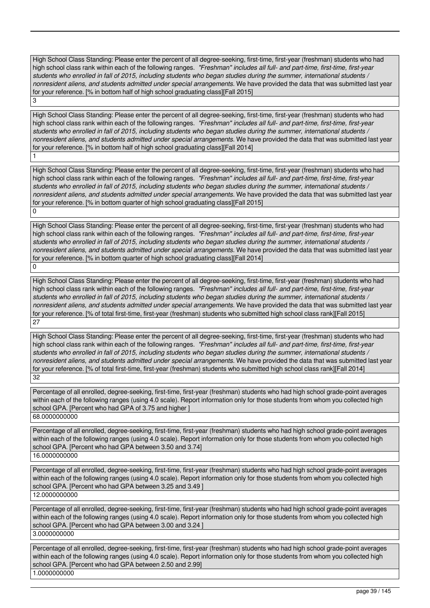High School Class Standing: Please enter the percent of all degree-seeking, first-time, first-year (freshman) students who had high school class rank within each of the following ranges. *"Freshman" includes all full- and part-time, first-time, first-year students who enrolled in fall of 2015, including students who began studies during the summer, international students / nonresident aliens, and students admitted under special arrangements.* We have provided the data that was submitted last year for your reference. [% in bottom half of high school graduating class][Fall 2015]

3

1

High School Class Standing: Please enter the percent of all degree-seeking, first-time, first-year (freshman) students who had high school class rank within each of the following ranges. *"Freshman" includes all full- and part-time, first-time, first-year students who enrolled in fall of 2015, including students who began studies during the summer, international students / nonresident aliens, and students admitted under special arrangements.* We have provided the data that was submitted last year for your reference. [% in bottom half of high school graduating class][Fall 2014]

High School Class Standing: Please enter the percent of all degree-seeking, first-time, first-year (freshman) students who had high school class rank within each of the following ranges. *"Freshman" includes all full- and part-time, first-time, first-year students who enrolled in fall of 2015, including students who began studies during the summer, international students / nonresident aliens, and students admitted under special arrangements.* We have provided the data that was submitted last year for your reference. [% in bottom quarter of high school graduating class][Fall 2015]  $\overline{0}$ 

High School Class Standing: Please enter the percent of all degree-seeking, first-time, first-year (freshman) students who had high school class rank within each of the following ranges. *"Freshman" includes all full- and part-time, first-time, first-year students who enrolled in fall of 2015, including students who began studies during the summer, international students / nonresident aliens, and students admitted under special arrangements.* We have provided the data that was submitted last year for your reference. [% in bottom quarter of high school graduating class][Fall 2014] 0

High School Class Standing: Please enter the percent of all degree-seeking, first-time, first-year (freshman) students who had high school class rank within each of the following ranges. *"Freshman" includes all full- and part-time, first-time, first-year students who enrolled in fall of 2015, including students who began studies during the summer, international students / nonresident aliens, and students admitted under special arrangements.* We have provided the data that was submitted last year for your reference. [% of total first-time, first-year (freshman) students who submitted high school class rank][Fall 2015] 27

High School Class Standing: Please enter the percent of all degree-seeking, first-time, first-year (freshman) students who had high school class rank within each of the following ranges. *"Freshman" includes all full- and part-time, first-time, first-year students who enrolled in fall of 2015, including students who began studies during the summer, international students / nonresident aliens, and students admitted under special arrangements.* We have provided the data that was submitted last year for your reference. [% of total first-time, first-year (freshman) students who submitted high school class rank][Fall 2014] 32

Percentage of all enrolled, degree-seeking, first-time, first-year (freshman) students who had high school grade-point averages within each of the following ranges (using 4.0 scale). Report information only for those students from whom you collected high school GPA. [Percent who had GPA of 3.75 and higher ] 68.0000000000

Percentage of all enrolled, degree-seeking, first-time, first-year (freshman) students who had high school grade-point averages within each of the following ranges (using 4.0 scale). Report information only for those students from whom you collected high school GPA. [Percent who had GPA between 3.50 and 3.74] 16.0000000000

Percentage of all enrolled, degree-seeking, first-time, first-year (freshman) students who had high school grade-point averages within each of the following ranges (using 4.0 scale). Report information only for those students from whom you collected high school GPA. [Percent who had GPA between 3.25 and 3.49 ] 12.0000000000

Percentage of all enrolled, degree-seeking, first-time, first-year (freshman) students who had high school grade-point averages within each of the following ranges (using 4.0 scale). Report information only for those students from whom you collected high school GPA. [Percent who had GPA between 3.00 and 3.24 ] 3.0000000000

Percentage of all enrolled, degree-seeking, first-time, first-year (freshman) students who had high school grade-point averages within each of the following ranges (using 4.0 scale). Report information only for those students from whom you collected high school GPA. [Percent who had GPA between 2.50 and 2.99] 1.0000000000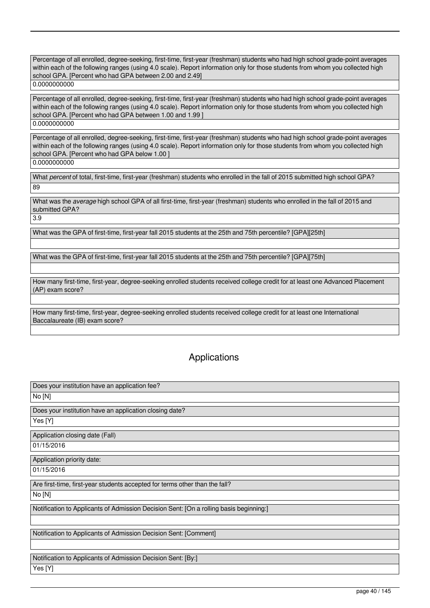Percentage of all enrolled, degree-seeking, first-time, first-year (freshman) students who had high school grade-point averages within each of the following ranges (using 4.0 scale). Report information only for those students from whom you collected high school GPA. [Percent who had GPA between 2.00 and 2.49] 0.0000000000

Percentage of all enrolled, degree-seeking, first-time, first-year (freshman) students who had high school grade-point averages within each of the following ranges (using 4.0 scale). Report information only for those students from whom you collected high school GPA. [Percent who had GPA between 1.00 and 1.99] 0.0000000000

Percentage of all enrolled, degree-seeking, first-time, first-year (freshman) students who had high school grade-point averages within each of the following ranges (using 4.0 scale). Report information only for those students from whom you collected high school GPA. [Percent who had GPA below 1.00 ] 0.0000000000

What *percent* of total, first-time, first-year (freshman) students who enrolled in the fall of 2015 submitted high school GPA? 89

What was the *average* high school GPA of all first-time, first-year (freshman) students who enrolled in the fall of 2015 and submitted GPA? 3.9

What was the GPA of first-time, first-year fall 2015 students at the 25th and 75th percentile? [GPA][25th]

What was the GPA of first-time, first-year fall 2015 students at the 25th and 75th percentile? [GPA][75th]

How many first-time, first-year, degree-seeking enrolled students received college credit for at least one Advanced Placement (AP) exam score?

How many first-time, first-year, degree-seeking enrolled students received college credit for at least one International Baccalaureate (IB) exam score?

# Applications

| Does your institution have an application fee?                                         |
|----------------------------------------------------------------------------------------|
| No [N]                                                                                 |
| Does your institution have an application closing date?                                |
| Yes [Y]                                                                                |
| Application closing date (Fall)                                                        |
| 01/15/2016                                                                             |
| Application priority date:                                                             |
| 01/15/2016                                                                             |
| Are first-time, first-year students accepted for terms other than the fall?            |
| No [N]                                                                                 |
| Notification to Applicants of Admission Decision Sent: [On a rolling basis beginning:] |
|                                                                                        |
| Notification to Applicants of Admission Decision Sent: [Comment]                       |
|                                                                                        |
| Notification to Applicants of Admission Decision Sent: [By:]                           |
| Yes [Y]                                                                                |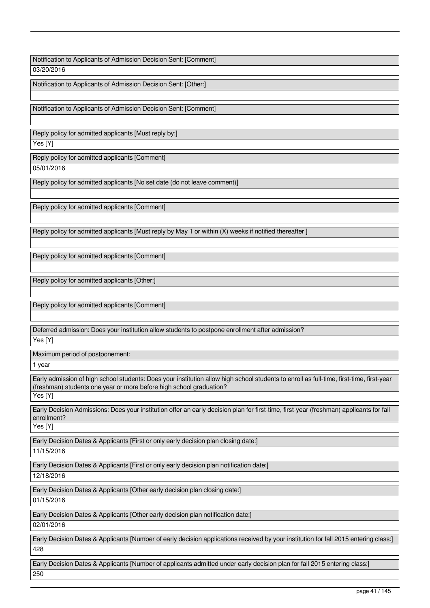Notification to Applicants of Admission Decision Sent: [Comment]

03/20/2016

Notification to Applicants of Admission Decision Sent: [Other:]

Notification to Applicants of Admission Decision Sent: [Comment]

Reply policy for admitted applicants [Must reply by:]

Yes [Y]

Reply policy for admitted applicants [Comment] 05/01/2016

Reply policy for admitted applicants [No set date (do not leave comment)]

Reply policy for admitted applicants [Comment]

Reply policy for admitted applicants [Must reply by May 1 or within (X) weeks if notified thereafter ]

Reply policy for admitted applicants [Comment]

Reply policy for admitted applicants [Other:]

Reply policy for admitted applicants [Comment]

Deferred admission: Does your institution allow students to postpone enrollment after admission? Yes [Y]

Maximum period of postponement:

1 year

Early admission of high school students: Does your institution allow high school students to enroll as full-time, first-time, first-year (freshman) students one year or more before high school graduation? Yes [Y]

Early Decision Admissions: Does your institution offer an early decision plan for first-time, first-year (freshman) applicants for fall enrollment?

Yes [Y]

Early Decision Dates & Applicants [First or only early decision plan closing date:]

11/15/2016

Early Decision Dates & Applicants [First or only early decision plan notification date:]

12/18/2016

Early Decision Dates & Applicants [Other early decision plan closing date:]

01/15/2016

Early Decision Dates & Applicants [Other early decision plan notification date:]

02/01/2016

Early Decision Dates & Applicants [Number of early decision applications received by your institution for fall 2015 entering class:] 428

Early Decision Dates & Applicants [Number of applicants admitted under early decision plan for fall 2015 entering class:] 250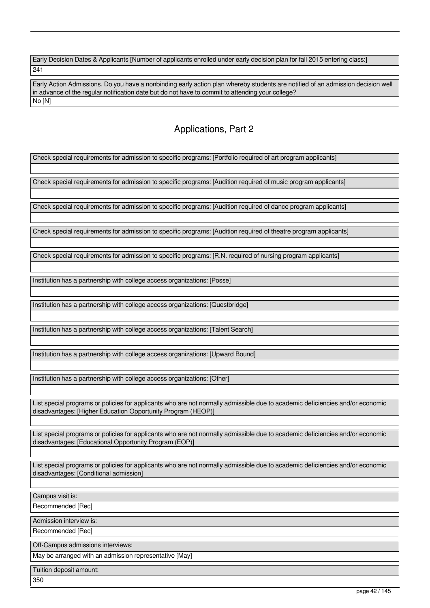Early Decision Dates & Applicants [Number of applicants enrolled under early decision plan for fall 2015 entering class:] 241

Early Action Admissions. Do you have a nonbinding early action plan whereby students are notified of an admission decision well in advance of the regular notification date but do not have to commit to attending your college? No [N]

# Applications, Part 2

Check special requirements for admission to specific programs: [Portfolio required of art program applicants]

Check special requirements for admission to specific programs: [Audition required of music program applicants]

Check special requirements for admission to specific programs: [Audition required of dance program applicants]

Check special requirements for admission to specific programs: [Audition required of theatre program applicants]

Check special requirements for admission to specific programs: [R.N. required of nursing program applicants]

Institution has a partnership with college access organizations: [Posse]

Institution has a partnership with college access organizations: [Questbridge]

Institution has a partnership with college access organizations: [Talent Search]

Institution has a partnership with college access organizations: [Upward Bound]

Institution has a partnership with college access organizations: [Other]

List special programs or policies for applicants who are not normally admissible due to academic deficiencies and/or economic disadvantages: [Higher Education Opportunity Program (HEOP)]

List special programs or policies for applicants who are not normally admissible due to academic deficiencies and/or economic disadvantages: [Educational Opportunity Program (EOP)]

List special programs or policies for applicants who are not normally admissible due to academic deficiencies and/or economic disadvantages: [Conditional admission]

Campus visit is:

Recommended [Rec]

Admission interview is:

Recommended [Rec]

Off-Campus admissions interviews:

May be arranged with an admission representative [May]

Tuition deposit amount:

350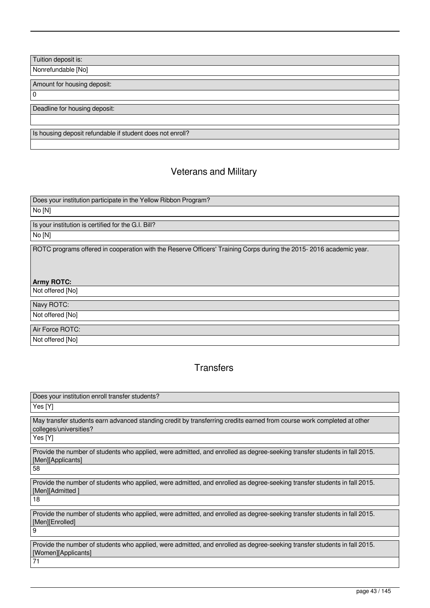Tuition deposit is:

Nonrefundable [No]

Amount for housing deposit:

 $\overline{0}$ 

Deadline for housing deposit:

Is housing deposit refundable if student does not enroll?

# Veterans and Military

Does your institution participate in the Yellow Ribbon Program?

# No [N]

Is your institution is certified for the G.I. Bill?

No [N]

ROTC programs offered in cooperation with the Reserve Officers' Training Corps during the 2015- 2016 academic year.

# **Army ROTC:**

Not offered [No]

Navy ROTC:

Not offered [No]

Air Force ROTC: Not offered [No]

# **Transfers**

| Does your institution enroll transfer students?                                                                                                  |
|--------------------------------------------------------------------------------------------------------------------------------------------------|
| Yes [Y]                                                                                                                                          |
| May transfer students earn advanced standing credit by transferring credits earned from course work completed at other<br>colleges/universities? |
| Yes [Y]                                                                                                                                          |
| Provide the number of students who applied, were admitted, and enrolled as degree-seeking transfer students in fall 2015.<br>[Men][Applicants]   |
| 58                                                                                                                                               |
| Provide the number of students who applied, were admitted, and enrolled as degree-seeking transfer students in fall 2015.<br>[Men][Admitted]     |
| 18                                                                                                                                               |
| Provide the number of students who applied, were admitted, and enrolled as degree-seeking transfer students in fall 2015.<br>[Men][Enrolled]     |
| و ا                                                                                                                                              |
| Provide the number of students who applied, were admitted, and enrolled as degree-seeking transfer students in fall 2015.<br>[Women][Applicants] |
| 71                                                                                                                                               |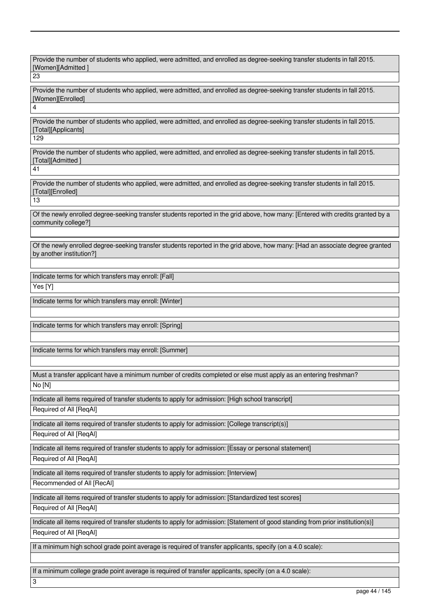Provide the number of students who applied, were admitted, and enrolled as degree-seeking transfer students in fall 2015. [Women][Admitted ]

23

4

Provide the number of students who applied, were admitted, and enrolled as degree-seeking transfer students in fall 2015. [Women][Enrolled]

Provide the number of students who applied, were admitted, and enrolled as degree-seeking transfer students in fall 2015. [Total][Applicants]

129

Provide the number of students who applied, were admitted, and enrolled as degree-seeking transfer students in fall 2015. [Total][Admitted ]

41

Provide the number of students who applied, were admitted, and enrolled as degree-seeking transfer students in fall 2015. [Total][Enrolled]

13

Of the newly enrolled degree-seeking transfer students reported in the grid above, how many: [Entered with credits granted by a community college?]

Of the newly enrolled degree-seeking transfer students reported in the grid above, how many: [Had an associate degree granted by another institution?]

Indicate terms for which transfers may enroll: [Fall]

Yes [Y]

Indicate terms for which transfers may enroll: [Winter]

Indicate terms for which transfers may enroll: [Spring]

Indicate terms for which transfers may enroll: [Summer]

Must a transfer applicant have a minimum number of credits completed or else must apply as an entering freshman?

No [N]

Indicate all items required of transfer students to apply for admission: [High school transcript]

Required of All [ReqAl]

Indicate all items required of transfer students to apply for admission: [College transcript(s)]

Required of All [ReqAl]

Indicate all items required of transfer students to apply for admission: [Essay or personal statement]

Required of All [ReqAl]

Indicate all items required of transfer students to apply for admission: [Interview]

Recommended of All [RecAl]

Indicate all items required of transfer students to apply for admission: [Standardized test scores]

Required of All [ReqAl]

3

Indicate all items required of transfer students to apply for admission: [Statement of good standing from prior institution(s)] Required of All [ReqAl]

If a minimum high school grade point average is required of transfer applicants, specify (on a 4.0 scale):

If a minimum college grade point average is required of transfer applicants, specify (on a 4.0 scale):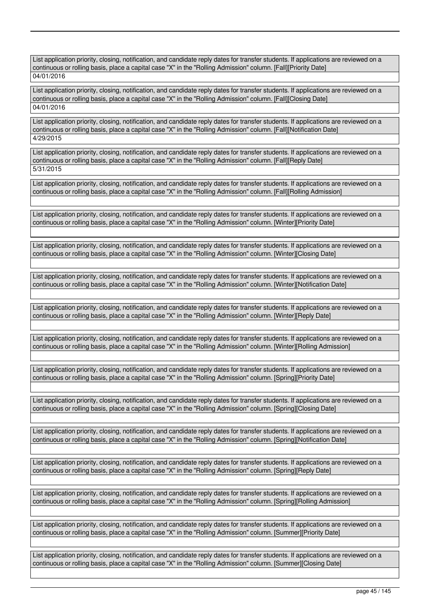List application priority, closing, notification, and candidate reply dates for transfer students. If applications are reviewed on a continuous or rolling basis, place a capital case "X" in the "Rolling Admission" column. [Fall][Priority Date] 04/01/2016

List application priority, closing, notification, and candidate reply dates for transfer students. If applications are reviewed on a continuous or rolling basis, place a capital case "X" in the "Rolling Admission" column. [Fall][Closing Date] 04/01/2016

List application priority, closing, notification, and candidate reply dates for transfer students. If applications are reviewed on a continuous or rolling basis, place a capital case "X" in the "Rolling Admission" column. [Fall][Notification Date] 4/29/2015

List application priority, closing, notification, and candidate reply dates for transfer students. If applications are reviewed on a continuous or rolling basis, place a capital case "X" in the "Rolling Admission" column. [Fall][Reply Date] 5/31/2015

List application priority, closing, notification, and candidate reply dates for transfer students. If applications are reviewed on a continuous or rolling basis, place a capital case "X" in the "Rolling Admission" column. [Fall][Rolling Admission]

List application priority, closing, notification, and candidate reply dates for transfer students. If applications are reviewed on a continuous or rolling basis, place a capital case "X" in the "Rolling Admission" column. [Winter][Priority Date]

List application priority, closing, notification, and candidate reply dates for transfer students. If applications are reviewed on a continuous or rolling basis, place a capital case "X" in the "Rolling Admission" column. [Winter][Closing Date]

List application priority, closing, notification, and candidate reply dates for transfer students. If applications are reviewed on a continuous or rolling basis, place a capital case "X" in the "Rolling Admission" column. [Winter][Notification Date]

List application priority, closing, notification, and candidate reply dates for transfer students. If applications are reviewed on a continuous or rolling basis, place a capital case "X" in the "Rolling Admission" column. [Winter][Reply Date]

List application priority, closing, notification, and candidate reply dates for transfer students. If applications are reviewed on a continuous or rolling basis, place a capital case "X" in the "Rolling Admission" column. [Winter][Rolling Admission]

List application priority, closing, notification, and candidate reply dates for transfer students. If applications are reviewed on a continuous or rolling basis, place a capital case "X" in the "Rolling Admission" column. [Spring][Priority Date]

List application priority, closing, notification, and candidate reply dates for transfer students. If applications are reviewed on a continuous or rolling basis, place a capital case "X" in the "Rolling Admission" column. [Spring][Closing Date]

List application priority, closing, notification, and candidate reply dates for transfer students. If applications are reviewed on a continuous or rolling basis, place a capital case "X" in the "Rolling Admission" column. [Spring][Notification Date]

List application priority, closing, notification, and candidate reply dates for transfer students. If applications are reviewed on a continuous or rolling basis, place a capital case "X" in the "Rolling Admission" column. [Spring][Reply Date]

List application priority, closing, notification, and candidate reply dates for transfer students. If applications are reviewed on a continuous or rolling basis, place a capital case "X" in the "Rolling Admission" column. [Spring][Rolling Admission]

List application priority, closing, notification, and candidate reply dates for transfer students. If applications are reviewed on a continuous or rolling basis, place a capital case "X" in the "Rolling Admission" column. [Summer][Priority Date]

List application priority, closing, notification, and candidate reply dates for transfer students. If applications are reviewed on a continuous or rolling basis, place a capital case "X" in the "Rolling Admission" column. [Summer][Closing Date]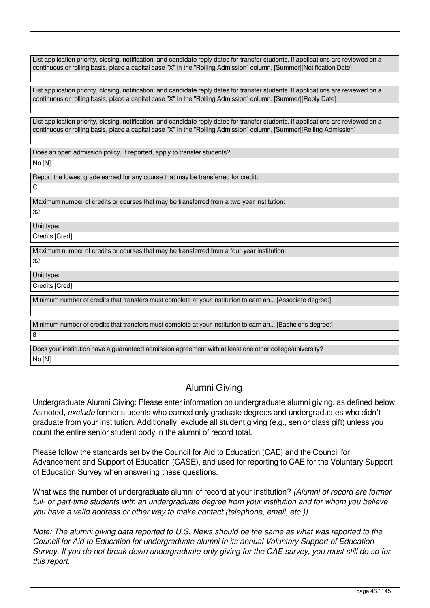List application priority, closing, notification, and candidate reply dates for transfer students. If applications are reviewed on a continuous or rolling basis, place a capital case "X" in the "Rolling Admission" column. [Summer][Notification Date]

List application priority, closing, notification, and candidate reply dates for transfer students. If applications are reviewed on a continuous or rolling basis, place a capital case "X" in the "Rolling Admission" column. [Summer][Reply Date]

List application priority, closing, notification, and candidate reply dates for transfer students. If applications are reviewed on a continuous or rolling basis, place a capital case "X" in the "Rolling Admission" column. [Summer][Rolling Admission]

Does an open admission policy, if reported, apply to transfer students? No [N]

Report the lowest grade earned for any course that may be transferred for credit*:*  $\overline{C}$ 

Maximum number of credits or courses that may be transferred from a two-year institution:

32

Unit type: Credits [Cred]

Maximum number of credits or courses that may be transferred from a four-year institution:

32

Unit type: Credits [Cred]

Minimum number of credits that transfers must complete at your institution to earn an... [Associate degree:]

Minimum number of credits that transfers must complete at your institution to earn an... [Bachelor's degree:]

 $\overline{8}$ 

Does your institution have a guaranteed admission agreement with at least one other college/university?

No [N]

# Alumni Giving

Undergraduate Alumni Giving: Please enter information on undergraduate alumni giving, as defined below. As noted, *exclude* former students who earned only graduate degrees and undergraduates who didn't graduate from your institution. Additionally, exclude all student giving (e.g., senior class gift) unless you count the entire senior student body in the alumni of record total.

Please follow the standards set by the Council for Aid to Education (CAE) and the Council for Advancement and Support of Education (CASE), and used for reporting to CAE for the Voluntary Support of Education Survey when answering these questions.

What was the number of undergraduate alumni of record at your institution? *(Alumni of record are former full- or part-time students with an undergraduate degree from your institution and for whom you believe you have a valid address or other way to make contact (telephone, email, etc.))*

*Note: The alumni giving data reported to U.S. News should be the same as what was reported to the Council for Aid to Education for undergraduate alumni in its annual Voluntary Support of Education Survey. If you do not break down undergraduate-only giving for the CAE survey, you must still do so for this report.*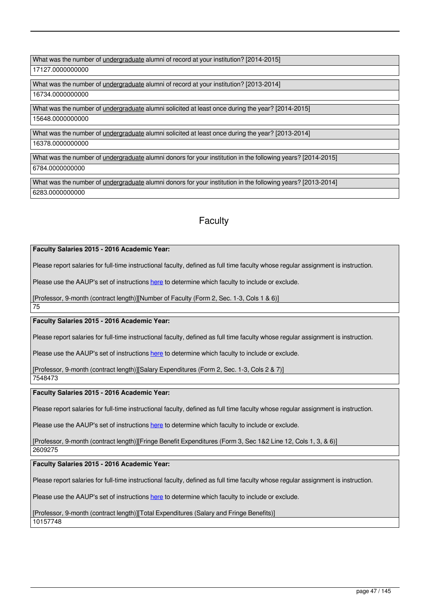What was the number of *undergraduate* alumni of record at your institution? [2014-2015]

17127.0000000000

What was the number of undergraduate alumni of record at your institution? [2013-2014] 16734.0000000000

What was the number of undergraduate alumni solicited at least once during the year? [2014-2015]

15648.0000000000

What was the number of undergraduate alumni solicited at least once during the year? [2013-2014]

16378.0000000000

What was the number of undergraduate alumni donors for your institution in the following years? [2014-2015]

6784.0000000000

What was the number of undergraduate alumni donors for your institution in the following years? [2013-2014] 6283.0000000000

# **Faculty**

# **Faculty Salaries 2015 - 2016 Academic Year:**

Please report salaries for full-time instructional faculty, defined as full time faculty whose regular assignment is instruction.

Please use the AAUP's set of instructions [here](http://www.aaup.org/our-programs/research/economic-status-report/2015-16-faculty-compensation-survey) to determine which faculty to include or exclude.

[Professor, 9-month (contract length)][Number of Faculty (Form 2, Sec. 1-3, Cols 1 & 6)]

75

# **Faculty Salaries 2015 - 2016 Academic Year:**

Please report salaries for full-time instructional faculty, defined as full time faculty whose regular assignment is instruction.

Please use the AAUP's set of instructions [here](http://www.aaup.org/our-programs/research/economic-status-report/2015-16-faculty-compensation-survey) to determine which faculty to include or exclude.

[Professor, 9-month (contract length)][Salary Expenditures (Form 2, Sec. 1-3, Cols 2 & 7)]

7548473

# **Faculty Salaries 2015 - 2016 Academic Year:**

Please report salaries for full-time instructional faculty, defined as full time faculty whose regular assignment is instruction.

Please use the AAUP's set of instructions [here](http://www.aaup.org/our-programs/research/economic-status-report/2015-16-faculty-compensation-survey) to determine which faculty to include or exclude.

[Professor, 9-month (contract length)][Fringe Benefit Expenditures (Form 3, Sec 1&2 Line 12, Cols 1, 3, & 6)]

2609275

# **Faculty Salaries 2015 - 2016 Academic Year:**

Please report salaries for full-time instructional faculty, defined as full time faculty whose regular assignment is instruction.

Please use the AAUP's set of instructions [here](http://www.aaup.org/our-programs/research/economic-status-report/2015-16-faculty-compensation-survey) to determine which faculty to include or exclude.

[Professor, 9-month (contract length)][Total Expenditures (Salary and Fringe Benefits)]

10157748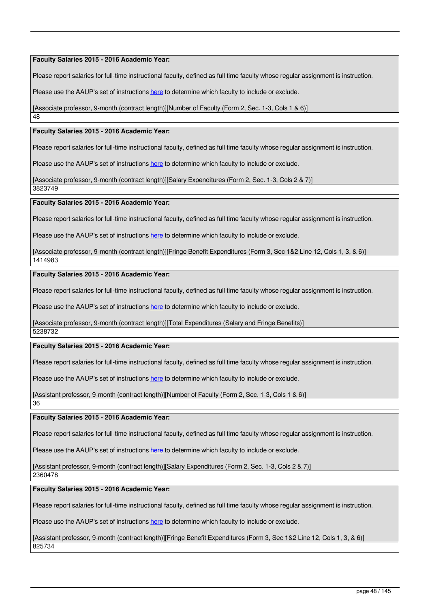**Faculty Salaries 2015 - 2016 Academic Year:** 

Please report salaries for full-time instructional faculty, defined as full time faculty whose regular assignment is instruction.

Please use the AAUP's set of instructions [here](http://www.aaup.org/our-programs/research/economic-status-report/2015-16-faculty-compensation-survey) to determine which faculty to include or exclude.

[Associate professor, 9-month (contract length)][Number of Faculty (Form 2, Sec. 1-3, Cols 1 & 6)]

48

## **Faculty Salaries 2015 - 2016 Academic Year:**

Please report salaries for full-time instructional faculty, defined as full time faculty whose regular assignment is instruction.

Please use the AAUP's set of instructions [here](http://www.aaup.org/our-programs/research/economic-status-report/2015-16-faculty-compensation-survey) to determine which faculty to include or exclude.

[Associate professor, 9-month (contract length)][Salary Expenditures (Form 2, Sec. 1-3, Cols 2 & 7)]

3823749

### **Faculty Salaries 2015 - 2016 Academic Year:**

Please report salaries for full-time instructional faculty, defined as full time faculty whose regular assignment is instruction.

Please use the AAUP's set of instructions [here](http://www.aaup.org/our-programs/research/economic-status-report/2015-16-faculty-compensation-survey) to determine which faculty to include or exclude.

[Associate professor, 9-month (contract length)][Fringe Benefit Expenditures (Form 3, Sec 1&2 Line 12, Cols 1, 3, & 6)]

1414983

## **Faculty Salaries 2015 - 2016 Academic Year:**

Please report salaries for full-time instructional faculty, defined as full time faculty whose regular assignment is instruction.

Please use the AAUP's set of instructions [here](http://www.aaup.org/our-programs/research/economic-status-report/2015-16-faculty-compensation-survey) to determine which faculty to include or exclude.

[Associate professor, 9-month (contract length)][Total Expenditures (Salary and Fringe Benefits)]

5238732

# **Faculty Salaries 2015 - 2016 Academic Year:**

Please report salaries for full-time instructional faculty, defined as full time faculty whose regular assignment is instruction.

Please use the AAUP's set of instructions [here](http://www.aaup.org/our-programs/research/economic-status-report/2015-16-faculty-compensation-survey) to determine which faculty to include or exclude.

[Assistant professor, 9-month (contract length)][Number of Faculty (Form 2, Sec. 1-3, Cols 1 & 6)]

36

**Faculty Salaries 2015 - 2016 Academic Year:** 

Please report salaries for full-time instructional faculty, defined as full time faculty whose regular assignment is instruction.

Please use the AAUP's set of instructions [here](http://www.aaup.org/our-programs/research/economic-status-report/2015-16-faculty-compensation-survey) to determine which faculty to include or exclude.

[Assistant professor, 9-month (contract length)][Salary Expenditures (Form 2, Sec. 1-3, Cols 2 & 7)]

2360478

**Faculty Salaries 2015 - 2016 Academic Year:** 

Please report salaries for full-time instructional faculty, defined as full time faculty whose regular assignment is instruction.

Please use the AAUP's set of instructions [here](http://www.aaup.org/our-programs/research/economic-status-report/2015-16-faculty-compensation-survey) to determine which faculty to include or exclude.

[Assistant professor, 9-month (contract length)][Fringe Benefit Expenditures (Form 3, Sec 1&2 Line 12, Cols 1, 3, & 6)] 825734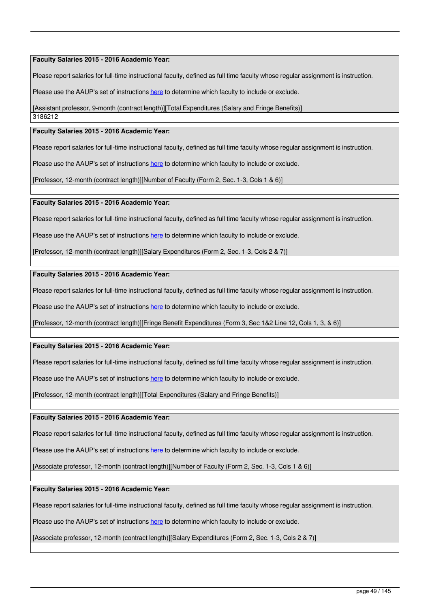## **Faculty Salaries 2015 - 2016 Academic Year:**

Please report salaries for full-time instructional faculty, defined as full time faculty whose regular assignment is instruction.

Please use the AAUP's set of instructions [here](http://www.aaup.org/our-programs/research/economic-status-report/2015-16-faculty-compensation-survey) to determine which faculty to include or exclude.

[Assistant professor, 9-month (contract length)][Total Expenditures (Salary and Fringe Benefits)]

3186212

# **Faculty Salaries 2015 - 2016 Academic Year:**

Please report salaries for full-time instructional faculty, defined as full time faculty whose regular assignment is instruction.

Please use the AAUP's set of instructions [here](http://www.aaup.org/our-programs/research/economic-status-report/2015-16-faculty-compensation-survey) to determine which faculty to include or exclude.

[Professor, 12-month (contract length)][Number of Faculty (Form 2, Sec. 1-3, Cols 1 & 6)]

### **Faculty Salaries 2015 - 2016 Academic Year:**

Please report salaries for full-time instructional faculty, defined as full time faculty whose regular assignment is instruction.

Please use the AAUP's set of instructions [here](http://www.aaup.org/our-programs/research/economic-status-report/2015-16-faculty-compensation-survey) to determine which faculty to include or exclude.

[Professor, 12-month (contract length)][Salary Expenditures (Form 2, Sec. 1-3, Cols 2 & 7)]

### **Faculty Salaries 2015 - 2016 Academic Year:**

Please report salaries for full-time instructional faculty, defined as full time faculty whose regular assignment is instruction.

Please use the AAUP's set of instructions [here](http://www.aaup.org/our-programs/research/economic-status-report/2015-16-faculty-compensation-survey) to determine which faculty to include or exclude.

[Professor, 12-month (contract length)][Fringe Benefit Expenditures (Form 3, Sec 1&2 Line 12, Cols 1, 3, & 6)]

## **Faculty Salaries 2015 - 2016 Academic Year:**

Please report salaries for full-time instructional faculty, defined as full time faculty whose regular assignment is instruction.

Please use the AAUP's set of instructions [here](http://www.aaup.org/our-programs/research/economic-status-report/2015-16-faculty-compensation-survey) to determine which faculty to include or exclude.

[Professor, 12-month (contract length)][Total Expenditures (Salary and Fringe Benefits)]

#### **Faculty Salaries 2015 - 2016 Academic Year:**

Please report salaries for full-time instructional faculty, defined as full time faculty whose regular assignment is instruction.

Please use the AAUP's set of instructions [here](http://www.aaup.org/our-programs/research/economic-status-report/2015-16-faculty-compensation-survey) to determine which faculty to include or exclude.

[Associate professor, 12-month (contract length)][Number of Faculty (Form 2, Sec. 1-3, Cols 1 & 6)]

## **Faculty Salaries 2015 - 2016 Academic Year:**

Please report salaries for full-time instructional faculty, defined as full time faculty whose regular assignment is instruction.

Please use the AAUP's set of instructions [here](http://www.aaup.org/our-programs/research/economic-status-report/2015-16-faculty-compensation-survey) to determine which faculty to include or exclude.

[Associate professor, 12-month (contract length)][Salary Expenditures (Form 2, Sec. 1-3, Cols 2 & 7)]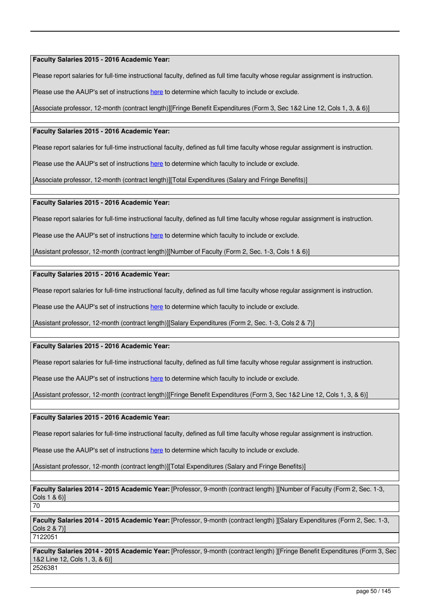**Faculty Salaries 2015 - 2016 Academic Year:** 

Please report salaries for full-time instructional faculty, defined as full time faculty whose regular assignment is instruction.

Please use the AAUP's set of instructions [here](http://www.aaup.org/our-programs/research/economic-status-report/2015-16-faculty-compensation-survey) to determine which faculty to include or exclude.

[Associate professor, 12-month (contract length)][Fringe Benefit Expenditures (Form 3, Sec 1&2 Line 12, Cols 1, 3, & 6)]

## **Faculty Salaries 2015 - 2016 Academic Year:**

Please report salaries for full-time instructional faculty, defined as full time faculty whose regular assignment is instruction.

Please use the AAUP's set of instructions [here](http://www.aaup.org/our-programs/research/economic-status-report/2015-16-faculty-compensation-survey) to determine which faculty to include or exclude.

[Associate professor, 12-month (contract length)][Total Expenditures (Salary and Fringe Benefits)]

### **Faculty Salaries 2015 - 2016 Academic Year:**

Please report salaries for full-time instructional faculty, defined as full time faculty whose regular assignment is instruction.

Please use the AAUP's set of instructions [here](http://www.aaup.org/our-programs/research/economic-status-report/2015-16-faculty-compensation-survey) to determine which faculty to include or exclude.

[Assistant professor, 12-month (contract length)][Number of Faculty (Form 2, Sec. 1-3, Cols 1 & 6)]

### **Faculty Salaries 2015 - 2016 Academic Year:**

Please report salaries for full-time instructional faculty, defined as full time faculty whose regular assignment is instruction.

Please use the AAUP's set of instructions [here](http://www.aaup.org/our-programs/research/economic-status-report/2015-16-faculty-compensation-survey) to determine which faculty to include or exclude.

[Assistant professor, 12-month (contract length)][Salary Expenditures (Form 2, Sec. 1-3, Cols 2 & 7)]

## **Faculty Salaries 2015 - 2016 Academic Year:**

Please report salaries for full-time instructional faculty, defined as full time faculty whose regular assignment is instruction.

Please use the AAUP's set of instructions [here](http://www.aaup.org/our-programs/research/economic-status-report/2015-16-faculty-compensation-survey) to determine which faculty to include or exclude.

[Assistant professor, 12-month (contract length)][Fringe Benefit Expenditures (Form 3, Sec 1&2 Line 12, Cols 1, 3, & 6)]

### **Faculty Salaries 2015 - 2016 Academic Year:**

Please report salaries for full-time instructional faculty, defined as full time faculty whose regular assignment is instruction.

Please use the AAUP's set of instructions [here](http://www.aaup.org/our-programs/research/economic-status-report/2015-16-faculty-compensation-survey) to determine which faculty to include or exclude.

[Assistant professor, 12-month (contract length)][Total Expenditures (Salary and Fringe Benefits)]

**Faculty Salaries 2014 - 2015 Academic Year:** [Professor, 9-month (contract length) ][Number of Faculty (Form 2, Sec. 1-3, Cols 1 & 6)] 70

**Faculty Salaries 2014 - 2015 Academic Year:** [Professor, 9-month (contract length) ][Salary Expenditures (Form 2, Sec. 1-3, Cols 2 & 7)]

7122051

**Faculty Salaries 2014 - 2015 Academic Year:** [Professor, 9-month (contract length) ][Fringe Benefit Expenditures (Form 3, Sec 1&2 Line 12, Cols 1, 3, & 6)] 2526381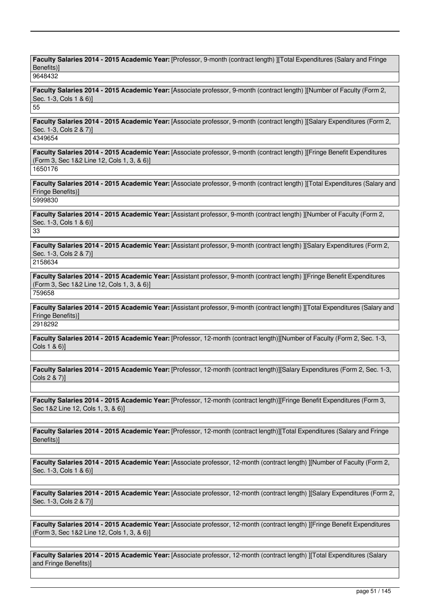**Faculty Salaries 2014 - 2015 Academic Year:** [Professor, 9-month (contract length) ][Total Expenditures (Salary and Fringe Benefits)]

9648432

**Faculty Salaries 2014 - 2015 Academic Year:** [Associate professor, 9-month (contract length) ][Number of Faculty (Form 2, Sec. 1-3, Cols 1 & 6)]

55

**Faculty Salaries 2014 - 2015 Academic Year:** [Associate professor, 9-month (contract length) ][Salary Expenditures (Form 2, Sec. 1-3, Cols 2 & 7)]

4349654

**Faculty Salaries 2014 - 2015 Academic Year:** [Associate professor, 9-month (contract length) ][Fringe Benefit Expenditures (Form 3, Sec 1&2 Line 12, Cols 1, 3, & 6)] 1650176

**Faculty Salaries 2014 - 2015 Academic Year:** [Associate professor, 9-month (contract length) ][Total Expenditures (Salary and Fringe Benefits)]

5999830

**Faculty Salaries 2014 - 2015 Academic Year:** [Assistant professor, 9-month (contract length) ][Number of Faculty (Form 2, Sec. 1-3, Cols 1 & 6)]

33

**Faculty Salaries 2014 - 2015 Academic Year:** [Assistant professor, 9-month (contract length) ][Salary Expenditures (Form 2, Sec. 1-3, Cols 2 & 7)] 2158634

**Faculty Salaries 2014 - 2015 Academic Year:** [Assistant professor, 9-month (contract length) ][Fringe Benefit Expenditures (Form 3, Sec 1&2 Line 12, Cols 1, 3, & 6)] 759658

**Faculty Salaries 2014 - 2015 Academic Year:** [Assistant professor, 9-month (contract length) ][Total Expenditures (Salary and Fringe Benefits)] 2918292

**Faculty Salaries 2014 - 2015 Academic Year:** [Professor, 12-month (contract length)][Number of Faculty (Form 2, Sec. 1-3, Cols 1 & 6)]

**Faculty Salaries 2014 - 2015 Academic Year:** [Professor, 12-month (contract length)][Salary Expenditures (Form 2, Sec. 1-3, Cols 2 & 7)]

**Faculty Salaries 2014 - 2015 Academic Year:** [Professor, 12-month (contract length)][Fringe Benefit Expenditures (Form 3, Sec 1&2 Line 12, Cols 1, 3, & 6)]

**Faculty Salaries 2014 - 2015 Academic Year:** [Professor, 12-month (contract length)][Total Expenditures (Salary and Fringe Benefits)]

**Faculty Salaries 2014 - 2015 Academic Year:** [Associate professor, 12-month (contract length) ][Number of Faculty (Form 2, Sec. 1-3, Cols 1 & 6)]

**Faculty Salaries 2014 - 2015 Academic Year:** [Associate professor, 12-month (contract length) ][Salary Expenditures (Form 2, Sec. 1-3, Cols 2 & 7)]

**Faculty Salaries 2014 - 2015 Academic Year:** [Associate professor, 12-month (contract length) ][Fringe Benefit Expenditures (Form 3, Sec 1&2 Line 12, Cols 1, 3, & 6)]

**Faculty Salaries 2014 - 2015 Academic Year:** [Associate professor, 12-month (contract length) ][Total Expenditures (Salary and Fringe Benefits)]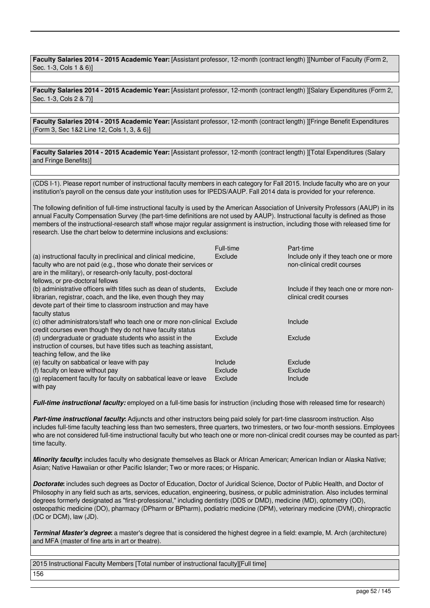**Faculty Salaries 2014 - 2015 Academic Year:** [Assistant professor, 12-month (contract length) ][Number of Faculty (Form 2, Sec. 1-3, Cols 1 & 6)]

**Faculty Salaries 2014 - 2015 Academic Year:** [Assistant professor, 12-month (contract length) ][Salary Expenditures (Form 2, Sec. 1-3, Cols 2 & 7)]

**Faculty Salaries 2014 - 2015 Academic Year:** [Assistant professor, 12-month (contract length) ][Fringe Benefit Expenditures (Form 3, Sec 1&2 Line 12, Cols 1, 3, & 6)]

**Faculty Salaries 2014 - 2015 Academic Year:** [Assistant professor, 12-month (contract length) ][Total Expenditures (Salary and Fringe Benefits)]

(CDS I-1). Please report number of instructional faculty members in each category for Fall 2015. Include faculty who are on your institution's payroll on the census date your institution uses for IPEDS/AAUP. Fall 2014 data is provided for your reference.

The following definition of full-time instructional faculty is used by the American Association of University Professors (AAUP) in its annual Faculty Compensation Survey (the part-time definitions are not used by AAUP). Instructional faculty is defined as those members of the instructional-research staff whose major regular assignment is instruction, including those with released time for research. Use the chart below to determine inclusions and exclusions:

|                                                                           | Full-time | Part-time                              |
|---------------------------------------------------------------------------|-----------|----------------------------------------|
| (a) instructional faculty in preclinical and clinical medicine,           | Exclude   | Include only if they teach one or more |
| faculty who are not paid (e.g., those who donate their services or        |           | non-clinical credit courses            |
| are in the military), or research-only faculty, post-doctoral             |           |                                        |
| fellows, or pre-doctoral fellows                                          |           |                                        |
| (b) administrative officers with titles such as dean of students,         | Exclude   | Include if they teach one or more non- |
| librarian, registrar, coach, and the like, even though they may           |           | clinical credit courses                |
| devote part of their time to classroom instruction and may have           |           |                                        |
| faculty status                                                            |           |                                        |
| (c) other administrators/staff who teach one or more non-clinical Exclude |           | Include                                |
| credit courses even though they do not have faculty status                |           |                                        |
| (d) undergraduate or graduate students who assist in the                  | Exclude   | Exclude                                |
| instruction of courses, but have titles such as teaching assistant,       |           |                                        |
| teaching fellow, and the like                                             |           |                                        |
| (e) faculty on sabbatical or leave with pay                               | Include   | Exclude                                |
| (f) faculty on leave without pay                                          | Exclude   | Exclude                                |
| (g) replacement faculty for faculty on sabbatical leave or leave          | Exclude   | Include                                |
| with pay                                                                  |           |                                        |

*Full-time instructional faculty:* employed on a full-time basis for instruction (including those with released time for research)

*Part-time instructional faculty***:** Adjuncts and other instructors being paid solely for part-time classroom instruction. Also includes full-time faculty teaching less than two semesters, three quarters, two trimesters, or two four-month sessions. Employees who are not considered full-time instructional faculty but who teach one or more non-clinical credit courses may be counted as parttime faculty.

*Minority faculty*: includes faculty who designate themselves as Black or African American; American Indian or Alaska Native; Asian; Native Hawaiian or other Pacific Islander; Two or more races; or Hispanic.

*Doctorate***:** includes such degrees as Doctor of Education, Doctor of Juridical Science, Doctor of Public Health, and Doctor of Philosophy in any field such as arts, services, education, engineering, business, or public administration. Also includes terminal degrees formerly designated as "first-professional," including dentistry (DDS or DMD), medicine (MD), optometry (OD), osteopathic medicine (DO), pharmacy (DPharm or BPharm), podiatric medicine (DPM), veterinary medicine (DVM), chiropractic (DC or DCM), law (JD).

*Terminal Master's degree***:** a master's degree that is considered the highest degree in a field: example, M. Arch (architecture) and MFA (master of fine arts in art or theatre).

2015 Instructional Faculty Members [Total number of instructional faculty][Full time] 156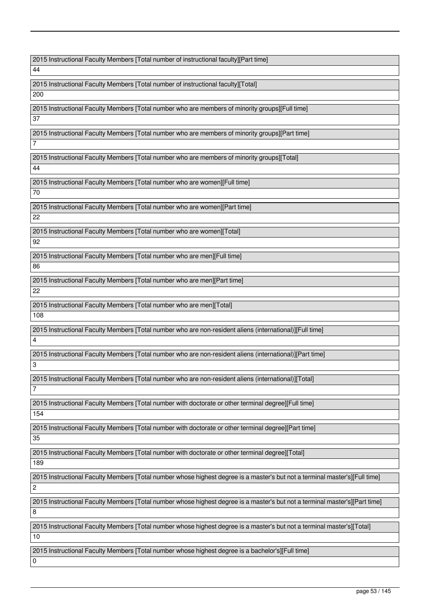2015 Instructional Faculty Members [Total number of instructional faculty][Part time]

44

2015 Instructional Faculty Members [Total number of instructional faculty][Total] 200

2015 Instructional Faculty Members [Total number who are members of minority groups][Full time]

37

2015 Instructional Faculty Members [Total number who are members of minority groups][Part time]

2015 Instructional Faculty Members [Total number who are members of minority groups][Total]

44

7

2015 Instructional Faculty Members [Total number who are women][Full time]

70

2015 Instructional Faculty Members [Total number who are women][Part time] 22

2015 Instructional Faculty Members [Total number who are women][Total] 92

2015 Instructional Faculty Members [Total number who are men][Full time]

86

2015 Instructional Faculty Members [Total number who are men][Part time] 22

2015 Instructional Faculty Members [Total number who are men][Total]

108

3

7

2015 Instructional Faculty Members [Total number who are non-resident aliens (international)][Full time] 4

2015 Instructional Faculty Members [Total number who are non-resident aliens (international)][Part time]

2015 Instructional Faculty Members [Total number who are non-resident aliens (international)][Total]

2015 Instructional Faculty Members [Total number with doctorate or other terminal degree][Full time]

2015 Instructional Faculty Members [Total number with doctorate or other terminal degree][Part time]

35

154

2015 Instructional Faculty Members [Total number with doctorate or other terminal degree][Total]

189

2015 Instructional Faculty Members [Total number whose highest degree is a master's but not a terminal master's][Full time]

2015 Instructional Faculty Members [Total number whose highest degree is a master's but not a terminal master's][Part time]

8

 $\overline{2}$ 

2015 Instructional Faculty Members [Total number whose highest degree is a master's but not a terminal master's][Total]

10

0

2015 Instructional Faculty Members [Total number whose highest degree is a bachelor's][Full time]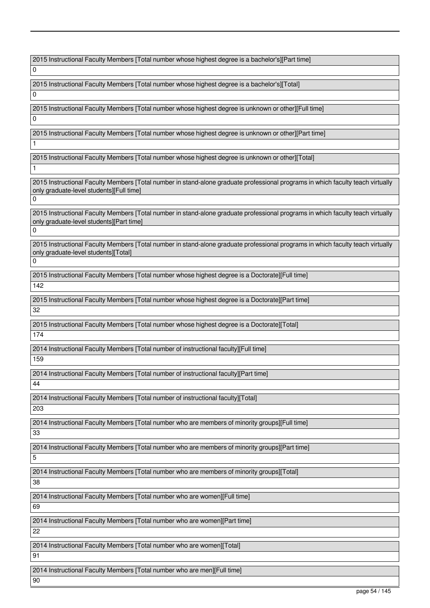2015 Instructional Faculty Members [Total number whose highest degree is a bachelor's][Part time]

0  $\Omega$ 

 $\Omega$ 

1

1

2015 Instructional Faculty Members [Total number whose highest degree is a bachelor's][Total]

2015 Instructional Faculty Members [Total number whose highest degree is unknown or other][Full time]

2015 Instructional Faculty Members [Total number whose highest degree is unknown or other][Part time]

2015 Instructional Faculty Members [Total number whose highest degree is unknown or other][Total]

2015 Instructional Faculty Members [Total number in stand-alone graduate professional programs in which faculty teach virtually only graduate-level students][Full time]

0

2015 Instructional Faculty Members [Total number in stand-alone graduate professional programs in which faculty teach virtually only graduate-level students][Part time]  $\overline{0}$ 

2015 Instructional Faculty Members [Total number in stand-alone graduate professional programs in which faculty teach virtually only graduate-level students][Total]

0

2015 Instructional Faculty Members [Total number whose highest degree is a Doctorate][Full time]

142

2015 Instructional Faculty Members [Total number whose highest degree is a Doctorate][Part time]

32

2015 Instructional Faculty Members [Total number whose highest degree is a Doctorate][Total]

174

2014 Instructional Faculty Members [Total number of instructional faculty][Full time]

159

2014 Instructional Faculty Members [Total number of instructional faculty][Part time]

44

2014 Instructional Faculty Members [Total number of instructional faculty][Total] 203

2014 Instructional Faculty Members [Total number who are members of minority groups][Full time]

33

2014 Instructional Faculty Members [Total number who are members of minority groups][Part time]

5

2014 Instructional Faculty Members [Total number who are members of minority groups][Total]

38

2014 Instructional Faculty Members [Total number who are women][Full time]

69

2014 Instructional Faculty Members [Total number who are women][Part time]

2014 Instructional Faculty Members [Total number who are women][Total]

91

90

22

2014 Instructional Faculty Members [Total number who are men][Full time]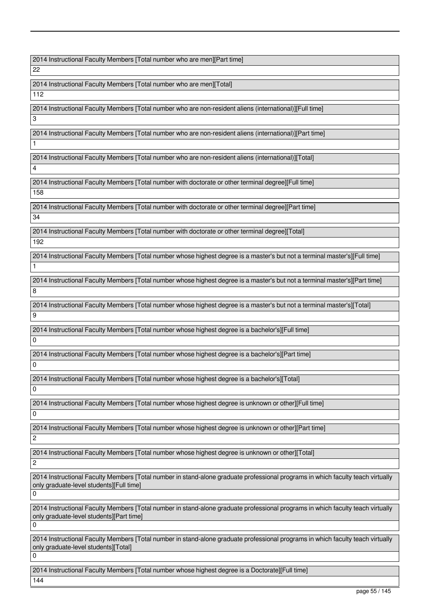2014 Instructional Faculty Members [Total number who are men][Part time]

22

2014 Instructional Faculty Members [Total number who are men][Total]

112

3

1

4

2014 Instructional Faculty Members [Total number who are non-resident aliens (international)][Full time]

2014 Instructional Faculty Members [Total number who are non-resident aliens (international)][Part time]

2014 Instructional Faculty Members [Total number who are non-resident aliens (international)][Total]

2014 Instructional Faculty Members [Total number with doctorate or other terminal degree][Full time]

158

1

0

0

0

0

2

2

 $\Omega$ 

0

 $\Omega$ 

2014 Instructional Faculty Members [Total number with doctorate or other terminal degree][Part time] 34

2014 Instructional Faculty Members [Total number with doctorate or other terminal degree][Total] 192

2014 Instructional Faculty Members [Total number whose highest degree is a master's but not a terminal master's][Full time]

2014 Instructional Faculty Members [Total number whose highest degree is a master's but not a terminal master's][Part time] 8

2014 Instructional Faculty Members [Total number whose highest degree is a master's but not a terminal master's][Total] 9

2014 Instructional Faculty Members [Total number whose highest degree is a bachelor's][Full time]

2014 Instructional Faculty Members [Total number whose highest degree is a bachelor's][Part time]

2014 Instructional Faculty Members [Total number whose highest degree is a bachelor's][Total]

2014 Instructional Faculty Members [Total number whose highest degree is unknown or other][Full time]

2014 Instructional Faculty Members [Total number whose highest degree is unknown or other][Part time]

2014 Instructional Faculty Members [Total number whose highest degree is unknown or other][Total]

2014 Instructional Faculty Members [Total number in stand-alone graduate professional programs in which faculty teach virtually only graduate-level students][Full time]

2014 Instructional Faculty Members [Total number in stand-alone graduate professional programs in which faculty teach virtually only graduate-level students][Part time]

2014 Instructional Faculty Members [Total number in stand-alone graduate professional programs in which faculty teach virtually only graduate-level students][Total]

2014 Instructional Faculty Members [Total number whose highest degree is a Doctorate][Full time] 144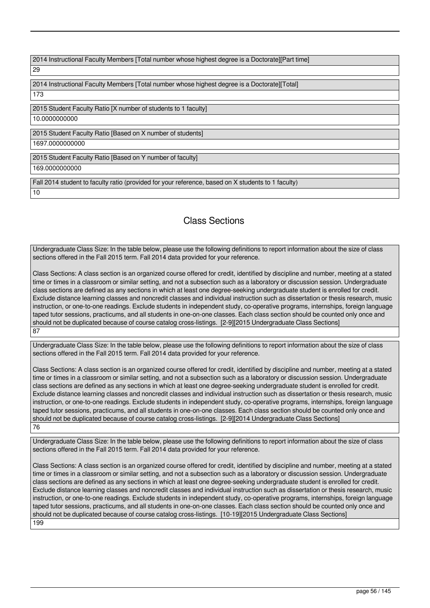| 2014 Instructional Faculty Members [Total number whose highest degree is a Doctorate][Part time]   |
|----------------------------------------------------------------------------------------------------|
| 29                                                                                                 |
|                                                                                                    |
| 2014 Instructional Faculty Members [Total number whose highest degree is a Doctorate][Total]       |
| 173                                                                                                |
|                                                                                                    |
| 2015 Student Faculty Ratio [X number of students to 1 faculty]                                     |
| 10.0000000000                                                                                      |
|                                                                                                    |
| 2015 Student Faculty Ratio [Based on X number of students]                                         |
| 1697.0000000000                                                                                    |
|                                                                                                    |
| 2015 Student Faculty Ratio [Based on Y number of faculty]                                          |
| 169.0000000000                                                                                     |
|                                                                                                    |
| Fall 2014 student to faculty ratio (provided for your reference, based on X students to 1 faculty) |
| 10                                                                                                 |

# Class Sections

Undergraduate Class Size: In the table below, please use the following definitions to report information about the size of class sections offered in the Fall 2015 term. Fall 2014 data provided for your reference.

Class Sections: A class section is an organized course offered for credit, identified by discipline and number, meeting at a stated time or times in a classroom or similar setting, and not a subsection such as a laboratory or discussion session. Undergraduate class sections are defined as any sections in which at least one degree-seeking undergraduate student is enrolled for credit. Exclude distance learning classes and noncredit classes and individual instruction such as dissertation or thesis research, music instruction, or one-to-one readings. Exclude students in independent study, co-operative programs, internships, foreign language taped tutor sessions, practicums, and all students in one-on-one classes. Each class section should be counted only once and should not be duplicated because of course catalog cross-listings. [2-9][2015 Undergraduate Class Sections] 87

Undergraduate Class Size: In the table below, please use the following definitions to report information about the size of class sections offered in the Fall 2015 term. Fall 2014 data provided for your reference.

Class Sections: A class section is an organized course offered for credit, identified by discipline and number, meeting at a stated time or times in a classroom or similar setting, and not a subsection such as a laboratory or discussion session. Undergraduate class sections are defined as any sections in which at least one degree-seeking undergraduate student is enrolled for credit. Exclude distance learning classes and noncredit classes and individual instruction such as dissertation or thesis research, music instruction, or one-to-one readings. Exclude students in independent study, co-operative programs, internships, foreign language taped tutor sessions, practicums, and all students in one-on-one classes. Each class section should be counted only once and should not be duplicated because of course catalog cross-listings. [2-9][2014 Undergraduate Class Sections] 76

Undergraduate Class Size: In the table below, please use the following definitions to report information about the size of class sections offered in the Fall 2015 term. Fall 2014 data provided for your reference.

Class Sections: A class section is an organized course offered for credit, identified by discipline and number, meeting at a stated time or times in a classroom or similar setting, and not a subsection such as a laboratory or discussion session. Undergraduate class sections are defined as any sections in which at least one degree-seeking undergraduate student is enrolled for credit. Exclude distance learning classes and noncredit classes and individual instruction such as dissertation or thesis research, music instruction, or one-to-one readings. Exclude students in independent study, co-operative programs, internships, foreign language taped tutor sessions, practicums, and all students in one-on-one classes. Each class section should be counted only once and should not be duplicated because of course catalog cross-listings. [10-19][2015 Undergraduate Class Sections] 199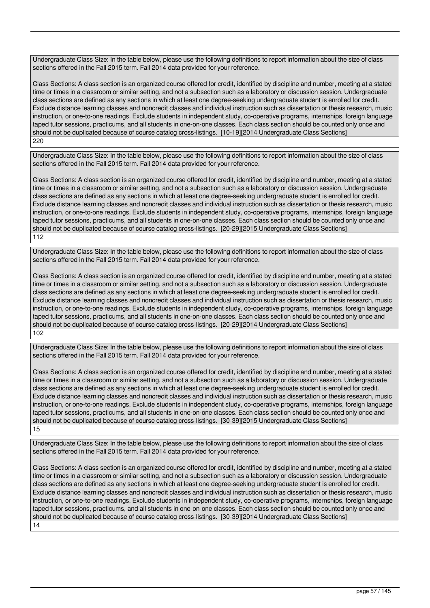Undergraduate Class Size: In the table below, please use the following definitions to report information about the size of class sections offered in the Fall 2015 term. Fall 2014 data provided for your reference.

Class Sections: A class section is an organized course offered for credit, identified by discipline and number, meeting at a stated time or times in a classroom or similar setting, and not a subsection such as a laboratory or discussion session. Undergraduate class sections are defined as any sections in which at least one degree-seeking undergraduate student is enrolled for credit. Exclude distance learning classes and noncredit classes and individual instruction such as dissertation or thesis research, music instruction, or one-to-one readings. Exclude students in independent study, co-operative programs, internships, foreign language taped tutor sessions, practicums, and all students in one-on-one classes. Each class section should be counted only once and should not be duplicated because of course catalog cross-listings. [10-19][2014 Undergraduate Class Sections] 220

Undergraduate Class Size: In the table below, please use the following definitions to report information about the size of class sections offered in the Fall 2015 term. Fall 2014 data provided for your reference.

Class Sections: A class section is an organized course offered for credit, identified by discipline and number, meeting at a stated time or times in a classroom or similar setting, and not a subsection such as a laboratory or discussion session. Undergraduate class sections are defined as any sections in which at least one degree-seeking undergraduate student is enrolled for credit. Exclude distance learning classes and noncredit classes and individual instruction such as dissertation or thesis research, music instruction, or one-to-one readings. Exclude students in independent study, co-operative programs, internships, foreign language taped tutor sessions, practicums, and all students in one-on-one classes. Each class section should be counted only once and should not be duplicated because of course catalog cross-listings. [20-29][2015 Undergraduate Class Sections] 112

Undergraduate Class Size: In the table below, please use the following definitions to report information about the size of class sections offered in the Fall 2015 term. Fall 2014 data provided for your reference.

Class Sections: A class section is an organized course offered for credit, identified by discipline and number, meeting at a stated time or times in a classroom or similar setting, and not a subsection such as a laboratory or discussion session. Undergraduate class sections are defined as any sections in which at least one degree-seeking undergraduate student is enrolled for credit. Exclude distance learning classes and noncredit classes and individual instruction such as dissertation or thesis research, music instruction, or one-to-one readings. Exclude students in independent study, co-operative programs, internships, foreign language taped tutor sessions, practicums, and all students in one-on-one classes. Each class section should be counted only once and should not be duplicated because of course catalog cross-listings. [20-29][2014 Undergraduate Class Sections] 102

Undergraduate Class Size: In the table below, please use the following definitions to report information about the size of class sections offered in the Fall 2015 term. Fall 2014 data provided for your reference.

Class Sections: A class section is an organized course offered for credit, identified by discipline and number, meeting at a stated time or times in a classroom or similar setting, and not a subsection such as a laboratory or discussion session. Undergraduate class sections are defined as any sections in which at least one degree-seeking undergraduate student is enrolled for credit. Exclude distance learning classes and noncredit classes and individual instruction such as dissertation or thesis research, music instruction, or one-to-one readings. Exclude students in independent study, co-operative programs, internships, foreign language taped tutor sessions, practicums, and all students in one-on-one classes. Each class section should be counted only once and should not be duplicated because of course catalog cross-listings. [30-39][2015 Undergraduate Class Sections] 15

Undergraduate Class Size: In the table below, please use the following definitions to report information about the size of class sections offered in the Fall 2015 term. Fall 2014 data provided for your reference.

Class Sections: A class section is an organized course offered for credit, identified by discipline and number, meeting at a stated time or times in a classroom or similar setting, and not a subsection such as a laboratory or discussion session. Undergraduate class sections are defined as any sections in which at least one degree-seeking undergraduate student is enrolled for credit. Exclude distance learning classes and noncredit classes and individual instruction such as dissertation or thesis research, music instruction, or one-to-one readings. Exclude students in independent study, co-operative programs, internships, foreign language taped tutor sessions, practicums, and all students in one-on-one classes. Each class section should be counted only once and should not be duplicated because of course catalog cross-listings. [30-39][2014 Undergraduate Class Sections] 14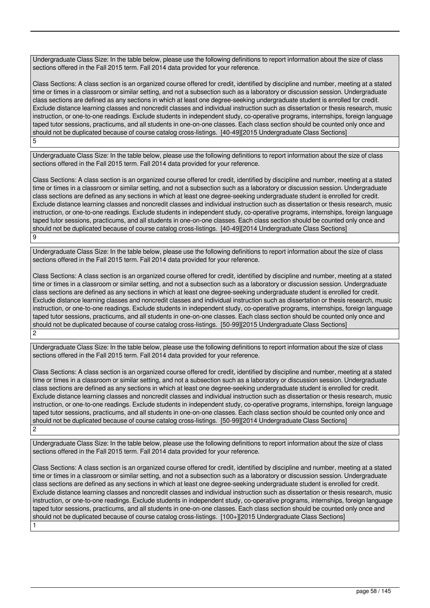Undergraduate Class Size: In the table below, please use the following definitions to report information about the size of class sections offered in the Fall 2015 term. Fall 2014 data provided for your reference.

Class Sections: A class section is an organized course offered for credit, identified by discipline and number, meeting at a stated time or times in a classroom or similar setting, and not a subsection such as a laboratory or discussion session. Undergraduate class sections are defined as any sections in which at least one degree-seeking undergraduate student is enrolled for credit. Exclude distance learning classes and noncredit classes and individual instruction such as dissertation or thesis research, music instruction, or one-to-one readings. Exclude students in independent study, co-operative programs, internships, foreign language taped tutor sessions, practicums, and all students in one-on-one classes. Each class section should be counted only once and should not be duplicated because of course catalog cross-listings. [40-49][2015 Undergraduate Class Sections] 5

Undergraduate Class Size: In the table below, please use the following definitions to report information about the size of class sections offered in the Fall 2015 term. Fall 2014 data provided for your reference.

Class Sections: A class section is an organized course offered for credit, identified by discipline and number, meeting at a stated time or times in a classroom or similar setting, and not a subsection such as a laboratory or discussion session. Undergraduate class sections are defined as any sections in which at least one degree-seeking undergraduate student is enrolled for credit. Exclude distance learning classes and noncredit classes and individual instruction such as dissertation or thesis research, music instruction, or one-to-one readings. Exclude students in independent study, co-operative programs, internships, foreign language taped tutor sessions, practicums, and all students in one-on-one classes. Each class section should be counted only once and should not be duplicated because of course catalog cross-listings. [40-49][2014 Undergraduate Class Sections]  $\overline{q}$ 

Undergraduate Class Size: In the table below, please use the following definitions to report information about the size of class sections offered in the Fall 2015 term. Fall 2014 data provided for your reference.

Class Sections: A class section is an organized course offered for credit, identified by discipline and number, meeting at a stated time or times in a classroom or similar setting, and not a subsection such as a laboratory or discussion session. Undergraduate class sections are defined as any sections in which at least one degree-seeking undergraduate student is enrolled for credit. Exclude distance learning classes and noncredit classes and individual instruction such as dissertation or thesis research, music instruction, or one-to-one readings. Exclude students in independent study, co-operative programs, internships, foreign language taped tutor sessions, practicums, and all students in one-on-one classes. Each class section should be counted only once and should not be duplicated because of course catalog cross-listings. [50-99][2015 Undergraduate Class Sections]  $\mathfrak{p}$ 

Undergraduate Class Size: In the table below, please use the following definitions to report information about the size of class sections offered in the Fall 2015 term. Fall 2014 data provided for your reference.

Class Sections: A class section is an organized course offered for credit, identified by discipline and number, meeting at a stated time or times in a classroom or similar setting, and not a subsection such as a laboratory or discussion session. Undergraduate class sections are defined as any sections in which at least one degree-seeking undergraduate student is enrolled for credit. Exclude distance learning classes and noncredit classes and individual instruction such as dissertation or thesis research, music instruction, or one-to-one readings. Exclude students in independent study, co-operative programs, internships, foreign language taped tutor sessions, practicums, and all students in one-on-one classes. Each class section should be counted only once and should not be duplicated because of course catalog cross-listings. [50-99][2014 Undergraduate Class Sections]  $\overline{2}$ 

Undergraduate Class Size: In the table below, please use the following definitions to report information about the size of class sections offered in the Fall 2015 term. Fall 2014 data provided for your reference.

Class Sections: A class section is an organized course offered for credit, identified by discipline and number, meeting at a stated time or times in a classroom or similar setting, and not a subsection such as a laboratory or discussion session. Undergraduate class sections are defined as any sections in which at least one degree-seeking undergraduate student is enrolled for credit. Exclude distance learning classes and noncredit classes and individual instruction such as dissertation or thesis research, music instruction, or one-to-one readings. Exclude students in independent study, co-operative programs, internships, foreign language taped tutor sessions, practicums, and all students in one-on-one classes. Each class section should be counted only once and should not be duplicated because of course catalog cross-listings. [100+][2015 Undergraduate Class Sections] 1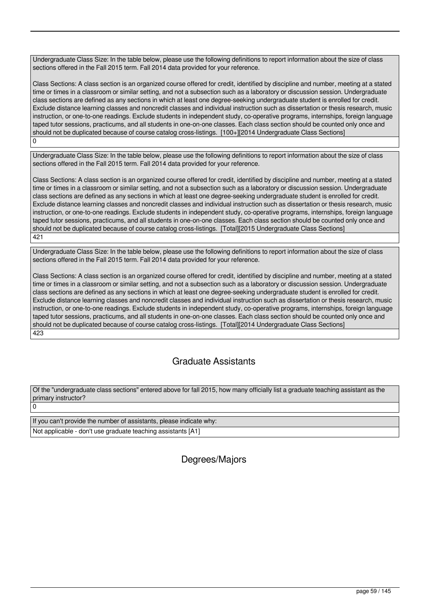Undergraduate Class Size: In the table below, please use the following definitions to report information about the size of class sections offered in the Fall 2015 term. Fall 2014 data provided for your reference.

Class Sections: A class section is an organized course offered for credit, identified by discipline and number, meeting at a stated time or times in a classroom or similar setting, and not a subsection such as a laboratory or discussion session. Undergraduate class sections are defined as any sections in which at least one degree-seeking undergraduate student is enrolled for credit. Exclude distance learning classes and noncredit classes and individual instruction such as dissertation or thesis research, music instruction, or one-to-one readings. Exclude students in independent study, co-operative programs, internships, foreign language taped tutor sessions, practicums, and all students in one-on-one classes. Each class section should be counted only once and should not be duplicated because of course catalog cross-listings. [100+][2014 Undergraduate Class Sections] 0

Undergraduate Class Size: In the table below, please use the following definitions to report information about the size of class sections offered in the Fall 2015 term. Fall 2014 data provided for your reference.

Class Sections: A class section is an organized course offered for credit, identified by discipline and number, meeting at a stated time or times in a classroom or similar setting, and not a subsection such as a laboratory or discussion session. Undergraduate class sections are defined as any sections in which at least one degree-seeking undergraduate student is enrolled for credit. Exclude distance learning classes and noncredit classes and individual instruction such as dissertation or thesis research, music instruction, or one-to-one readings. Exclude students in independent study, co-operative programs, internships, foreign language taped tutor sessions, practicums, and all students in one-on-one classes. Each class section should be counted only once and should not be duplicated because of course catalog cross-listings. [Total][2015 Undergraduate Class Sections] 421

Undergraduate Class Size: In the table below, please use the following definitions to report information about the size of class sections offered in the Fall 2015 term. Fall 2014 data provided for your reference.

Class Sections: A class section is an organized course offered for credit, identified by discipline and number, meeting at a stated time or times in a classroom or similar setting, and not a subsection such as a laboratory or discussion session. Undergraduate class sections are defined as any sections in which at least one degree-seeking undergraduate student is enrolled for credit. Exclude distance learning classes and noncredit classes and individual instruction such as dissertation or thesis research, music instruction, or one-to-one readings. Exclude students in independent study, co-operative programs, internships, foreign language taped tutor sessions, practicums, and all students in one-on-one classes. Each class section should be counted only once and should not be duplicated because of course catalog cross-listings. [Total][2014 Undergraduate Class Sections] 423

# Graduate Assistants

Of the "undergraduate class sections" entered above for fall 2015, how many officially list a graduate teaching assistant as the primary instructor?  $\overline{0}$ 

| If you can't provide the number of assistants, please indicate why: |
|---------------------------------------------------------------------|
| Not applicable - don't use graduate teaching assistants [A1]        |

Degrees/Majors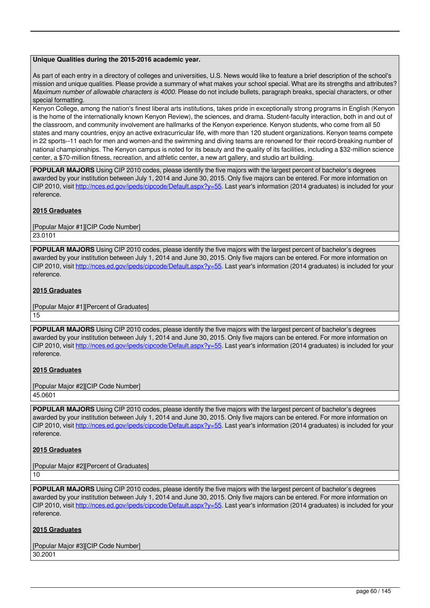## **Unique Qualities during the 2015-2016 academic year.**

As part of each entry in a directory of colleges and universities, U.S. News would like to feature a brief description of the school's mission and unique qualities. Please provide a summary of what makes your school special. What are its strengths and attributes? *Maximum number of allowable characters is 4000.* Please do not include bullets, paragraph breaks, special characters, or other special formatting.

Kenyon College, among the nation's finest liberal arts institutions, takes pride in exceptionally strong programs in English (Kenyon is the home of the internationally known Kenyon Review), the sciences, and drama. Student-faculty interaction, both in and out of the classroom, and community involvement are hallmarks of the Kenyon experience. Kenyon students, who come from all 50 states and many countries, enjoy an active extracurricular life, with more than 120 student organizations. Kenyon teams compete in 22 sports--11 each for men and women-and the swimming and diving teams are renowned for their record-breaking number of national championships. The Kenyon campus is noted for its beauty and the quality of its facilities, including a \$32-million science center, a \$70-million fitness, recreation, and athletic center, a new art gallery, and studio art building.

**POPULAR MAJORS** Using CIP 2010 codes, please identify the five majors with the largest percent of bachelor's degrees awarded by your institution between July 1, 2014 and June 30, 2015. Only five majors can be entered. For more information on CIP 2010, visit [http://nces.ed.gov/ipeds/cipcode/Default.aspx?y=55.](http://nces.ed.gov/ipeds/cipcode/Default.aspx?y=55) Last year's information (2014 graduates) is included for your reference.

## **2015 Graduates**

[Popular Major #1][CIP Code Number] 23.0101

**POPULAR MAJORS** Using CIP 2010 codes, please identify the five majors with the largest percent of bachelor's degrees awarded by your institution between July 1, 2014 and June 30, 2015. Only five majors can be entered. For more information on CIP 2010, visit [http://nces.ed.gov/ipeds/cipcode/Default.aspx?y=55.](http://nces.ed.gov/ipeds/cipcode/Default.aspx?y=55) Last year's information (2014 graduates) is included for your reference.

## **2015 Graduates**

[Popular Major #1][Percent of Graduates] 15

**POPULAR MAJORS** Using CIP 2010 codes, please identify the five majors with the largest percent of bachelor's degrees awarded by your institution between July 1, 2014 and June 30, 2015. Only five majors can be entered. For more information on CIP 2010, visit [http://nces.ed.gov/ipeds/cipcode/Default.aspx?y=55.](http://nces.ed.gov/ipeds/cipcode/Default.aspx?y=55) Last year's information (2014 graduates) is included for your reference.

## **2015 Graduates**

[Popular Major #2][CIP Code Number] 45.0601

**POPULAR MAJORS** Using CIP 2010 codes, please identify the five majors with the largest percent of bachelor's degrees awarded by your institution between July 1, 2014 and June 30, 2015. Only five majors can be entered. For more information on CIP 2010, visit [http://nces.ed.gov/ipeds/cipcode/Default.aspx?y=55.](http://nces.ed.gov/ipeds/cipcode/Default.aspx?y=55) Last year's information (2014 graduates) is included for your reference.

## **2015 Graduates**

[Popular Major #2][Percent of Graduates]

10

**POPULAR MAJORS** Using CIP 2010 codes, please identify the five majors with the largest percent of bachelor's degrees awarded by your institution between July 1, 2014 and June 30, 2015. Only five majors can be entered. For more information on CIP 2010, visit [http://nces.ed.gov/ipeds/cipcode/Default.aspx?y=55.](http://nces.ed.gov/ipeds/cipcode/Default.aspx?y=55) Last year's information (2014 graduates) is included for your reference.

## **2015 Graduates**

[Popular Major #3][CIP Code Number] 30.2001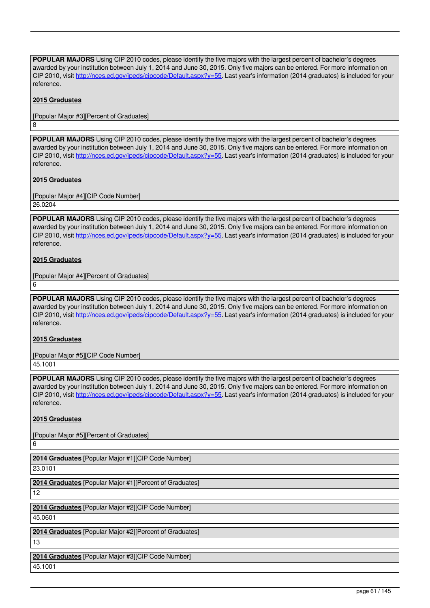**POPULAR MAJORS** Using CIP 2010 codes, please identify the five majors with the largest percent of bachelor's degrees awarded by your institution between July 1, 2014 and June 30, 2015. Only five majors can be entered. For more information on CIP 2010, visit [http://nces.ed.gov/ipeds/cipcode/Default.aspx?y=55.](http://nces.ed.gov/ipeds/cipcode/Default.aspx?y=55) Last year's information (2014 graduates) is included for your reference.

# **2015 Graduates**

8

[Popular Major #3][Percent of Graduates]

**POPULAR MAJORS** Using CIP 2010 codes, please identify the five majors with the largest percent of bachelor's degrees awarded by your institution between July 1, 2014 and June 30, 2015. Only five majors can be entered. For more information on CIP 2010, visit [http://nces.ed.gov/ipeds/cipcode/Default.aspx?y=55.](http://nces.ed.gov/ipeds/cipcode/Default.aspx?y=55) Last year's information (2014 graduates) is included for your reference.

# **2015 Graduates**

[Popular Major #4][CIP Code Number] 26.0204

**POPULAR MAJORS** Using CIP 2010 codes, please identify the five majors with the largest percent of bachelor's degrees awarded by your institution between July 1, 2014 and June 30, 2015. Only five majors can be entered. For more information on CIP 2010, visit [http://nces.ed.gov/ipeds/cipcode/Default.aspx?y=55.](http://nces.ed.gov/ipeds/cipcode/Default.aspx?y=55) Last year's information (2014 graduates) is included for your reference.

# **2015 Graduates**

[Popular Major #4][Percent of Graduates]

**POPULAR MAJORS** Using CIP 2010 codes, please identify the five majors with the largest percent of bachelor's degrees awarded by your institution between July 1, 2014 and June 30, 2015. Only five majors can be entered. For more information on CIP 2010, visit [http://nces.ed.gov/ipeds/cipcode/Default.aspx?y=55.](http://nces.ed.gov/ipeds/cipcode/Default.aspx?y=55) Last year's information (2014 graduates) is included for your reference.

## **2015 Graduates**

[Popular Major #5][CIP Code Number]

45.1001

6

6

**POPULAR MAJORS** Using CIP 2010 codes, please identify the five majors with the largest percent of bachelor's degrees awarded by your institution between July 1, 2014 and June 30, 2015. Only five majors can be entered. For more information on CIP 2010, visit [http://nces.ed.gov/ipeds/cipcode/Default.aspx?y=55.](http://nces.ed.gov/ipeds/cipcode/Default.aspx?y=55) Last year's information (2014 graduates) is included for your reference.

## **2015 Graduates**

[Popular Major #5][Percent of Graduates]

**2014 Graduates** [Popular Major #1][CIP Code Number] 23.0101

**2014 Graduates** [Popular Major #1][Percent of Graduates] 12

**2014 Graduates** [Popular Major #2][CIP Code Number] 45.0601

**2014 Graduates** [Popular Major #2][Percent of Graduates] 13

**2014 Graduates** [Popular Major #3][CIP Code Number] 45.1001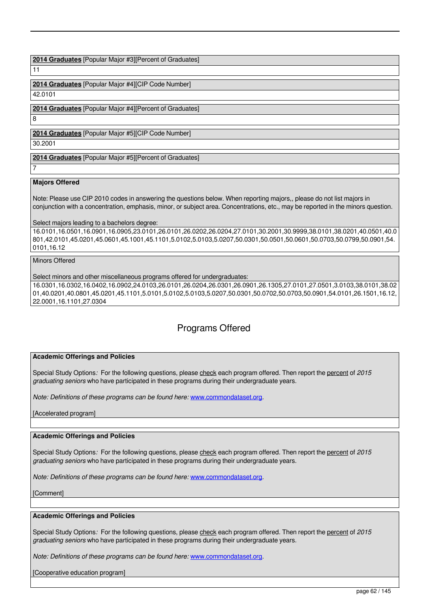**2014 Graduates** [Popular Major #3][Percent of Graduates]

11

**2014 Graduates** [Popular Major #4][CIP Code Number]

42.0101

**2014 Graduates** [Popular Major #4][Percent of Graduates]

**2014 Graduates** [Popular Major #5][CIP Code Number]

30.2001

**2014 Graduates** [Popular Major #5][Percent of Graduates]

7

8

# **Majors Offered**

Note: Please use CIP 2010 codes in answering the questions below. When reporting majors,, please do not list majors in conjunction with a concentration, emphasis, minor, or subject area. Concentrations, etc., may be reported in the minors question.

Select majors leading to a bachelors degree:

16.0101,16.0501,16.0901,16.0905,23.0101,26.0101,26.0202,26.0204,27.0101,30.2001,30.9999,38.0101,38.0201,40.0501,40.0 801,42.0101,45.0201,45.0601,45.1001,45.1101,5.0102,5.0103,5.0207,50.0301,50.0501,50.0601,50.0703,50.0799,50.0901,54. 0101,16.12

Minors Offered

Select minors and other miscellaneous programs offered for undergraduates:

16.0301,16.0302,16.0402,16.0902,24.0103,26.0101,26.0204,26.0301,26.0901,26.1305,27.0101,27.0501,3.0103,38.0101,38.02 01,40.0201,40.0801,45.0201,45.1101,5.0101,5.0102,5.0103,5.0207,50.0301,50.0702,50.0703,50.0901,54.0101,26.1501,16.12, 22.0001,16.1101,27.0304

# Programs Offered

# **Academic Offerings and Policies**

Special Study Options*:* For the following questions, please check each program offered. Then report the percent of *2015 graduating seniors* who have participated in these programs during their undergraduate years.

*Note: Definitions of these programs can be found here: [www.commondataset.org](http://www.commondataset.org).* 

[Accelerated program]

# **Academic Offerings and Policies**

Special Study Options*:* For the following questions, please check each program offered. Then report the percent of *2015 graduating seniors* who have participated in these programs during their undergraduate years.

*Note: Definitions of these programs can be found here: [www.commondataset.org](http://www.commondataset.org).* 

[Comment]

## **Academic Offerings and Policies**

Special Study Options*:* For the following questions, please check each program offered. Then report the percent of *2015 graduating seniors* who have participated in these programs during their undergraduate years.

*Note: Definitions of these programs can be found here:* [www.commondataset.org](http://www.commondataset.org).

[Cooperative education program]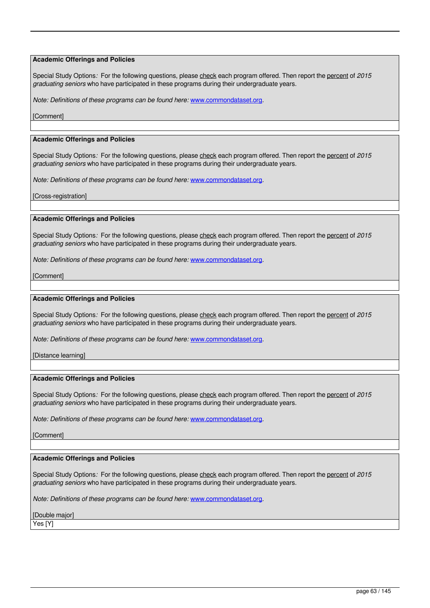Special Study Options: For the following questions, please check each program offered. Then report the percent of 2015 *graduating seniors* who have participated in these programs during their undergraduate years.

*Note: Definitions of these programs can be found here:* [www.commondataset.org](http://www.commondataset.org).

[Comment]

#### **Academic Offerings and Policies**

Special Study Options*:* For the following questions, please check each program offered. Then report the percent of *2015 graduating seniors* who have participated in these programs during their undergraduate years.

*Note: Definitions of these programs can be found here:* [www.commondataset.org](http://www.commondataset.org).

[Cross-registration]

### **Academic Offerings and Policies**

Special Study Options*:* For the following questions, please check each program offered. Then report the percent of *2015 graduating seniors* who have participated in these programs during their undergraduate years.

*Note: Definitions of these programs can be found here:* [www.commondataset.org](http://www.commondataset.org).

[Comment]

## **Academic Offerings and Policies**

Special Study Options*:* For the following questions, please check each program offered. Then report the percent of *2015 graduating seniors* who have participated in these programs during their undergraduate years.

*Note: Definitions of these programs can be found here: [www.commondataset.org](http://www.commondataset.org).* 

[Distance learning]

### **Academic Offerings and Policies**

Special Study Options*:* For the following questions, please check each program offered. Then report the percent of *2015 graduating seniors* who have participated in these programs during their undergraduate years.

*Note: Definitions of these programs can be found here:* [www.commondataset.org](http://www.commondataset.org).

[Comment]

### **Academic Offerings and Policies**

Special Study Options*:* For the following questions, please check each program offered. Then report the percent of *2015 graduating seniors* who have participated in these programs during their undergraduate years.

*Note: Definitions of these programs can be found here:* [www.commondataset.org](http://www.commondataset.org).

[Double major]

Yes [Y]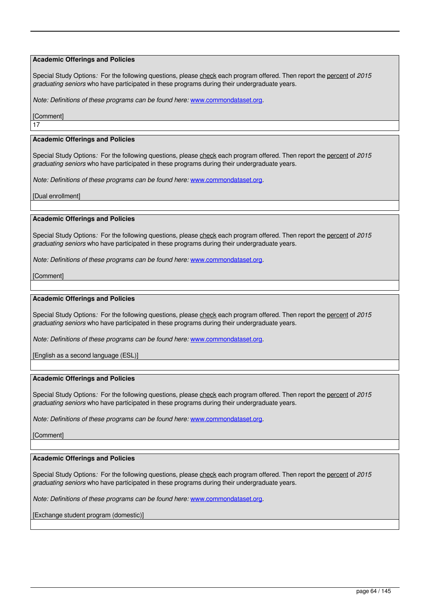Special Study Options: For the following questions, please check each program offered. Then report the percent of 2015 *graduating seniors* who have participated in these programs during their undergraduate years.

*Note: Definitions of these programs can be found here:* [www.commondataset.org](http://www.commondataset.org).

[Comment] 17

#### **Academic Offerings and Policies**

Special Study Options*:* For the following questions, please check each program offered. Then report the percent of *2015 graduating seniors* who have participated in these programs during their undergraduate years.

*Note: Definitions of these programs can be found here:* [www.commondataset.org](http://www.commondataset.org).

[Dual enrollment]

### **Academic Offerings and Policies**

Special Study Options: For the following questions, please check each program offered. Then report the percent of 2015 *graduating seniors* who have participated in these programs during their undergraduate years.

*Note: Definitions of these programs can be found here:* [www.commondataset.org](http://www.commondataset.org).

[Comment]

## **Academic Offerings and Policies**

Special Study Options*:* For the following questions, please check each program offered. Then report the percent of *2015 graduating seniors* who have participated in these programs during their undergraduate years.

*Note: Definitions of these programs can be found here:* [www.commondataset.org](http://www.commondataset.org).

[English as a second language (ESL)]

### **Academic Offerings and Policies**

Special Study Options*:* For the following questions, please check each program offered. Then report the percent of *2015 graduating seniors* who have participated in these programs during their undergraduate years.

*Note: Definitions of these programs can be found here: [www.commondataset.org](http://www.commondataset.org).* 

[Comment]

#### **Academic Offerings and Policies**

Special Study Options*:* For the following questions, please check each program offered. Then report the percent of *2015 graduating seniors* who have participated in these programs during their undergraduate years.

*Note: Definitions of these programs can be found here: [www.commondataset.org](http://www.commondataset.org).* 

[Exchange student program (domestic)]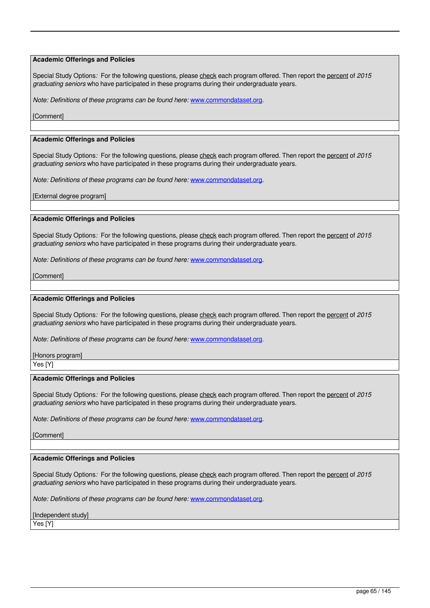Special Study Options*:* For the following questions, please check each program offered. Then report the percent of *2015 graduating seniors* who have participated in these programs during their undergraduate years.

*Note: Definitions of these programs can be found here:* [www.commondataset.org](http://www.commondataset.org).

[Comment]

#### **Academic Offerings and Policies**

Special Study Options*:* For the following questions, please check each program offered. Then report the percent of *2015 graduating seniors* who have participated in these programs during their undergraduate years.

*Note: Definitions of these programs can be found here:* [www.commondataset.org](http://www.commondataset.org).

[External degree program]

### **Academic Offerings and Policies**

Special Study Options*:* For the following questions, please check each program offered. Then report the percent of *2015 graduating seniors* who have participated in these programs during their undergraduate years.

*Note: Definitions of these programs can be found here:* [www.commondataset.org](http://www.commondataset.org).

[Comment]

## **Academic Offerings and Policies**

Special Study Options*:* For the following questions, please check each program offered. Then report the percent of *2015 graduating seniors* who have participated in these programs during their undergraduate years.

*Note: Definitions of these programs can be found here:* [www.commondataset.org](http://www.commondataset.org).

[Honors program]

Yes [Y]

# **Academic Offerings and Policies**

Special Study Options*:* For the following questions, please check each program offered. Then report the percent of *2015 graduating seniors* who have participated in these programs during their undergraduate years.

*Note: Definitions of these programs can be found here:* [www.commondataset.org](http://www.commondataset.org).

[Comment]

#### **Academic Offerings and Policies**

Special Study Options*:* For the following questions, please check each program offered. Then report the percent of *2015 graduating seniors* who have participated in these programs during their undergraduate years.

*Note: Definitions of these programs can be found here:* [www.commondataset.org](http://www.commondataset.org).

[Independent study]

Yes [Y]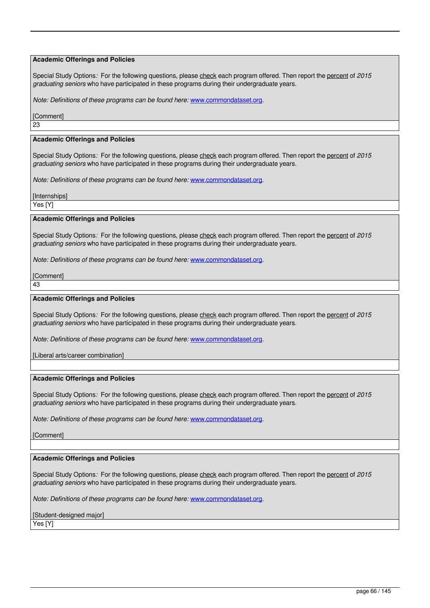Special Study Options*:* For the following questions, please check each program offered. Then report the percent of *2015 graduating seniors* who have participated in these programs during their undergraduate years.

*Note: Definitions of these programs can be found here:* [www.commondataset.org](http://www.commondataset.org).

[Comment] 23

# **Academic Offerings and Policies**

Special Study Options*:* For the following questions, please check each program offered. Then report the percent of *2015 graduating seniors* who have participated in these programs during their undergraduate years.

*Note: Definitions of these programs can be found here:* [www.commondataset.org](http://www.commondataset.org).

[Internships]

Yes [Y]

### **Academic Offerings and Policies**

Special Study Options*:* For the following questions, please check each program offered. Then report the percent of *2015 graduating seniors* who have participated in these programs during their undergraduate years.

*Note: Definitions of these programs can be found here:* [www.commondataset.org](http://www.commondataset.org).

[Comment]

43

## **Academic Offerings and Policies**

Special Study Options: For the following questions, please check each program offered. Then report the percent of 2015 *graduating seniors* who have participated in these programs during their undergraduate years.

*Note: Definitions of these programs can be found here: [www.commondataset.org](http://www.commondataset.org).* 

[Liberal arts/career combination]

### **Academic Offerings and Policies**

Special Study Options*:* For the following questions, please check each program offered. Then report the percent of *2015 graduating seniors* who have participated in these programs during their undergraduate years.

*Note: Definitions of these programs can be found here:* [www.commondataset.org](http://www.commondataset.org).

[Comment]

#### **Academic Offerings and Policies**

Special Study Options*:* For the following questions, please check each program offered. Then report the percent of *2015 graduating seniors* who have participated in these programs during their undergraduate years.

*Note: Definitions of these programs can be found here:* [www.commondataset.org](http://www.commondataset.org).

## [Student-designed major]

Yes [Y]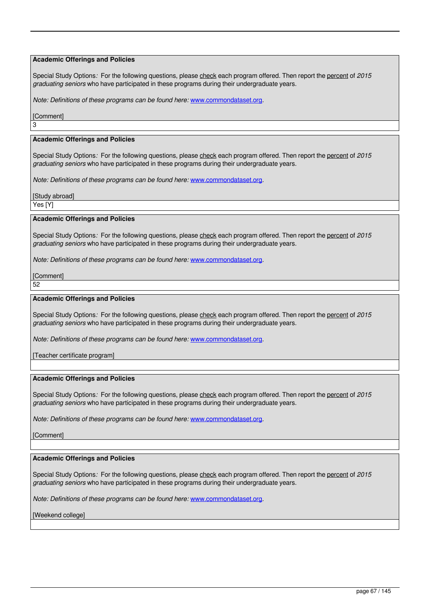Special Study Options: For the following questions, please check each program offered. Then report the percent of 2015 *graduating seniors* who have participated in these programs during their undergraduate years.

*Note: Definitions of these programs can be found here:* [www.commondataset.org](http://www.commondataset.org).

### **[Comment]**

3

### **Academic Offerings and Policies**

Special Study Options*:* For the following questions, please check each program offered. Then report the percent of *2015 graduating seniors* who have participated in these programs during their undergraduate years.

*Note: Definitions of these programs can be found here:* [www.commondataset.org](http://www.commondataset.org).

[Study abroad]

Yes [Y]

### **Academic Offerings and Policies**

Special Study Options: For the following questions, please check each program offered. Then report the percent of 2015 *graduating seniors* who have participated in these programs during their undergraduate years.

*Note: Definitions of these programs can be found here:* [www.commondataset.org](http://www.commondataset.org).

[Comment]

52

## **Academic Offerings and Policies**

Special Study Options*:* For the following questions, please check each program offered. Then report the percent of *2015 graduating seniors* who have participated in these programs during their undergraduate years.

*Note: Definitions of these programs can be found here:* [www.commondataset.org](http://www.commondataset.org).

[Teacher certificate program]

### **Academic Offerings and Policies**

Special Study Options*:* For the following questions, please check each program offered. Then report the percent of *2015 graduating seniors* who have participated in these programs during their undergraduate years.

*Note: Definitions of these programs can be found here:* [www.commondataset.org](http://www.commondataset.org).

[Comment]

#### **Academic Offerings and Policies**

Special Study Options*:* For the following questions, please check each program offered. Then report the percent of *2015 graduating seniors* who have participated in these programs during their undergraduate years.

*Note: Definitions of these programs can be found here:* [www.commondataset.org](http://www.commondataset.org).

[Weekend college]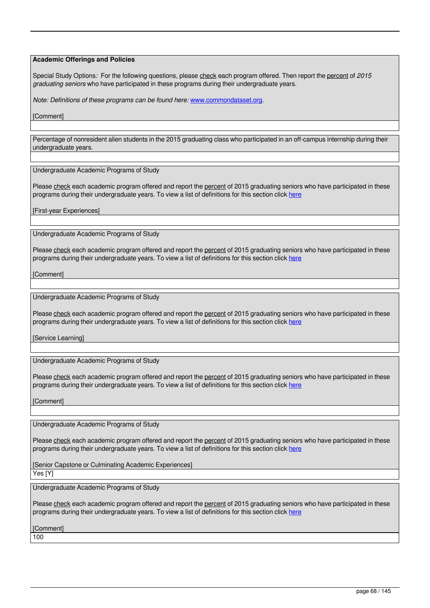Special Study Options: For the following questions, please check each program offered. Then report the percent of 2015 *graduating seniors* who have participated in these programs during their undergraduate years.

*Note: Definitions of these programs can be found here:* [www.commondataset.org](http://www.commondataset.org).

**[Comment]** 

Percentage of nonresident alien students in the 2015 graduating class who participated in an off-campus internship during their undergraduate years.

Undergraduate Academic Programs of Study

Please check each academic program offered and report the percent of 2015 graduating seniors who have participated in these programs during their undergraduate years. To view a list of definitions for this section click [here](https://websrv1.usnews.com/usn/edit/college/statistical/2015/main/programs_offered_usn.php)

[First-year Experiences]

Undergraduate Academic Programs of Study

Please check each academic program offered and report the percent of 2015 graduating seniors who have participated in these programs during their undergraduate years. To view a list of definitions for this section click [here](https://websrv1.usnews.com/usn/edit/college/statistical/2015/main/programs_offered_usn.php)

[Comment]

Undergraduate Academic Programs of Study

Please check each academic program offered and report the percent of 2015 graduating seniors who have participated in these programs during their undergraduate years. To view a list of definitions for this section click [here](https://websrv1.usnews.com/usn/edit/college/statistical/2015/main/programs_offered_usn.php)

**[Service Learning]** 

Undergraduate Academic Programs of Study

Please check each academic program offered and report the percent of 2015 graduating seniors who have participated in these programs during their undergraduate years. To view a list of definitions for this section click [here](https://websrv1.usnews.com/usn/edit/college/statistical/2015/main/programs_offered_usn.php)

**[Comment]** 

Undergraduate Academic Programs of Study

Please check each academic program offered and report the percent of 2015 graduating seniors who have participated in these programs during their undergraduate years. To view a list of definitions for this section click [here](https://websrv1.usnews.com/usn/edit/college/statistical/2015/main/programs_offered_usn.php)

[Senior Capstone or Culminating Academic Experiences]  $\overline{Y}$ es [Y]

Undergraduate Academic Programs of Study

Please check each academic program offered and report the percent of 2015 graduating seniors who have participated in these programs during their undergraduate years. To view a list of definitions for this section click [here](https://websrv1.usnews.com/usn/edit/college/statistical/2015/main/programs_offered_usn.php)

[Comment]

100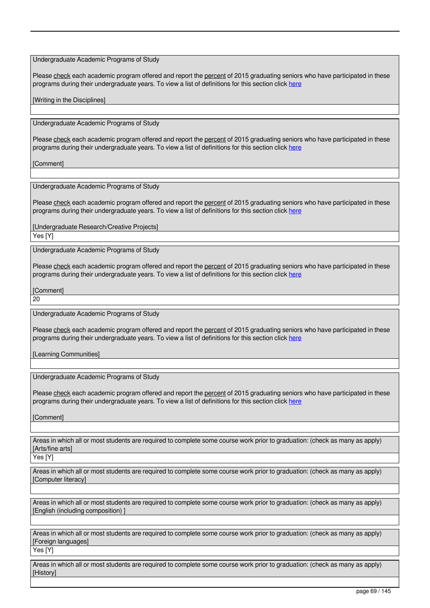Undergraduate Academic Programs of Study

Please check each academic program offered and report the percent of 2015 graduating seniors who have participated in these programs during their undergraduate years. To view a list of definitions for this section click [here](https://websrv1.usnews.com/usn/edit/college/statistical/2015/main/programs_offered_usn.php)

[Writing in the Disciplines]

Undergraduate Academic Programs of Study

Please check each academic program offered and report the percent of 2015 graduating seniors who have participated in these programs during their undergraduate years. To view a list of definitions for this section click [here](https://websrv1.usnews.com/usn/edit/college/statistical/2015/main/programs_offered_usn.php)

**[Comment]** 

Undergraduate Academic Programs of Study

Please check each academic program offered and report the percent of 2015 graduating seniors who have participated in these programs during their undergraduate years. To view a list of definitions for this section click [here](https://websrv1.usnews.com/usn/edit/college/statistical/2015/main/programs_offered_usn.php)

[Undergraduate Research/Creative Projects]

Yes [Y]

Undergraduate Academic Programs of Study

Please check each academic program offered and report the percent of 2015 graduating seniors who have participated in these programs during their undergraduate years. To view a list of definitions for this section click [here](https://websrv1.usnews.com/usn/edit/college/statistical/2015/main/programs_offered_usn.php)

**[Comment]** 

20

Undergraduate Academic Programs of Study

Please check each academic program offered and report the percent of 2015 graduating seniors who have participated in these programs during their undergraduate years. To view a list of definitions for this section click [here](https://websrv1.usnews.com/usn/edit/college/statistical/2015/main/programs_offered_usn.php)

[Learning Communities]

Undergraduate Academic Programs of Study

Please check each academic program offered and report the percent of 2015 graduating seniors who have participated in these programs during their undergraduate years. To view a list of definitions for this section click [here](https://websrv1.usnews.com/usn/edit/college/statistical/2015/main/programs_offered_usn.php)

[Comment]

Areas in which all or most students are required to complete some course work prior to graduation: (check as many as apply) [Arts/fine arts]

Yes [Y]

Areas in which all or most students are required to complete some course work prior to graduation: (check as many as apply) [Computer literacy]

Areas in which all or most students are required to complete some course work prior to graduation: (check as many as apply) [English (including composition)

Areas in which all or most students are required to complete some course work prior to graduation: (check as many as apply) [Foreign languages]

Yes [Y]

Areas in which all or most students are required to complete some course work prior to graduation: (check as many as apply) [History]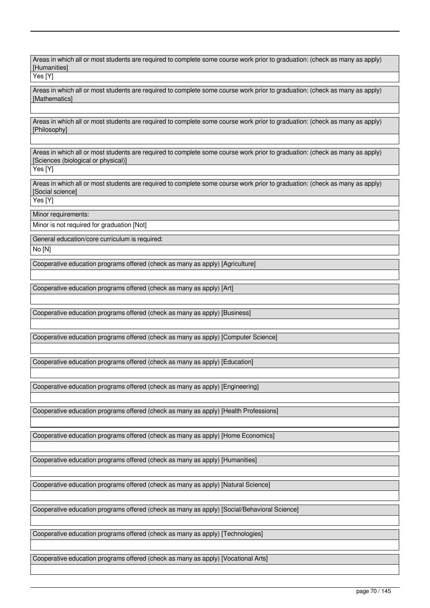Areas in which all or most students are required to complete some course work prior to graduation: (check as many as apply) [Humanities]

Yes [Y]

Areas in which all or most students are required to complete some course work prior to graduation: (check as many as apply) **[Mathematics]** 

Areas in which all or most students are required to complete some course work prior to graduation: (check as many as apply) [Philosophy]

Areas in which all or most students are required to complete some course work prior to graduation: (check as many as apply) [Sciences (biological or physical)]

Yes [Y]

Areas in which all or most students are required to complete some course work prior to graduation: (check as many as apply) [Social science]

Yes [Y]

Minor requirements:

Minor is not required for graduation [Not]

General education/core curriculum is required:

No [N]

Cooperative education programs offered (check as many as apply) [Agriculture]

Cooperative education programs offered (check as many as apply) [Art]

Cooperative education programs offered (check as many as apply) [Business]

Cooperative education programs offered (check as many as apply) [Computer Science]

Cooperative education programs offered (check as many as apply) [Education]

Cooperative education programs offered (check as many as apply) [Engineering]

Cooperative education programs offered (check as many as apply) [Health Professions]

Cooperative education programs offered (check as many as apply) [Home Economics]

Cooperative education programs offered (check as many as apply) [Humanities]

Cooperative education programs offered (check as many as apply) [Natural Science]

Cooperative education programs offered (check as many as apply) [Social/Behavioral Science]

Cooperative education programs offered (check as many as apply) [Technologies]

Cooperative education programs offered (check as many as apply) [Vocational Arts]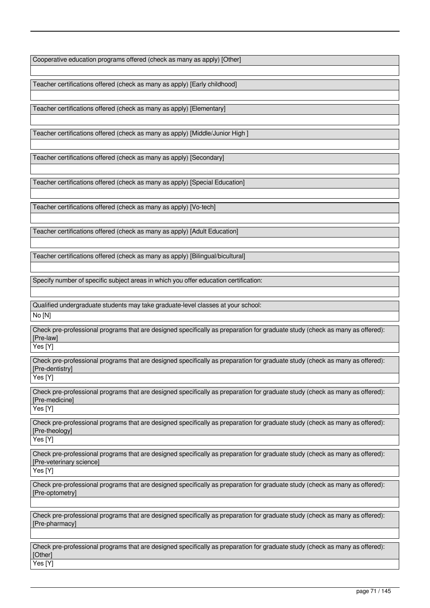Cooperative education programs offered (check as many as apply) [Other]

Teacher certifications offered (check as many as apply) [Early childhood]

Teacher certifications offered (check as many as apply) [Elementary]

Teacher certifications offered (check as many as apply) [Middle/Junior High ]

Teacher certifications offered (check as many as apply) [Secondary]

Teacher certifications offered (check as many as apply) [Special Education]

Teacher certifications offered (check as many as apply) [Vo-tech]

Teacher certifications offered (check as many as apply) [Adult Education]

Teacher certifications offered (check as many as apply) [Bilingual/bicultural]

Specify number of specific subject areas in which you offer education certification:

Qualified undergraduate students may take graduate-level classes at your school:

No [N]

Check pre-professional programs that are designed specifically as preparation for graduate study (check as many as offered): [Pre-law]

Yes [Y]

Check pre-professional programs that are designed specifically as preparation for graduate study (check as many as offered): [Pre-dentistry]

Yes [Y]

Check pre-professional programs that are designed specifically as preparation for graduate study (check as many as offered): [Pre-medicine] Yes [Y]

Check pre-professional programs that are designed specifically as preparation for graduate study (check as many as offered): [Pre-theology]

Yes [Y]

Check pre-professional programs that are designed specifically as preparation for graduate study (check as many as offered): [Pre-veterinary science]

Yes<sup>[Y]</sup>

Check pre-professional programs that are designed specifically as preparation for graduate study (check as many as offered): [Pre-optometry]

Check pre-professional programs that are designed specifically as preparation for graduate study (check as many as offered): [Pre-pharmacy]

Check pre-professional programs that are designed specifically as preparation for graduate study (check as many as offered): [Other] Yes [Y]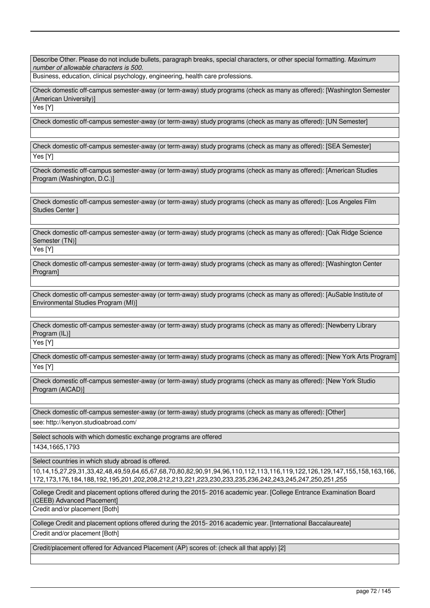Describe Other. Please do not include bullets, paragraph breaks, special characters, or other special formatting. *Maximum number of allowable characters is 500.*

Business, education, clinical psychology, engineering, health care professions.

Check domestic off-campus semester-away (or term-away) study programs (check as many as offered): [Washington Semester (American University)]

Yes [Y]

Check domestic off-campus semester-away (or term-away) study programs (check as many as offered): [UN Semester]

Check domestic off-campus semester-away (or term-away) study programs (check as many as offered): [SEA Semester]

Yes [Y]

Check domestic off-campus semester-away (or term-away) study programs (check as many as offered): [American Studies Program (Washington, D.C.)]

Check domestic off-campus semester-away (or term-away) study programs (check as many as offered): [Los Angeles Film Studies Center ]

Check domestic off-campus semester-away (or term-away) study programs (check as many as offered): [Oak Ridge Science Semester (TN)]

Yes [Y]

Check domestic off-campus semester-away (or term-away) study programs (check as many as offered): [Washington Center Program]

Check domestic off-campus semester-away (or term-away) study programs (check as many as offered): [AuSable Institute of Environmental Studies Program (MI)]

Check domestic off-campus semester-away (or term-away) study programs (check as many as offered): [Newberry Library Program (IL)]

Yes [Y]

Check domestic off-campus semester-away (or term-away) study programs (check as many as offered): [New York Arts Program] Yes [Y]

Check domestic off-campus semester-away (or term-away) study programs (check as many as offered): [New York Studio Program (AICAD)]

Check domestic off-campus semester-away (or term-away) study programs (check as many as offered): [Other]

see: http://kenyon.studioabroad.com/

Select schools with which domestic exchange programs are offered

1434,1665,1793

Select countries in which study abroad is offered.

10,14,15,27,29,31,33,42,48,49,59,64,65,67,68,70,80,82,90,91,94,96,110,112,113,116,119,122,126,129,147,155,158,163,166, 172,173,176,184,188,192,195,201,202,208,212,213,221,223,230,233,235,236,242,243,245,247,250,251,255

College Credit and placement options offered during the 2015- 2016 academic year. [College Entrance Examination Board (CEEB) Advanced Placement]

Credit and/or placement [Both]

College Credit and placement options offered during the 2015- 2016 academic year. [International Baccalaureate]

Credit and/or placement [Both]

Credit/placement offered for Advanced Placement (AP) scores of: (check all that apply) [2]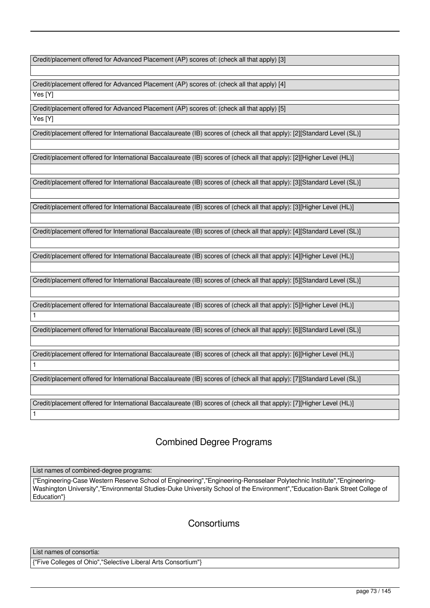Credit/placement offered for Advanced Placement (AP) scores of: (check all that apply) [3]

Credit/placement offered for Advanced Placement (AP) scores of: (check all that apply) [4] Yes [Y]

Credit/placement offered for Advanced Placement (AP) scores of: (check all that apply) [5]

Yes [Y]

1

1

1

Credit/placement offered for International Baccalaureate (IB) scores of (check all that apply): [2][Standard Level (SL)]

Credit/placement offered for International Baccalaureate (IB) scores of (check all that apply): [2][Higher Level (HL)]

Credit/placement offered for International Baccalaureate (IB) scores of (check all that apply): [3][Standard Level (SL)]

Credit/placement offered for International Baccalaureate (IB) scores of (check all that apply): [3][Higher Level (HL)]

Credit/placement offered for International Baccalaureate (IB) scores of (check all that apply): [4][Standard Level (SL)]

Credit/placement offered for International Baccalaureate (IB) scores of (check all that apply): [4][Higher Level (HL)]

Credit/placement offered for International Baccalaureate (IB) scores of (check all that apply): [5][Standard Level (SL)]

Credit/placement offered for International Baccalaureate (IB) scores of (check all that apply): [5][Higher Level (HL)]

Credit/placement offered for International Baccalaureate (IB) scores of (check all that apply): [6][Standard Level (SL)]

Credit/placement offered for International Baccalaureate (IB) scores of (check all that apply): [6][Higher Level (HL)]

Credit/placement offered for International Baccalaureate (IB) scores of (check all that apply): [7][Standard Level (SL)]

Credit/placement offered for International Baccalaureate (IB) scores of (check all that apply): [7][Higher Level (HL)]

# Combined Degree Programs

List names of combined-degree programs:

{"Engineering-Case Western Reserve School of Engineering","Engineering-Rensselaer Polytechnic Institute","Engineering-Washington University","Environmental Studies-Duke University School of the Environment","Education-Bank Street College of Education"}

**Consortiums** 

List names of consortia:

{"Five Colleges of Ohio","Selective Liberal Arts Consortium"}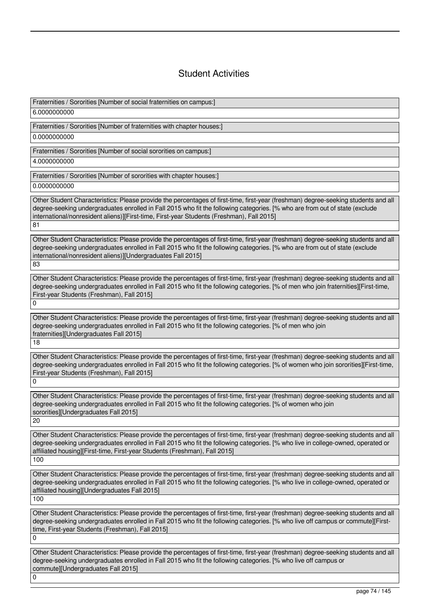# Student Activities

Fraternities / Sororities [Number of social fraternities on campus:] 6.0000000000 Fraternities / Sororities [Number of fraternities with chapter houses:] 0.0000000000 Fraternities / Sororities [Number of social sororities on campus:] 4.0000000000 Fraternities / Sororities [Number of sororities with chapter houses:] 0.0000000000 Other Student Characteristics: Please provide the percentages of first-time, first-year (freshman) degree-seeking students and all degree-seeking undergraduates enrolled in Fall 2015 who fit the following categories. [% who are from out of state (exclude international/nonresident aliens)][First-time, First-year Students (Freshman), Fall 2015] 81 Other Student Characteristics: Please provide the percentages of first-time, first-year (freshman) degree-seeking students and all degree-seeking undergraduates enrolled in Fall 2015 who fit the following categories. [% who are from out of state (exclude international/nonresident aliens)][Undergraduates Fall 2015] 83 Other Student Characteristics: Please provide the percentages of first-time, first-year (freshman) degree-seeking students and all degree-seeking undergraduates enrolled in Fall 2015 who fit the following categories. [% of men who join fraternities][First-time, First-year Students (Freshman), Fall 2015]  $\Omega$ Other Student Characteristics: Please provide the percentages of first-time, first-year (freshman) degree-seeking students and all degree-seeking undergraduates enrolled in Fall 2015 who fit the following categories. [% of men who join fraternities][Undergraduates Fall 2015] 18 Other Student Characteristics: Please provide the percentages of first-time, first-year (freshman) degree-seeking students and all degree-seeking undergraduates enrolled in Fall 2015 who fit the following categories. [% of women who join sororities][First-time, First-year Students (Freshman), Fall 2015]  $\Omega$ Other Student Characteristics: Please provide the percentages of first-time, first-year (freshman) degree-seeking students and all degree-seeking undergraduates enrolled in Fall 2015 who fit the following categories. [% of women who join sororities][Undergraduates Fall 2015] 20 Other Student Characteristics: Please provide the percentages of first-time, first-year (freshman) degree-seeking students and all degree-seeking undergraduates enrolled in Fall 2015 who fit the following categories. [% who live in college-owned, operated or affiliated housing][First-time, First-year Students (Freshman), Fall 2015] 100 Other Student Characteristics: Please provide the percentages of first-time, first-year (freshman) degree-seeking students and all degree-seeking undergraduates enrolled in Fall 2015 who fit the following categories. [% who live in college-owned, operated or affiliated housing][Undergraduates Fall 2015] 100 Other Student Characteristics: Please provide the percentages of first-time, first-year (freshman) degree-seeking students and all degree-seeking undergraduates enrolled in Fall 2015 who fit the following categories. [% who live off campus or commute][Firsttime, First-year Students (Freshman), Fall 2015]  $\overline{0}$ Other Student Characteristics: Please provide the percentages of first-time, first-year (freshman) degree-seeking students and all degree-seeking undergraduates enrolled in Fall 2015 who fit the following categories. [% who live off campus or commute][Undergraduates Fall 2015]

 $\Omega$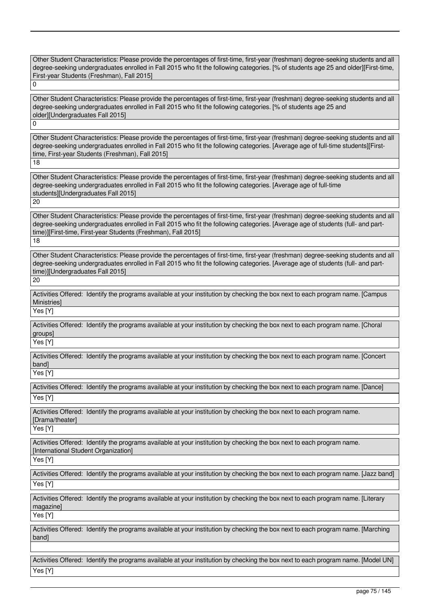Other Student Characteristics: Please provide the percentages of first-time, first-year (freshman) degree-seeking students and all degree-seeking undergraduates enrolled in Fall 2015 who fit the following categories. [% of students age 25 and older][First-time, First-year Students (Freshman), Fall 2015]  $\overline{0}$ 

Other Student Characteristics: Please provide the percentages of first-time, first-year (freshman) degree-seeking students and all degree-seeking undergraduates enrolled in Fall 2015 who fit the following categories. [% of students age 25 and older][Undergraduates Fall 2015]

 $\Omega$ 

Other Student Characteristics: Please provide the percentages of first-time, first-year (freshman) degree-seeking students and all degree-seeking undergraduates enrolled in Fall 2015 who fit the following categories. [Average age of full-time students][Firsttime, First-year Students (Freshman), Fall 2015]  $\overline{18}$ 

Other Student Characteristics: Please provide the percentages of first-time, first-year (freshman) degree-seeking students and all degree-seeking undergraduates enrolled in Fall 2015 who fit the following categories. [Average age of full-time students][Undergraduates Fall 2015]

20

Other Student Characteristics: Please provide the percentages of first-time, first-year (freshman) degree-seeking students and all degree-seeking undergraduates enrolled in Fall 2015 who fit the following categories. [Average age of students (full- and parttime)][First-time, First-year Students (Freshman), Fall 2015] 18

Other Student Characteristics: Please provide the percentages of first-time, first-year (freshman) degree-seeking students and all degree-seeking undergraduates enrolled in Fall 2015 who fit the following categories. [Average age of students (full- and parttime)][Undergraduates Fall 2015] 20

Activities Offered: Identify the programs available at your institution by checking the box next to each program name. [Campus **Ministries1** 

Yes [Y]

Activities Offered: Identify the programs available at your institution by checking the box next to each program name. [Choral groups]

Yes [Y]

Activities Offered: Identify the programs available at your institution by checking the box next to each program name. [Concert band]

Yes [Y]

Activities Offered: Identify the programs available at your institution by checking the box next to each program name. [Dance] Yes [Y]

Activities Offered: Identify the programs available at your institution by checking the box next to each program name. [Drama/theater] Yes [Y]

Activities Offered: Identify the programs available at your institution by checking the box next to each program name. [International Student Organization]

Yes [Y]

Activities Offered: Identify the programs available at your institution by checking the box next to each program name. [Jazz band] Yes [Y]

Activities Offered: Identify the programs available at your institution by checking the box next to each program name. [Literary magazine] Yes [Y]

Activities Offered: Identify the programs available at your institution by checking the box next to each program name. [Marching band]

Activities Offered: Identify the programs available at your institution by checking the box next to each program name. [Model UN]  $\overline{\mathsf{Y}}$ es [Y]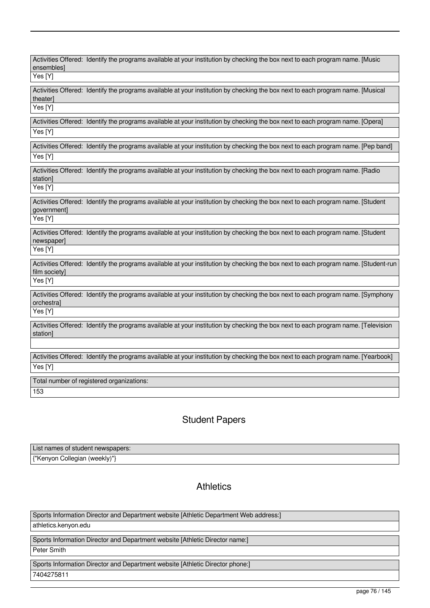| ensembles]<br>Yes [Y] | Activities Offered: Identify the programs available at your institution by checking the box next to each program name. [Music       |
|-----------------------|-------------------------------------------------------------------------------------------------------------------------------------|
|                       |                                                                                                                                     |
| theater]              | Activities Offered: Identify the programs available at your institution by checking the box next to each program name. [Musical     |
| Yes [Y]               |                                                                                                                                     |
| Yes [Y]               | Activities Offered: Identify the programs available at your institution by checking the box next to each program name. [Opera]      |
|                       | Activities Offered: Identify the programs available at your institution by checking the box next to each program name. [Pep band]   |
| Yes [Y]               |                                                                                                                                     |
| station]              | Activities Offered: Identify the programs available at your institution by checking the box next to each program name. [Radio       |
| Yes [Y]               |                                                                                                                                     |
| government]           | Activities Offered: Identify the programs available at your institution by checking the box next to each program name. [Student     |
| Yes [Y]               |                                                                                                                                     |
| newspaper]            | Activities Offered: Identify the programs available at your institution by checking the box next to each program name. [Student     |
| Yes [Y]               |                                                                                                                                     |
| film society]         | Activities Offered: Identify the programs available at your institution by checking the box next to each program name. [Student-run |
| Yes [Y]               |                                                                                                                                     |
| orchestra]            | Activities Offered: Identify the programs available at your institution by checking the box next to each program name. [Symphony    |
| Yes [Y]               |                                                                                                                                     |
| station]              | Activities Offered: Identify the programs available at your institution by checking the box next to each program name. [Television  |
|                       |                                                                                                                                     |
|                       | Activities Offered: Identify the programs available at your institution by checking the box next to each program name. [Yearbook]   |
| Yes [Y]               |                                                                                                                                     |
|                       | Total number of registered organizations:                                                                                           |
| 153                   |                                                                                                                                     |

# Student Papers

| List names of student newspapers: |  |
|-----------------------------------|--|
| {"Kenyon Collegian (weekly)"}     |  |

# **Athletics**

Sports Information Director and Department website [Athletic Department Web address:] athletics.kenyon.edu Sports Information Director and Department website [Athletic Director name:] Peter Smith Sports Information Director and Department website [Athletic Director phone:] 7404275811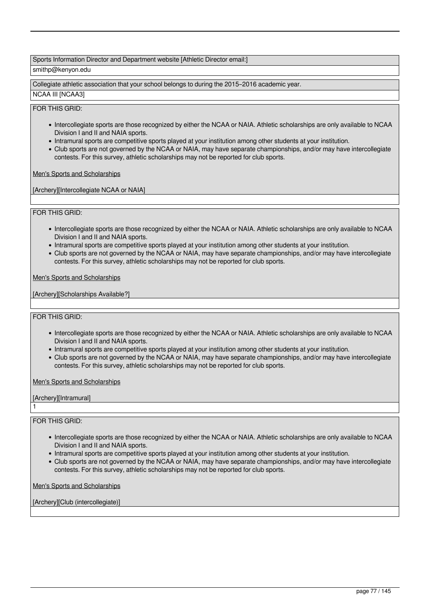# Sports Information Director and Department website [Athletic Director email:]

# smithp@kenyon.edu

Collegiate athletic association that your school belongs to during the 2015–2016 academic year.

### NCAA III [NCAA3]

# FOR THIS GRID:

- Intercollegiate sports are those recognized by either the NCAA or NAIA. Athletic scholarships are only available to NCAA Division I and II and NAIA sports.
- Intramural sports are competitive sports played at your institution among other students at your institution.
- Club sports are not governed by the NCAA or NAIA, may have separate championships, and/or may have intercollegiate contests. For this survey, athletic scholarships may not be reported for club sports.

Men's Sports and Scholarships

[Archery][Intercollegiate NCAA or NAIA]

### FOR THIS GRID:

- Intercollegiate sports are those recognized by either the NCAA or NAIA. Athletic scholarships are only available to NCAA Division I and II and NAIA sports.
- Intramural sports are competitive sports played at your institution among other students at your institution.
- Club sports are not governed by the NCAA or NAIA, may have separate championships, and/or may have intercollegiate contests. For this survey, athletic scholarships may not be reported for club sports.

Men's Sports and Scholarships

[Archery][Scholarships Available?]

### FOR THIS GRID:

- Intercollegiate sports are those recognized by either the NCAA or NAIA. Athletic scholarships are only available to NCAA Division I and II and NAIA sports.
- Intramural sports are competitive sports played at your institution among other students at your institution.
- Club sports are not governed by the NCAA or NAIA, may have separate championships, and/or may have intercollegiate contests. For this survey, athletic scholarships may not be reported for club sports.

Men's Sports and Scholarships

[Archery][Intramural]

FOR THIS GRID:

1

- Intercollegiate sports are those recognized by either the NCAA or NAIA. Athletic scholarships are only available to NCAA Division I and II and NAIA sports.
- Intramural sports are competitive sports played at your institution among other students at your institution.
- Club sports are not governed by the NCAA or NAIA, may have separate championships, and/or may have intercollegiate contests. For this survey, athletic scholarships may not be reported for club sports.

Men's Sports and Scholarships

[Archery][Club (intercollegiate)]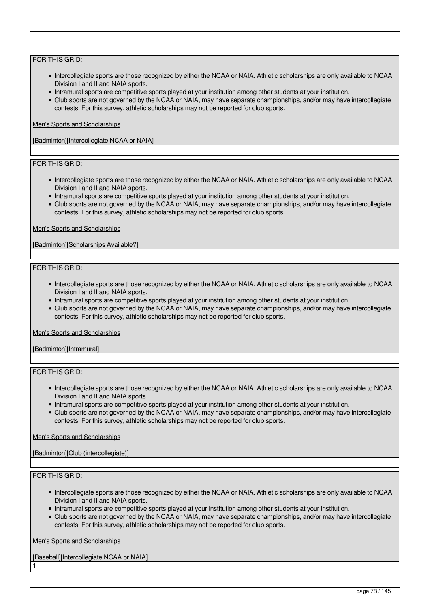- Intercollegiate sports are those recognized by either the NCAA or NAIA. Athletic scholarships are only available to NCAA Division I and II and NAIA sports.
- Intramural sports are competitive sports played at your institution among other students at your institution.
- Club sports are not governed by the NCAA or NAIA, may have separate championships, and/or may have intercollegiate contests. For this survey, athletic scholarships may not be reported for club sports.

### Men's Sports and Scholarships

[Badminton][Intercollegiate NCAA or NAIA]

# FOR THIS GRID:

- Intercollegiate sports are those recognized by either the NCAA or NAIA. Athletic scholarships are only available to NCAA Division I and II and NAIA sports.
- Intramural sports are competitive sports played at your institution among other students at your institution.
- Club sports are not governed by the NCAA or NAIA, may have separate championships, and/or may have intercollegiate contests. For this survey, athletic scholarships may not be reported for club sports.

### Men's Sports and Scholarships

[Badminton][Scholarships Available?]

### FOR THIS GRID:

- Intercollegiate sports are those recognized by either the NCAA or NAIA. Athletic scholarships are only available to NCAA Division I and II and NAIA sports.
- Intramural sports are competitive sports played at your institution among other students at your institution.
- Club sports are not governed by the NCAA or NAIA, may have separate championships, and/or may have intercollegiate contests. For this survey, athletic scholarships may not be reported for club sports.

#### Men's Sports and Scholarships

[Badminton][Intramural]

# FOR THIS GRID:

- Intercollegiate sports are those recognized by either the NCAA or NAIA. Athletic scholarships are only available to NCAA Division I and II and NAIA sports.
- Intramural sports are competitive sports played at your institution among other students at your institution.
- Club sports are not governed by the NCAA or NAIA, may have separate championships, and/or may have intercollegiate contests. For this survey, athletic scholarships may not be reported for club sports.

### Men's Sports and Scholarships

### [Badminton][Club (intercollegiate)]

# FOR THIS GRID:

1

- Intercollegiate sports are those recognized by either the NCAA or NAIA. Athletic scholarships are only available to NCAA Division I and II and NAIA sports.
- Intramural sports are competitive sports played at your institution among other students at your institution.
- Club sports are not governed by the NCAA or NAIA, may have separate championships, and/or may have intercollegiate contests. For this survey, athletic scholarships may not be reported for club sports.

Men's Sports and Scholarships

[Baseball][Intercollegiate NCAA or NAIA]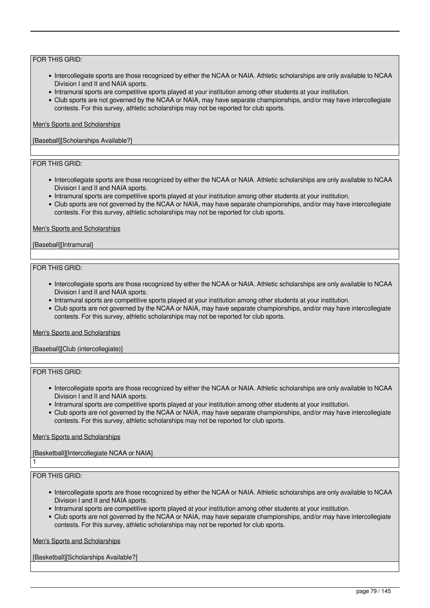- Intercollegiate sports are those recognized by either the NCAA or NAIA. Athletic scholarships are only available to NCAA Division I and II and NAIA sports.
- Intramural sports are competitive sports played at your institution among other students at your institution.
- Club sports are not governed by the NCAA or NAIA, may have separate championships, and/or may have intercollegiate contests. For this survey, athletic scholarships may not be reported for club sports.

### Men's Sports and Scholarships

[Baseball][Scholarships Available?]

# FOR THIS GRID:

- Intercollegiate sports are those recognized by either the NCAA or NAIA. Athletic scholarships are only available to NCAA Division I and II and NAIA sports.
- Intramural sports are competitive sports played at your institution among other students at your institution.
- Club sports are not governed by the NCAA or NAIA, may have separate championships, and/or may have intercollegiate contests. For this survey, athletic scholarships may not be reported for club sports.

#### Men's Sports and Scholarships

[Baseball][Intramural]

### FOR THIS GRID:

- Intercollegiate sports are those recognized by either the NCAA or NAIA. Athletic scholarships are only available to NCAA Division I and II and NAIA sports.
- Intramural sports are competitive sports played at your institution among other students at your institution.
- Club sports are not governed by the NCAA or NAIA, may have separate championships, and/or may have intercollegiate contests. For this survey, athletic scholarships may not be reported for club sports.

#### Men's Sports and Scholarships

[Baseball][Club (intercollegiate)]

### FOR THIS GRID:

- Intercollegiate sports are those recognized by either the NCAA or NAIA. Athletic scholarships are only available to NCAA Division I and II and NAIA sports.
- Intramural sports are competitive sports played at your institution among other students at your institution.
- Club sports are not governed by the NCAA or NAIA, may have separate championships, and/or may have intercollegiate contests. For this survey, athletic scholarships may not be reported for club sports.

### Men's Sports and Scholarships

### [Basketball][Intercollegiate NCAA or NAIA]

### FOR THIS GRID:

1

- Intercollegiate sports are those recognized by either the NCAA or NAIA. Athletic scholarships are only available to NCAA Division I and II and NAIA sports.
- Intramural sports are competitive sports played at your institution among other students at your institution.
- Club sports are not governed by the NCAA or NAIA, may have separate championships, and/or may have intercollegiate contests. For this survey, athletic scholarships may not be reported for club sports.

Men's Sports and Scholarships

[Basketball][Scholarships Available?]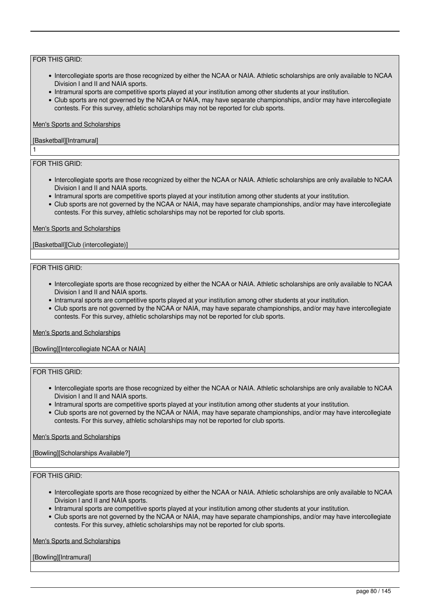- Intercollegiate sports are those recognized by either the NCAA or NAIA. Athletic scholarships are only available to NCAA Division I and II and NAIA sports.
- Intramural sports are competitive sports played at your institution among other students at your institution.
- Club sports are not governed by the NCAA or NAIA, may have separate championships, and/or may have intercollegiate contests. For this survey, athletic scholarships may not be reported for club sports.

### Men's Sports and Scholarships

# [Basketball][Intramural]

# FOR THIS GRID:

1

- Intercollegiate sports are those recognized by either the NCAA or NAIA. Athletic scholarships are only available to NCAA Division I and II and NAIA sports.
- Intramural sports are competitive sports played at your institution among other students at your institution.
- Club sports are not governed by the NCAA or NAIA, may have separate championships, and/or may have intercollegiate contests. For this survey, athletic scholarships may not be reported for club sports.

### Men's Sports and Scholarships

### [Basketball][Club (intercollegiate)]

### FOR THIS GRID:

- Intercollegiate sports are those recognized by either the NCAA or NAIA. Athletic scholarships are only available to NCAA Division I and II and NAIA sports.
- Intramural sports are competitive sports played at your institution among other students at your institution.
- Club sports are not governed by the NCAA or NAIA, may have separate championships, and/or may have intercollegiate contests. For this survey, athletic scholarships may not be reported for club sports.

#### Men's Sports and Scholarships

[Bowling][Intercollegiate NCAA or NAIA]

### FOR THIS GRID:

- Intercollegiate sports are those recognized by either the NCAA or NAIA. Athletic scholarships are only available to NCAA Division I and II and NAIA sports.
- Intramural sports are competitive sports played at your institution among other students at your institution.
- Club sports are not governed by the NCAA or NAIA, may have separate championships, and/or may have intercollegiate contests. For this survey, athletic scholarships may not be reported for club sports.

#### Men's Sports and Scholarships

### [Bowling][Scholarships Available?]

### FOR THIS GRID:

- Intercollegiate sports are those recognized by either the NCAA or NAIA. Athletic scholarships are only available to NCAA Division I and II and NAIA sports.
- Intramural sports are competitive sports played at your institution among other students at your institution.
- Club sports are not governed by the NCAA or NAIA, may have separate championships, and/or may have intercollegiate contests. For this survey, athletic scholarships may not be reported for club sports.

Men's Sports and Scholarships

[Bowling][Intramural]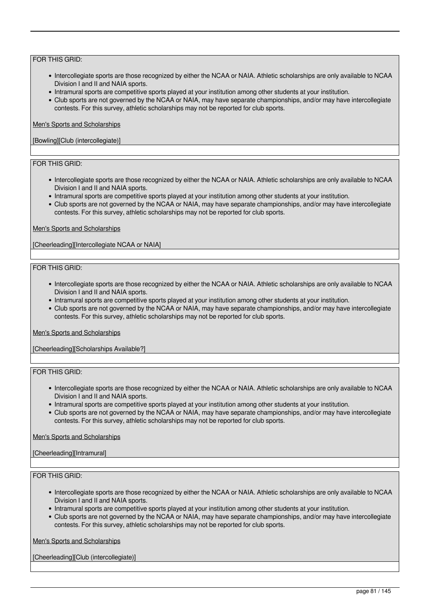- Intercollegiate sports are those recognized by either the NCAA or NAIA. Athletic scholarships are only available to NCAA Division I and II and NAIA sports.
- Intramural sports are competitive sports played at your institution among other students at your institution.
- Club sports are not governed by the NCAA or NAIA, may have separate championships, and/or may have intercollegiate contests. For this survey, athletic scholarships may not be reported for club sports.

#### Men's Sports and Scholarships

### [Bowling][Club (intercollegiate)]

# FOR THIS GRID:

- Intercollegiate sports are those recognized by either the NCAA or NAIA. Athletic scholarships are only available to NCAA Division I and II and NAIA sports.
- Intramural sports are competitive sports played at your institution among other students at your institution.
- Club sports are not governed by the NCAA or NAIA, may have separate championships, and/or may have intercollegiate contests. For this survey, athletic scholarships may not be reported for club sports.

### Men's Sports and Scholarships

[Cheerleading][Intercollegiate NCAA or NAIA]

### FOR THIS GRID:

- Intercollegiate sports are those recognized by either the NCAA or NAIA. Athletic scholarships are only available to NCAA Division I and II and NAIA sports.
- Intramural sports are competitive sports played at your institution among other students at your institution.
- Club sports are not governed by the NCAA or NAIA, may have separate championships, and/or may have intercollegiate contests. For this survey, athletic scholarships may not be reported for club sports.

#### Men's Sports and Scholarships

[Cheerleading][Scholarships Available?]

### FOR THIS GRID:

- Intercollegiate sports are those recognized by either the NCAA or NAIA. Athletic scholarships are only available to NCAA Division I and II and NAIA sports.
- Intramural sports are competitive sports played at your institution among other students at your institution.
- Club sports are not governed by the NCAA or NAIA, may have separate championships, and/or may have intercollegiate contests. For this survey, athletic scholarships may not be reported for club sports.

### Men's Sports and Scholarships

### [Cheerleading][Intramural]

### FOR THIS GRID:

- Intercollegiate sports are those recognized by either the NCAA or NAIA. Athletic scholarships are only available to NCAA Division I and II and NAIA sports.
- Intramural sports are competitive sports played at your institution among other students at your institution.
- Club sports are not governed by the NCAA or NAIA, may have separate championships, and/or may have intercollegiate contests. For this survey, athletic scholarships may not be reported for club sports.

Men's Sports and Scholarships

[Cheerleading][Club (intercollegiate)]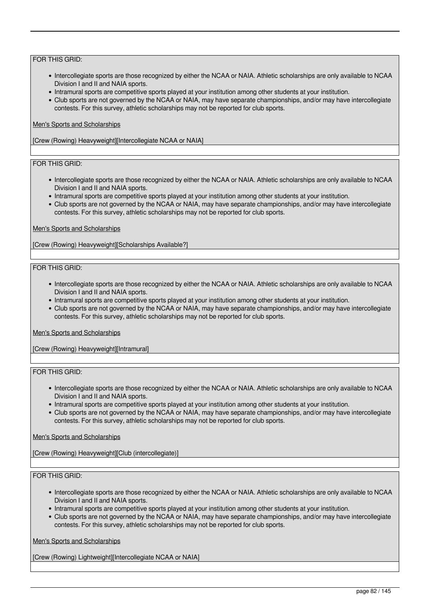- Intercollegiate sports are those recognized by either the NCAA or NAIA. Athletic scholarships are only available to NCAA Division I and II and NAIA sports.
- Intramural sports are competitive sports played at your institution among other students at your institution.
- Club sports are not governed by the NCAA or NAIA, may have separate championships, and/or may have intercollegiate contests. For this survey, athletic scholarships may not be reported for club sports.

### Men's Sports and Scholarships

[Crew (Rowing) Heavyweight][Intercollegiate NCAA or NAIA]

# FOR THIS GRID:

- Intercollegiate sports are those recognized by either the NCAA or NAIA. Athletic scholarships are only available to NCAA Division I and II and NAIA sports.
- Intramural sports are competitive sports played at your institution among other students at your institution.
- Club sports are not governed by the NCAA or NAIA, may have separate championships, and/or may have intercollegiate contests. For this survey, athletic scholarships may not be reported for club sports.

### Men's Sports and Scholarships

[Crew (Rowing) Heavyweight][Scholarships Available?]

### FOR THIS GRID:

- Intercollegiate sports are those recognized by either the NCAA or NAIA. Athletic scholarships are only available to NCAA Division I and II and NAIA sports.
- Intramural sports are competitive sports played at your institution among other students at your institution.
- Club sports are not governed by the NCAA or NAIA, may have separate championships, and/or may have intercollegiate contests. For this survey, athletic scholarships may not be reported for club sports.

#### Men's Sports and Scholarships

[Crew (Rowing) Heavyweight][Intramural]

### FOR THIS GRID:

- Intercollegiate sports are those recognized by either the NCAA or NAIA. Athletic scholarships are only available to NCAA Division I and II and NAIA sports.
- Intramural sports are competitive sports played at your institution among other students at your institution.
- Club sports are not governed by the NCAA or NAIA, may have separate championships, and/or may have intercollegiate contests. For this survey, athletic scholarships may not be reported for club sports.

### Men's Sports and Scholarships

[Crew (Rowing) Heavyweight][Club (intercollegiate)]

### FOR THIS GRID:

- Intercollegiate sports are those recognized by either the NCAA or NAIA. Athletic scholarships are only available to NCAA Division I and II and NAIA sports.
- Intramural sports are competitive sports played at your institution among other students at your institution.
- Club sports are not governed by the NCAA or NAIA, may have separate championships, and/or may have intercollegiate contests. For this survey, athletic scholarships may not be reported for club sports.

Men's Sports and Scholarships

[Crew (Rowing) Lightweight][Intercollegiate NCAA or NAIA]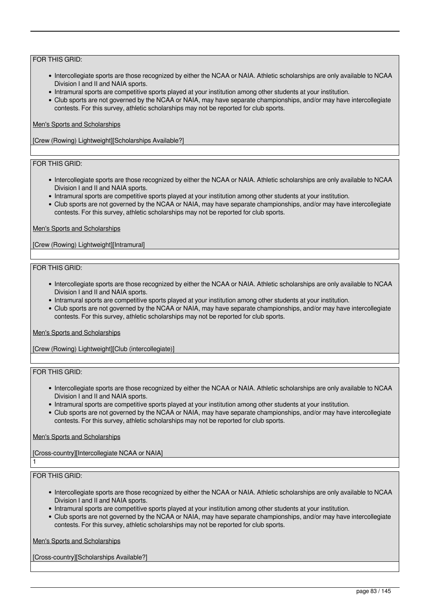- Intercollegiate sports are those recognized by either the NCAA or NAIA. Athletic scholarships are only available to NCAA Division I and II and NAIA sports.
- Intramural sports are competitive sports played at your institution among other students at your institution.
- Club sports are not governed by the NCAA or NAIA, may have separate championships, and/or may have intercollegiate contests. For this survey, athletic scholarships may not be reported for club sports.

### Men's Sports and Scholarships

[Crew (Rowing) Lightweight][Scholarships Available?]

# FOR THIS GRID:

- Intercollegiate sports are those recognized by either the NCAA or NAIA. Athletic scholarships are only available to NCAA Division I and II and NAIA sports.
- Intramural sports are competitive sports played at your institution among other students at your institution.
- Club sports are not governed by the NCAA or NAIA, may have separate championships, and/or may have intercollegiate contests. For this survey, athletic scholarships may not be reported for club sports.

### Men's Sports and Scholarships

[Crew (Rowing) Lightweight][Intramural]

### FOR THIS GRID:

- Intercollegiate sports are those recognized by either the NCAA or NAIA. Athletic scholarships are only available to NCAA Division I and II and NAIA sports.
- Intramural sports are competitive sports played at your institution among other students at your institution.
- Club sports are not governed by the NCAA or NAIA, may have separate championships, and/or may have intercollegiate contests. For this survey, athletic scholarships may not be reported for club sports.

#### Men's Sports and Scholarships

[Crew (Rowing) Lightweight][Club (intercollegiate)]

### FOR THIS GRID:

- Intercollegiate sports are those recognized by either the NCAA or NAIA. Athletic scholarships are only available to NCAA Division I and II and NAIA sports.
- Intramural sports are competitive sports played at your institution among other students at your institution.
- Club sports are not governed by the NCAA or NAIA, may have separate championships, and/or may have intercollegiate contests. For this survey, athletic scholarships may not be reported for club sports.

### Men's Sports and Scholarships

[Cross-country][Intercollegiate NCAA or NAIA]

### FOR THIS GRID:

1

- Intercollegiate sports are those recognized by either the NCAA or NAIA. Athletic scholarships are only available to NCAA Division I and II and NAIA sports.
- Intramural sports are competitive sports played at your institution among other students at your institution.
- Club sports are not governed by the NCAA or NAIA, may have separate championships, and/or may have intercollegiate contests. For this survey, athletic scholarships may not be reported for club sports.

Men's Sports and Scholarships

[Cross-country][Scholarships Available?]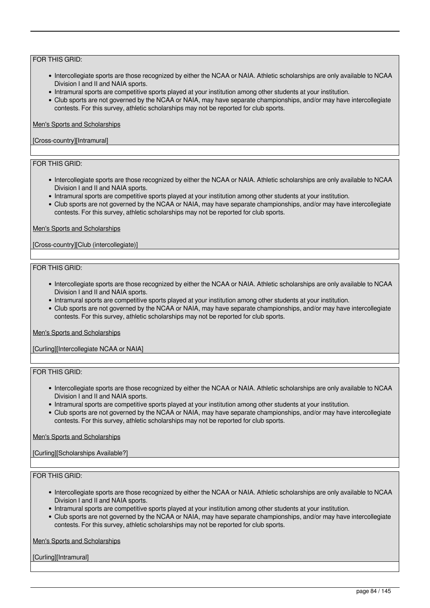- Intercollegiate sports are those recognized by either the NCAA or NAIA. Athletic scholarships are only available to NCAA Division I and II and NAIA sports.
- Intramural sports are competitive sports played at your institution among other students at your institution.
- Club sports are not governed by the NCAA or NAIA, may have separate championships, and/or may have intercollegiate contests. For this survey, athletic scholarships may not be reported for club sports.

#### Men's Sports and Scholarships

### [Cross-country][Intramural]

# FOR THIS GRID:

- Intercollegiate sports are those recognized by either the NCAA or NAIA. Athletic scholarships are only available to NCAA Division I and II and NAIA sports.
- Intramural sports are competitive sports played at your institution among other students at your institution.
- Club sports are not governed by the NCAA or NAIA, may have separate championships, and/or may have intercollegiate contests. For this survey, athletic scholarships may not be reported for club sports.

### Men's Sports and Scholarships

[Cross-country][Club (intercollegiate)]

### FOR THIS GRID:

- Intercollegiate sports are those recognized by either the NCAA or NAIA. Athletic scholarships are only available to NCAA Division I and II and NAIA sports.
- Intramural sports are competitive sports played at your institution among other students at your institution.
- Club sports are not governed by the NCAA or NAIA, may have separate championships, and/or may have intercollegiate contests. For this survey, athletic scholarships may not be reported for club sports.

#### Men's Sports and Scholarships

[Curling][Intercollegiate NCAA or NAIA]

### FOR THIS GRID:

- Intercollegiate sports are those recognized by either the NCAA or NAIA. Athletic scholarships are only available to NCAA Division I and II and NAIA sports.
- Intramural sports are competitive sports played at your institution among other students at your institution.
- Club sports are not governed by the NCAA or NAIA, may have separate championships, and/or may have intercollegiate contests. For this survey, athletic scholarships may not be reported for club sports.

### Men's Sports and Scholarships

[Curling][Scholarships Available?]

# FOR THIS GRID:

- Intercollegiate sports are those recognized by either the NCAA or NAIA. Athletic scholarships are only available to NCAA Division I and II and NAIA sports.
- Intramural sports are competitive sports played at your institution among other students at your institution.
- Club sports are not governed by the NCAA or NAIA, may have separate championships, and/or may have intercollegiate contests. For this survey, athletic scholarships may not be reported for club sports.

Men's Sports and Scholarships

[Curling][Intramural]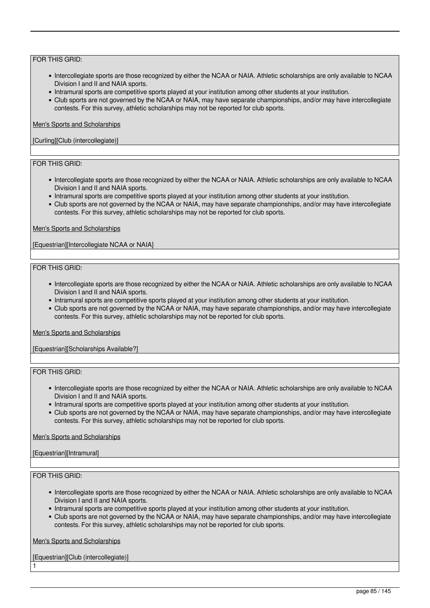- Intercollegiate sports are those recognized by either the NCAA or NAIA. Athletic scholarships are only available to NCAA Division I and II and NAIA sports.
- Intramural sports are competitive sports played at your institution among other students at your institution.
- Club sports are not governed by the NCAA or NAIA, may have separate championships, and/or may have intercollegiate contests. For this survey, athletic scholarships may not be reported for club sports.

### Men's Sports and Scholarships

### [Curling][Club (intercollegiate)]

# FOR THIS GRID:

- Intercollegiate sports are those recognized by either the NCAA or NAIA. Athletic scholarships are only available to NCAA Division I and II and NAIA sports.
- Intramural sports are competitive sports played at your institution among other students at your institution.
- Club sports are not governed by the NCAA or NAIA, may have separate championships, and/or may have intercollegiate contests. For this survey, athletic scholarships may not be reported for club sports.

### Men's Sports and Scholarships

[Equestrian][Intercollegiate NCAA or NAIA]

### FOR THIS GRID:

- Intercollegiate sports are those recognized by either the NCAA or NAIA. Athletic scholarships are only available to NCAA Division I and II and NAIA sports.
- Intramural sports are competitive sports played at your institution among other students at your institution.
- Club sports are not governed by the NCAA or NAIA, may have separate championships, and/or may have intercollegiate contests. For this survey, athletic scholarships may not be reported for club sports.

#### Men's Sports and Scholarships

[Equestrian][Scholarships Available?]

# FOR THIS GRID:

- Intercollegiate sports are those recognized by either the NCAA or NAIA. Athletic scholarships are only available to NCAA Division I and II and NAIA sports.
- Intramural sports are competitive sports played at your institution among other students at your institution.
- Club sports are not governed by the NCAA or NAIA, may have separate championships, and/or may have intercollegiate contests. For this survey, athletic scholarships may not be reported for club sports.

#### Men's Sports and Scholarships

### [Equestrian][Intramural]

### FOR THIS GRID:

1

- Intercollegiate sports are those recognized by either the NCAA or NAIA. Athletic scholarships are only available to NCAA Division I and II and NAIA sports.
- Intramural sports are competitive sports played at your institution among other students at your institution.
- Club sports are not governed by the NCAA or NAIA, may have separate championships, and/or may have intercollegiate contests. For this survey, athletic scholarships may not be reported for club sports.

Men's Sports and Scholarships

[Equestrian][Club (intercollegiate)]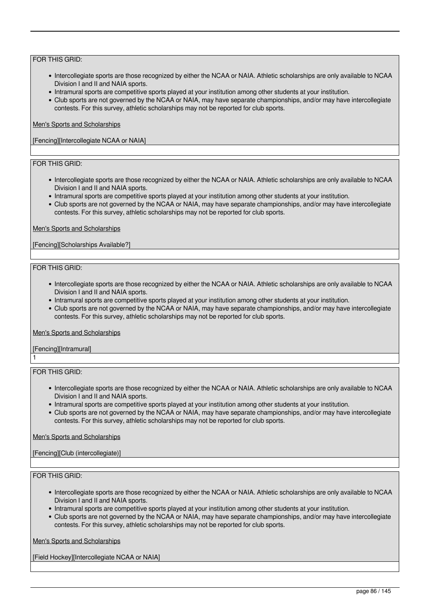- Intercollegiate sports are those recognized by either the NCAA or NAIA. Athletic scholarships are only available to NCAA Division I and II and NAIA sports.
- Intramural sports are competitive sports played at your institution among other students at your institution.
- Club sports are not governed by the NCAA or NAIA, may have separate championships, and/or may have intercollegiate contests. For this survey, athletic scholarships may not be reported for club sports.

### Men's Sports and Scholarships

[Fencing][Intercollegiate NCAA or NAIA]

# FOR THIS GRID:

- Intercollegiate sports are those recognized by either the NCAA or NAIA. Athletic scholarships are only available to NCAA Division I and II and NAIA sports.
- Intramural sports are competitive sports played at your institution among other students at your institution.
- Club sports are not governed by the NCAA or NAIA, may have separate championships, and/or may have intercollegiate contests. For this survey, athletic scholarships may not be reported for club sports.

#### Men's Sports and Scholarships

[Fencing][Scholarships Available?]

### FOR THIS GRID:

- Intercollegiate sports are those recognized by either the NCAA or NAIA. Athletic scholarships are only available to NCAA Division I and II and NAIA sports.
- Intramural sports are competitive sports played at your institution among other students at your institution.
- Club sports are not governed by the NCAA or NAIA, may have separate championships, and/or may have intercollegiate contests. For this survey, athletic scholarships may not be reported for club sports.

#### Men's Sports and Scholarships

[Fencing][Intramural] 1

### FOR THIS GRID:

- Intercollegiate sports are those recognized by either the NCAA or NAIA. Athletic scholarships are only available to NCAA Division I and II and NAIA sports.
- Intramural sports are competitive sports played at your institution among other students at your institution.
- Club sports are not governed by the NCAA or NAIA, may have separate championships, and/or may have intercollegiate contests. For this survey, athletic scholarships may not be reported for club sports.

### Men's Sports and Scholarships

[Fencing][Club (intercollegiate)]

# FOR THIS GRID:

- Intercollegiate sports are those recognized by either the NCAA or NAIA. Athletic scholarships are only available to NCAA Division I and II and NAIA sports.
- Intramural sports are competitive sports played at your institution among other students at your institution.
- Club sports are not governed by the NCAA or NAIA, may have separate championships, and/or may have intercollegiate contests. For this survey, athletic scholarships may not be reported for club sports.

Men's Sports and Scholarships

[Field Hockey][Intercollegiate NCAA or NAIA]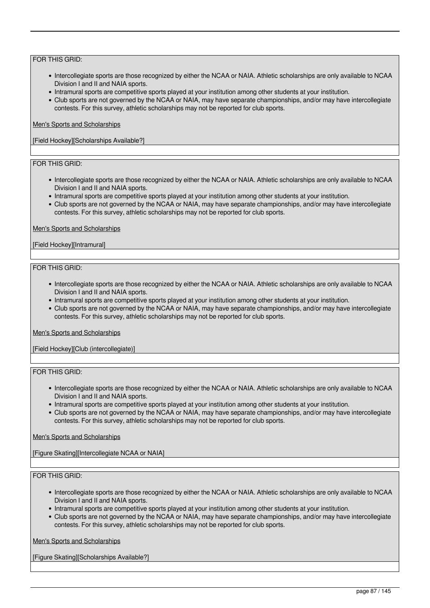- Intercollegiate sports are those recognized by either the NCAA or NAIA. Athletic scholarships are only available to NCAA Division I and II and NAIA sports.
- Intramural sports are competitive sports played at your institution among other students at your institution.
- Club sports are not governed by the NCAA or NAIA, may have separate championships, and/or may have intercollegiate contests. For this survey, athletic scholarships may not be reported for club sports.

### Men's Sports and Scholarships

[Field Hockey][Scholarships Available?]

# FOR THIS GRID:

- Intercollegiate sports are those recognized by either the NCAA or NAIA. Athletic scholarships are only available to NCAA Division I and II and NAIA sports.
- Intramural sports are competitive sports played at your institution among other students at your institution.
- Club sports are not governed by the NCAA or NAIA, may have separate championships, and/or may have intercollegiate contests. For this survey, athletic scholarships may not be reported for club sports.

### Men's Sports and Scholarships

### [Field Hockey][Intramural]

### FOR THIS GRID:

- Intercollegiate sports are those recognized by either the NCAA or NAIA. Athletic scholarships are only available to NCAA Division I and II and NAIA sports.
- Intramural sports are competitive sports played at your institution among other students at your institution.
- Club sports are not governed by the NCAA or NAIA, may have separate championships, and/or may have intercollegiate contests. For this survey, athletic scholarships may not be reported for club sports.

#### Men's Sports and Scholarships

[Field Hockey][Club (intercollegiate)]

### FOR THIS GRID:

- Intercollegiate sports are those recognized by either the NCAA or NAIA. Athletic scholarships are only available to NCAA Division I and II and NAIA sports.
- Intramural sports are competitive sports played at your institution among other students at your institution.
- Club sports are not governed by the NCAA or NAIA, may have separate championships, and/or may have intercollegiate contests. For this survey, athletic scholarships may not be reported for club sports.

### Men's Sports and Scholarships

[Figure Skating][Intercollegiate NCAA or NAIA]

### FOR THIS GRID:

- Intercollegiate sports are those recognized by either the NCAA or NAIA. Athletic scholarships are only available to NCAA Division I and II and NAIA sports.
- Intramural sports are competitive sports played at your institution among other students at your institution.
- Club sports are not governed by the NCAA or NAIA, may have separate championships, and/or may have intercollegiate contests. For this survey, athletic scholarships may not be reported for club sports.

Men's Sports and Scholarships

[Figure Skating][Scholarships Available?]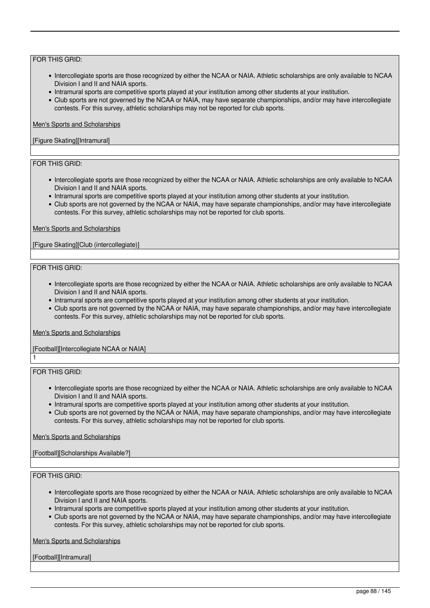- Intercollegiate sports are those recognized by either the NCAA or NAIA. Athletic scholarships are only available to NCAA Division I and II and NAIA sports.
- Intramural sports are competitive sports played at your institution among other students at your institution.
- Club sports are not governed by the NCAA or NAIA, may have separate championships, and/or may have intercollegiate contests. For this survey, athletic scholarships may not be reported for club sports.

### Men's Sports and Scholarships

### [Figure Skating][Intramural]

# FOR THIS GRID:

- Intercollegiate sports are those recognized by either the NCAA or NAIA. Athletic scholarships are only available to NCAA Division I and II and NAIA sports.
- Intramural sports are competitive sports played at your institution among other students at your institution.
- Club sports are not governed by the NCAA or NAIA, may have separate championships, and/or may have intercollegiate contests. For this survey, athletic scholarships may not be reported for club sports.

### Men's Sports and Scholarships

[Figure Skating][Club (intercollegiate)]

### FOR THIS GRID:

- Intercollegiate sports are those recognized by either the NCAA or NAIA. Athletic scholarships are only available to NCAA Division I and II and NAIA sports.
- Intramural sports are competitive sports played at your institution among other students at your institution.
- Club sports are not governed by the NCAA or NAIA, may have separate championships, and/or may have intercollegiate contests. For this survey, athletic scholarships may not be reported for club sports.

#### Men's Sports and Scholarships

# [Football][Intercollegiate NCAA or NAIA]

FOR THIS GRID:

1

- Intercollegiate sports are those recognized by either the NCAA or NAIA. Athletic scholarships are only available to NCAA Division I and II and NAIA sports.
- Intramural sports are competitive sports played at your institution among other students at your institution.
- Club sports are not governed by the NCAA or NAIA, may have separate championships, and/or may have intercollegiate contests. For this survey, athletic scholarships may not be reported for club sports.

### Men's Sports and Scholarships

[Football][Scholarships Available?]

# FOR THIS GRID:

- Intercollegiate sports are those recognized by either the NCAA or NAIA. Athletic scholarships are only available to NCAA Division I and II and NAIA sports.
- Intramural sports are competitive sports played at your institution among other students at your institution.
- Club sports are not governed by the NCAA or NAIA, may have separate championships, and/or may have intercollegiate contests. For this survey, athletic scholarships may not be reported for club sports.

Men's Sports and Scholarships

[Football][Intramural]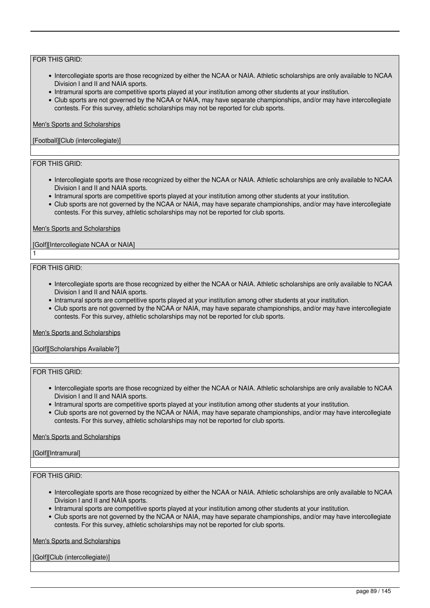- Intercollegiate sports are those recognized by either the NCAA or NAIA. Athletic scholarships are only available to NCAA Division I and II and NAIA sports.
- Intramural sports are competitive sports played at your institution among other students at your institution.
- Club sports are not governed by the NCAA or NAIA, may have separate championships, and/or may have intercollegiate contests. For this survey, athletic scholarships may not be reported for club sports.

### Men's Sports and Scholarships

### [Football][Club (intercollegiate)]

# FOR THIS GRID:

- Intercollegiate sports are those recognized by either the NCAA or NAIA. Athletic scholarships are only available to NCAA Division I and II and NAIA sports.
- Intramural sports are competitive sports played at your institution among other students at your institution.
- Club sports are not governed by the NCAA or NAIA, may have separate championships, and/or may have intercollegiate contests. For this survey, athletic scholarships may not be reported for club sports.

### Men's Sports and Scholarships

### [Golf][Intercollegiate NCAA or NAIA]

### FOR THIS GRID:

1

- Intercollegiate sports are those recognized by either the NCAA or NAIA. Athletic scholarships are only available to NCAA Division I and II and NAIA sports.
- Intramural sports are competitive sports played at your institution among other students at your institution.
- Club sports are not governed by the NCAA or NAIA, may have separate championships, and/or may have intercollegiate contests. For this survey, athletic scholarships may not be reported for club sports.

#### Men's Sports and Scholarships

[Golf][Scholarships Available?]

### FOR THIS GRID:

- Intercollegiate sports are those recognized by either the NCAA or NAIA. Athletic scholarships are only available to NCAA Division I and II and NAIA sports.
- Intramural sports are competitive sports played at your institution among other students at your institution.
- Club sports are not governed by the NCAA or NAIA, may have separate championships, and/or may have intercollegiate contests. For this survey, athletic scholarships may not be reported for club sports.

### Men's Sports and Scholarships

#### [Golf][Intramural]

### FOR THIS GRID:

- Intercollegiate sports are those recognized by either the NCAA or NAIA. Athletic scholarships are only available to NCAA Division I and II and NAIA sports.
- Intramural sports are competitive sports played at your institution among other students at your institution.
- Club sports are not governed by the NCAA or NAIA, may have separate championships, and/or may have intercollegiate contests. For this survey, athletic scholarships may not be reported for club sports.

Men's Sports and Scholarships

[Golf][Club (intercollegiate)]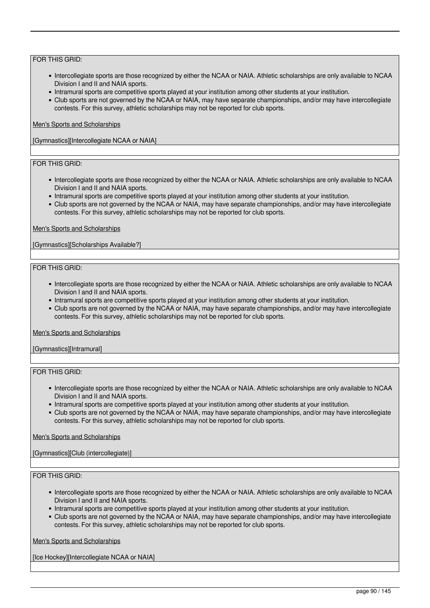- Intercollegiate sports are those recognized by either the NCAA or NAIA. Athletic scholarships are only available to NCAA Division I and II and NAIA sports.
- Intramural sports are competitive sports played at your institution among other students at your institution.
- Club sports are not governed by the NCAA or NAIA, may have separate championships, and/or may have intercollegiate contests. For this survey, athletic scholarships may not be reported for club sports.

### Men's Sports and Scholarships

[Gymnastics][Intercollegiate NCAA or NAIA]

# FOR THIS GRID:

- Intercollegiate sports are those recognized by either the NCAA or NAIA. Athletic scholarships are only available to NCAA Division I and II and NAIA sports.
- Intramural sports are competitive sports played at your institution among other students at your institution.
- Club sports are not governed by the NCAA or NAIA, may have separate championships, and/or may have intercollegiate contests. For this survey, athletic scholarships may not be reported for club sports.

### Men's Sports and Scholarships

[Gymnastics][Scholarships Available?]

### FOR THIS GRID:

- Intercollegiate sports are those recognized by either the NCAA or NAIA. Athletic scholarships are only available to NCAA Division I and II and NAIA sports.
- Intramural sports are competitive sports played at your institution among other students at your institution.
- Club sports are not governed by the NCAA or NAIA, may have separate championships, and/or may have intercollegiate contests. For this survey, athletic scholarships may not be reported for club sports.

#### Men's Sports and Scholarships

[Gymnastics][Intramural]

# FOR THIS GRID:

- Intercollegiate sports are those recognized by either the NCAA or NAIA. Athletic scholarships are only available to NCAA Division I and II and NAIA sports.
- Intramural sports are competitive sports played at your institution among other students at your institution.
- Club sports are not governed by the NCAA or NAIA, may have separate championships, and/or may have intercollegiate contests. For this survey, athletic scholarships may not be reported for club sports.

### Men's Sports and Scholarships

[Gymnastics][Club (intercollegiate)]

# FOR THIS GRID:

- Intercollegiate sports are those recognized by either the NCAA or NAIA. Athletic scholarships are only available to NCAA Division I and II and NAIA sports.
- Intramural sports are competitive sports played at your institution among other students at your institution.
- Club sports are not governed by the NCAA or NAIA, may have separate championships, and/or may have intercollegiate contests. For this survey, athletic scholarships may not be reported for club sports.

Men's Sports and Scholarships

[Ice Hockey][Intercollegiate NCAA or NAIA]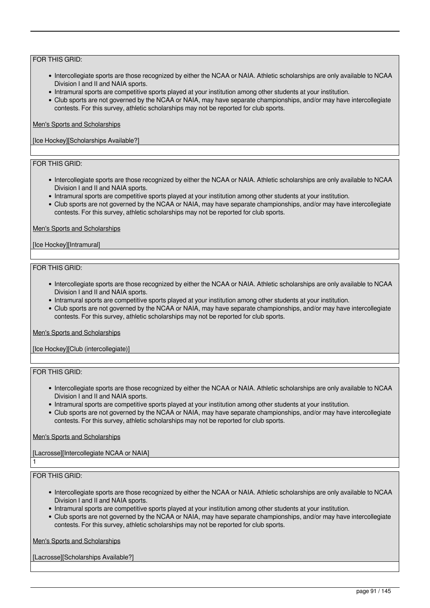- Intercollegiate sports are those recognized by either the NCAA or NAIA. Athletic scholarships are only available to NCAA Division I and II and NAIA sports.
- Intramural sports are competitive sports played at your institution among other students at your institution.
- Club sports are not governed by the NCAA or NAIA, may have separate championships, and/or may have intercollegiate contests. For this survey, athletic scholarships may not be reported for club sports.

### Men's Sports and Scholarships

[Ice Hockey][Scholarships Available?]

# FOR THIS GRID:

- Intercollegiate sports are those recognized by either the NCAA or NAIA. Athletic scholarships are only available to NCAA Division I and II and NAIA sports.
- Intramural sports are competitive sports played at your institution among other students at your institution.
- Club sports are not governed by the NCAA or NAIA, may have separate championships, and/or may have intercollegiate contests. For this survey, athletic scholarships may not be reported for club sports.

### Men's Sports and Scholarships

### [Ice Hockey][Intramural]

### FOR THIS GRID:

- Intercollegiate sports are those recognized by either the NCAA or NAIA. Athletic scholarships are only available to NCAA Division I and II and NAIA sports.
- Intramural sports are competitive sports played at your institution among other students at your institution.
- Club sports are not governed by the NCAA or NAIA, may have separate championships, and/or may have intercollegiate contests. For this survey, athletic scholarships may not be reported for club sports.

#### Men's Sports and Scholarships

[Ice Hockey][Club (intercollegiate)]

### FOR THIS GRID:

- Intercollegiate sports are those recognized by either the NCAA or NAIA. Athletic scholarships are only available to NCAA Division I and II and NAIA sports.
- Intramural sports are competitive sports played at your institution among other students at your institution.
- Club sports are not governed by the NCAA or NAIA, may have separate championships, and/or may have intercollegiate contests. For this survey, athletic scholarships may not be reported for club sports.

### Men's Sports and Scholarships

# [Lacrosse][Intercollegiate NCAA or NAIA]

### FOR THIS GRID:

1

- Intercollegiate sports are those recognized by either the NCAA or NAIA. Athletic scholarships are only available to NCAA Division I and II and NAIA sports.
- Intramural sports are competitive sports played at your institution among other students at your institution.
- Club sports are not governed by the NCAA or NAIA, may have separate championships, and/or may have intercollegiate contests. For this survey, athletic scholarships may not be reported for club sports.

Men's Sports and Scholarships

[Lacrosse][Scholarships Available?]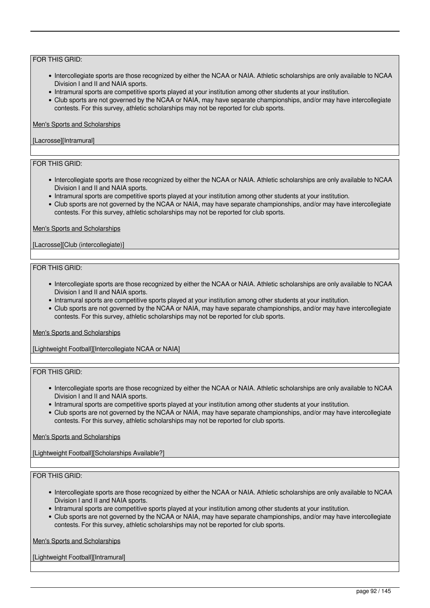- Intercollegiate sports are those recognized by either the NCAA or NAIA. Athletic scholarships are only available to NCAA Division I and II and NAIA sports.
- Intramural sports are competitive sports played at your institution among other students at your institution.
- Club sports are not governed by the NCAA or NAIA, may have separate championships, and/or may have intercollegiate contests. For this survey, athletic scholarships may not be reported for club sports.

### Men's Sports and Scholarships

### [Lacrosse][Intramural]

# FOR THIS GRID:

- Intercollegiate sports are those recognized by either the NCAA or NAIA. Athletic scholarships are only available to NCAA Division I and II and NAIA sports.
- Intramural sports are competitive sports played at your institution among other students at your institution.
- Club sports are not governed by the NCAA or NAIA, may have separate championships, and/or may have intercollegiate contests. For this survey, athletic scholarships may not be reported for club sports.

### Men's Sports and Scholarships

### [Lacrosse][Club (intercollegiate)]

### FOR THIS GRID:

- Intercollegiate sports are those recognized by either the NCAA or NAIA. Athletic scholarships are only available to NCAA Division I and II and NAIA sports.
- Intramural sports are competitive sports played at your institution among other students at your institution.
- Club sports are not governed by the NCAA or NAIA, may have separate championships, and/or may have intercollegiate contests. For this survey, athletic scholarships may not be reported for club sports.

### Men's Sports and Scholarships

[Lightweight Football][Intercollegiate NCAA or NAIA]

### FOR THIS GRID:

- Intercollegiate sports are those recognized by either the NCAA or NAIA. Athletic scholarships are only available to NCAA Division I and II and NAIA sports.
- Intramural sports are competitive sports played at your institution among other students at your institution.
- Club sports are not governed by the NCAA or NAIA, may have separate championships, and/or may have intercollegiate contests. For this survey, athletic scholarships may not be reported for club sports.

### Men's Sports and Scholarships

[Lightweight Football][Scholarships Available?]

### FOR THIS GRID:

- Intercollegiate sports are those recognized by either the NCAA or NAIA. Athletic scholarships are only available to NCAA Division I and II and NAIA sports.
- Intramural sports are competitive sports played at your institution among other students at your institution.
- Club sports are not governed by the NCAA or NAIA, may have separate championships, and/or may have intercollegiate contests. For this survey, athletic scholarships may not be reported for club sports.

Men's Sports and Scholarships

[Lightweight Football][Intramural]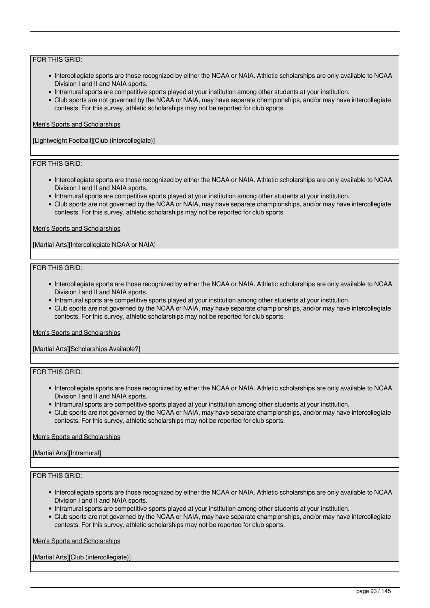- Intercollegiate sports are those recognized by either the NCAA or NAIA. Athletic scholarships are only available to NCAA Division I and II and NAIA sports.
- Intramural sports are competitive sports played at your institution among other students at your institution.
- Club sports are not governed by the NCAA or NAIA, may have separate championships, and/or may have intercollegiate contests. For this survey, athletic scholarships may not be reported for club sports.

### Men's Sports and Scholarships

[Lightweight Football][Club (intercollegiate)]

# FOR THIS GRID:

- Intercollegiate sports are those recognized by either the NCAA or NAIA. Athletic scholarships are only available to NCAA Division I and II and NAIA sports.
- Intramural sports are competitive sports played at your institution among other students at your institution.
- Club sports are not governed by the NCAA or NAIA, may have separate championships, and/or may have intercollegiate contests. For this survey, athletic scholarships may not be reported for club sports.

### Men's Sports and Scholarships

[Martial Arts][Intercollegiate NCAA or NAIA]

### FOR THIS GRID:

- Intercollegiate sports are those recognized by either the NCAA or NAIA. Athletic scholarships are only available to NCAA Division I and II and NAIA sports.
- Intramural sports are competitive sports played at your institution among other students at your institution.
- Club sports are not governed by the NCAA or NAIA, may have separate championships, and/or may have intercollegiate contests. For this survey, athletic scholarships may not be reported for club sports.

#### Men's Sports and Scholarships

[Martial Arts][Scholarships Available?]

### FOR THIS GRID:

- Intercollegiate sports are those recognized by either the NCAA or NAIA. Athletic scholarships are only available to NCAA Division I and II and NAIA sports.
- Intramural sports are competitive sports played at your institution among other students at your institution.
- Club sports are not governed by the NCAA or NAIA, may have separate championships, and/or may have intercollegiate contests. For this survey, athletic scholarships may not be reported for club sports.

#### Men's Sports and Scholarships

### [Martial Arts][Intramural]

### FOR THIS GRID:

- Intercollegiate sports are those recognized by either the NCAA or NAIA. Athletic scholarships are only available to NCAA Division I and II and NAIA sports.
- Intramural sports are competitive sports played at your institution among other students at your institution.
- Club sports are not governed by the NCAA or NAIA, may have separate championships, and/or may have intercollegiate contests. For this survey, athletic scholarships may not be reported for club sports.

Men's Sports and Scholarships

[Martial Arts][Club (intercollegiate)]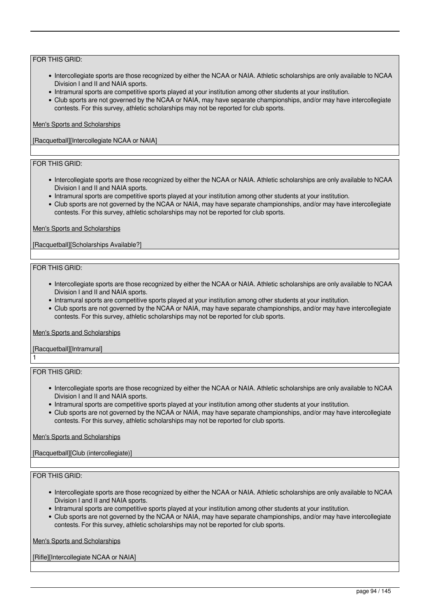- Intercollegiate sports are those recognized by either the NCAA or NAIA. Athletic scholarships are only available to NCAA Division I and II and NAIA sports.
- Intramural sports are competitive sports played at your institution among other students at your institution.
- Club sports are not governed by the NCAA or NAIA, may have separate championships, and/or may have intercollegiate contests. For this survey, athletic scholarships may not be reported for club sports.

### Men's Sports and Scholarships

[Racquetball][Intercollegiate NCAA or NAIA]

# FOR THIS GRID:

- Intercollegiate sports are those recognized by either the NCAA or NAIA. Athletic scholarships are only available to NCAA Division I and II and NAIA sports.
- Intramural sports are competitive sports played at your institution among other students at your institution.
- Club sports are not governed by the NCAA or NAIA, may have separate championships, and/or may have intercollegiate contests. For this survey, athletic scholarships may not be reported for club sports.

### Men's Sports and Scholarships

[Racquetball][Scholarships Available?]

### FOR THIS GRID:

- Intercollegiate sports are those recognized by either the NCAA or NAIA. Athletic scholarships are only available to NCAA Division I and II and NAIA sports.
- Intramural sports are competitive sports played at your institution among other students at your institution.
- Club sports are not governed by the NCAA or NAIA, may have separate championships, and/or may have intercollegiate contests. For this survey, athletic scholarships may not be reported for club sports.

#### Men's Sports and Scholarships

[Racquetball][Intramural] 1

### FOR THIS GRID:

- Intercollegiate sports are those recognized by either the NCAA or NAIA. Athletic scholarships are only available to NCAA Division I and II and NAIA sports.
- Intramural sports are competitive sports played at your institution among other students at your institution.
- Club sports are not governed by the NCAA or NAIA, may have separate championships, and/or may have intercollegiate contests. For this survey, athletic scholarships may not be reported for club sports.

### Men's Sports and Scholarships

[Racquetball][Club (intercollegiate)]

# FOR THIS GRID:

- Intercollegiate sports are those recognized by either the NCAA or NAIA. Athletic scholarships are only available to NCAA Division I and II and NAIA sports.
- Intramural sports are competitive sports played at your institution among other students at your institution.
- Club sports are not governed by the NCAA or NAIA, may have separate championships, and/or may have intercollegiate contests. For this survey, athletic scholarships may not be reported for club sports.

Men's Sports and Scholarships

[Rifle][Intercollegiate NCAA or NAIA]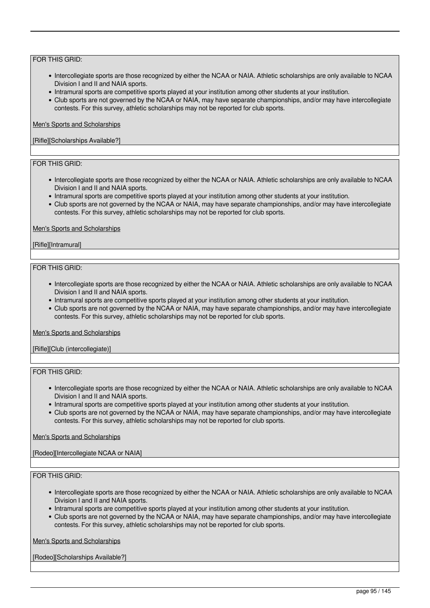- Intercollegiate sports are those recognized by either the NCAA or NAIA. Athletic scholarships are only available to NCAA Division I and II and NAIA sports.
- Intramural sports are competitive sports played at your institution among other students at your institution.
- Club sports are not governed by the NCAA or NAIA, may have separate championships, and/or may have intercollegiate contests. For this survey, athletic scholarships may not be reported for club sports.

### Men's Sports and Scholarships

### [Rifle][Scholarships Available?]

# FOR THIS GRID:

- Intercollegiate sports are those recognized by either the NCAA or NAIA. Athletic scholarships are only available to NCAA Division I and II and NAIA sports.
- Intramural sports are competitive sports played at your institution among other students at your institution.
- Club sports are not governed by the NCAA or NAIA, may have separate championships, and/or may have intercollegiate contests. For this survey, athletic scholarships may not be reported for club sports.

#### Men's Sports and Scholarships

### [Rifle][Intramural]

### FOR THIS GRID:

- Intercollegiate sports are those recognized by either the NCAA or NAIA. Athletic scholarships are only available to NCAA Division I and II and NAIA sports.
- Intramural sports are competitive sports played at your institution among other students at your institution.
- Club sports are not governed by the NCAA or NAIA, may have separate championships, and/or may have intercollegiate contests. For this survey, athletic scholarships may not be reported for club sports.

#### Men's Sports and Scholarships

[Rifle][Club (intercollegiate)]

### FOR THIS GRID:

- Intercollegiate sports are those recognized by either the NCAA or NAIA. Athletic scholarships are only available to NCAA Division I and II and NAIA sports.
- Intramural sports are competitive sports played at your institution among other students at your institution.
- Club sports are not governed by the NCAA or NAIA, may have separate championships, and/or may have intercollegiate contests. For this survey, athletic scholarships may not be reported for club sports.

### Men's Sports and Scholarships

[Rodeo][Intercollegiate NCAA or NAIA]

### FOR THIS GRID:

- Intercollegiate sports are those recognized by either the NCAA or NAIA. Athletic scholarships are only available to NCAA Division I and II and NAIA sports.
- Intramural sports are competitive sports played at your institution among other students at your institution.
- Club sports are not governed by the NCAA or NAIA, may have separate championships, and/or may have intercollegiate contests. For this survey, athletic scholarships may not be reported for club sports.

Men's Sports and Scholarships

[Rodeo][Scholarships Available?]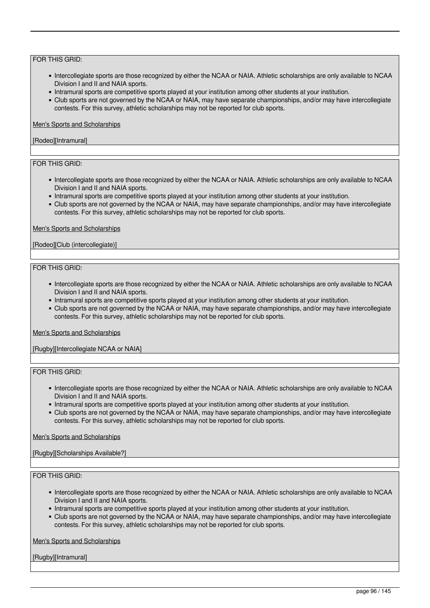- Intercollegiate sports are those recognized by either the NCAA or NAIA. Athletic scholarships are only available to NCAA Division I and II and NAIA sports.
- Intramural sports are competitive sports played at your institution among other students at your institution.
- Club sports are not governed by the NCAA or NAIA, may have separate championships, and/or may have intercollegiate contests. For this survey, athletic scholarships may not be reported for club sports.

### Men's Sports and Scholarships

### [Rodeo][Intramural]

# FOR THIS GRID:

- Intercollegiate sports are those recognized by either the NCAA or NAIA. Athletic scholarships are only available to NCAA Division I and II and NAIA sports.
- Intramural sports are competitive sports played at your institution among other students at your institution.
- Club sports are not governed by the NCAA or NAIA, may have separate championships, and/or may have intercollegiate contests. For this survey, athletic scholarships may not be reported for club sports.

### Men's Sports and Scholarships

### [Rodeo][Club (intercollegiate)]

### FOR THIS GRID:

- Intercollegiate sports are those recognized by either the NCAA or NAIA. Athletic scholarships are only available to NCAA Division I and II and NAIA sports.
- Intramural sports are competitive sports played at your institution among other students at your institution.
- Club sports are not governed by the NCAA or NAIA, may have separate championships, and/or may have intercollegiate contests. For this survey, athletic scholarships may not be reported for club sports.

#### Men's Sports and Scholarships

[Rugby][Intercollegiate NCAA or NAIA]

### FOR THIS GRID:

- Intercollegiate sports are those recognized by either the NCAA or NAIA. Athletic scholarships are only available to NCAA Division I and II and NAIA sports.
- Intramural sports are competitive sports played at your institution among other students at your institution.
- Club sports are not governed by the NCAA or NAIA, may have separate championships, and/or may have intercollegiate contests. For this survey, athletic scholarships may not be reported for club sports.

### Men's Sports and Scholarships

### [Rugby][Scholarships Available?]

# FOR THIS GRID:

- Intercollegiate sports are those recognized by either the NCAA or NAIA. Athletic scholarships are only available to NCAA Division I and II and NAIA sports.
- Intramural sports are competitive sports played at your institution among other students at your institution.
- Club sports are not governed by the NCAA or NAIA, may have separate championships, and/or may have intercollegiate contests. For this survey, athletic scholarships may not be reported for club sports.

Men's Sports and Scholarships

[Rugby][Intramural]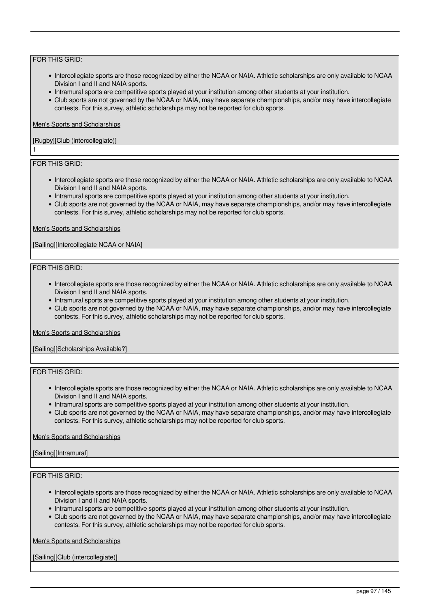- Intercollegiate sports are those recognized by either the NCAA or NAIA. Athletic scholarships are only available to NCAA Division I and II and NAIA sports.
- Intramural sports are competitive sports played at your institution among other students at your institution.
- Club sports are not governed by the NCAA or NAIA, may have separate championships, and/or may have intercollegiate contests. For this survey, athletic scholarships may not be reported for club sports.

### Men's Sports and Scholarships

### [Rugby][Club (intercollegiate)]

# FOR THIS GRID:

1

- Intercollegiate sports are those recognized by either the NCAA or NAIA. Athletic scholarships are only available to NCAA Division I and II and NAIA sports.
- Intramural sports are competitive sports played at your institution among other students at your institution.
- Club sports are not governed by the NCAA or NAIA, may have separate championships, and/or may have intercollegiate contests. For this survey, athletic scholarships may not be reported for club sports.

### Men's Sports and Scholarships

[Sailing][Intercollegiate NCAA or NAIA]

### FOR THIS GRID:

- Intercollegiate sports are those recognized by either the NCAA or NAIA. Athletic scholarships are only available to NCAA Division I and II and NAIA sports.
- Intramural sports are competitive sports played at your institution among other students at your institution.
- Club sports are not governed by the NCAA or NAIA, may have separate championships, and/or may have intercollegiate contests. For this survey, athletic scholarships may not be reported for club sports.

#### Men's Sports and Scholarships

[Sailing][Scholarships Available?]

# FOR THIS GRID:

- Intercollegiate sports are those recognized by either the NCAA or NAIA. Athletic scholarships are only available to NCAA Division I and II and NAIA sports.
- Intramural sports are competitive sports played at your institution among other students at your institution.
- Club sports are not governed by the NCAA or NAIA, may have separate championships, and/or may have intercollegiate contests. For this survey, athletic scholarships may not be reported for club sports.

### Men's Sports and Scholarships

### [Sailing][Intramural]

### FOR THIS GRID:

- Intercollegiate sports are those recognized by either the NCAA or NAIA. Athletic scholarships are only available to NCAA Division I and II and NAIA sports.
- Intramural sports are competitive sports played at your institution among other students at your institution.
- Club sports are not governed by the NCAA or NAIA, may have separate championships, and/or may have intercollegiate contests. For this survey, athletic scholarships may not be reported for club sports.

Men's Sports and Scholarships

[Sailing][Club (intercollegiate)]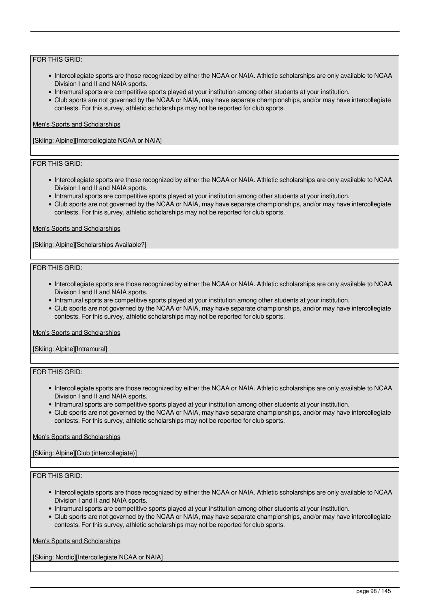- Intercollegiate sports are those recognized by either the NCAA or NAIA. Athletic scholarships are only available to NCAA Division I and II and NAIA sports.
- Intramural sports are competitive sports played at your institution among other students at your institution.
- Club sports are not governed by the NCAA or NAIA, may have separate championships, and/or may have intercollegiate contests. For this survey, athletic scholarships may not be reported for club sports.

### Men's Sports and Scholarships

[Skiing: Alpine][Intercollegiate NCAA or NAIA]

# FOR THIS GRID:

- Intercollegiate sports are those recognized by either the NCAA or NAIA. Athletic scholarships are only available to NCAA Division I and II and NAIA sports.
- Intramural sports are competitive sports played at your institution among other students at your institution.
- Club sports are not governed by the NCAA or NAIA, may have separate championships, and/or may have intercollegiate contests. For this survey, athletic scholarships may not be reported for club sports.

### Men's Sports and Scholarships

[Skiing: Alpine][Scholarships Available?]

### FOR THIS GRID:

- Intercollegiate sports are those recognized by either the NCAA or NAIA. Athletic scholarships are only available to NCAA Division I and II and NAIA sports.
- Intramural sports are competitive sports played at your institution among other students at your institution.
- Club sports are not governed by the NCAA or NAIA, may have separate championships, and/or may have intercollegiate contests. For this survey, athletic scholarships may not be reported for club sports.

#### Men's Sports and Scholarships

[Skiing: Alpine][Intramural]

# FOR THIS GRID:

- Intercollegiate sports are those recognized by either the NCAA or NAIA. Athletic scholarships are only available to NCAA Division I and II and NAIA sports.
- Intramural sports are competitive sports played at your institution among other students at your institution.
- Club sports are not governed by the NCAA or NAIA, may have separate championships, and/or may have intercollegiate contests. For this survey, athletic scholarships may not be reported for club sports.

### Men's Sports and Scholarships

[Skiing: Alpine][Club (intercollegiate)]

### FOR THIS GRID:

- Intercollegiate sports are those recognized by either the NCAA or NAIA. Athletic scholarships are only available to NCAA Division I and II and NAIA sports.
- Intramural sports are competitive sports played at your institution among other students at your institution.
- Club sports are not governed by the NCAA or NAIA, may have separate championships, and/or may have intercollegiate contests. For this survey, athletic scholarships may not be reported for club sports.

Men's Sports and Scholarships

[Skiing: Nordic][Intercollegiate NCAA or NAIA]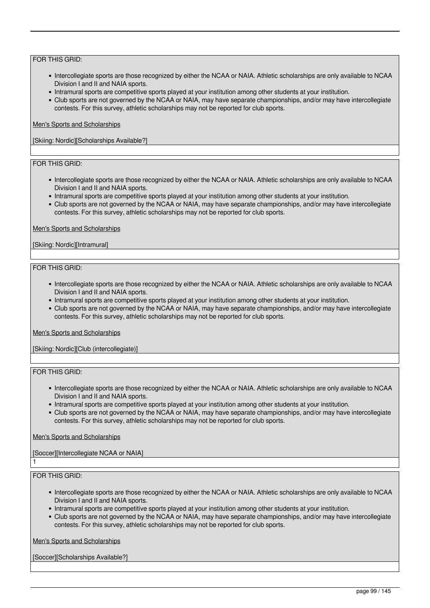- Intercollegiate sports are those recognized by either the NCAA or NAIA. Athletic scholarships are only available to NCAA Division I and II and NAIA sports.
- Intramural sports are competitive sports played at your institution among other students at your institution.
- Club sports are not governed by the NCAA or NAIA, may have separate championships, and/or may have intercollegiate contests. For this survey, athletic scholarships may not be reported for club sports.

### Men's Sports and Scholarships

[Skiing: Nordic][Scholarships Available?]

# FOR THIS GRID:

- Intercollegiate sports are those recognized by either the NCAA or NAIA. Athletic scholarships are only available to NCAA Division I and II and NAIA sports.
- Intramural sports are competitive sports played at your institution among other students at your institution.
- Club sports are not governed by the NCAA or NAIA, may have separate championships, and/or may have intercollegiate contests. For this survey, athletic scholarships may not be reported for club sports.

### Men's Sports and Scholarships

### [Skiing: Nordic][Intramural]

### FOR THIS GRID:

- Intercollegiate sports are those recognized by either the NCAA or NAIA. Athletic scholarships are only available to NCAA Division I and II and NAIA sports.
- Intramural sports are competitive sports played at your institution among other students at your institution.
- Club sports are not governed by the NCAA or NAIA, may have separate championships, and/or may have intercollegiate contests. For this survey, athletic scholarships may not be reported for club sports.

#### Men's Sports and Scholarships

[Skiing: Nordic][Club (intercollegiate)]

### FOR THIS GRID:

- Intercollegiate sports are those recognized by either the NCAA or NAIA. Athletic scholarships are only available to NCAA Division I and II and NAIA sports.
- Intramural sports are competitive sports played at your institution among other students at your institution.
- Club sports are not governed by the NCAA or NAIA, may have separate championships, and/or may have intercollegiate contests. For this survey, athletic scholarships may not be reported for club sports.

### Men's Sports and Scholarships

### [Soccer][Intercollegiate NCAA or NAIA]

### FOR THIS GRID:

1

- Intercollegiate sports are those recognized by either the NCAA or NAIA. Athletic scholarships are only available to NCAA Division I and II and NAIA sports.
- Intramural sports are competitive sports played at your institution among other students at your institution.
- Club sports are not governed by the NCAA or NAIA, may have separate championships, and/or may have intercollegiate contests. For this survey, athletic scholarships may not be reported for club sports.

Men's Sports and Scholarships

[Soccer][Scholarships Available?]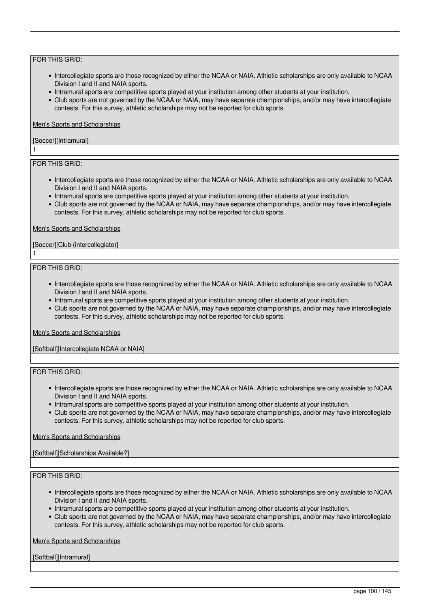- Intercollegiate sports are those recognized by either the NCAA or NAIA. Athletic scholarships are only available to NCAA Division I and II and NAIA sports.
- Intramural sports are competitive sports played at your institution among other students at your institution.
- Club sports are not governed by the NCAA or NAIA, may have separate championships, and/or may have intercollegiate contests. For this survey, athletic scholarships may not be reported for club sports.

### Men's Sports and Scholarships

### [Soccer][Intramural]

## FOR THIS GRID:

1

1

- Intercollegiate sports are those recognized by either the NCAA or NAIA. Athletic scholarships are only available to NCAA Division I and II and NAIA sports.
- Intramural sports are competitive sports played at your institution among other students at your institution.
- Club sports are not governed by the NCAA or NAIA, may have separate championships, and/or may have intercollegiate contests. For this survey, athletic scholarships may not be reported for club sports.

### Men's Sports and Scholarships

### [Soccer][Club (intercollegiate)]

### FOR THIS GRID:

- Intercollegiate sports are those recognized by either the NCAA or NAIA. Athletic scholarships are only available to NCAA Division I and II and NAIA sports.
- Intramural sports are competitive sports played at your institution among other students at your institution.
- Club sports are not governed by the NCAA or NAIA, may have separate championships, and/or may have intercollegiate contests. For this survey, athletic scholarships may not be reported for club sports.

#### Men's Sports and Scholarships

[Softball][Intercollegiate NCAA or NAIA]

### FOR THIS GRID:

- Intercollegiate sports are those recognized by either the NCAA or NAIA. Athletic scholarships are only available to NCAA Division I and II and NAIA sports.
- Intramural sports are competitive sports played at your institution among other students at your institution.
- Club sports are not governed by the NCAA or NAIA, may have separate championships, and/or may have intercollegiate contests. For this survey, athletic scholarships may not be reported for club sports.

#### Men's Sports and Scholarships

### [Softball][Scholarships Available?]

### FOR THIS GRID:

- Intercollegiate sports are those recognized by either the NCAA or NAIA. Athletic scholarships are only available to NCAA Division I and II and NAIA sports.
- Intramural sports are competitive sports played at your institution among other students at your institution.
- Club sports are not governed by the NCAA or NAIA, may have separate championships, and/or may have intercollegiate contests. For this survey, athletic scholarships may not be reported for club sports.

Men's Sports and Scholarships

[Softball][Intramural]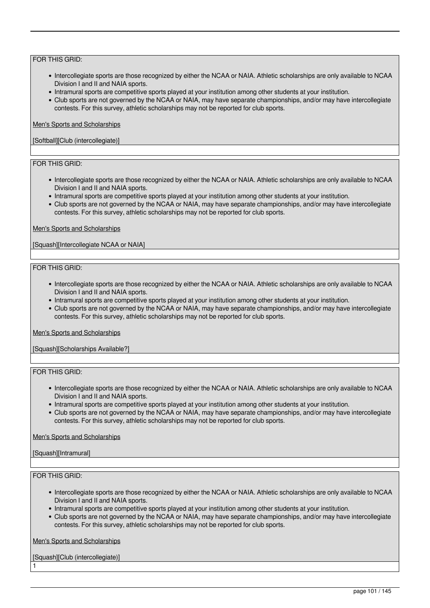- Intercollegiate sports are those recognized by either the NCAA or NAIA. Athletic scholarships are only available to NCAA Division I and II and NAIA sports.
- Intramural sports are competitive sports played at your institution among other students at your institution.
- Club sports are not governed by the NCAA or NAIA, may have separate championships, and/or may have intercollegiate contests. For this survey, athletic scholarships may not be reported for club sports.

### Men's Sports and Scholarships

### [Softball][Club (intercollegiate)]

# FOR THIS GRID:

- Intercollegiate sports are those recognized by either the NCAA or NAIA. Athletic scholarships are only available to NCAA Division I and II and NAIA sports.
- Intramural sports are competitive sports played at your institution among other students at your institution.
- Club sports are not governed by the NCAA or NAIA, may have separate championships, and/or may have intercollegiate contests. For this survey, athletic scholarships may not be reported for club sports.

### Men's Sports and Scholarships

[Squash][Intercollegiate NCAA or NAIA]

### FOR THIS GRID:

- Intercollegiate sports are those recognized by either the NCAA or NAIA. Athletic scholarships are only available to NCAA Division I and II and NAIA sports.
- Intramural sports are competitive sports played at your institution among other students at your institution.
- Club sports are not governed by the NCAA or NAIA, may have separate championships, and/or may have intercollegiate contests. For this survey, athletic scholarships may not be reported for club sports.

#### Men's Sports and Scholarships

[Squash][Scholarships Available?]

# FOR THIS GRID:

- Intercollegiate sports are those recognized by either the NCAA or NAIA. Athletic scholarships are only available to NCAA Division I and II and NAIA sports.
- Intramural sports are competitive sports played at your institution among other students at your institution.
- Club sports are not governed by the NCAA or NAIA, may have separate championships, and/or may have intercollegiate contests. For this survey, athletic scholarships may not be reported for club sports.

### Men's Sports and Scholarships

### [Squash][Intramural]

### FOR THIS GRID:

1

- Intercollegiate sports are those recognized by either the NCAA or NAIA. Athletic scholarships are only available to NCAA Division I and II and NAIA sports.
- Intramural sports are competitive sports played at your institution among other students at your institution.
- Club sports are not governed by the NCAA or NAIA, may have separate championships, and/or may have intercollegiate contests. For this survey, athletic scholarships may not be reported for club sports.

Men's Sports and Scholarships

[Squash][Club (intercollegiate)]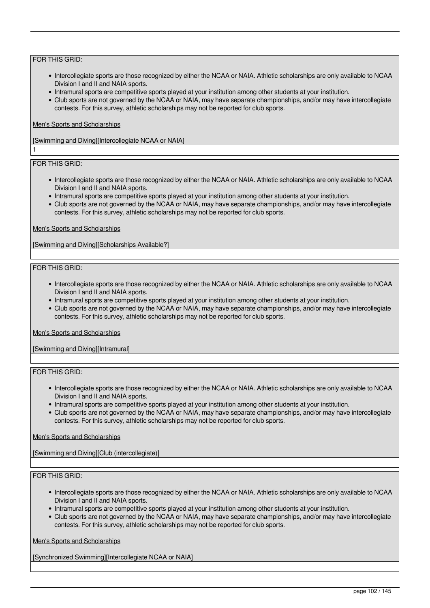- Intercollegiate sports are those recognized by either the NCAA or NAIA. Athletic scholarships are only available to NCAA Division I and II and NAIA sports.
- Intramural sports are competitive sports played at your institution among other students at your institution.
- Club sports are not governed by the NCAA or NAIA, may have separate championships, and/or may have intercollegiate contests. For this survey, athletic scholarships may not be reported for club sports.

### Men's Sports and Scholarships

[Swimming and Diving][Intercollegiate NCAA or NAIA]

# FOR THIS GRID:

1

- Intercollegiate sports are those recognized by either the NCAA or NAIA. Athletic scholarships are only available to NCAA Division I and II and NAIA sports.
- Intramural sports are competitive sports played at your institution among other students at your institution.
- Club sports are not governed by the NCAA or NAIA, may have separate championships, and/or may have intercollegiate contests. For this survey, athletic scholarships may not be reported for club sports.

### Men's Sports and Scholarships

[Swimming and Diving][Scholarships Available?]

### FOR THIS GRID:

- Intercollegiate sports are those recognized by either the NCAA or NAIA. Athletic scholarships are only available to NCAA Division I and II and NAIA sports.
- Intramural sports are competitive sports played at your institution among other students at your institution.
- Club sports are not governed by the NCAA or NAIA, may have separate championships, and/or may have intercollegiate contests. For this survey, athletic scholarships may not be reported for club sports.

#### Men's Sports and Scholarships

[Swimming and Diving][Intramural]

# FOR THIS GRID:

- Intercollegiate sports are those recognized by either the NCAA or NAIA. Athletic scholarships are only available to NCAA Division I and II and NAIA sports.
- Intramural sports are competitive sports played at your institution among other students at your institution.
- Club sports are not governed by the NCAA or NAIA, may have separate championships, and/or may have intercollegiate contests. For this survey, athletic scholarships may not be reported for club sports.

### Men's Sports and Scholarships

[Swimming and Diving][Club (intercollegiate)]

### FOR THIS GRID:

- Intercollegiate sports are those recognized by either the NCAA or NAIA. Athletic scholarships are only available to NCAA Division I and II and NAIA sports.
- Intramural sports are competitive sports played at your institution among other students at your institution.
- Club sports are not governed by the NCAA or NAIA, may have separate championships, and/or may have intercollegiate contests. For this survey, athletic scholarships may not be reported for club sports.

Men's Sports and Scholarships

[Synchronized Swimming][Intercollegiate NCAA or NAIA]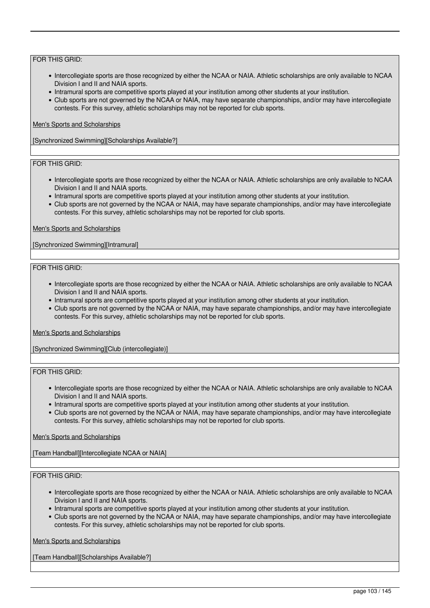- Intercollegiate sports are those recognized by either the NCAA or NAIA. Athletic scholarships are only available to NCAA Division I and II and NAIA sports.
- Intramural sports are competitive sports played at your institution among other students at your institution.
- Club sports are not governed by the NCAA or NAIA, may have separate championships, and/or may have intercollegiate contests. For this survey, athletic scholarships may not be reported for club sports.

### Men's Sports and Scholarships

[Synchronized Swimming][Scholarships Available?]

# FOR THIS GRID:

- Intercollegiate sports are those recognized by either the NCAA or NAIA. Athletic scholarships are only available to NCAA Division I and II and NAIA sports.
- Intramural sports are competitive sports played at your institution among other students at your institution.
- Club sports are not governed by the NCAA or NAIA, may have separate championships, and/or may have intercollegiate contests. For this survey, athletic scholarships may not be reported for club sports.

### Men's Sports and Scholarships

[Synchronized Swimming][Intramural]

### FOR THIS GRID:

- Intercollegiate sports are those recognized by either the NCAA or NAIA. Athletic scholarships are only available to NCAA Division I and II and NAIA sports.
- Intramural sports are competitive sports played at your institution among other students at your institution.
- Club sports are not governed by the NCAA or NAIA, may have separate championships, and/or may have intercollegiate contests. For this survey, athletic scholarships may not be reported for club sports.

#### Men's Sports and Scholarships

[Synchronized Swimming][Club (intercollegiate)]

### FOR THIS GRID:

- Intercollegiate sports are those recognized by either the NCAA or NAIA. Athletic scholarships are only available to NCAA Division I and II and NAIA sports.
- Intramural sports are competitive sports played at your institution among other students at your institution.
- Club sports are not governed by the NCAA or NAIA, may have separate championships, and/or may have intercollegiate contests. For this survey, athletic scholarships may not be reported for club sports.

### Men's Sports and Scholarships

[Team Handball][Intercollegiate NCAA or NAIA]

### FOR THIS GRID:

- Intercollegiate sports are those recognized by either the NCAA or NAIA. Athletic scholarships are only available to NCAA Division I and II and NAIA sports.
- Intramural sports are competitive sports played at your institution among other students at your institution.
- Club sports are not governed by the NCAA or NAIA, may have separate championships, and/or may have intercollegiate contests. For this survey, athletic scholarships may not be reported for club sports.

Men's Sports and Scholarships

[Team Handball][Scholarships Available?]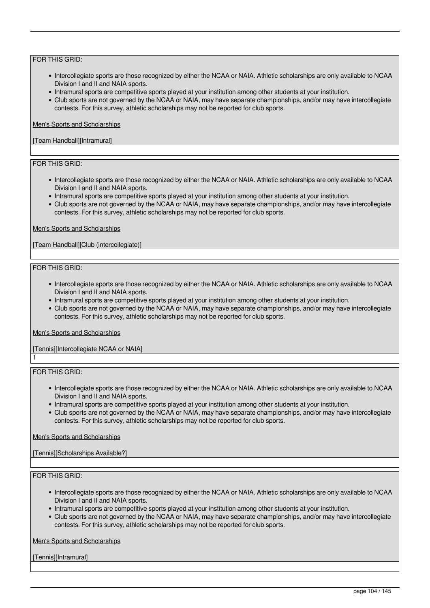- Intercollegiate sports are those recognized by either the NCAA or NAIA. Athletic scholarships are only available to NCAA Division I and II and NAIA sports.
- Intramural sports are competitive sports played at your institution among other students at your institution.
- Club sports are not governed by the NCAA or NAIA, may have separate championships, and/or may have intercollegiate contests. For this survey, athletic scholarships may not be reported for club sports.

### Men's Sports and Scholarships

### [Team Handball][Intramural]

# FOR THIS GRID:

- Intercollegiate sports are those recognized by either the NCAA or NAIA. Athletic scholarships are only available to NCAA Division I and II and NAIA sports.
- Intramural sports are competitive sports played at your institution among other students at your institution.
- Club sports are not governed by the NCAA or NAIA, may have separate championships, and/or may have intercollegiate contests. For this survey, athletic scholarships may not be reported for club sports.

### Men's Sports and Scholarships

[Team Handball][Club (intercollegiate)]

### FOR THIS GRID:

- Intercollegiate sports are those recognized by either the NCAA or NAIA. Athletic scholarships are only available to NCAA Division I and II and NAIA sports.
- Intramural sports are competitive sports played at your institution among other students at your institution.
- Club sports are not governed by the NCAA or NAIA, may have separate championships, and/or may have intercollegiate contests. For this survey, athletic scholarships may not be reported for club sports.

#### Men's Sports and Scholarships

# [Tennis][Intercollegiate NCAA or NAIA]

FOR THIS GRID:

1

- Intercollegiate sports are those recognized by either the NCAA or NAIA. Athletic scholarships are only available to NCAA Division I and II and NAIA sports.
- Intramural sports are competitive sports played at your institution among other students at your institution.
- Club sports are not governed by the NCAA or NAIA, may have separate championships, and/or may have intercollegiate contests. For this survey, athletic scholarships may not be reported for club sports.

#### Men's Sports and Scholarships

[Tennis][Scholarships Available?]

### FOR THIS GRID:

- Intercollegiate sports are those recognized by either the NCAA or NAIA. Athletic scholarships are only available to NCAA Division I and II and NAIA sports.
- Intramural sports are competitive sports played at your institution among other students at your institution.
- Club sports are not governed by the NCAA or NAIA, may have separate championships, and/or may have intercollegiate contests. For this survey, athletic scholarships may not be reported for club sports.

Men's Sports and Scholarships

[Tennis][Intramural]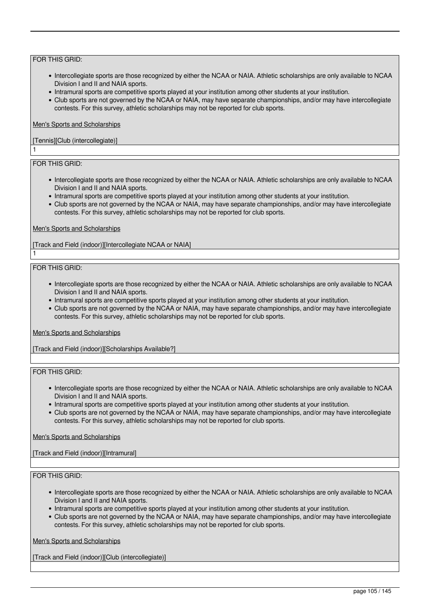- Intercollegiate sports are those recognized by either the NCAA or NAIA. Athletic scholarships are only available to NCAA Division I and II and NAIA sports.
- Intramural sports are competitive sports played at your institution among other students at your institution.
- Club sports are not governed by the NCAA or NAIA, may have separate championships, and/or may have intercollegiate contests. For this survey, athletic scholarships may not be reported for club sports.

### Men's Sports and Scholarships

### [Tennis][Club (intercollegiate)]

# FOR THIS GRID:

1

1

- Intercollegiate sports are those recognized by either the NCAA or NAIA. Athletic scholarships are only available to NCAA Division I and II and NAIA sports.
- Intramural sports are competitive sports played at your institution among other students at your institution.
- Club sports are not governed by the NCAA or NAIA, may have separate championships, and/or may have intercollegiate contests. For this survey, athletic scholarships may not be reported for club sports.

### Men's Sports and Scholarships

[Track and Field (indoor)][Intercollegiate NCAA or NAIA]

### FOR THIS GRID:

- Intercollegiate sports are those recognized by either the NCAA or NAIA. Athletic scholarships are only available to NCAA Division I and II and NAIA sports.
- Intramural sports are competitive sports played at your institution among other students at your institution.
- Club sports are not governed by the NCAA or NAIA, may have separate championships, and/or may have intercollegiate contests. For this survey, athletic scholarships may not be reported for club sports.

#### Men's Sports and Scholarships

[Track and Field (indoor)][Scholarships Available?]

### FOR THIS GRID:

- Intercollegiate sports are those recognized by either the NCAA or NAIA. Athletic scholarships are only available to NCAA Division I and II and NAIA sports.
- Intramural sports are competitive sports played at your institution among other students at your institution.
- Club sports are not governed by the NCAA or NAIA, may have separate championships, and/or may have intercollegiate contests. For this survey, athletic scholarships may not be reported for club sports.

#### Men's Sports and Scholarships

[Track and Field (indoor)][Intramural]

### FOR THIS GRID:

- Intercollegiate sports are those recognized by either the NCAA or NAIA. Athletic scholarships are only available to NCAA Division I and II and NAIA sports.
- Intramural sports are competitive sports played at your institution among other students at your institution.
- Club sports are not governed by the NCAA or NAIA, may have separate championships, and/or may have intercollegiate contests. For this survey, athletic scholarships may not be reported for club sports.

Men's Sports and Scholarships

[Track and Field (indoor)][Club (intercollegiate)]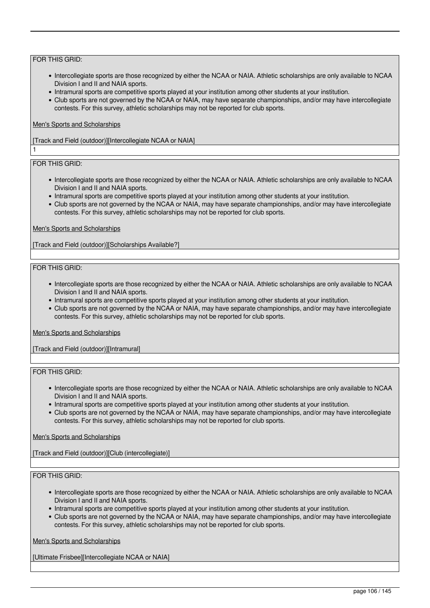- Intercollegiate sports are those recognized by either the NCAA or NAIA. Athletic scholarships are only available to NCAA Division I and II and NAIA sports.
- Intramural sports are competitive sports played at your institution among other students at your institution.
- Club sports are not governed by the NCAA or NAIA, may have separate championships, and/or may have intercollegiate contests. For this survey, athletic scholarships may not be reported for club sports.

### Men's Sports and Scholarships

[Track and Field (outdoor)][Intercollegiate NCAA or NAIA]

# FOR THIS GRID:

1

- Intercollegiate sports are those recognized by either the NCAA or NAIA. Athletic scholarships are only available to NCAA Division I and II and NAIA sports.
- Intramural sports are competitive sports played at your institution among other students at your institution.
- Club sports are not governed by the NCAA or NAIA, may have separate championships, and/or may have intercollegiate contests. For this survey, athletic scholarships may not be reported for club sports.

### Men's Sports and Scholarships

[Track and Field (outdoor)][Scholarships Available?]

### FOR THIS GRID:

- Intercollegiate sports are those recognized by either the NCAA or NAIA. Athletic scholarships are only available to NCAA Division I and II and NAIA sports.
- Intramural sports are competitive sports played at your institution among other students at your institution.
- Club sports are not governed by the NCAA or NAIA, may have separate championships, and/or may have intercollegiate contests. For this survey, athletic scholarships may not be reported for club sports.

#### Men's Sports and Scholarships

[Track and Field (outdoor)][Intramural]

### FOR THIS GRID:

- Intercollegiate sports are those recognized by either the NCAA or NAIA. Athletic scholarships are only available to NCAA Division I and II and NAIA sports.
- Intramural sports are competitive sports played at your institution among other students at your institution.
- Club sports are not governed by the NCAA or NAIA, may have separate championships, and/or may have intercollegiate contests. For this survey, athletic scholarships may not be reported for club sports.

### Men's Sports and Scholarships

[Track and Field (outdoor)][Club (intercollegiate)]

### FOR THIS GRID:

- Intercollegiate sports are those recognized by either the NCAA or NAIA. Athletic scholarships are only available to NCAA Division I and II and NAIA sports.
- Intramural sports are competitive sports played at your institution among other students at your institution.
- Club sports are not governed by the NCAA or NAIA, may have separate championships, and/or may have intercollegiate contests. For this survey, athletic scholarships may not be reported for club sports.

Men's Sports and Scholarships

[Ultimate Frisbee][Intercollegiate NCAA or NAIA]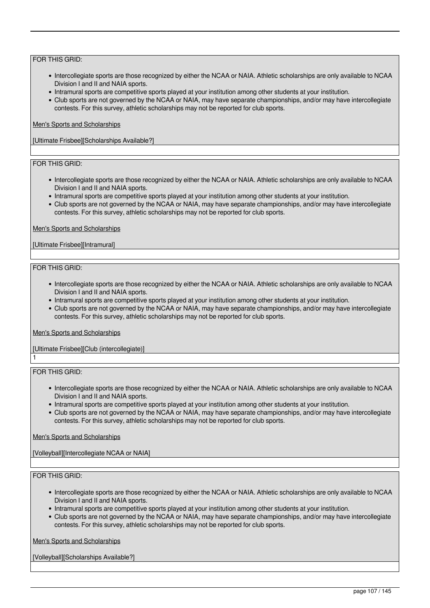- Intercollegiate sports are those recognized by either the NCAA or NAIA. Athletic scholarships are only available to NCAA Division I and II and NAIA sports.
- Intramural sports are competitive sports played at your institution among other students at your institution.
- Club sports are not governed by the NCAA or NAIA, may have separate championships, and/or may have intercollegiate contests. For this survey, athletic scholarships may not be reported for club sports.

### Men's Sports and Scholarships

[Ultimate Frisbee][Scholarships Available?]

# FOR THIS GRID:

- Intercollegiate sports are those recognized by either the NCAA or NAIA. Athletic scholarships are only available to NCAA Division I and II and NAIA sports.
- Intramural sports are competitive sports played at your institution among other students at your institution.
- Club sports are not governed by the NCAA or NAIA, may have separate championships, and/or may have intercollegiate contests. For this survey, athletic scholarships may not be reported for club sports.

### Men's Sports and Scholarships

### [Ultimate Frisbee][Intramural]

### FOR THIS GRID:

- Intercollegiate sports are those recognized by either the NCAA or NAIA. Athletic scholarships are only available to NCAA Division I and II and NAIA sports.
- Intramural sports are competitive sports played at your institution among other students at your institution.
- Club sports are not governed by the NCAA or NAIA, may have separate championships, and/or may have intercollegiate contests. For this survey, athletic scholarships may not be reported for club sports.

#### Men's Sports and Scholarships

# [Ultimate Frisbee][Club (intercollegiate)]

FOR THIS GRID:

1

- Intercollegiate sports are those recognized by either the NCAA or NAIA. Athletic scholarships are only available to NCAA Division I and II and NAIA sports.
- Intramural sports are competitive sports played at your institution among other students at your institution.
- Club sports are not governed by the NCAA or NAIA, may have separate championships, and/or may have intercollegiate contests. For this survey, athletic scholarships may not be reported for club sports.

### Men's Sports and Scholarships

[Volleyball][Intercollegiate NCAA or NAIA]

### FOR THIS GRID:

- Intercollegiate sports are those recognized by either the NCAA or NAIA. Athletic scholarships are only available to NCAA Division I and II and NAIA sports.
- Intramural sports are competitive sports played at your institution among other students at your institution.
- Club sports are not governed by the NCAA or NAIA, may have separate championships, and/or may have intercollegiate contests. For this survey, athletic scholarships may not be reported for club sports.

Men's Sports and Scholarships

[Volleyball][Scholarships Available?]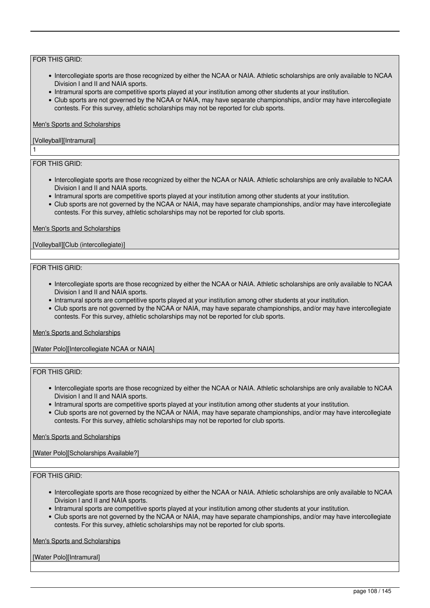- Intercollegiate sports are those recognized by either the NCAA or NAIA. Athletic scholarships are only available to NCAA Division I and II and NAIA sports.
- Intramural sports are competitive sports played at your institution among other students at your institution.
- Club sports are not governed by the NCAA or NAIA, may have separate championships, and/or may have intercollegiate contests. For this survey, athletic scholarships may not be reported for club sports.

### Men's Sports and Scholarships

### [Volleyball][Intramural]

# FOR THIS GRID:

1

- Intercollegiate sports are those recognized by either the NCAA or NAIA. Athletic scholarships are only available to NCAA Division I and II and NAIA sports.
- Intramural sports are competitive sports played at your institution among other students at your institution.
- Club sports are not governed by the NCAA or NAIA, may have separate championships, and/or may have intercollegiate contests. For this survey, athletic scholarships may not be reported for club sports.

### Men's Sports and Scholarships

### [Volleyball][Club (intercollegiate)]

### FOR THIS GRID:

- Intercollegiate sports are those recognized by either the NCAA or NAIA. Athletic scholarships are only available to NCAA Division I and II and NAIA sports.
- Intramural sports are competitive sports played at your institution among other students at your institution.
- Club sports are not governed by the NCAA or NAIA, may have separate championships, and/or may have intercollegiate contests. For this survey, athletic scholarships may not be reported for club sports.

#### Men's Sports and Scholarships

[Water Polo][Intercollegiate NCAA or NAIA]

### FOR THIS GRID:

- Intercollegiate sports are those recognized by either the NCAA or NAIA. Athletic scholarships are only available to NCAA Division I and II and NAIA sports.
- Intramural sports are competitive sports played at your institution among other students at your institution.
- Club sports are not governed by the NCAA or NAIA, may have separate championships, and/or may have intercollegiate contests. For this survey, athletic scholarships may not be reported for club sports.

### Men's Sports and Scholarships

[Water Polo][Scholarships Available?]

### FOR THIS GRID:

- Intercollegiate sports are those recognized by either the NCAA or NAIA. Athletic scholarships are only available to NCAA Division I and II and NAIA sports.
- Intramural sports are competitive sports played at your institution among other students at your institution.
- Club sports are not governed by the NCAA or NAIA, may have separate championships, and/or may have intercollegiate contests. For this survey, athletic scholarships may not be reported for club sports.

Men's Sports and Scholarships

[Water Polo][Intramural]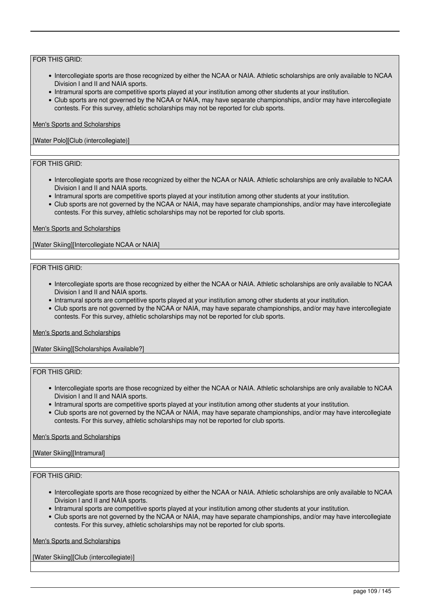## FOR THIS GRID:

- Intercollegiate sports are those recognized by either the NCAA or NAIA. Athletic scholarships are only available to NCAA Division I and II and NAIA sports.
- Intramural sports are competitive sports played at your institution among other students at your institution.
- Club sports are not governed by the NCAA or NAIA, may have separate championships, and/or may have intercollegiate contests. For this survey, athletic scholarships may not be reported for club sports.

#### Men's Sports and Scholarships

#### [Water Polo][Club (intercollegiate)]

## FOR THIS GRID:

- Intercollegiate sports are those recognized by either the NCAA or NAIA. Athletic scholarships are only available to NCAA Division I and II and NAIA sports.
- Intramural sports are competitive sports played at your institution among other students at your institution.
- Club sports are not governed by the NCAA or NAIA, may have separate championships, and/or may have intercollegiate contests. For this survey, athletic scholarships may not be reported for club sports.

#### Men's Sports and Scholarships

[Water Skiing][Intercollegiate NCAA or NAIA]

#### FOR THIS GRID:

- Intercollegiate sports are those recognized by either the NCAA or NAIA. Athletic scholarships are only available to NCAA Division I and II and NAIA sports.
- Intramural sports are competitive sports played at your institution among other students at your institution.
- Club sports are not governed by the NCAA or NAIA, may have separate championships, and/or may have intercollegiate contests. For this survey, athletic scholarships may not be reported for club sports.

#### Men's Sports and Scholarships

[Water Skiing][Scholarships Available?]

#### FOR THIS GRID:

- Intercollegiate sports are those recognized by either the NCAA or NAIA. Athletic scholarships are only available to NCAA Division I and II and NAIA sports.
- Intramural sports are competitive sports played at your institution among other students at your institution.
- Club sports are not governed by the NCAA or NAIA, may have separate championships, and/or may have intercollegiate contests. For this survey, athletic scholarships may not be reported for club sports.

#### Men's Sports and Scholarships

#### [Water Skiing][Intramural]

#### FOR THIS GRID:

- Intercollegiate sports are those recognized by either the NCAA or NAIA. Athletic scholarships are only available to NCAA Division I and II and NAIA sports.
- Intramural sports are competitive sports played at your institution among other students at your institution.
- Club sports are not governed by the NCAA or NAIA, may have separate championships, and/or may have intercollegiate contests. For this survey, athletic scholarships may not be reported for club sports.

Men's Sports and Scholarships

[Water Skiing][Club (intercollegiate)]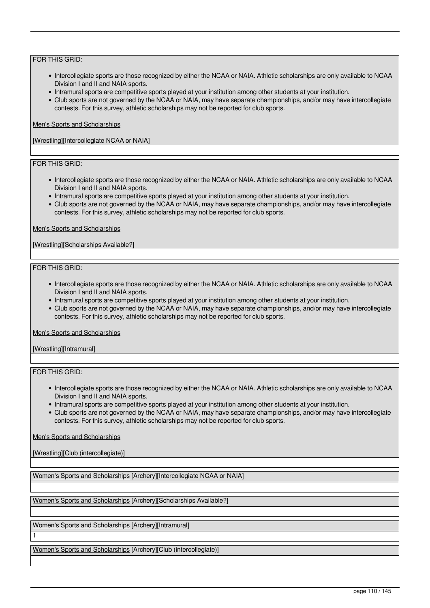### FOR THIS GRID:

- Intercollegiate sports are those recognized by either the NCAA or NAIA. Athletic scholarships are only available to NCAA Division I and II and NAIA sports.
- Intramural sports are competitive sports played at your institution among other students at your institution.
- Club sports are not governed by the NCAA or NAIA, may have separate championships, and/or may have intercollegiate contests. For this survey, athletic scholarships may not be reported for club sports.

#### Men's Sports and Scholarships

[Wrestling][Intercollegiate NCAA or NAIA]

### FOR THIS GRID:

- Intercollegiate sports are those recognized by either the NCAA or NAIA. Athletic scholarships are only available to NCAA Division I and II and NAIA sports.
- Intramural sports are competitive sports played at your institution among other students at your institution.
- Club sports are not governed by the NCAA or NAIA, may have separate championships, and/or may have intercollegiate contests. For this survey, athletic scholarships may not be reported for club sports.

#### Men's Sports and Scholarships

[Wrestling][Scholarships Available?]

#### FOR THIS GRID:

- Intercollegiate sports are those recognized by either the NCAA or NAIA. Athletic scholarships are only available to NCAA Division I and II and NAIA sports.
- Intramural sports are competitive sports played at your institution among other students at your institution.
- Club sports are not governed by the NCAA or NAIA, may have separate championships, and/or may have intercollegiate contests. For this survey, athletic scholarships may not be reported for club sports.

#### Men's Sports and Scholarships

[Wrestling][Intramural]

## FOR THIS GRID:

1

- Intercollegiate sports are those recognized by either the NCAA or NAIA. Athletic scholarships are only available to NCAA Division I and II and NAIA sports.
- Intramural sports are competitive sports played at your institution among other students at your institution.
- Club sports are not governed by the NCAA or NAIA, may have separate championships, and/or may have intercollegiate contests. For this survey, athletic scholarships may not be reported for club sports.

Men's Sports and Scholarships

[Wrestling][Club (intercollegiate)]

Women's Sports and Scholarships [Archery][Intercollegiate NCAA or NAIA]

Women's Sports and Scholarships [Archery][Scholarships Available?]

Women's Sports and Scholarships [Archery][Intramural]

Women's Sports and Scholarships [Archery][Club (intercollegiate)]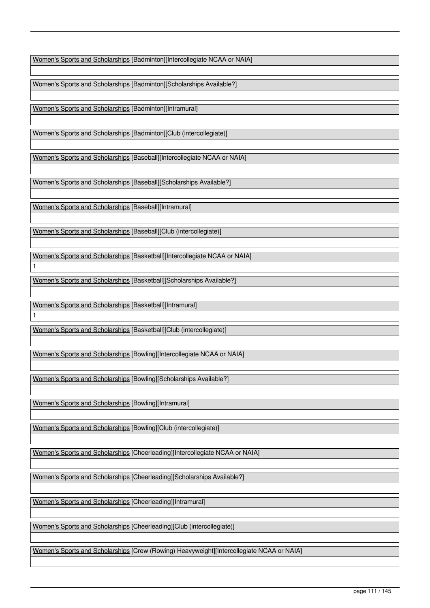Women's Sports and Scholarships [Badminton][Intercollegiate NCAA or NAIA]

Women's Sports and Scholarships [Badminton][Scholarships Available?]

Women's Sports and Scholarships [Badminton][Intramural]

Women's Sports and Scholarships [Badminton][Club (intercollegiate)]

Women's Sports and Scholarships [Baseball][Intercollegiate NCAA or NAIA]

Women's Sports and Scholarships [Baseball][Scholarships Available?]

Women's Sports and Scholarships [Baseball][Intramural]

Women's Sports and Scholarships [Baseball][Club (intercollegiate)]

Women's Sports and Scholarships [Basketball][Intercollegiate NCAA or NAIA]

Women's Sports and Scholarships [Basketball][Scholarships Available?]

Women's Sports and Scholarships [Basketball][Intramural]

1

1

Women's Sports and Scholarships [Basketball][Club (intercollegiate)]

Women's Sports and Scholarships [Bowling][Intercollegiate NCAA or NAIA]

Women's Sports and Scholarships [Bowling][Scholarships Available?]

Women's Sports and Scholarships [Bowling][Intramural]

Women's Sports and Scholarships [Bowling][Club (intercollegiate)]

Women's Sports and Scholarships [Cheerleading][Intercollegiate NCAA or NAIA]

Women's Sports and Scholarships [Cheerleading][Scholarships Available?]

Women's Sports and Scholarships [Cheerleading][Intramural]

Women's Sports and Scholarships [Cheerleading][Club (intercollegiate)]

Women's Sports and Scholarships [Crew (Rowing) Heavyweight][Intercollegiate NCAA or NAIA]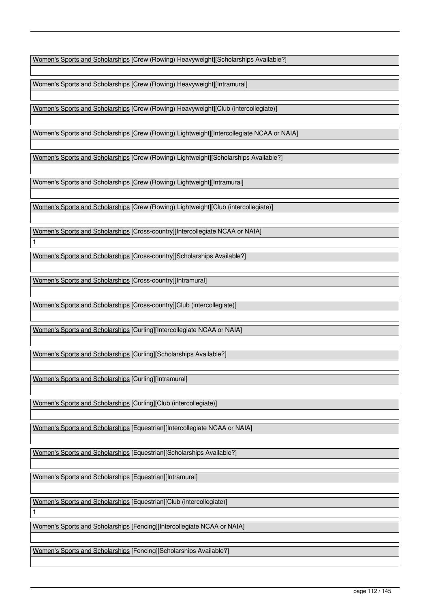Women's Sports and Scholarships [Crew (Rowing) Heavyweight][Scholarships Available?]

Women's Sports and Scholarships [Crew (Rowing) Heavyweight][Intramural]

Women's Sports and Scholarships [Crew (Rowing) Heavyweight][Club (intercollegiate)]

Women's Sports and Scholarships [Crew (Rowing) Lightweight][Intercollegiate NCAA or NAIA]

Women's Sports and Scholarships [Crew (Rowing) Lightweight][Scholarships Available?]

Women's Sports and Scholarships [Crew (Rowing) Lightweight][Intramural]

Women's Sports and Scholarships [Crew (Rowing) Lightweight][Club (intercollegiate)]

Women's Sports and Scholarships [Cross-country][Intercollegiate NCAA or NAIA]

Women's Sports and Scholarships [Cross-country][Scholarships Available?]

Women's Sports and Scholarships [Cross-country][Intramural]

1

1

Women's Sports and Scholarships [Cross-country][Club (intercollegiate)]

Women's Sports and Scholarships [Curling][Intercollegiate NCAA or NAIA]

Women's Sports and Scholarships [Curling][Scholarships Available?]

Women's Sports and Scholarships [Curling][Intramural]

Women's Sports and Scholarships [Curling][Club (intercollegiate)]

Women's Sports and Scholarships [Equestrian][Intercollegiate NCAA or NAIA]

Women's Sports and Scholarships [Equestrian][Scholarships Available?]

Women's Sports and Scholarships [Equestrian][Intramural]

Women's Sports and Scholarships [Equestrian][Club (intercollegiate)]

Women's Sports and Scholarships [Fencing][Intercollegiate NCAA or NAIA]

Women's Sports and Scholarships [Fencing][Scholarships Available?]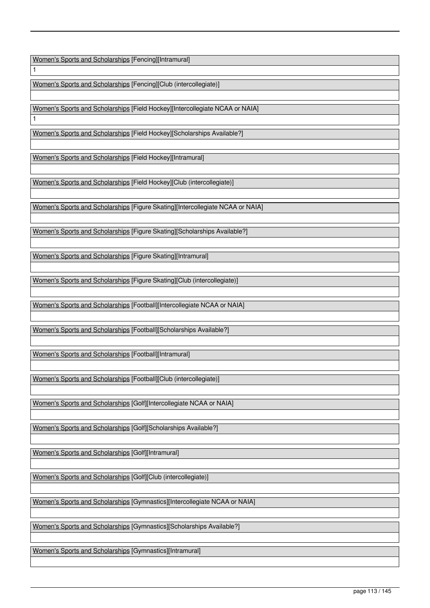Women's Sports and Scholarships [Fencing][Intramural]

1

1

Women's Sports and Scholarships [Fencing][Club (intercollegiate)]

Women's Sports and Scholarships [Field Hockey][Intercollegiate NCAA or NAIA]

Women's Sports and Scholarships [Field Hockey][Scholarships Available?]

Women's Sports and Scholarships [Field Hockey][Intramural]

Women's Sports and Scholarships [Field Hockey][Club (intercollegiate)]

Women's Sports and Scholarships [Figure Skating][Intercollegiate NCAA or NAIA]

Women's Sports and Scholarships [Figure Skating][Scholarships Available?]

Women's Sports and Scholarships [Figure Skating][Intramural]

Women's Sports and Scholarships [Figure Skating][Club (intercollegiate)]

Women's Sports and Scholarships [Football][Intercollegiate NCAA or NAIA]

Women's Sports and Scholarships [Football][Scholarships Available?]

Women's Sports and Scholarships [Football][Intramural]

Women's Sports and Scholarships [Football][Club (intercollegiate)]

Women's Sports and Scholarships [Golf][Intercollegiate NCAA or NAIA]

Women's Sports and Scholarships [Golf][Scholarships Available?]

Women's Sports and Scholarships [Golf][Intramural]

Women's Sports and Scholarships [Golf][Club (intercollegiate)]

Women's Sports and Scholarships [Gymnastics][Intercollegiate NCAA or NAIA]

Women's Sports and Scholarships [Gymnastics][Scholarships Available?]

Women's Sports and Scholarships [Gymnastics][Intramural]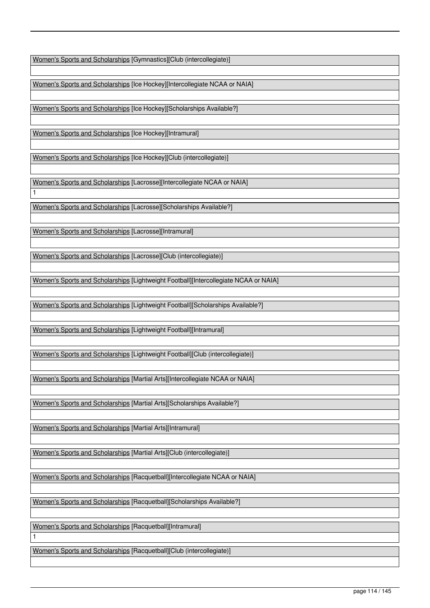Women's Sports and Scholarships [Gymnastics][Club (intercollegiate)]

Women's Sports and Scholarships [Ice Hockey][Intercollegiate NCAA or NAIA]

Women's Sports and Scholarships [Ice Hockey][Scholarships Available?]

Women's Sports and Scholarships [Ice Hockey][Intramural]

Women's Sports and Scholarships [Ice Hockey][Club (intercollegiate)]

Women's Sports and Scholarships [Lacrosse][Intercollegiate NCAA or NAIA]

Women's Sports and Scholarships [Lacrosse][Scholarships Available?]

Women's Sports and Scholarships [Lacrosse][Intramural]

1

1

Women's Sports and Scholarships [Lacrosse][Club (intercollegiate)]

Women's Sports and Scholarships [Lightweight Football][Intercollegiate NCAA or NAIA]

Women's Sports and Scholarships [Lightweight Football][Scholarships Available?]

Women's Sports and Scholarships [Lightweight Football][Intramural]

Women's Sports and Scholarships [Lightweight Football][Club (intercollegiate)]

Women's Sports and Scholarships [Martial Arts][Intercollegiate NCAA or NAIA]

Women's Sports and Scholarships [Martial Arts][Scholarships Available?]

Women's Sports and Scholarships [Martial Arts][Intramural]

Women's Sports and Scholarships [Martial Arts][Club (intercollegiate)]

Women's Sports and Scholarships [Racquetball][Intercollegiate NCAA or NAIA]

Women's Sports and Scholarships [Racquetball][Scholarships Available?]

Women's Sports and Scholarships [Racquetball][Intramural]

Women's Sports and Scholarships [Racquetball][Club (intercollegiate)]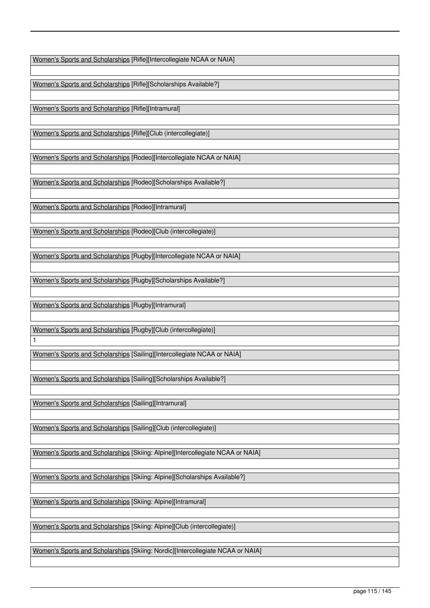Women's Sports and Scholarships [Rifle][Intercollegiate NCAA or NAIA]

Women's Sports and Scholarships [Rifle][Scholarships Available?]

Women's Sports and Scholarships [Rifle][Intramural]

Women's Sports and Scholarships [Rifle][Club (intercollegiate)]

Women's Sports and Scholarships [Rodeo][Intercollegiate NCAA or NAIA]

Women's Sports and Scholarships [Rodeo][Scholarships Available?]

Women's Sports and Scholarships [Rodeo][Intramural]

Women's Sports and Scholarships [Rodeo][Club (intercollegiate)]

Women's Sports and Scholarships [Rugby][Intercollegiate NCAA or NAIA]

Women's Sports and Scholarships [Rugby][Scholarships Available?]

Women's Sports and Scholarships [Rugby][Intramural]

1

Women's Sports and Scholarships [Rugby][Club (intercollegiate)]

Women's Sports and Scholarships [Sailing][Intercollegiate NCAA or NAIA]

Women's Sports and Scholarships [Sailing][Scholarships Available?]

Women's Sports and Scholarships [Sailing][Intramural]

Women's Sports and Scholarships [Sailing][Club (intercollegiate)]

Women's Sports and Scholarships [Skiing: Alpine][Intercollegiate NCAA or NAIA]

Women's Sports and Scholarships [Skiing: Alpine][Scholarships Available?]

Women's Sports and Scholarships [Skiing: Alpine][Intramural]

Women's Sports and Scholarships [Skiing: Alpine][Club (intercollegiate)]

Women's Sports and Scholarships [Skiing: Nordic][Intercollegiate NCAA or NAIA]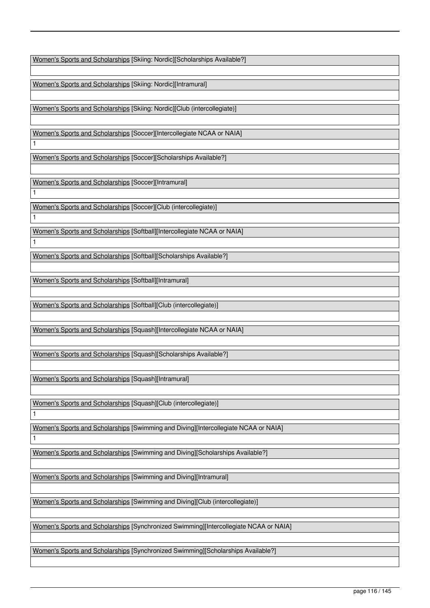Women's Sports and Scholarships [Skiing: Nordic][Scholarships Available?]

Women's Sports and Scholarships [Skiing: Nordic][Intramural]

Women's Sports and Scholarships [Skiing: Nordic][Club (intercollegiate)]

Women's Sports and Scholarships [Soccer][Intercollegiate NCAA or NAIA]

Women's Sports and Scholarships [Soccer][Scholarships Available?]

Women's Sports and Scholarships [Soccer][Intramural]

1

1

1

1

1

1

Women's Sports and Scholarships [Soccer][Club (intercollegiate)]

Women's Sports and Scholarships [Softball][Intercollegiate NCAA or NAIA]

Women's Sports and Scholarships [Softball][Scholarships Available?]

Women's Sports and Scholarships [Softball][Intramural]

Women's Sports and Scholarships [Softball][Club (intercollegiate)]

Women's Sports and Scholarships [Squash][Intercollegiate NCAA or NAIA]

Women's Sports and Scholarships [Squash][Scholarships Available?]

Women's Sports and Scholarships [Squash][Intramural]

Women's Sports and Scholarships [Squash][Club (intercollegiate)]

Women's Sports and Scholarships [Swimming and Diving][Intercollegiate NCAA or NAIA]

Women's Sports and Scholarships [Swimming and Diving][Scholarships Available?]

Women's Sports and Scholarships [Swimming and Diving][Intramural]

Women's Sports and Scholarships [Swimming and Diving][Club (intercollegiate)]

Women's Sports and Scholarships [Synchronized Swimming][Intercollegiate NCAA or NAIA]

Women's Sports and Scholarships [Synchronized Swimming][Scholarships Available?]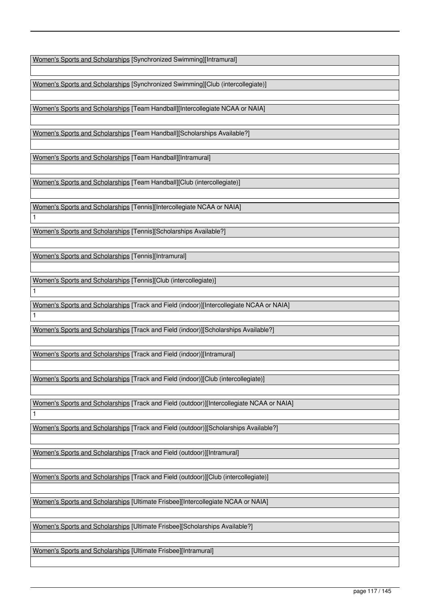Women's Sports and Scholarships [Synchronized Swimming][Intramural]

Women's Sports and Scholarships [Synchronized Swimming][Club (intercollegiate)]

Women's Sports and Scholarships [Team Handball][Intercollegiate NCAA or NAIA]

Women's Sports and Scholarships [Team Handball][Scholarships Available?]

Women's Sports and Scholarships [Team Handball][Intramural]

Women's Sports and Scholarships [Team Handball][Club (intercollegiate)]

Women's Sports and Scholarships [Tennis][Intercollegiate NCAA or NAIA]

Women's Sports and Scholarships [Tennis][Scholarships Available?]

Women's Sports and Scholarships [Tennis][Intramural]

1

1

1

1

Women's Sports and Scholarships [Tennis][Club (intercollegiate)]

Women's Sports and Scholarships [Track and Field (indoor)][Intercollegiate NCAA or NAIA]

Women's Sports and Scholarships [Track and Field (indoor)][Scholarships Available?]

Women's Sports and Scholarships [Track and Field (indoor)][Intramural]

Women's Sports and Scholarships [Track and Field (indoor)][Club (intercollegiate)]

Women's Sports and Scholarships [Track and Field (outdoor)][Intercollegiate NCAA or NAIA]

Women's Sports and Scholarships [Track and Field (outdoor)][Scholarships Available?]

Women's Sports and Scholarships [Track and Field (outdoor)][Intramural]

Women's Sports and Scholarships [Track and Field (outdoor)][Club (intercollegiate)]

Women's Sports and Scholarships [Ultimate Frisbee][Intercollegiate NCAA or NAIA]

Women's Sports and Scholarships [Ultimate Frisbee][Scholarships Available?]

Women's Sports and Scholarships [Ultimate Frisbee][Intramural]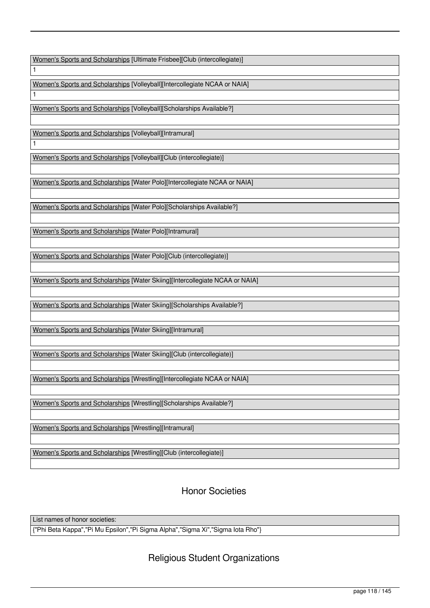Women's Sports and Scholarships [Ultimate Frisbee][Club (intercollegiate)]

Women's Sports and Scholarships [Volleyball][Intercollegiate NCAA or NAIA]

Women's Sports and Scholarships [Volleyball][Scholarships Available?]

Women's Sports and Scholarships [Volleyball][Intramural]

1

1

1

Women's Sports and Scholarships [Volleyball][Club (intercollegiate)]

Women's Sports and Scholarships [Water Polo][Intercollegiate NCAA or NAIA]

Women's Sports and Scholarships [Water Polo][Scholarships Available?]

Women's Sports and Scholarships [Water Polo][Intramural]

Women's Sports and Scholarships [Water Polo][Club (intercollegiate)]

Women's Sports and Scholarships [Water Skiing][Intercollegiate NCAA or NAIA]

Women's Sports and Scholarships [Water Skiing][Scholarships Available?]

Women's Sports and Scholarships [Water Skiing][Intramural]

Women's Sports and Scholarships [Water Skiing][Club (intercollegiate)]

Women's Sports and Scholarships [Wrestling][Intercollegiate NCAA or NAIA]

Women's Sports and Scholarships [Wrestling][Scholarships Available?]

Women's Sports and Scholarships [Wrestling][Intramural]

Women's Sports and Scholarships [Wrestling][Club (intercollegiate)]

Honor Societies

List names of honor societies:

{"Phi Beta Kappa","Pi Mu Epsilon","Pi Sigma Alpha","Sigma Xi","Sigma Iota Rho"}

## Religious Student Organizations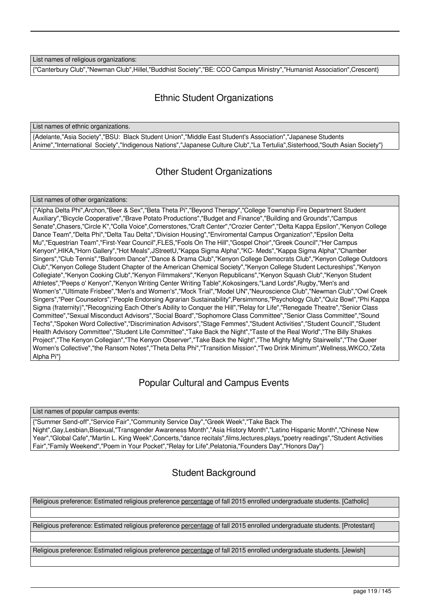List names of religious organizations:

{"Canterbury Club","Newman Club",Hillel,"Buddhist Society","BE: CCO Campus Ministry","Humanist Association",Crescent}

# Ethnic Student Organizations

List names of ethnic organizations.

{Adelante,"Asia Society","BSU: Black Student Union","Middle East Student's Association","Japanese Students Anime","International Society","Indigenous Nations","Japanese Culture Club","La Tertulia",Sisterhood,"South Asian Society"}

## Other Student Organizations

#### List names of other organizations:

{"Alpha Delta Phi",Archon,"Beer & Sex","Beta Theta Pi","Beyond Therapy","College Township Fire Department Student Auxiliary","Bicycle Cooperative","Brave Potato Productions","Budget and Finance","Building and Grounds","Campus Senate",Chasers,"Circle K","Colla Voice",Cornerstones,"Craft Center","Crozier Center","Delta Kappa Epsilon","Kenyon College Dance Team","Delta Phi","Delta Tau Delta","Division Housing","Enviromental Campus Organization","Epsilon Delta Mu","Equestrian Team","First-Year Council",FLES,"Fools On The Hill","Gospel Choir","Greek Council","Her Campus Kenyon",HIKA,"Horn Gallery","Hot Meals",JStreetU,"Kappa Sigma Alpha","KC- Meds","Kappa Sigma Alpha","Chamber Singers","Club Tennis","Ballroom Dance","Dance & Drama Club","Kenyon College Democrats Club","Kenyon College Outdoors Club","Kenyon College Student Chapter of the American Chemical Society","Kenyon College Student Lectureships","Kenyon Collegiate","Kenyon Cooking Club","Kenyon Filmmakers","Kenyon Republicans","Kenyon Squash Club","Kenyon Student Athletes","Peeps o' Kenyon","Kenyon Writing Center Writing Table",Kokosingers,"Land Lords",Rugby,"Men's and Women's","Ultimate Frisbee","Men's and Women's","Mock Trial","Model UN","Neuroscience Club","Newman Club","Owl Creek Singers","Peer Counselors","People Endorsing Agrarian Sustainability",Persimmons,"Psychology Club","Quiz Bowl","Phi Kappa Sigma (fraternity)","Recognizing Each Other's Ability to Conquer the Hill","Relay for Life","Renegade Theatre","Senior Class Committee","Sexual Misconduct Advisors","Social Board","Sophomore Class Committee","Senior Class Committee","Sound Techs","Spoken Word Collective","Discrimination Advisors","Stage Femmes","Student Activities","Student Council","Student Health Advisory Committee","Student Life Committee","Take Back the Night","Taste of the Real World","The Billy Shakes Project","The Kenyon Collegian","The Kenyon Observer","Take Back the Night","The Mighty Mighty Stairwells","The Queer Women's Collective","the Ransom Notes","Theta Delta Phi","Transition Mission","Two Drink Minimum",Wellness,WKCO,"Zeta Alpha Pi"}

# Popular Cultural and Campus Events

#### List names of popular campus events:

{"Summer Send-off","Service Fair","Community Service Day","Greek Week","Take Back The Night",Gay,Lesbian,Bisexual,"Transgender Awareness Month","Asia History Month","Latino Hispanic Month","Chinese New Year","Global Cafe","Martin L. King Week",Concerts,"dance recitals",films,lectures,plays,"poetry readings","Student Activities Fair","Family Weekend","Poem in Your Pocket","Relay for Life",Pelatonia,"Founders Day","Honors Day"}

## Student Background

Religious preference: Estimated religious preference percentage of fall 2015 enrolled undergraduate students. [Catholic]

Religious preference: Estimated religious preference percentage of fall 2015 enrolled undergraduate students. [Protestant]

Religious preference: Estimated religious preference percentage of fall 2015 enrolled undergraduate students. [Jewish]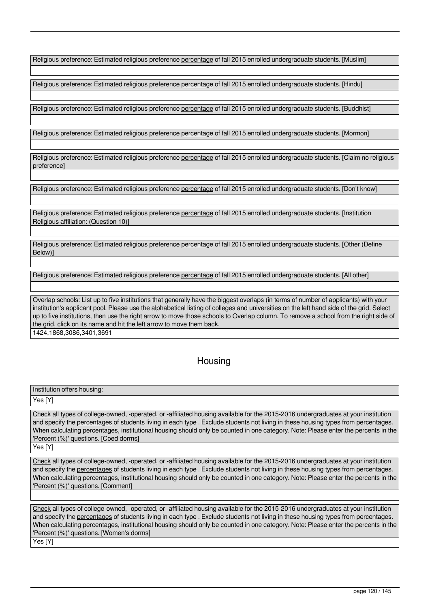Religious preference: Estimated religious preference percentage of fall 2015 enrolled undergraduate students. [Muslim]

Religious preference: Estimated religious preference percentage of fall 2015 enrolled undergraduate students. [Hindu]

Religious preference: Estimated religious preference percentage of fall 2015 enrolled undergraduate students. [Buddhist]

Religious preference: Estimated religious preference percentage of fall 2015 enrolled undergraduate students. [Mormon]

Religious preference: Estimated religious preference percentage of fall 2015 enrolled undergraduate students. [Claim no religious preference]

Religious preference: Estimated religious preference percentage of fall 2015 enrolled undergraduate students. [Don't know]

Religious preference: Estimated religious preference percentage of fall 2015 enrolled undergraduate students. [Institution Religious affiliation: (Question 10)]

Religious preference: Estimated religious preference percentage of fall 2015 enrolled undergraduate students. [Other (Define Below)]

Religious preference: Estimated religious preference percentage of fall 2015 enrolled undergraduate students. [All other]

Overlap schools: List up to five institutions that generally have the biggest overlaps (in terms of number of applicants) with your institution's applicant pool. Please use the alphabetical listing of colleges and universities on the left hand side of the grid. Select up to five institutions, then use the right arrow to move those schools to Overlap column. To remove a school from the right side of the grid, click on its name and hit the left arrow to move them back.

1424,1868,3086,3401,3691

# **Housing**

Institution offers housing:

Yes [Y]

Check all types of college-owned, -operated, or -affiliated housing available for the 2015-2016 undergraduates at your institution and specify the percentages of students living in each type . Exclude students not living in these housing types from percentages. When calculating percentages, institutional housing should only be counted in one category. Note: Please enter the percents in the 'Percent (%)' questions. [Coed dorms]

Yes [Y]

Check all types of college-owned, -operated, or -affiliated housing available for the 2015-2016 undergraduates at your institution and specify the percentages of students living in each type . Exclude students not living in these housing types from percentages. When calculating percentages, institutional housing should only be counted in one category. Note: Please enter the percents in the 'Percent (%)' questions. [Comment]

Check all types of college-owned, -operated, or -affiliated housing available for the 2015-2016 undergraduates at your institution and specify the percentages of students living in each type . Exclude students not living in these housing types from percentages. When calculating percentages, institutional housing should only be counted in one category. Note: Please enter the percents in the 'Percent (%)' questions. [Women's dorms]

Yes [Y]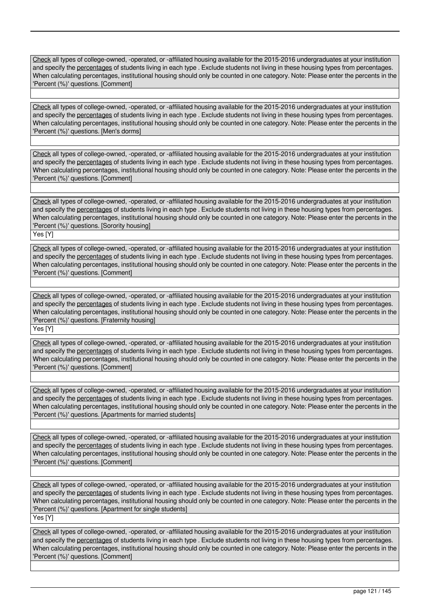Check all types of college-owned, -operated, or -affiliated housing available for the 2015-2016 undergraduates at your institution and specify the percentages of students living in each type . Exclude students not living in these housing types from percentages. When calculating percentages, institutional housing should only be counted in one category. Note: Please enter the percents in the 'Percent (%)' questions. [Comment]

Check all types of college-owned, -operated, or -affiliated housing available for the 2015-2016 undergraduates at your institution and specify the percentages of students living in each type . Exclude students not living in these housing types from percentages. When calculating percentages, institutional housing should only be counted in one category. Note: Please enter the percents in the 'Percent (%)' questions. [Men's dorms]

Check all types of college-owned, -operated, or -affiliated housing available for the 2015-2016 undergraduates at your institution and specify the percentages of students living in each type . Exclude students not living in these housing types from percentages. When calculating percentages, institutional housing should only be counted in one category. Note: Please enter the percents in the 'Percent (%)' questions. [Comment]

Check all types of college-owned, -operated, or -affiliated housing available for the 2015-2016 undergraduates at your institution and specify the percentages of students living in each type . Exclude students not living in these housing types from percentages. When calculating percentages, institutional housing should only be counted in one category. Note: Please enter the percents in the 'Percent (%)' questions. [Sorority housing]

Yes [Y]

Check all types of college-owned, -operated, or -affiliated housing available for the 2015-2016 undergraduates at your institution and specify the percentages of students living in each type . Exclude students not living in these housing types from percentages. When calculating percentages, institutional housing should only be counted in one category. Note: Please enter the percents in the 'Percent (%)' questions. [Comment]

Check all types of college-owned, -operated, or -affiliated housing available for the 2015-2016 undergraduates at your institution and specify the percentages of students living in each type . Exclude students not living in these housing types from percentages. When calculating percentages, institutional housing should only be counted in one category. Note: Please enter the percents in the 'Percent (%)' questions. [Fraternity housing]

Yes [Y]

Check all types of college-owned, -operated, or -affiliated housing available for the 2015-2016 undergraduates at your institution and specify the percentages of students living in each type . Exclude students not living in these housing types from percentages. When calculating percentages, institutional housing should only be counted in one category. Note: Please enter the percents in the 'Percent (%)' questions. [Comment]

Check all types of college-owned, -operated, or -affiliated housing available for the 2015-2016 undergraduates at your institution and specify the percentages of students living in each type . Exclude students not living in these housing types from percentages. When calculating percentages, institutional housing should only be counted in one category. Note: Please enter the percents in the 'Percent (%)' questions. [Apartments for married students]

Check all types of college-owned, -operated, or -affiliated housing available for the 2015-2016 undergraduates at your institution and specify the percentages of students living in each type . Exclude students not living in these housing types from percentages. When calculating percentages, institutional housing should only be counted in one category. Note: Please enter the percents in the 'Percent (%)' questions. [Comment]

Check all types of college-owned, -operated, or -affiliated housing available for the 2015-2016 undergraduates at your institution and specify the percentages of students living in each type . Exclude students not living in these housing types from percentages. When calculating percentages, institutional housing should only be counted in one category. Note: Please enter the percents in the 'Percent (%)' questions. [Apartment for single students] Yes [Y]

Check all types of college-owned, -operated, or -affiliated housing available for the 2015-2016 undergraduates at your institution and specify the percentages of students living in each type . Exclude students not living in these housing types from percentages. When calculating percentages, institutional housing should only be counted in one category. Note: Please enter the percents in the 'Percent (%)' questions. [Comment]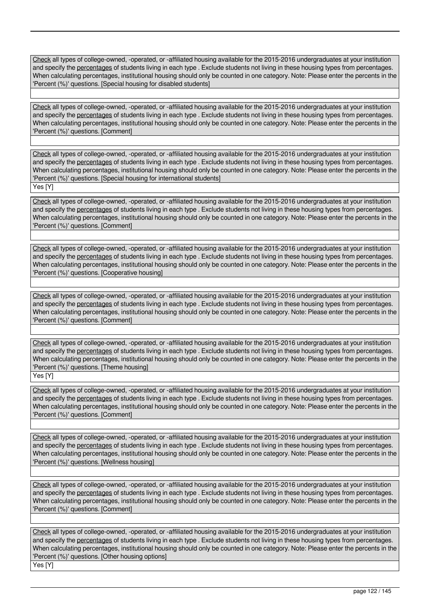Check all types of college-owned, -operated, or -affiliated housing available for the 2015-2016 undergraduates at your institution and specify the percentages of students living in each type . Exclude students not living in these housing types from percentages. When calculating percentages, institutional housing should only be counted in one category. Note: Please enter the percents in the 'Percent (%)' questions. [Special housing for disabled students]

Check all types of college-owned, -operated, or -affiliated housing available for the 2015-2016 undergraduates at your institution and specify the percentages of students living in each type . Exclude students not living in these housing types from percentages. When calculating percentages, institutional housing should only be counted in one category. Note: Please enter the percents in the 'Percent (%)' questions. [Comment]

Check all types of college-owned, -operated, or -affiliated housing available for the 2015-2016 undergraduates at your institution and specify the percentages of students living in each type . Exclude students not living in these housing types from percentages. When calculating percentages, institutional housing should only be counted in one category. Note: Please enter the percents in the 'Percent (%)' questions. [Special housing for international students] Yes [Y]

Check all types of college-owned, -operated, or -affiliated housing available for the 2015-2016 undergraduates at your institution and specify the percentages of students living in each type . Exclude students not living in these housing types from percentages. When calculating percentages, institutional housing should only be counted in one category. Note: Please enter the percents in the 'Percent (%)' questions. [Comment]

Check all types of college-owned, -operated, or -affiliated housing available for the 2015-2016 undergraduates at your institution and specify the percentages of students living in each type . Exclude students not living in these housing types from percentages. When calculating percentages, institutional housing should only be counted in one category. Note: Please enter the percents in the 'Percent (%)' questions. [Cooperative housing]

Check all types of college-owned, -operated, or -affiliated housing available for the 2015-2016 undergraduates at your institution and specify the percentages of students living in each type . Exclude students not living in these housing types from percentages. When calculating percentages, institutional housing should only be counted in one category. Note: Please enter the percents in the 'Percent (%)' questions. [Comment]

Check all types of college-owned, -operated, or -affiliated housing available for the 2015-2016 undergraduates at your institution and specify the percentages of students living in each type . Exclude students not living in these housing types from percentages. When calculating percentages, institutional housing should only be counted in one category. Note: Please enter the percents in the 'Percent (%)' questions. [Theme housing]

Yes [Y]

Check all types of college-owned, -operated, or -affiliated housing available for the 2015-2016 undergraduates at your institution and specify the percentages of students living in each type . Exclude students not living in these housing types from percentages. When calculating percentages, institutional housing should only be counted in one category. Note: Please enter the percents in the 'Percent (%)' questions. [Comment]

Check all types of college-owned, -operated, or -affiliated housing available for the 2015-2016 undergraduates at your institution and specify the percentages of students living in each type . Exclude students not living in these housing types from percentages. When calculating percentages, institutional housing should only be counted in one category. Note: Please enter the percents in the 'Percent (%)' questions. [Wellness housing]

Check all types of college-owned, -operated, or -affiliated housing available for the 2015-2016 undergraduates at your institution and specify the percentages of students living in each type . Exclude students not living in these housing types from percentages. When calculating percentages, institutional housing should only be counted in one category. Note: Please enter the percents in the 'Percent (%)' questions. [Comment]

Check all types of college-owned, -operated, or -affiliated housing available for the 2015-2016 undergraduates at your institution and specify the percentages of students living in each type . Exclude students not living in these housing types from percentages. When calculating percentages, institutional housing should only be counted in one category. Note: Please enter the percents in the 'Percent (%)' questions. [Other housing options] Yes [Y]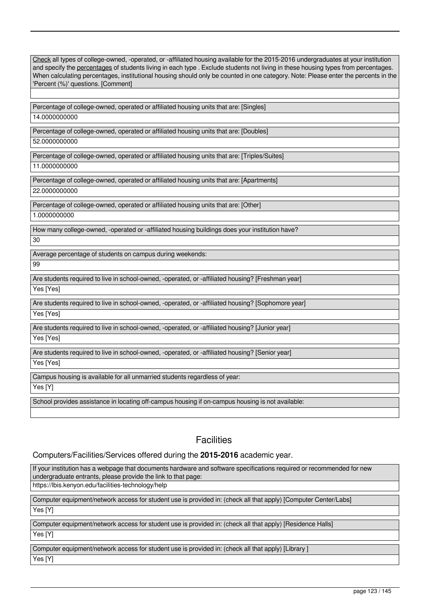| When calculating percentages, institutional housing should only be counted in one category. Note: Please enter the percents in the<br>'Percent (%)' questions. [Comment] |
|--------------------------------------------------------------------------------------------------------------------------------------------------------------------------|
|                                                                                                                                                                          |
| Percentage of college-owned, operated or affiliated housing units that are: [Singles]                                                                                    |
| 14.0000000000                                                                                                                                                            |
| Percentage of college-owned, operated or affiliated housing units that are: [Doubles]                                                                                    |
| 52.0000000000                                                                                                                                                            |
| Percentage of college-owned, operated or affiliated housing units that are: [Triples/Suites]                                                                             |
| 11.0000000000                                                                                                                                                            |
| Percentage of college-owned, operated or affiliated housing units that are: [Apartments]                                                                                 |
| 22.0000000000                                                                                                                                                            |
| Percentage of college-owned, operated or affiliated housing units that are: [Other]                                                                                      |
| 1.0000000000                                                                                                                                                             |
| How many college-owned, -operated or -affiliated housing buildings does your institution have?                                                                           |
| 30                                                                                                                                                                       |
| Average percentage of students on campus during weekends:                                                                                                                |
| 99                                                                                                                                                                       |

Check all types of college-owned, -operated, or -affiliated housing available for the 2015-2016 undergraduates at your institution and specify the percentages of students living in each type . Exclude students not living in these housing types from percentages.

Are students required to live in school-owned, -operated, or -affiliated housing? [Freshman year] Yes [Yes]

Are students required to live in school-owned, -operated, or -affiliated housing? [Sophomore year] Yes [Yes]

Are students required to live in school-owned, -operated, or -affiliated housing? [Junior year]

Yes [Yes]

Are students required to live in school-owned, -operated, or -affiliated housing? [Senior year]

Yes [Yes]

Campus housing is available for all unmarried students regardless of year:

Yes [Y]

School provides assistance in locating off-campus housing if on-campus housing is not available:

# **Facilities**

## Computers/Facilities/Services offered during the **2015-2016** academic year.

If your institution has a webpage that documents hardware and software specifications required or recommended for new undergraduate entrants, please provide the link to that page: https://lbis.kenyon.edu/facilities-technology/help

Computer equipment/network access for student use is provided in: (check all that apply) [Computer Center/Labs]

Yes [Y]

Computer equipment/network access for student use is provided in: (check all that apply) [Residence Halls]

Yes [Y]

Computer equipment/network access for student use is provided in: (check all that apply) [Library ]

Yes [Y]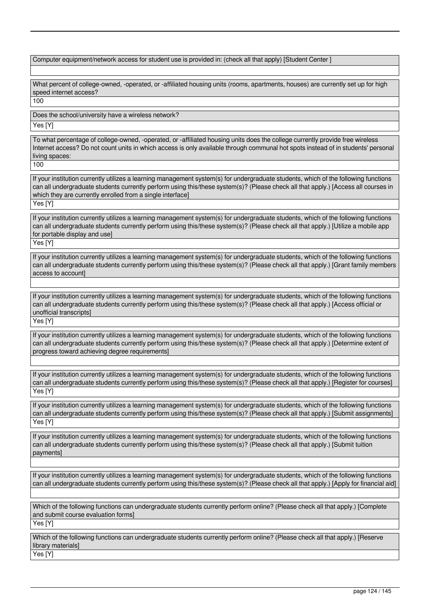| Computer equipment/network access for student use is provided in: (check all that apply) [Student Center]                                                                                                                                                                                                                                          |
|----------------------------------------------------------------------------------------------------------------------------------------------------------------------------------------------------------------------------------------------------------------------------------------------------------------------------------------------------|
| What percent of college-owned, -operated, or -affiliated housing units (rooms, apartments, houses) are currently set up for high<br>speed internet access?<br>100                                                                                                                                                                                  |
| Does the school/university have a wireless network?                                                                                                                                                                                                                                                                                                |
| Yes [Y]                                                                                                                                                                                                                                                                                                                                            |
| To what percentage of college-owned, -operated, or -affiliated housing units does the college currently provide free wireless<br>Internet access? Do not count units in which access is only available through communal hot spots instead of in students' personal<br>living spaces:<br>100                                                        |
| If your institution currently utilizes a learning management system(s) for undergraduate students, which of the following functions<br>can all undergraduate students currently perform using this/these system(s)? (Please check all that apply.) [Access all courses in<br>which they are currently enrolled from a single interface]<br>Yes [Y] |
| If your institution currently utilizes a learning management system(s) for undergraduate students, which of the following functions<br>can all undergraduate students currently perform using this/these system(s)? (Please check all that apply.) [Utilize a mobile app<br>for portable display and use]<br>Yes [Y]                               |
| If your institution currently utilizes a learning management system(s) for undergraduate students, which of the following functions<br>can all undergraduate students currently perform using this/these system(s)? (Please check all that apply.) [Grant family members<br>access to account]                                                     |
| If your institution currently utilizes a learning management system(s) for undergraduate students, which of the following functions<br>can all undergraduate students currently perform using this/these system(s)? (Please check all that apply.) [Access official or<br>unofficial transcripts]<br>Yes [Y]                                       |
| If your institution currently utilizes a learning management system(s) for undergraduate students, which of the following functions<br>can all undergraduate students currently perform using this/these system(s)? (Please check all that apply.) [Determine extent of<br>progress toward achieving degree requirements]                          |
| If your institution currently utilizes a learning management system(s) for undergraduate students, which of the following functions<br>can all undergraduate students currently perform using this/these system(s)? (Please check all that apply.) [Register for courses]<br>Yes [Y]                                                               |
| If your institution currently utilizes a learning management system(s) for undergraduate students, which of the following functions<br>can all undergraduate students currently perform using this/these system(s)? (Please check all that apply.) [Submit assignments]<br>Yes [Y]                                                                 |
| If your institution currently utilizes a learning management system(s) for undergraduate students, which of the following functions<br>can all undergraduate students currently perform using this/these system(s)? (Please check all that apply.) [Submit tuition<br>payments]                                                                    |
| If your institution currently utilizes a learning management system(s) for undergraduate students, which of the following functions<br>can all undergraduate students currently perform using this/these system(s)? (Please check all that apply.) [Apply for financial aid]                                                                       |
| Which of the following functions can undergraduate students currently perform online? (Please check all that apply.) [Complete<br>and submit course evaluation forms]<br>Yes [Y]                                                                                                                                                                   |
| Which of the following functions can undergraduate students currently perform online? (Please check all that apply.) [Reserve<br>library materials]<br>Yes [Y]                                                                                                                                                                                     |
|                                                                                                                                                                                                                                                                                                                                                    |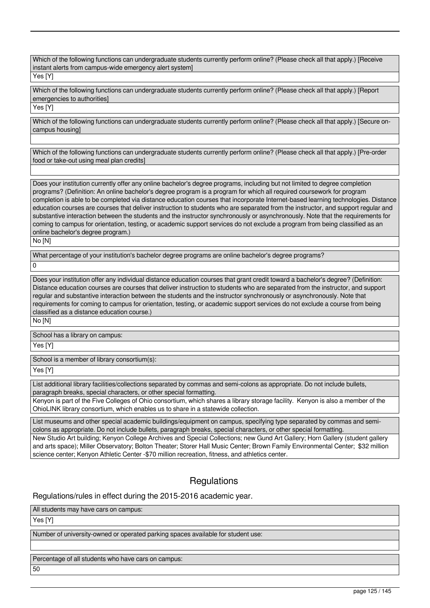Which of the following functions can undergraduate students currently perform online? (Please check all that apply.) [Receive instant alerts from campus-wide emergency alert system]

## Yes [Y]

Which of the following functions can undergraduate students currently perform online? (Please check all that apply.) [Report emergencies to authorities]

Yes [Y]

Which of the following functions can undergraduate students currently perform online? (Please check all that apply.) [Secure oncampus housing]

Which of the following functions can undergraduate students currently perform online? (Please check all that apply.) [Pre-order food or take-out using meal plan credits]

Does your institution currently offer any online bachelor's degree programs, including but not limited to degree completion programs? (Definition: An online bachelor's degree program is a program for which all required coursework for program completion is able to be completed via distance education courses that incorporate Internet-based learning technologies. Distance education courses are courses that deliver instruction to students who are separated from the instructor, and support regular and substantive interaction between the students and the instructor synchronously or asynchronously. Note that the requirements for coming to campus for orientation, testing, or academic support services do not exclude a program from being classified as an online bachelor's degree program.)

No [N]

What percentage of your institution's bachelor degree programs are online bachelor's degree programs?

 $\overline{0}$ 

Does your institution offer any individual distance education courses that grant credit toward a bachelor's degree? (Definition: Distance education courses are courses that deliver instruction to students who are separated from the instructor, and support regular and substantive interaction between the students and the instructor synchronously or asynchronously. Note that requirements for coming to campus for orientation, testing, or academic support services do not exclude a course from being classified as a distance education course.)

No [N]

School has a library on campus:

Yes [Y]

School is a member of library consortium(s):

Yes [Y]

List additional library facilities/collections separated by commas and semi-colons as appropriate. Do not include bullets, paragraph breaks, special characters, or other special formatting.

Kenyon is part of the Five Colleges of Ohio consortium, which shares a library storage facility. Kenyon is also a member of the OhioLINK library consortium, which enables us to share in a statewide collection.

List museums and other special academic buildings/equipment on campus, specifying type separated by commas and semicolons as appropriate. Do not include bullets, paragraph breaks, special characters, or other special formatting.

New Studio Art building; Kenyon College Archives and Special Collections; new Gund Art Gallery; Horn Gallery (student gallery and arts space); Miller Observatory; Bolton Theater; Storer Hall Music Center; Brown Family Environmental Center; \$32 million science center; Kenyon Athletic Center -\$70 million recreation, fitness, and athletics center.

# **Regulations**

Regulations/rules in effect during the 2015-2016 academic year.

All students may have cars on campus:

Yes [Y]

Number of university-owned or operated parking spaces available for student use:

Percentage of all students who have cars on campus:

50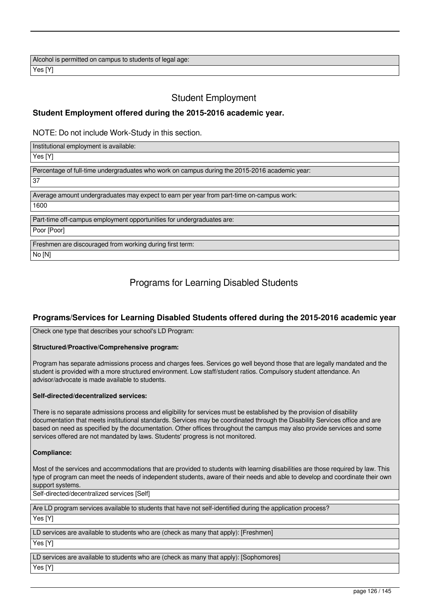Alcohol is permitted on campus to students of legal age: Yes [Y]

# Student Employment

## **Student Employment offered during the 2015-2016 academic year.**

NOTE: Do not include Work-Study in this section.

Institutional employment is available: Yes [Y] Percentage of full-time undergraduates who work on campus during the 2015-2016 academic year: 37 Average amount undergraduates may expect to earn per year from part-time on-campus work: 1600 Part-time off-campus employment opportunities for undergraduates are: Poor [Poor] Freshmen are discouraged from working during first term: No [N]

# Programs for Learning Disabled Students

## **Programs/Services for Learning Disabled Students offered during the 2015-2016 academic year**

Check one type that describes your school's LD Program:

#### **Structured/Proactive/Comprehensive program:**

Program has separate admissions process and charges fees. Services go well beyond those that are legally mandated and the student is provided with a more structured environment. Low staff/student ratios. Compulsory student attendance. An advisor/advocate is made available to students.

#### **Self-directed/decentralized services:**

There is no separate admissions process and eligibility for services must be established by the provision of disability documentation that meets institutional standards. Services may be coordinated through the Disability Services office and are based on need as specified by the documentation. Other offices throughout the campus may also provide services and some services offered are not mandated by laws. Students' progress is not monitored.

## **Compliance:**

Most of the services and accommodations that are provided to students with learning disabilities are those required by law. This type of program can meet the needs of independent students, aware of their needs and able to develop and coordinate their own support systems.

Self-directed/decentralized services [Self]

Are LD program services available to students that have not self-identified during the application process?

Yes [Y]

LD services are available to students who are (check as many that apply): [Freshmen] Yes [Y]

LD services are available to students who are (check as many that apply): [Sophomores] Yes [Y]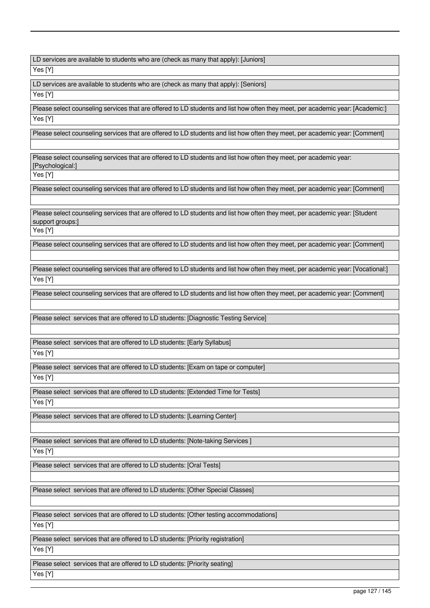LD services are available to students who are (check as many that apply): [Juniors]

Yes [Y]

LD services are available to students who are (check as many that apply): [Seniors]

Yes [Y]

Please select counseling services that are offered to LD students and list how often they meet, per academic year: [Academic:] Yes [Y]

Please select counseling services that are offered to LD students and list how often they meet, per academic year: [Comment]

Please select counseling services that are offered to LD students and list how often they meet, per academic year: [Psychological:]

Yes [Y]

Please select counseling services that are offered to LD students and list how often they meet, per academic year: [Comment]

Please select counseling services that are offered to LD students and list how often they meet, per academic year: [Student support groups:)

Yes [Y]

Please select counseling services that are offered to LD students and list how often they meet, per academic year: [Comment]

Please select counseling services that are offered to LD students and list how often they meet, per academic year: [Vocational:] Yes [Y]

Please select counseling services that are offered to LD students and list how often they meet, per academic year: [Comment]

Please select services that are offered to LD students: [Diagnostic Testing Service]

Please select services that are offered to LD students: [Early Syllabus]

Yes [Y]

Please select services that are offered to LD students: [Exam on tape or computer] Yes [Y]

Please select services that are offered to LD students: [Extended Time for Tests] Yes [Y]

Please select services that are offered to LD students: [Learning Center]

Please select services that are offered to LD students: [Note-taking Services ]

Yes [Y]

Please select services that are offered to LD students: [Oral Tests]

Please select services that are offered to LD students: [Other Special Classes]

Please select services that are offered to LD students: [Other testing accommodations]

Yes [Y]

Please select services that are offered to LD students: [Priority registration]

Yes [Y]

Please select services that are offered to LD students: [Priority seating] Yes [Y]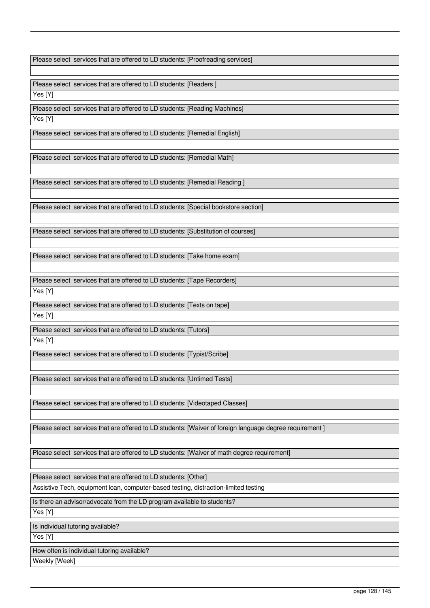Please select services that are offered to LD students: [Proofreading services]

Please select services that are offered to LD students: [Readers ] Yes [Y]

Please select services that are offered to LD students: [Reading Machines] Yes [Y]

Please select services that are offered to LD students: [Remedial English]

Please select services that are offered to LD students: [Remedial Math]

Please select services that are offered to LD students: [Remedial Reading ]

Please select services that are offered to LD students: [Special bookstore section]

Please select services that are offered to LD students: [Substitution of courses]

Please select services that are offered to LD students: [Take home exam]

Please select services that are offered to LD students: [Tape Recorders] Yes [Y]

Please select services that are offered to LD students: [Texts on tape] Yes [Y]

Please select services that are offered to LD students: [Tutors] Yes [Y]

Please select services that are offered to LD students: [Typist/Scribe]

Please select services that are offered to LD students: [Untimed Tests]

Please select services that are offered to LD students: [Videotaped Classes]

Please select services that are offered to LD students: [Waiver of foreign language degree requirement ]

Please select services that are offered to LD students: [Waiver of math degree requirement]

Please select services that are offered to LD students: [Other]

Assistive Tech, equipment loan, computer-based testing, distraction-limited testing

Is there an advisor/advocate from the LD program available to students?

Yes [Y]

Is individual tutoring available?

Yes [Y]

How often is individual tutoring available?

Weekly [Week]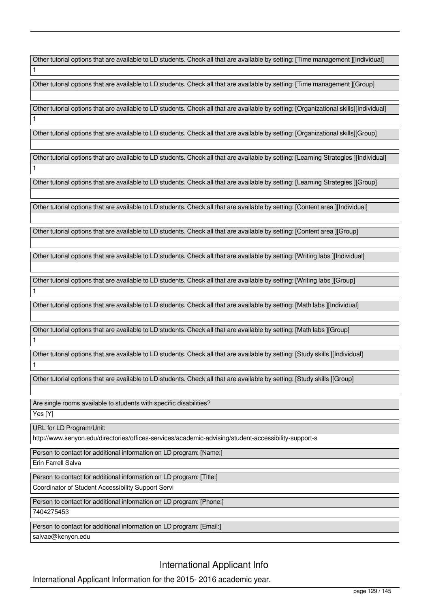Other tutorial options that are available to LD students. Check all that are available by setting: [Time management ][Individual]

Other tutorial options that are available to LD students. Check all that are available by setting: [Time management ][Group]

Other tutorial options that are available to LD students. Check all that are available by setting: [Organizational skills][Individual]

Other tutorial options that are available to LD students. Check all that are available by setting: [Organizational skills][Group]

Other tutorial options that are available to LD students. Check all that are available by setting: [Learning Strategies ][Individual]

Other tutorial options that are available to LD students. Check all that are available by setting: [Learning Strategies ][Group]

Other tutorial options that are available to LD students. Check all that are available by setting: [Content area ][Individual]

Other tutorial options that are available to LD students. Check all that are available by setting: [Content area ][Group]

Other tutorial options that are available to LD students. Check all that are available by setting: [Writing labs ][Individual]

Other tutorial options that are available to LD students. Check all that are available by setting: [Writing labs ][Group]

Other tutorial options that are available to LD students. Check all that are available by setting: [Math labs ][Individual]

Other tutorial options that are available to LD students. Check all that are available by setting: [Math labs ][Group]

Other tutorial options that are available to LD students. Check all that are available by setting: [Study skills ][Individual] 1

Other tutorial options that are available to LD students. Check all that are available by setting: [Study skills ][Group]

Are single rooms available to students with specific disabilities?

Yes [Y]

1

1

1

1

1

URL for LD Program/Unit:

http://www.kenyon.edu/directories/offices-services/academic-advising/student-accessibility-support-s

Person to contact for additional information on LD program: [Name:]

Erin Farrell Salva

Person to contact for additional information on LD program: [Title:]

Coordinator of Student Accessibility Support Servi

Person to contact for additional information on LD program: [Phone:]

7404275453

Person to contact for additional information on LD program: [Email:]

salvae@kenyon.edu

International Applicant Info

International Applicant Information for the 2015- 2016 academic year.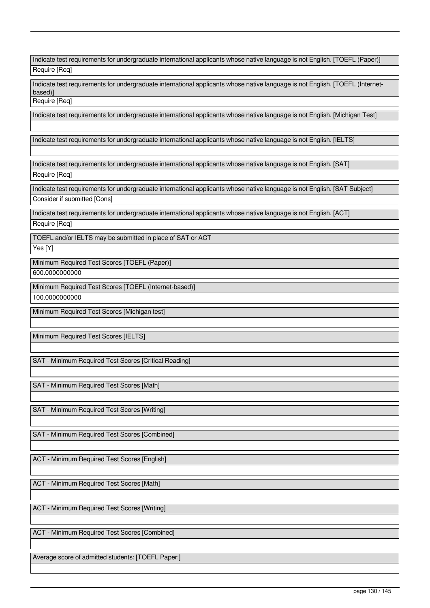| Indicate test requirements for undergraduate international applicants whose native language is not English. [TOEFL (Paper)]              |
|------------------------------------------------------------------------------------------------------------------------------------------|
| Require [Req]                                                                                                                            |
| Indicate test requirements for undergraduate international applicants whose native language is not English. [TOEFL (Internet-<br>based)] |
| Require [Req]                                                                                                                            |
| Indicate test requirements for undergraduate international applicants whose native language is not English. [Michigan Test]              |
| Indicate test requirements for undergraduate international applicants whose native language is not English. [IELTS]                      |
| Indicate test requirements for undergraduate international applicants whose native language is not English. [SAT]<br>Require [Req]       |
| Indicate test requirements for undergraduate international applicants whose native language is not English. [SAT Subject]                |
| Consider if submitted [Cons]                                                                                                             |
| Indicate test requirements for undergraduate international applicants whose native language is not English. [ACT]<br>Require [Req]       |
|                                                                                                                                          |
| TOEFL and/or IELTS may be submitted in place of SAT or ACT<br>Yes [Y]                                                                    |
| Minimum Required Test Scores [TOEFL (Paper)]                                                                                             |
| 600.0000000000                                                                                                                           |
| Minimum Required Test Scores [TOEFL (Internet-based)]                                                                                    |
| 100.0000000000                                                                                                                           |
| Minimum Required Test Scores [Michigan test]                                                                                             |
|                                                                                                                                          |
| Minimum Required Test Scores [IELTS]                                                                                                     |
|                                                                                                                                          |
| SAT - Minimum Required Test Scores [Critical Reading]                                                                                    |
|                                                                                                                                          |
| SAT - Minimum Required Test Scores [Math]                                                                                                |
|                                                                                                                                          |
| SAT - Minimum Required Test Scores [Writing]                                                                                             |
|                                                                                                                                          |
| SAT - Minimum Required Test Scores [Combined]                                                                                            |
|                                                                                                                                          |
| ACT - Minimum Required Test Scores [English]                                                                                             |
|                                                                                                                                          |
| ACT - Minimum Required Test Scores [Math]                                                                                                |
|                                                                                                                                          |
|                                                                                                                                          |
| ACT - Minimum Required Test Scores [Writing]                                                                                             |
| ACT - Minimum Required Test Scores [Combined]                                                                                            |
|                                                                                                                                          |
|                                                                                                                                          |
| Average score of admitted students: [TOEFL Paper:]                                                                                       |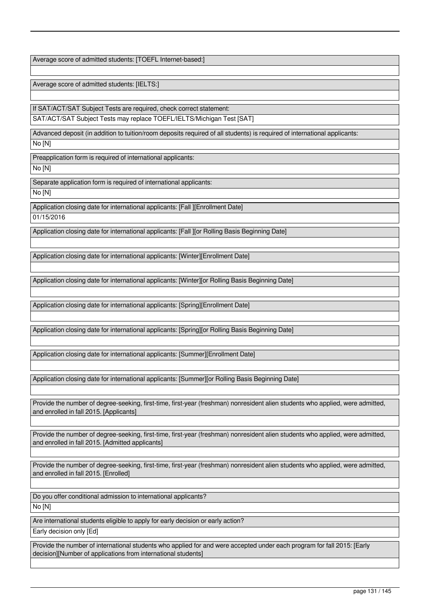Average score of admitted students: [TOEFL Internet-based:]

Average score of admitted students: [IELTS:]

If SAT/ACT/SAT Subject Tests are required, check correct statement:

SAT/ACT/SAT Subject Tests may replace TOEFL/IELTS/Michigan Test [SAT]

Advanced deposit (in addition to tuition/room deposits required of all students) is required of international applicants:

No [N]

Preapplication form is required of international applicants:

No [N]

Separate application form is required of international applicants:

No [N]

Application closing date for international applicants: [Fall ][Enrollment Date] 01/15/2016

Application closing date for international applicants: [Fall ][or Rolling Basis Beginning Date]

Application closing date for international applicants: [Winter][Enrollment Date]

Application closing date for international applicants: [Winter][or Rolling Basis Beginning Date]

Application closing date for international applicants: [Spring][Enrollment Date]

Application closing date for international applicants: [Spring][or Rolling Basis Beginning Date]

Application closing date for international applicants: [Summer][Enrollment Date]

Application closing date for international applicants: [Summer][or Rolling Basis Beginning Date]

Provide the number of degree-seeking, first-time, first-year (freshman) nonresident alien students who applied, were admitted, and enrolled in fall 2015. [Applicants]

Provide the number of degree-seeking, first-time, first-year (freshman) nonresident alien students who applied, were admitted, and enrolled in fall 2015. [Admitted applicants]

Provide the number of degree-seeking, first-time, first-year (freshman) nonresident alien students who applied, were admitted, and enrolled in fall 2015. [Enrolled]

Do you offer conditional admission to international applicants? No [N]

Are international students eligible to apply for early decision or early action? Early decision only [Ed]

Provide the number of international students who applied for and were accepted under each program for fall 2015: [Early decision][Number of applications from international students]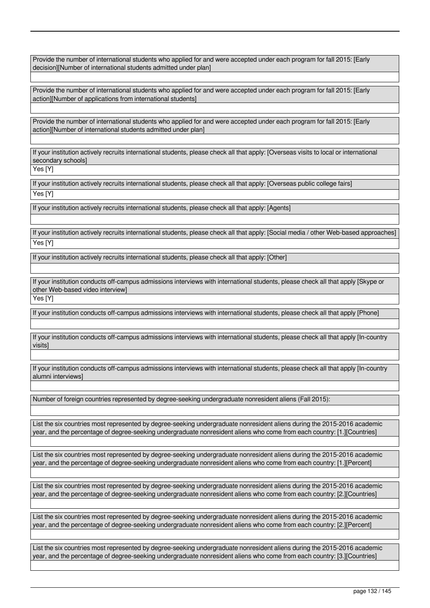Provide the number of international students who applied for and were accepted under each program for fall 2015: [Early decision][Number of international students admitted under plan]

Provide the number of international students who applied for and were accepted under each program for fall 2015: [Early action][Number of applications from international students]

Provide the number of international students who applied for and were accepted under each program for fall 2015: [Early action][Number of international students admitted under plan]

If your institution actively recruits international students, please check all that apply: [Overseas visits to local or international secondary schools]

Yes [Y]

If your institution actively recruits international students, please check all that apply: [Overseas public college fairs] Yes [Y]

If your institution actively recruits international students, please check all that apply: [Agents]

If your institution actively recruits international students, please check all that apply: [Social media / other Web-based approaches] Yes [Y]

If your institution actively recruits international students, please check all that apply: [Other]

If your institution conducts off-campus admissions interviews with international students, please check all that apply [Skype or other Web-based video interview]

Yes [Y]

If your institution conducts off-campus admissions interviews with international students, please check all that apply [Phone]

If your institution conducts off-campus admissions interviews with international students, please check all that apply [In-country visits]

If your institution conducts off-campus admissions interviews with international students, please check all that apply [In-country alumni interviews]

Number of foreign countries represented by degree-seeking undergraduate nonresident aliens (Fall 2015):

List the six countries most represented by degree-seeking undergraduate nonresident aliens during the 2015-2016 academic year, and the percentage of degree-seeking undergraduate nonresident aliens who come from each country: [1.][Countries]

List the six countries most represented by degree-seeking undergraduate nonresident aliens during the 2015-2016 academic year, and the percentage of degree-seeking undergraduate nonresident aliens who come from each country: [1.][Percent]

List the six countries most represented by degree-seeking undergraduate nonresident aliens during the 2015-2016 academic year, and the percentage of degree-seeking undergraduate nonresident aliens who come from each country: [2.][Countries]

List the six countries most represented by degree-seeking undergraduate nonresident aliens during the 2015-2016 academic year, and the percentage of degree-seeking undergraduate nonresident aliens who come from each country: [2.][Percent]

List the six countries most represented by degree-seeking undergraduate nonresident aliens during the 2015-2016 academic year, and the percentage of degree-seeking undergraduate nonresident aliens who come from each country: [3.][Countries]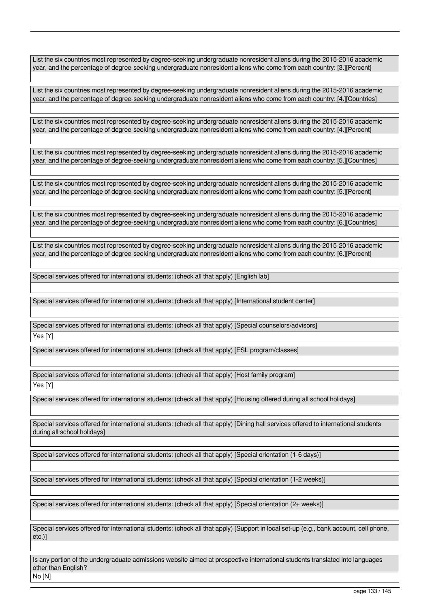List the six countries most represented by degree-seeking undergraduate nonresident aliens during the 2015-2016 academic year, and the percentage of degree-seeking undergraduate nonresident aliens who come from each country: [3.][Percent]

List the six countries most represented by degree-seeking undergraduate nonresident aliens during the 2015-2016 academic year, and the percentage of degree-seeking undergraduate nonresident aliens who come from each country: [4.][Countries]

List the six countries most represented by degree-seeking undergraduate nonresident aliens during the 2015-2016 academic year, and the percentage of degree-seeking undergraduate nonresident aliens who come from each country: [4.][Percent]

List the six countries most represented by degree-seeking undergraduate nonresident aliens during the 2015-2016 academic year, and the percentage of degree-seeking undergraduate nonresident aliens who come from each country: [5.][Countries]

List the six countries most represented by degree-seeking undergraduate nonresident aliens during the 2015-2016 academic year, and the percentage of degree-seeking undergraduate nonresident aliens who come from each country: [5.][Percent]

List the six countries most represented by degree-seeking undergraduate nonresident aliens during the 2015-2016 academic year, and the percentage of degree-seeking undergraduate nonresident aliens who come from each country: [6.][Countries]

List the six countries most represented by degree-seeking undergraduate nonresident aliens during the 2015-2016 academic year, and the percentage of degree-seeking undergraduate nonresident aliens who come from each country: [6.][Percent]

Special services offered for international students: (check all that apply) [English lab]

Special services offered for international students: (check all that apply) [International student center]

Special services offered for international students: (check all that apply) [Special counselors/advisors]

Yes [Y]

Special services offered for international students: (check all that apply) [ESL program/classes]

Special services offered for international students: (check all that apply) [Host family program]

Yes [Y]

Special services offered for international students: (check all that apply) [Housing offered during all school holidays]

Special services offered for international students: (check all that apply) [Dining hall services offered to international students during all school holidays]

Special services offered for international students: (check all that apply) [Special orientation (1-6 days)]

Special services offered for international students: (check all that apply) [Special orientation (1-2 weeks)]

Special services offered for international students: (check all that apply) [Special orientation (2+ weeks)]

Special services offered for international students: (check all that apply) [Support in local set-up (e.g., bank account, cell phone, etc.)]

Is any portion of the undergraduate admissions website aimed at prospective international students translated into languages other than English?

No [N]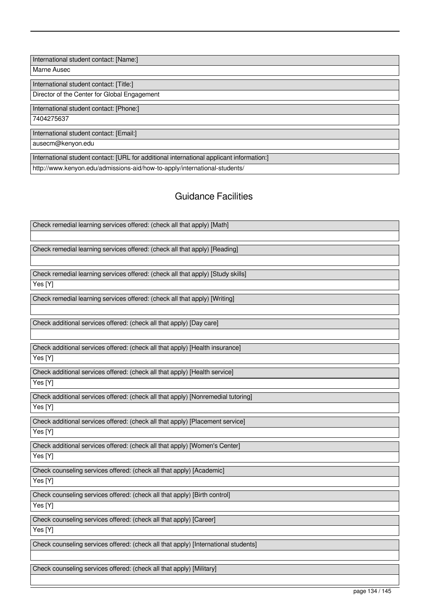International student contact: [Name:]

Marne Ausec

International student contact: [Title:]

Director of the Center for Global Engagement

International student contact: [Phone:]

7404275637

International student contact: [Email:]

ausecm@kenyon.edu

International student contact: [URL for additional international applicant information:]

http://www.kenyon.edu/admissions-aid/how-to-apply/international-students/

# Guidance Facilities

| Check remedial learning services offered: (check all that apply) [Math]            |
|------------------------------------------------------------------------------------|
|                                                                                    |
| Check remedial learning services offered: (check all that apply) [Reading]         |
|                                                                                    |
| Check remedial learning services offered: (check all that apply) [Study skills]    |
| Yes [Y]                                                                            |
| Check remedial learning services offered: (check all that apply) [Writing]         |
|                                                                                    |
| Check additional services offered: (check all that apply) [Day care]               |
|                                                                                    |
| Check additional services offered: (check all that apply) [Health insurance]       |
| Yes [Y]                                                                            |
| Check additional services offered: (check all that apply) [Health service]         |
| Yes [Y]                                                                            |
| Check additional services offered: (check all that apply) [Nonremedial tutoring]   |
| Yes [Y]                                                                            |
| Check additional services offered: (check all that apply) [Placement service]      |
| Yes [Y]                                                                            |
| Check additional services offered: (check all that apply) [Women's Center]         |
| Yes [Y]                                                                            |
| Check counseling services offered: (check all that apply) [Academic]               |
| Yes [Y]                                                                            |
| Check counseling services offered: (check all that apply) [Birth control]          |
| Yes [Y]                                                                            |
| Check counseling services offered: (check all that apply) [Career]                 |
| Yes [Y]                                                                            |
| Check counseling services offered: (check all that apply) [International students] |
|                                                                                    |
| Check counseling services offered: (check all that apply) [Military]               |
|                                                                                    |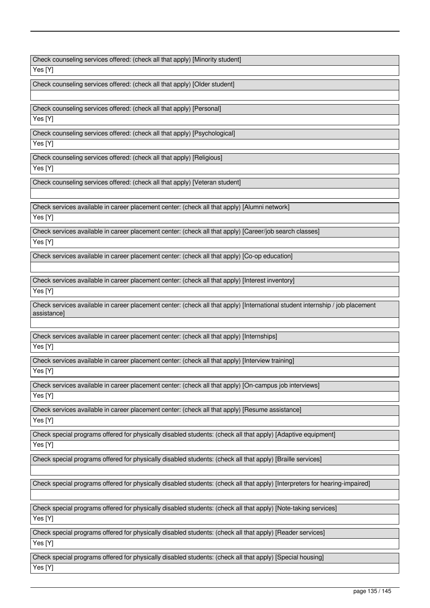Check counseling services offered: (check all that apply) [Minority student]

Yes [Y]

Check counseling services offered: (check all that apply) [Older student]

Check counseling services offered: (check all that apply) [Personal]

Yes [Y]

Check counseling services offered: (check all that apply) [Psychological]

Yes [Y]

Check counseling services offered: (check all that apply) [Religious]

Yes [Y]

Check counseling services offered: (check all that apply) [Veteran student]

Check services available in career placement center: (check all that apply) [Alumni network]

Yes [Y]

Check services available in career placement center: (check all that apply) [Career/job search classes]

Yes [Y]

Check services available in career placement center: (check all that apply) [Co-op education]

Check services available in career placement center: (check all that apply) [Interest inventory] Yes [Y]

Check services available in career placement center: (check all that apply) [International student internship / job placement assistance]

Check services available in career placement center: (check all that apply) [Internships]

Yes [Y]

Check services available in career placement center: (check all that apply) [Interview training]

Yes [Y]

Check services available in career placement center: (check all that apply) [On-campus job interviews]

 $\overline{\mathsf{Yes}}$  [Y]

Check services available in career placement center: (check all that apply) [Resume assistance] Yes [Y]

Check special programs offered for physically disabled students: (check all that apply) [Adaptive equipment]

Yes [Y]

Check special programs offered for physically disabled students: (check all that apply) [Braille services]

Check special programs offered for physically disabled students: (check all that apply) [Interpreters for hearing-impaired]

Check special programs offered for physically disabled students: (check all that apply) [Note-taking services] Yes [Y]

Check special programs offered for physically disabled students: (check all that apply) [Reader services] Yes [Y]

Check special programs offered for physically disabled students: (check all that apply) [Special housing] Yes [Y]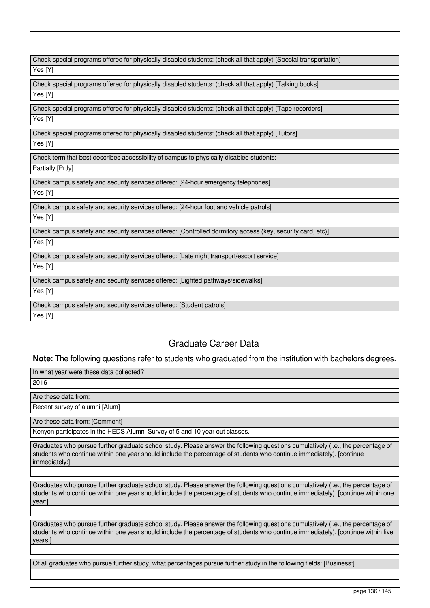| Check special programs offered for physically disabled students: (check all that apply) [Special transportation] |
|------------------------------------------------------------------------------------------------------------------|
| Yes [Y]                                                                                                          |
| Check special programs offered for physically disabled students: (check all that apply) [Talking books]          |
| Yes [Y]                                                                                                          |
| Check special programs offered for physically disabled students: (check all that apply) [Tape recorders]         |
| Yes [Y]                                                                                                          |
| Check special programs offered for physically disabled students: (check all that apply) [Tutors]                 |
| Yes [Y]                                                                                                          |
| Check term that best describes accessibility of campus to physically disabled students:                          |
| Partially [Prtly]                                                                                                |
| Check campus safety and security services offered: [24-hour emergency telephones]                                |
| Yes [Y]                                                                                                          |
| Check campus safety and security services offered: [24-hour foot and vehicle patrols]                            |
| Yes [Y]                                                                                                          |
| Check campus safety and security services offered: [Controlled dormitory access (key, security card, etc)]       |
| Yes [Y]                                                                                                          |
| Check campus safety and security services offered: [Late night transport/escort service]                         |
| Yes [Y]                                                                                                          |
| Check campus safety and security services offered: [Lighted pathways/sidewalks]                                  |
| Yes [Y]                                                                                                          |
| Check campus safety and security services offered: [Student patrols]                                             |
| Yes [Y]                                                                                                          |

# Graduate Career Data

**Note:** The following questions refer to students who graduated from the institution with bachelors degrees.

| In what year were these data collected?                                     |
|-----------------------------------------------------------------------------|
| 2016                                                                        |
|                                                                             |
| Are these data from:                                                        |
| Recent survey of alumni [Alum]                                              |
|                                                                             |
| Are these data from: [Comment]                                              |
| Kenyon participates in the HEDS Alumni Survey of 5 and 10 year out classes. |

Graduates who pursue further graduate school study. Please answer the following questions cumulatively (i.e., the percentage of students who continue within one year should include the percentage of students who continue immediately). [continue immediately:]

Graduates who pursue further graduate school study. Please answer the following questions cumulatively (i.e., the percentage of students who continue within one year should include the percentage of students who continue immediately). [continue within one year:]

Graduates who pursue further graduate school study. Please answer the following questions cumulatively (i.e., the percentage of students who continue within one year should include the percentage of students who continue immediately). [continue within five years:]

Of all graduates who pursue further study, what percentages pursue further study in the following fields: [Business:]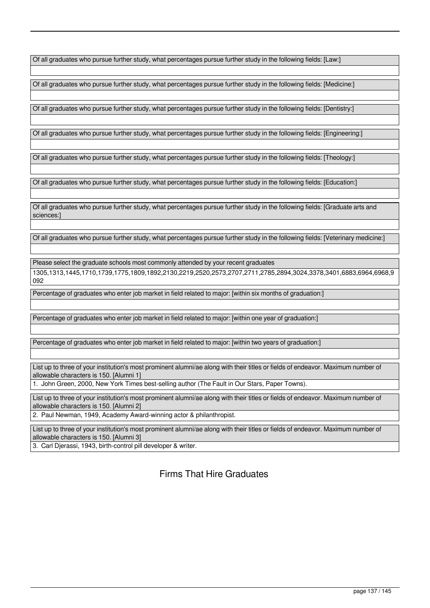Of all graduates who pursue further study, what percentages pursue further study in the following fields: [Law:]

Of all graduates who pursue further study, what percentages pursue further study in the following fields: [Medicine:]

Of all graduates who pursue further study, what percentages pursue further study in the following fields: [Dentistry:]

Of all graduates who pursue further study, what percentages pursue further study in the following fields: [Engineering:]

Of all graduates who pursue further study, what percentages pursue further study in the following fields: [Theology:]

Of all graduates who pursue further study, what percentages pursue further study in the following fields: [Education:]

Of all graduates who pursue further study, what percentages pursue further study in the following fields: [Graduate arts and sciences:]

Of all graduates who pursue further study, what percentages pursue further study in the following fields: [Veterinary medicine:]

Please select the graduate schools most commonly attended by your recent graduates

1305,1313,1445,1710,1739,1775,1809,1892,2130,2219,2520,2573,2707,2711,2785,2894,3024,3378,3401,6883,6964,6968,9 092

Percentage of graduates who enter job market in field related to major: [within six months of graduation:]

Percentage of graduates who enter job market in field related to major: [within one year of graduation:]

Percentage of graduates who enter job market in field related to major: [within two years of graduation:]

List up to three of your institution's most prominent alumni/ae along with their titles or fields of endeavor. Maximum number of allowable characters is 150. [Alumni 1]

1. John Green, 2000, New York Times best-selling author (The Fault in Our Stars, Paper Towns).

List up to three of your institution's most prominent alumni/ae along with their titles or fields of endeavor. Maximum number of allowable characters is 150. [Alumni 2]

2. Paul Newman, 1949, Academy Award-winning actor & philanthropist.

List up to three of your institution's most prominent alumni/ae along with their titles or fields of endeavor. Maximum number of allowable characters is 150. [Alumni 3]

3. Carl Djerassi, 1943, birth-control pill developer & writer.

Firms That Hire Graduates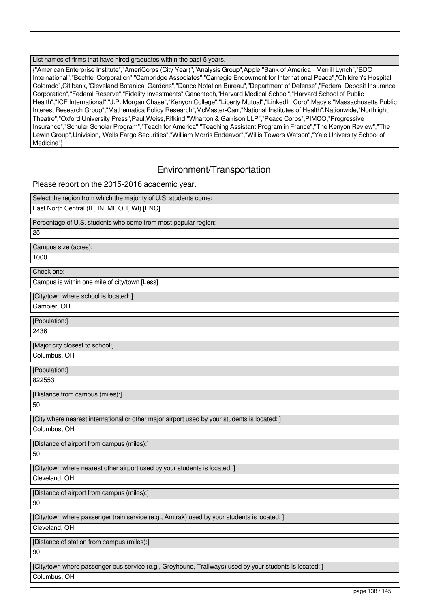#### List names of firms that have hired graduates within the past 5 years.

{"American Enterprise Institute","AmeriCorps (City Year)","Analysis Group",Apple,"Bank of America - Merrill Lynch","BDO International","Bechtel Corporation","Cambridge Associates","Carnegie Endowment for International Peace","Children's Hospital Colorado",Citibank,"Cleveland Botanical Gardens","Dance Notation Bureau","Department of Defense","Federal Deposit Insurance Corporation","Federal Reserve","Fidelity Investments",Genentech,"Harvard Medical School","Harvard School of Public Health","ICF International","J.P. Morgan Chase","Kenyon College","Liberty Mutual","LinkedIn Corp",Macy's,"Massachusetts Public Interest Research Group","Mathematica Policy Research",McMaster-Carr,"National Institutes of Health",Nationwide,"Northlight Theatre","Oxford University Press",Paul,Weiss,Rifkind,"Wharton & Garrison LLP","Peace Corps",PIMCO,"Progressive Insurance","Schuler Scholar Program","Teach for America","Teaching Assistant Program in France","The Kenyon Review","The Lewin Group",Univision,"Wells Fargo Securities","William Morris Endeavor","Willis Towers Watson","Yale University School of Medicine"}

## Environment/Transportation

Please report on the 2015-2016 academic year.

| Select the region from which the majority of U.S. students come:                                                        |
|-------------------------------------------------------------------------------------------------------------------------|
| East North Central (IL, IN, MI, OH, WI) [ENC]                                                                           |
| Percentage of U.S. students who come from most popular region:                                                          |
| 25                                                                                                                      |
| Campus size (acres):                                                                                                    |
| 1000                                                                                                                    |
| Check one:                                                                                                              |
| Campus is within one mile of city/town [Less]                                                                           |
| [City/town where school is located: ]                                                                                   |
| Gambier, OH                                                                                                             |
| [Population:]                                                                                                           |
| 2436                                                                                                                    |
| [Major city closest to school:]                                                                                         |
| Columbus, OH                                                                                                            |
| [Population:]                                                                                                           |
| 822553                                                                                                                  |
|                                                                                                                         |
| [Distance from campus (miles):]                                                                                         |
| 50                                                                                                                      |
| [City where nearest international or other major airport used by your students is located: ]                            |
| Columbus, OH                                                                                                            |
| [Distance of airport from campus (miles):]                                                                              |
| 50                                                                                                                      |
| [City/town where nearest other airport used by your students is located: ]                                              |
| Cleveland, OH                                                                                                           |
| [Distance of airport from campus (miles):]                                                                              |
| 90                                                                                                                      |
| [City/town where passenger train service (e.g., Amtrak) used by your students is located: ]                             |
| Cleveland, OH                                                                                                           |
| [Distance of station from campus (miles):]                                                                              |
| 90                                                                                                                      |
| [City/town where passenger bus service (e.g., Greyhound, Trailways) used by your students is located: ]<br>Columbus, OH |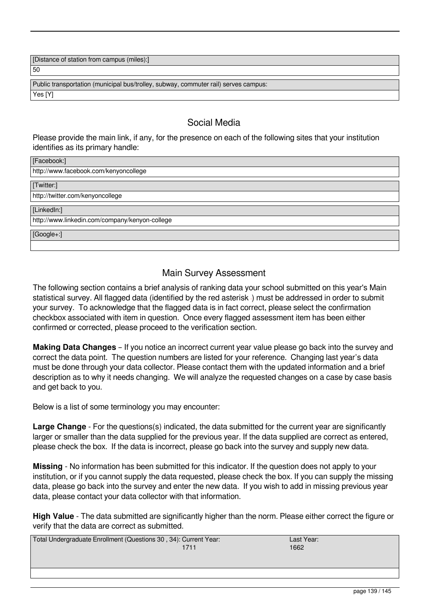[Distance of station from campus (miles):]

50

Public transportation (municipal bus/trolley, subway, commuter rail) serves campus: Yes [Y]

# Social Media

Please provide the main link, if any, for the presence on each of the following sites that your institution identifies as its primary handle:

| [Facebook:]                                    |
|------------------------------------------------|
| http://www.facebook.com/kenyoncollege          |
| [Twitter:]                                     |
| http://twitter.com/kenyoncollege               |
| [LinkedIn:]                                    |
| http://www.linkedin.com/company/kenyon-college |
| $[Google+:]$                                   |
|                                                |

# Main Survey Assessment

The following section contains a brief analysis of ranking data your school submitted on this year's Main statistical survey. All flagged data (identified by the red asterisk) must be addressed in order to submit your survey. To acknowledge that the flagged data is in fact correct, please select the confirmation checkbox associated with item in question. Once every flagged assessment item has been either confirmed or corrected, please proceed to the verification section.

**Making Data Changes** – If you notice an incorrect current year value please go back into the survey and correct the data point. The question numbers are listed for your reference. Changing last year's data must be done through your data collector. Please contact them with the updated information and a brief description as to why it needs changing. We will analyze the requested changes on a case by case basis and get back to you.

Below is a list of some terminology you may encounter:

**Large Change** - For the questions(s) indicated, the data submitted for the current year are significantly larger or smaller than the data supplied for the previous year. If the data supplied are correct as entered, please check the box. If the data is incorrect, please go back into the survey and supply new data.

**Missing** - No information has been submitted for this indicator. If the question does not apply to your institution, or if you cannot supply the data requested, please check the box. If you can supply the missing data, please go back into the survey and enter the new data. If you wish to add in missing previous year data, please contact your data collector with that information.

**High Value** - The data submitted are significantly higher than the norm. Please either correct the figure or verify that the data are correct as submitted.

| Total Undergraduate Enrollment (Questions 30, 34): Current Year: | Last Year: |
|------------------------------------------------------------------|------------|
|                                                                  | 1662       |
|                                                                  |            |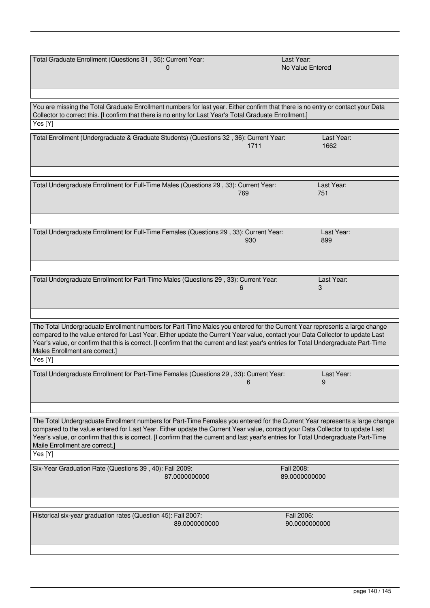| Total Graduate Enrollment (Questions 31, 35): Current Year:                                                                                                                                                                                                                                                                                                                                                                                     |               | Last Year: | No Value Entered            |
|-------------------------------------------------------------------------------------------------------------------------------------------------------------------------------------------------------------------------------------------------------------------------------------------------------------------------------------------------------------------------------------------------------------------------------------------------|---------------|------------|-----------------------------|
| You are missing the Total Graduate Enrollment numbers for last year. Either confirm that there is no entry or contact your Data<br>Collector to correct this. [I confirm that there is no entry for Last Year's Total Graduate Enrollment.]<br>Yes [Y]                                                                                                                                                                                          |               |            |                             |
| Total Enrollment (Undergraduate & Graduate Students) (Questions 32, 36): Current Year:                                                                                                                                                                                                                                                                                                                                                          |               | 1711       | Last Year:<br>1662          |
| Total Undergraduate Enrollment for Full-Time Males (Questions 29, 33): Current Year:                                                                                                                                                                                                                                                                                                                                                            |               | 769        | Last Year:<br>751           |
| Total Undergraduate Enrollment for Full-Time Females (Questions 29, 33): Current Year:                                                                                                                                                                                                                                                                                                                                                          |               | 930        | Last Year:<br>899           |
| Total Undergraduate Enrollment for Part-Time Males (Questions 29, 33): Current Year:                                                                                                                                                                                                                                                                                                                                                            |               | h          | Last Year:<br>3             |
|                                                                                                                                                                                                                                                                                                                                                                                                                                                 |               |            |                             |
| The Total Undergraduate Enrollment numbers for Part-Time Males you entered for the Current Year represents a large change<br>compared to the value entered for Last Year. Either update the Current Year value, contact your Data Collector to update Last<br>Year's value, or confirm that this is correct. [I confirm that the current and last year's entries for Total Undergraduate Part-Time<br>Males Enrollment are correct.]<br>Yes [Y] |               |            |                             |
|                                                                                                                                                                                                                                                                                                                                                                                                                                                 |               |            |                             |
| Total Undergraduate Enrollment for Part-Time Females (Questions 29, 33): Current Year:                                                                                                                                                                                                                                                                                                                                                          |               | 6          | Last Year:<br>9             |
|                                                                                                                                                                                                                                                                                                                                                                                                                                                 |               |            |                             |
| The Total Undergraduate Enrollment numbers for Part-Time Females you entered for the Current Year represents a large change<br>compared to the value entered for Last Year. Either update the Current Year value, contact your Data Collector to update Last<br>Year's value, or confirm that this is correct. [I confirm that the current and last year's entries for Total Undergraduate Part-Time<br>Maile Enrollment are correct.]          |               |            |                             |
| Yes [Y]                                                                                                                                                                                                                                                                                                                                                                                                                                         |               |            |                             |
| Six-Year Graduation Rate (Questions 39, 40): Fall 2009:                                                                                                                                                                                                                                                                                                                                                                                         | 87.0000000000 | Fall 2008: | 89.0000000000               |
|                                                                                                                                                                                                                                                                                                                                                                                                                                                 |               |            |                             |
| Historical six-year graduation rates (Question 45): Fall 2007:                                                                                                                                                                                                                                                                                                                                                                                  | 89.0000000000 |            | Fall 2006:<br>90.0000000000 |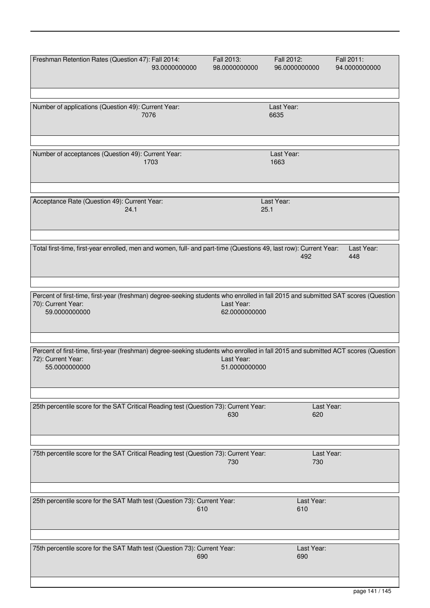| Freshman Retention Rates (Question 47): Fall 2014:                                                                                                      |               | Fall 2013:    | Fall 2012:         | Fall 2011:    |
|---------------------------------------------------------------------------------------------------------------------------------------------------------|---------------|---------------|--------------------|---------------|
|                                                                                                                                                         | 93.0000000000 | 98.0000000000 | 96.0000000000      | 94.0000000000 |
|                                                                                                                                                         |               |               |                    |               |
|                                                                                                                                                         |               |               |                    |               |
|                                                                                                                                                         |               |               |                    |               |
| Number of applications (Question 49): Current Year:<br>7076                                                                                             |               |               | Last Year:<br>6635 |               |
|                                                                                                                                                         |               |               |                    |               |
|                                                                                                                                                         |               |               |                    |               |
|                                                                                                                                                         |               |               |                    |               |
| Number of acceptances (Question 49): Current Year:                                                                                                      |               |               | Last Year:         |               |
| 1703                                                                                                                                                    |               |               | 1663               |               |
|                                                                                                                                                         |               |               |                    |               |
|                                                                                                                                                         |               |               |                    |               |
|                                                                                                                                                         |               |               |                    |               |
| Acceptance Rate (Question 49): Current Year:                                                                                                            |               |               | Last Year:         |               |
| 24.1                                                                                                                                                    |               |               | 25.1               |               |
|                                                                                                                                                         |               |               |                    |               |
|                                                                                                                                                         |               |               |                    |               |
|                                                                                                                                                         |               |               |                    |               |
| Total first-time, first-year enrolled, men and women, full- and part-time (Questions 49, last row): Current Year:                                       |               |               |                    | Last Year:    |
|                                                                                                                                                         |               |               | 492                | 448           |
|                                                                                                                                                         |               |               |                    |               |
|                                                                                                                                                         |               |               |                    |               |
|                                                                                                                                                         |               |               |                    |               |
| Percent of first-time, first-year (freshman) degree-seeking students who enrolled in fall 2015 and submitted SAT scores (Question<br>70): Current Year: |               | Last Year:    |                    |               |
| 59.0000000000                                                                                                                                           |               | 62.0000000000 |                    |               |
|                                                                                                                                                         |               |               |                    |               |
|                                                                                                                                                         |               |               |                    |               |
|                                                                                                                                                         |               |               |                    |               |
| Percent of first-time, first-year (freshman) degree-seeking students who enrolled in fall 2015 and submitted ACT scores (Question                       |               |               |                    |               |
| 72): Current Year:                                                                                                                                      |               | Last Year:    |                    |               |
| 55.0000000000                                                                                                                                           |               | 51.0000000000 |                    |               |
|                                                                                                                                                         |               |               |                    |               |
|                                                                                                                                                         |               |               |                    |               |
|                                                                                                                                                         |               |               |                    |               |
| 25th percentile score for the SAT Critical Reading test (Question 73): Current Year:                                                                    |               | 630           | 620                | Last Year:    |
|                                                                                                                                                         |               |               |                    |               |
|                                                                                                                                                         |               |               |                    |               |
|                                                                                                                                                         |               |               |                    |               |
| 75th percentile score for the SAT Critical Reading test (Question 73): Current Year:                                                                    |               |               |                    | Last Year:    |
|                                                                                                                                                         |               | 730           | 730                |               |
|                                                                                                                                                         |               |               |                    |               |
|                                                                                                                                                         |               |               |                    |               |
|                                                                                                                                                         |               |               |                    |               |
| 25th percentile score for the SAT Math test (Question 73): Current Year:                                                                                |               |               | Last Year:         |               |
|                                                                                                                                                         | 610           |               | 610                |               |
|                                                                                                                                                         |               |               |                    |               |
|                                                                                                                                                         |               |               |                    |               |
|                                                                                                                                                         |               |               |                    |               |
| 75th percentile score for the SAT Math test (Question 73): Current Year:                                                                                |               |               | Last Year:         |               |
|                                                                                                                                                         | 690           |               | 690                |               |
|                                                                                                                                                         |               |               |                    |               |
|                                                                                                                                                         |               |               |                    |               |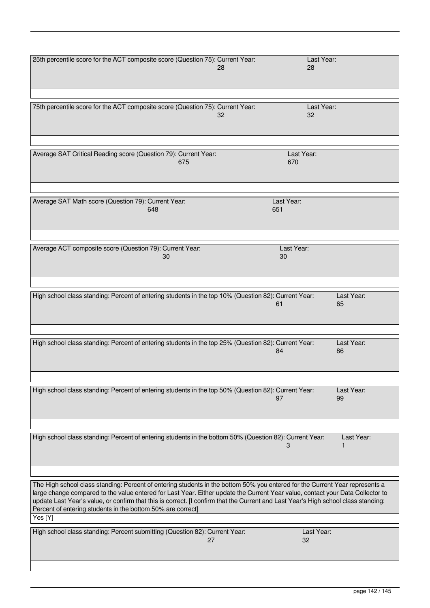| 25th percentile score for the ACT composite score (Question 75): Current Year:                                                                                                                                                                                                                                                                                                                                                                                                 | 28<br>28          | Last Year:       |
|--------------------------------------------------------------------------------------------------------------------------------------------------------------------------------------------------------------------------------------------------------------------------------------------------------------------------------------------------------------------------------------------------------------------------------------------------------------------------------|-------------------|------------------|
| 75th percentile score for the ACT composite score (Question 75): Current Year:                                                                                                                                                                                                                                                                                                                                                                                                 | 32<br>32          | Last Year:       |
| Average SAT Critical Reading score (Question 79): Current Year:<br>675                                                                                                                                                                                                                                                                                                                                                                                                         | Last Year:<br>670 |                  |
| Average SAT Math score (Question 79): Current Year:<br>648                                                                                                                                                                                                                                                                                                                                                                                                                     | Last Year:<br>651 |                  |
| Average ACT composite score (Question 79): Current Year:<br>30                                                                                                                                                                                                                                                                                                                                                                                                                 | Last Year:<br>30  |                  |
| High school class standing: Percent of entering students in the top 10% (Question 82): Current Year:                                                                                                                                                                                                                                                                                                                                                                           | 61                | Last Year:<br>65 |
| High school class standing: Percent of entering students in the top 25% (Question 82): Current Year:                                                                                                                                                                                                                                                                                                                                                                           | 84                | Last Year:<br>86 |
| High school class standing: Percent of entering students in the top 50% (Question 82): Current Year:                                                                                                                                                                                                                                                                                                                                                                           | 97                | Last Year:<br>99 |
| High school class standing: Percent of entering students in the bottom 50% (Question 82): Current Year:                                                                                                                                                                                                                                                                                                                                                                        | 3                 | Last Year:       |
| The High school class standing: Percent of entering students in the bottom 50% you entered for the Current Year represents a<br>large change compared to the value entered for Last Year. Either update the Current Year value, contact your Data Collector to<br>update Last Year's value, or confirm that this is correct. [I confirm that the Current and Last Year's High school class standing:<br>Percent of entering students in the bottom 50% are correct]<br>Yes [Y] |                   |                  |
| High school class standing: Percent submitting (Question 82): Current Year:<br>27                                                                                                                                                                                                                                                                                                                                                                                              | 32                | Last Year:       |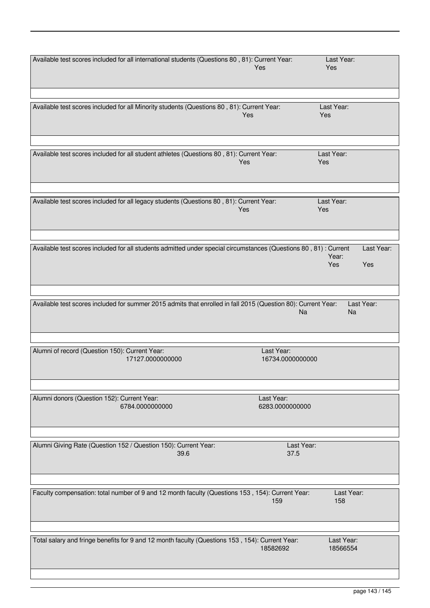| Available test scores included for all international students (Questions 80, 81): Current Year:                  |                  | Last Year: |            |
|------------------------------------------------------------------------------------------------------------------|------------------|------------|------------|
|                                                                                                                  | Yes              | Yes        |            |
|                                                                                                                  |                  |            |            |
|                                                                                                                  |                  |            |            |
|                                                                                                                  |                  |            |            |
|                                                                                                                  |                  |            |            |
| Available test scores included for all Minority students (Questions 80, 81): Current Year:                       |                  | Last Year: |            |
|                                                                                                                  | Yes              | Yes        |            |
|                                                                                                                  |                  |            |            |
|                                                                                                                  |                  |            |            |
|                                                                                                                  |                  |            |            |
|                                                                                                                  |                  |            |            |
| Available test scores included for all student athletes (Questions 80, 81): Current Year:                        |                  | Last Year: |            |
|                                                                                                                  | <b>Yes</b>       | Yes        |            |
|                                                                                                                  |                  |            |            |
|                                                                                                                  |                  |            |            |
|                                                                                                                  |                  |            |            |
|                                                                                                                  |                  |            |            |
| Available test scores included for all legacy students (Questions 80, 81): Current Year:                         |                  | Last Year: |            |
|                                                                                                                  | Yes              | Yes        |            |
|                                                                                                                  |                  |            |            |
|                                                                                                                  |                  |            |            |
|                                                                                                                  |                  |            |            |
|                                                                                                                  |                  |            |            |
| Available test scores included for all students admitted under special circumstances (Questions 80, 81): Current |                  |            | Last Year: |
|                                                                                                                  |                  | Year:      |            |
|                                                                                                                  |                  | Yes        | Yes        |
|                                                                                                                  |                  |            |            |
|                                                                                                                  |                  |            |            |
|                                                                                                                  |                  |            |            |
|                                                                                                                  |                  |            |            |
| Available test scores included for summer 2015 admits that enrolled in fall 2015 (Question 80): Current Year:    |                  | Last Year: |            |
|                                                                                                                  |                  |            |            |
|                                                                                                                  |                  |            |            |
|                                                                                                                  | Na               | <b>Na</b>  |            |
|                                                                                                                  |                  |            |            |
|                                                                                                                  |                  |            |            |
|                                                                                                                  |                  |            |            |
|                                                                                                                  |                  |            |            |
| Alumni of record (Question 150): Current Year:                                                                   | Last Year:       |            |            |
| 17127.0000000000                                                                                                 | 16734.0000000000 |            |            |
|                                                                                                                  |                  |            |            |
|                                                                                                                  |                  |            |            |
|                                                                                                                  |                  |            |            |
|                                                                                                                  |                  |            |            |
| Alumni donors (Question 152): Current Year:                                                                      | Last Year:       |            |            |
| 6784.0000000000                                                                                                  | 6283.0000000000  |            |            |
|                                                                                                                  |                  |            |            |
|                                                                                                                  |                  |            |            |
|                                                                                                                  |                  |            |            |
|                                                                                                                  |                  |            |            |
| Alumni Giving Rate (Question 152 / Question 150): Current Year:                                                  | Last Year:       |            |            |
| 39.6                                                                                                             | 37.5             |            |            |
|                                                                                                                  |                  |            |            |
|                                                                                                                  |                  |            |            |
|                                                                                                                  |                  |            |            |
|                                                                                                                  |                  |            |            |
| Faculty compensation: total number of 9 and 12 month faculty (Questions 153, 154): Current Year:                 |                  | Last Year: |            |
|                                                                                                                  | 159              | 158        |            |
|                                                                                                                  |                  |            |            |
|                                                                                                                  |                  |            |            |
|                                                                                                                  |                  |            |            |
|                                                                                                                  |                  |            |            |
| Total salary and fringe benefits for 9 and 12 month faculty (Questions 153, 154): Current Year:                  |                  | Last Year: |            |
|                                                                                                                  | 18582692         | 18566554   |            |
|                                                                                                                  |                  |            |            |
|                                                                                                                  |                  |            |            |
|                                                                                                                  |                  |            |            |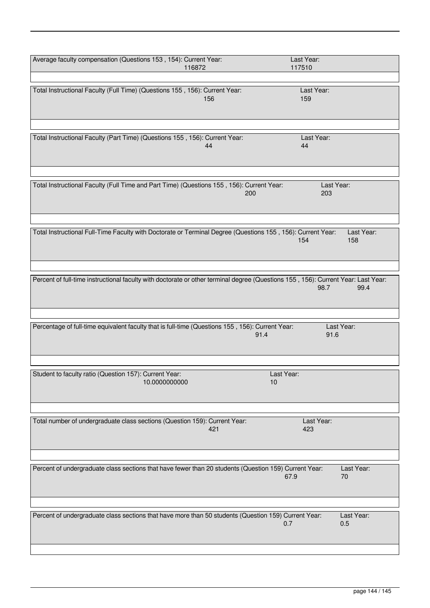| Average faculty compensation (Questions 153, 154): Current Year:                                                                  |               | Last Year:   |            |
|-----------------------------------------------------------------------------------------------------------------------------------|---------------|--------------|------------|
|                                                                                                                                   | 116872        | 117510       |            |
|                                                                                                                                   |               |              |            |
| Total Instructional Faculty (Full Time) (Questions 155, 156): Current Year:                                                       |               | Last Year:   |            |
|                                                                                                                                   | 156           | 159          |            |
|                                                                                                                                   |               |              |            |
|                                                                                                                                   |               |              |            |
|                                                                                                                                   |               |              |            |
|                                                                                                                                   |               |              |            |
| Total Instructional Faculty (Part Time) (Questions 155, 156): Current Year:                                                       |               | Last Year:   |            |
|                                                                                                                                   | 44            | 44           |            |
|                                                                                                                                   |               |              |            |
|                                                                                                                                   |               |              |            |
|                                                                                                                                   |               |              |            |
|                                                                                                                                   |               |              |            |
| Total Instructional Faculty (Full Time and Part Time) (Questions 155, 156): Current Year:                                         |               | Last Year:   |            |
|                                                                                                                                   | 200           | 203          |            |
|                                                                                                                                   |               |              |            |
|                                                                                                                                   |               |              |            |
|                                                                                                                                   |               |              |            |
| Total Instructional Full-Time Faculty with Doctorate or Terminal Degree (Questions 155, 156): Current Year:                       |               |              | Last Year: |
|                                                                                                                                   |               | 154          | 158        |
|                                                                                                                                   |               |              |            |
|                                                                                                                                   |               |              |            |
|                                                                                                                                   |               |              |            |
|                                                                                                                                   |               |              |            |
| Percent of full-time instructional faculty with doctorate or other terminal degree (Questions 155, 156): Current Year: Last Year: |               |              |            |
|                                                                                                                                   |               | 98.7         | 99.4       |
|                                                                                                                                   |               |              |            |
|                                                                                                                                   |               |              |            |
|                                                                                                                                   |               |              |            |
|                                                                                                                                   |               |              |            |
| Percentage of full-time equivalent faculty that is full-time (Questions 155, 156): Current Year:                                  |               |              | Last Year: |
|                                                                                                                                   |               | 91.4<br>91.6 |            |
|                                                                                                                                   |               |              |            |
|                                                                                                                                   |               |              |            |
|                                                                                                                                   |               |              |            |
| Student to faculty ratio (Question 157): Current Year:                                                                            |               | Last Year:   |            |
|                                                                                                                                   | 10.0000000000 | 10           |            |
|                                                                                                                                   |               |              |            |
|                                                                                                                                   |               |              |            |
|                                                                                                                                   |               |              |            |
|                                                                                                                                   |               |              |            |
| Total number of undergraduate class sections (Question 159): Current Year:                                                        |               | Last Year:   |            |
|                                                                                                                                   | 421           | 423          |            |
|                                                                                                                                   |               |              |            |
|                                                                                                                                   |               |              |            |
|                                                                                                                                   |               |              |            |
|                                                                                                                                   |               |              |            |
| Percent of undergraduate class sections that have fewer than 20 students (Question 159) Current Year:                             |               |              | Last Year: |
|                                                                                                                                   |               | 67.9         | 70         |
|                                                                                                                                   |               |              |            |
|                                                                                                                                   |               |              |            |
|                                                                                                                                   |               |              |            |
| Percent of undergraduate class sections that have more than 50 students (Question 159) Current Year:                              |               |              | Last Year: |
|                                                                                                                                   |               | 0.7          | 0.5        |
|                                                                                                                                   |               |              |            |
|                                                                                                                                   |               |              |            |
|                                                                                                                                   |               |              |            |
|                                                                                                                                   |               |              |            |